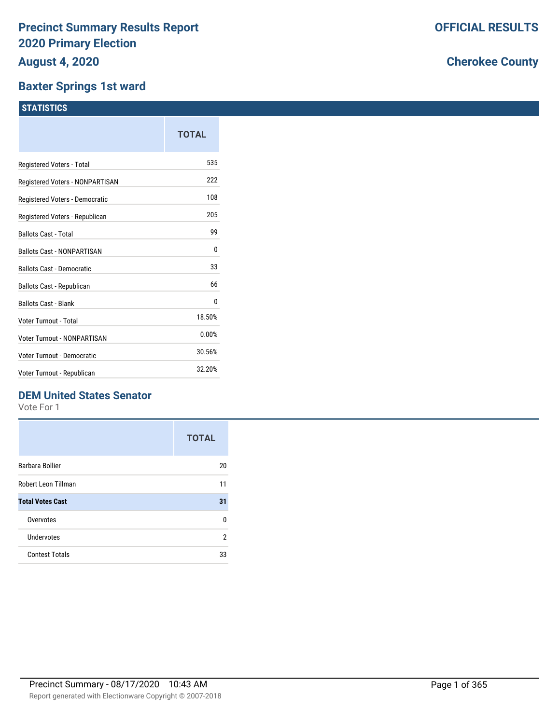#### **Baxter Springs 1st ward**

|                                   | TOTAL  |
|-----------------------------------|--------|
| Registered Voters - Total         | 535    |
| Registered Voters - NONPARTISAN   | 222    |
| Registered Voters - Democratic    | 108    |
| Registered Voters - Republican    | 205    |
| <b>Ballots Cast - Total</b>       | 99     |
| <b>Ballots Cast - NONPARTISAN</b> | 0      |
| <b>Ballots Cast - Democratic</b>  | 33     |
| Ballots Cast - Republican         | 66     |
| <b>Ballots Cast - Blank</b>       | 0      |
| Voter Turnout - Total             | 18.50% |
| Voter Turnout - NONPARTISAN       | 0.00%  |
| Voter Turnout - Democratic        | 30.56% |
| Voter Turnout - Republican        | 32.20% |
|                                   |        |

### **DEM United States Senator**

Vote For 1

|                         | <b>TOTAL</b> |
|-------------------------|--------------|
| Barbara Bollier         | 20           |
| Robert Leon Tillman     | 11           |
| <b>Total Votes Cast</b> | 31           |
| Overvotes               | n            |
| Undervotes              | 2            |
| <b>Contest Totals</b>   | 33           |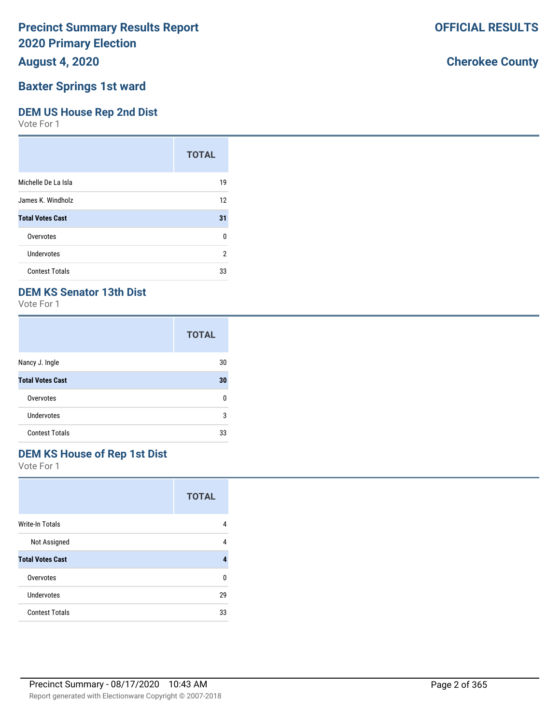**August 4, 2020**

# **Baxter Springs 1st ward**

### **DEM US House Rep 2nd Dist**

Vote For 1

|                         | <b>TOTAL</b> |
|-------------------------|--------------|
| Michelle De La Isla     | 19           |
| James K. Windholz       | 12           |
| <b>Total Votes Cast</b> | 31           |
| Overvotes               | 0            |
| Undervotes              | 2            |
| <b>Contest Totals</b>   | 33           |

# **DEM KS Senator 13th Dist**

Vote For 1

|                         | <b>TOTAL</b> |
|-------------------------|--------------|
| Nancy J. Ingle          | 30           |
| <b>Total Votes Cast</b> | 30           |
| Overvotes               | n            |
| Undervotes              | 3            |
| <b>Contest Totals</b>   | 33           |

# **DEM KS House of Rep 1st Dist**

Vote For 1

|                         | <b>TOTAL</b> |
|-------------------------|--------------|
| Write-In Totals         | 4            |
| Not Assigned            | 4            |
| <b>Total Votes Cast</b> | 4            |
| Overvotes               | U            |
| Undervotes              | 29           |
| <b>Contest Totals</b>   | 33           |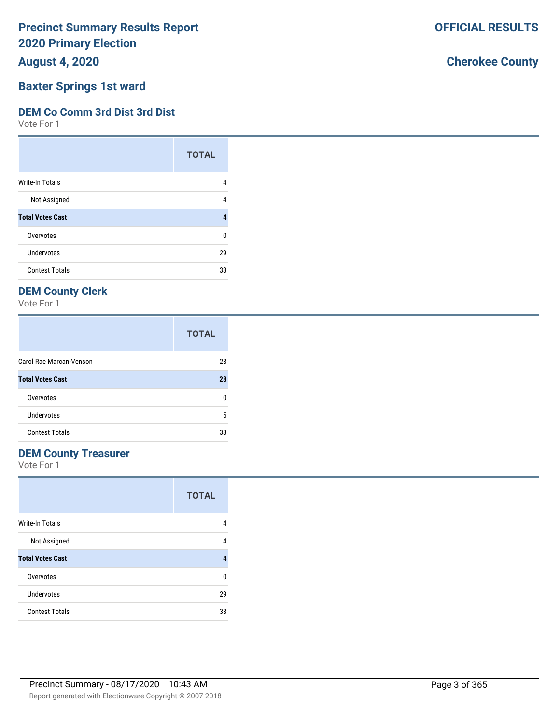**August 4, 2020**

## **Baxter Springs 1st ward**

### **DEM Co Comm 3rd Dist 3rd Dist**

Vote For 1

|                         | <b>TOTAL</b> |
|-------------------------|--------------|
| <b>Write-In Totals</b>  | 4            |
| Not Assigned            | 4            |
| <b>Total Votes Cast</b> |              |
| Overvotes               | U            |
| <b>Undervotes</b>       | 29           |
| <b>Contest Totals</b>   | 33           |

# **DEM County Clerk**

Vote For 1

|                         | <b>TOTAL</b> |
|-------------------------|--------------|
| Carol Rae Marcan-Venson | 28           |
| <b>Total Votes Cast</b> | 28           |
| Overvotes               | n            |
| Undervotes              | 5            |
| <b>Contest Totals</b>   | 33           |

### **DEM County Treasurer**

Vote For 1

|                         | <b>TOTAL</b> |
|-------------------------|--------------|
| Write-In Totals         | 4            |
| Not Assigned            | 4            |
| <b>Total Votes Cast</b> |              |
| Overvotes               | U            |
| Undervotes              | 29           |
| <b>Contest Totals</b>   | 33           |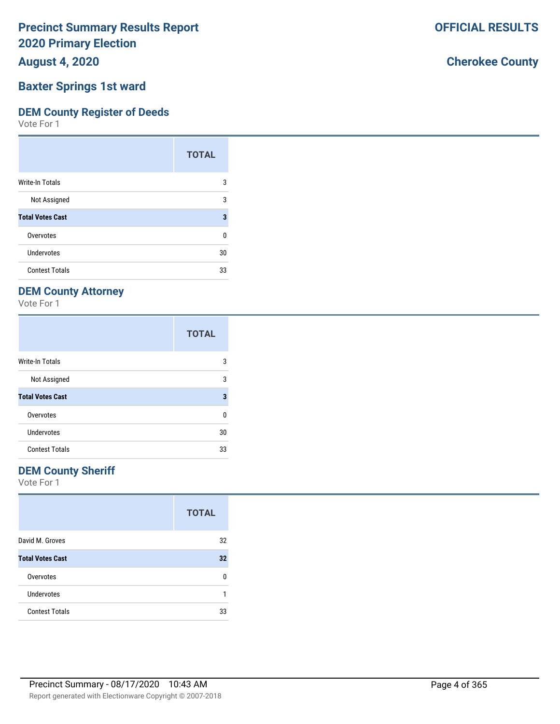**August 4, 2020**

### **Baxter Springs 1st ward**

#### **DEM County Register of Deeds**

Vote For 1

|                         | <b>TOTAL</b> |
|-------------------------|--------------|
| Write-In Totals         | 3            |
| Not Assigned            | 3            |
| <b>Total Votes Cast</b> | 3            |
| Overvotes               | ŋ            |
| Undervotes              | 30           |
| <b>Contest Totals</b>   | 33           |

### **DEM County Attorney**

Vote For 1

|                         | <b>TOTAL</b> |
|-------------------------|--------------|
| <b>Write-In Totals</b>  | 3            |
| Not Assigned            | 3            |
| <b>Total Votes Cast</b> | 3            |
| Overvotes               | ŋ            |
| Undervotes              | 30           |
| <b>Contest Totals</b>   | 33           |

### **DEM County Sheriff**

Vote For 1

|                         | <b>TOTAL</b> |
|-------------------------|--------------|
| David M. Groves         | 32           |
| <b>Total Votes Cast</b> | 32           |
| Overvotes               | n            |
| <b>Undervotes</b>       |              |
| <b>Contest Totals</b>   | 33           |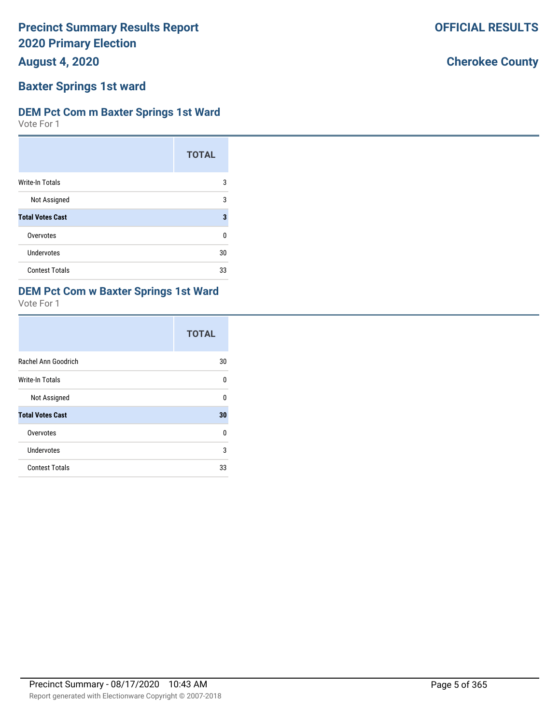**August 4, 2020**

# **Baxter Springs 1st ward**

### **DEM Pct Com m Baxter Springs 1st Ward**

Vote For 1

|                         | <b>TOTAL</b> |
|-------------------------|--------------|
| Write-In Totals         | 3            |
| Not Assigned            | 3            |
| <b>Total Votes Cast</b> | 3            |
| Overvotes               | U            |
| Undervotes              | 30           |
| <b>Contest Totals</b>   | 33           |

# **DEM Pct Com w Baxter Springs 1st Ward**

Vote For 1

|                         | <b>TOTAL</b> |
|-------------------------|--------------|
| Rachel Ann Goodrich     | 30           |
| <b>Write-In Totals</b>  | U            |
| Not Assigned            | U            |
| <b>Total Votes Cast</b> | 30           |
| Overvotes               | 0            |
| Undervotes              | 3            |
| <b>Contest Totals</b>   | 33           |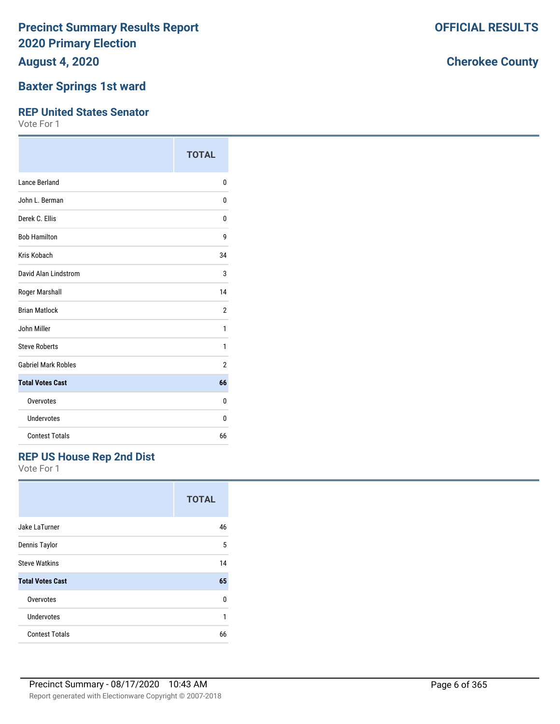**August 4, 2020**

### **Baxter Springs 1st ward**

#### **REP United States Senator**

Vote For 1

|                            | <b>TOTAL</b>   |
|----------------------------|----------------|
| Lance Berland              | $\Omega$       |
| John L. Berman             | 0              |
| Derek C. Ellis             | 0              |
| <b>Bob Hamilton</b>        | 9              |
| Kris Kobach                | 34             |
| David Alan Lindstrom       | 3              |
| Roger Marshall             | 14             |
| <b>Brian Matlock</b>       | $\overline{2}$ |
| John Miller                | 1              |
| <b>Steve Roberts</b>       | 1              |
| <b>Gabriel Mark Robles</b> | 2              |
| <b>Total Votes Cast</b>    | 66             |
| Overvotes                  | 0              |
| Undervotes                 | 0              |
| <b>Contest Totals</b>      | 66             |

### **REP US House Rep 2nd Dist**

Vote For 1

|                         | <b>TOTAL</b> |
|-------------------------|--------------|
| Jake LaTurner           | 46           |
| Dennis Taylor           | 5            |
| <b>Steve Watkins</b>    | 14           |
| <b>Total Votes Cast</b> | 65           |
| Overvotes               | U            |
| Undervotes              | 1            |
| <b>Contest Totals</b>   | 66           |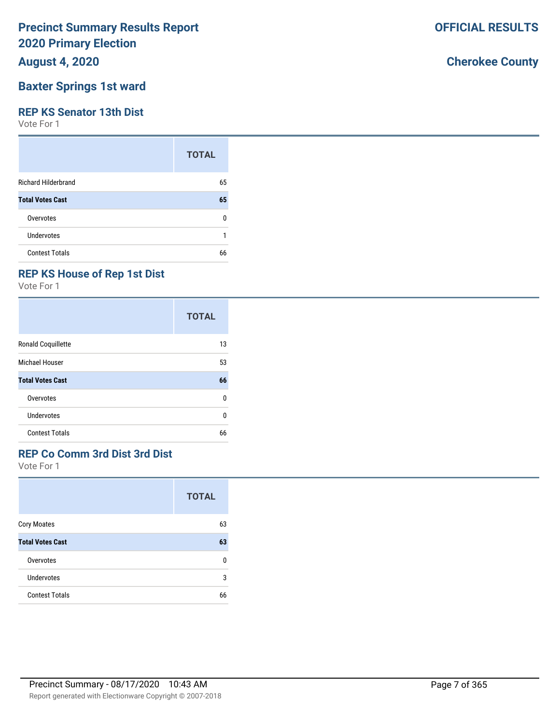**August 4, 2020**

### **Baxter Springs 1st ward**

#### **REP KS Senator 13th Dist**

Vote For 1

|                            | <b>TOTAL</b> |
|----------------------------|--------------|
| <b>Richard Hilderbrand</b> | 65           |
| <b>Total Votes Cast</b>    | 65           |
| Overvotes                  | ŋ            |
| <b>Undervotes</b>          |              |
| <b>Contest Totals</b>      | 66           |

### **REP KS House of Rep 1st Dist**

Vote For 1

|                         | <b>TOTAL</b> |
|-------------------------|--------------|
| Ronald Coquillette      | 13           |
| <b>Michael Houser</b>   | 53           |
| <b>Total Votes Cast</b> | 66           |
| Overvotes               | 0            |
| Undervotes              | U            |
| <b>Contest Totals</b>   | 66           |

### **REP Co Comm 3rd Dist 3rd Dist**

Vote For 1

|                         | <b>TOTAL</b> |
|-------------------------|--------------|
| <b>Cory Moates</b>      | 63           |
| <b>Total Votes Cast</b> | 63           |
| Overvotes               | U            |
| Undervotes              | 3            |
| <b>Contest Totals</b>   | 66           |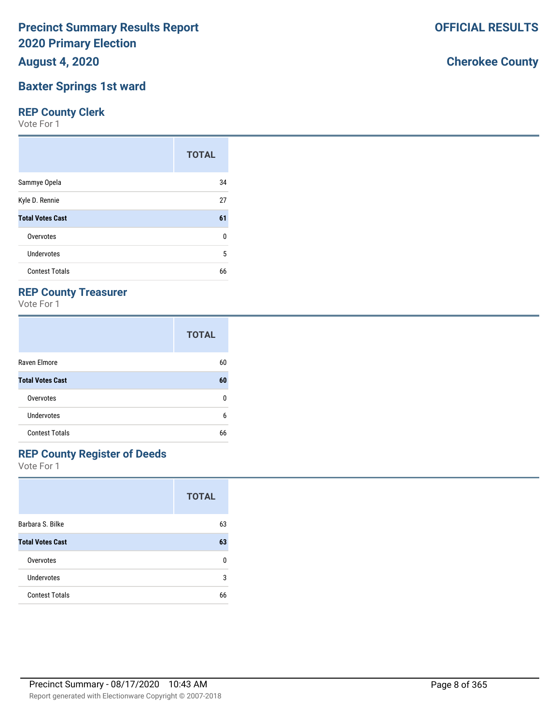**August 4, 2020**

### **Baxter Springs 1st ward**

### **REP County Clerk**

Vote For 1

|                         | <b>TOTAL</b> |
|-------------------------|--------------|
| Sammye Opela            | 34           |
| Kyle D. Rennie          | 27           |
| <b>Total Votes Cast</b> | 61           |
| Overvotes               | 0            |
| Undervotes              | 5            |
| <b>Contest Totals</b>   | 66           |

### **REP County Treasurer**

Vote For 1

|                         | <b>TOTAL</b> |
|-------------------------|--------------|
| Raven Elmore            | 60           |
| <b>Total Votes Cast</b> | 60           |
| Overvotes               | n            |
| Undervotes              | 6            |
| <b>Contest Totals</b>   | 66           |

# **REP County Register of Deeds**

Vote For 1

|                         | <b>TOTAL</b> |
|-------------------------|--------------|
| Barbara S. Bilke        | 63           |
| <b>Total Votes Cast</b> | 63           |
| Overvotes               | n            |
| Undervotes              | 3            |
| <b>Contest Totals</b>   | 66           |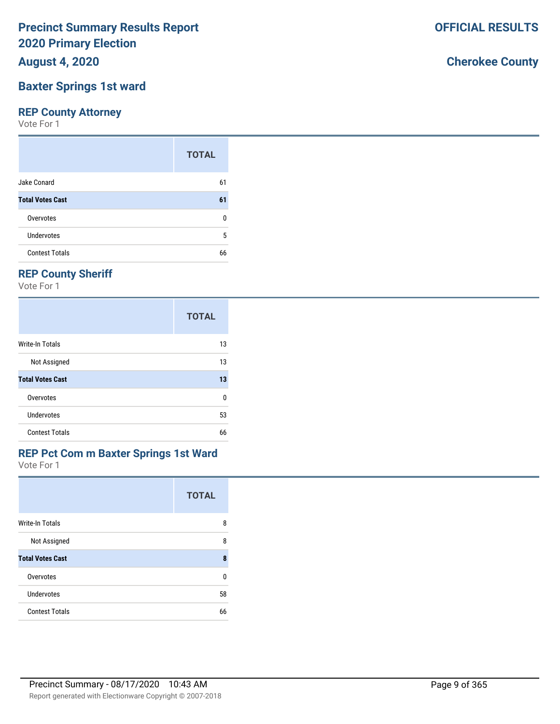**August 4, 2020**

## **Baxter Springs 1st ward**

### **REP County Attorney**

Vote For 1

|                         | <b>TOTAL</b> |
|-------------------------|--------------|
| Jake Conard             | 61           |
| <b>Total Votes Cast</b> | 61           |
| Overvotes               | n            |
| Undervotes              | 5            |
| <b>Contest Totals</b>   | 66           |

# **REP County Sheriff**

Vote For 1

|                         | <b>TOTAL</b> |
|-------------------------|--------------|
| Write-In Totals         | 13           |
| Not Assigned            | 13           |
| <b>Total Votes Cast</b> | 13           |
| Overvotes               | 0            |
| Undervotes              | 53           |
| <b>Contest Totals</b>   | 66           |

#### Vote For 1 **REP Pct Com m Baxter Springs 1st Ward**

| $V \cup C + U + I$      |              |
|-------------------------|--------------|
|                         | <b>TOTAL</b> |
| <b>Write-In Totals</b>  | 8            |
| Not Assigned            | 8            |
| <b>Total Votes Cast</b> | 8            |
| Overvotes               |              |

| Overvotes             | 0  |
|-----------------------|----|
| <b>Undervotes</b>     | 58 |
| <b>Contest Totals</b> | 66 |
|                       |    |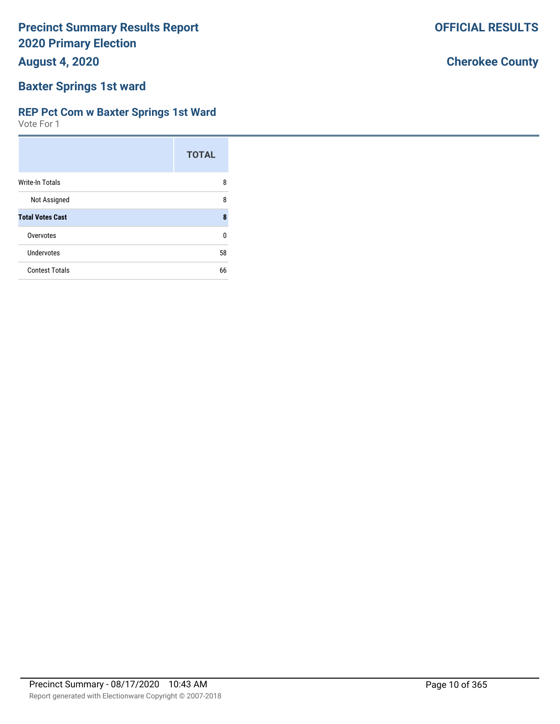**August 4, 2020**

## **Baxter Springs 1st ward**

### **REP Pct Com w Baxter Springs 1st Ward**

Vote For 1

|                         | <b>TOTAL</b> |
|-------------------------|--------------|
| Write-In Totals         | 8            |
| Not Assigned            | 8            |
| <b>Total Votes Cast</b> | 8            |
| Overvotes               | n            |
| Undervotes              | 58           |
| <b>Contest Totals</b>   | 66           |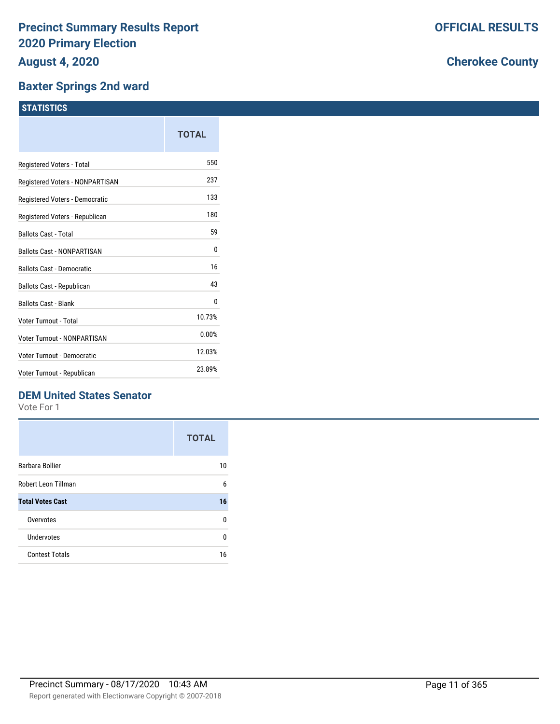### **Baxter Springs 2nd ward**

|                                    | TOTAL  |
|------------------------------------|--------|
| Registered Voters - Total          | 550    |
| Registered Voters - NONPARTISAN    | 237    |
| Registered Voters - Democratic     | 133    |
| Registered Voters - Republican     | 180    |
| <b>Ballots Cast - Total</b>        | 59     |
| <b>Ballots Cast - NONPARTISAN</b>  | 0      |
| <b>Ballots Cast - Democratic</b>   | 16     |
| Ballots Cast - Republican          | 43     |
| <b>Ballots Cast - Blank</b>        | 0      |
| Voter Turnout - Total              | 10.73% |
| <b>Voter Turnout - NONPARTISAN</b> | 0.00%  |
| Voter Turnout - Democratic         | 12.03% |
| Voter Turnout - Republican         | 23.89% |

### **DEM United States Senator**

Vote For 1

|                         | <b>TOTAL</b> |
|-------------------------|--------------|
| Barbara Bollier         | 10           |
| Robert Leon Tillman     | 6            |
| <b>Total Votes Cast</b> | 16           |
| Overvotes               | U            |
| Undervotes              | U            |
| <b>Contest Totals</b>   | 16           |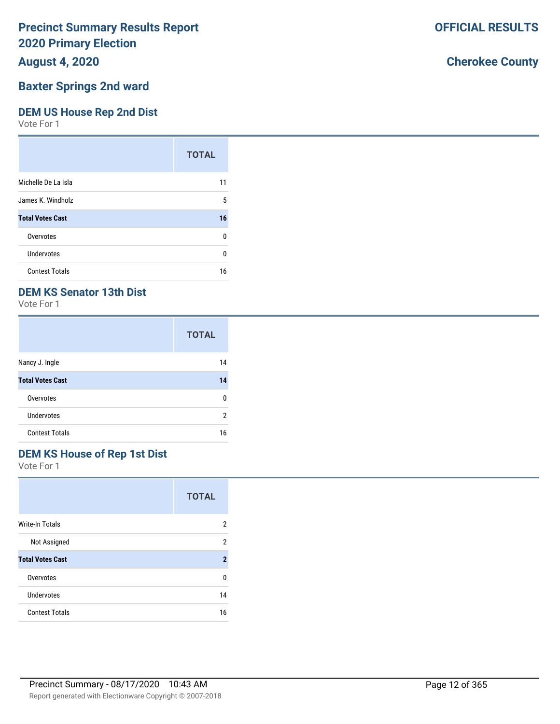### **August 4, 2020**

### **Baxter Springs 2nd ward**

### **DEM US House Rep 2nd Dist**

Vote For 1

|                         | <b>TOTAL</b> |
|-------------------------|--------------|
| Michelle De La Isla     | 11           |
| James K. Windholz       | 5            |
| <b>Total Votes Cast</b> | 16           |
| Overvotes               | 0            |
| Undervotes              | ŋ            |
| <b>Contest Totals</b>   | 16           |

### **DEM KS Senator 13th Dist**

Vote For 1

|                         | <b>TOTAL</b> |
|-------------------------|--------------|
| Nancy J. Ingle          | 14           |
| <b>Total Votes Cast</b> | 14           |
| Overvotes               | n            |
| <b>Undervotes</b>       | 2            |
| <b>Contest Totals</b>   | 16           |

### **DEM KS House of Rep 1st Dist**

Vote For 1

|                         | <b>TOTAL</b> |
|-------------------------|--------------|
| <b>Write-In Totals</b>  | 2            |
| Not Assigned            | 2            |
| <b>Total Votes Cast</b> | 2            |
| Overvotes               | U            |
| Undervotes              | 14           |
| <b>Contest Totals</b>   | 16           |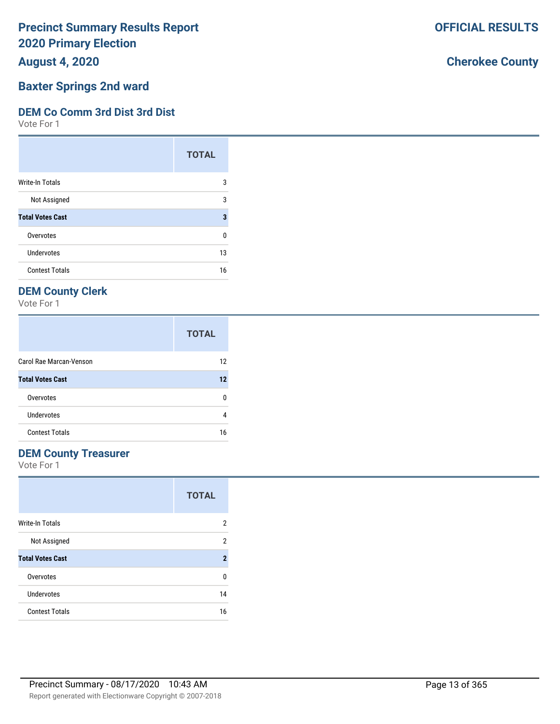**August 4, 2020**

# **Baxter Springs 2nd ward**

### **DEM Co Comm 3rd Dist 3rd Dist**

Vote For 1

|                         | <b>TOTAL</b> |
|-------------------------|--------------|
| Write-In Totals         | 3            |
| Not Assigned            | 3            |
| <b>Total Votes Cast</b> | 3            |
| Overvotes               | 0            |
| Undervotes              | 13           |
| <b>Contest Totals</b>   | 16           |

# **DEM County Clerk**

Vote For 1

|                         | <b>TOTAL</b> |
|-------------------------|--------------|
| Carol Rae Marcan-Venson | 12           |
| <b>Total Votes Cast</b> | 12           |
| Overvotes               | n            |
| Undervotes              | 4            |
| <b>Contest Totals</b>   | 16           |

### **DEM County Treasurer**

Vote For 1

|                         | <b>TOTAL</b>   |
|-------------------------|----------------|
| Write-In Totals         | 2              |
| Not Assigned            | 2              |
| <b>Total Votes Cast</b> | $\overline{2}$ |
| Overvotes               | U              |
| Undervotes              | 14             |
| <b>Contest Totals</b>   | 16             |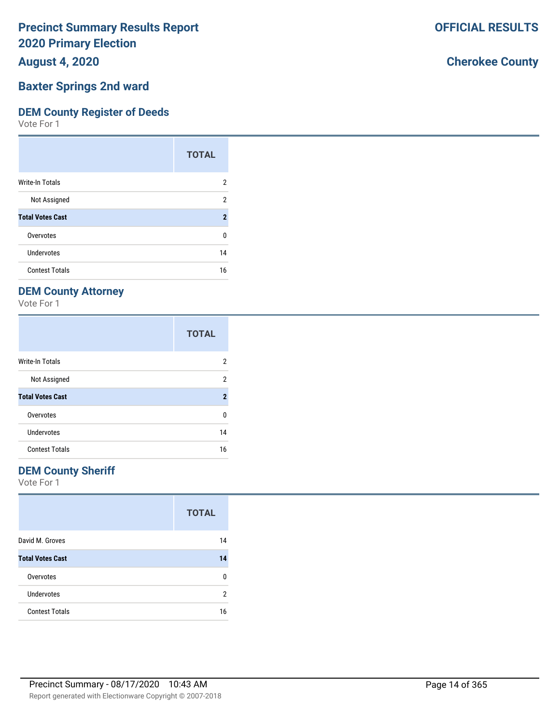**August 4, 2020**

#### **Baxter Springs 2nd ward**

#### **DEM County Register of Deeds**

Vote For 1

|                         | <b>TOTAL</b>        |
|-------------------------|---------------------|
| Write-In Totals         | 2                   |
| Not Assigned            | 2                   |
| <b>Total Votes Cast</b> | $\boldsymbol{\eta}$ |
| Overvotes               | 0                   |
| Undervotes              | 14                  |
| <b>Contest Totals</b>   | 16                  |

### **DEM County Attorney**

Vote For 1

|                         | <b>TOTAL</b>   |
|-------------------------|----------------|
| <b>Write-In Totals</b>  | 2              |
| Not Assigned            | 2              |
| <b>Total Votes Cast</b> | $\overline{2}$ |
| Overvotes               | 0              |
| Undervotes              | 14             |
| <b>Contest Totals</b>   | 16             |

### **DEM County Sheriff**

Vote For 1

|                         | <b>TOTAL</b> |
|-------------------------|--------------|
| David M. Groves         | 14           |
| <b>Total Votes Cast</b> | 14           |
| Overvotes               | n            |
| <b>Undervotes</b>       | 2            |
| <b>Contest Totals</b>   | 16           |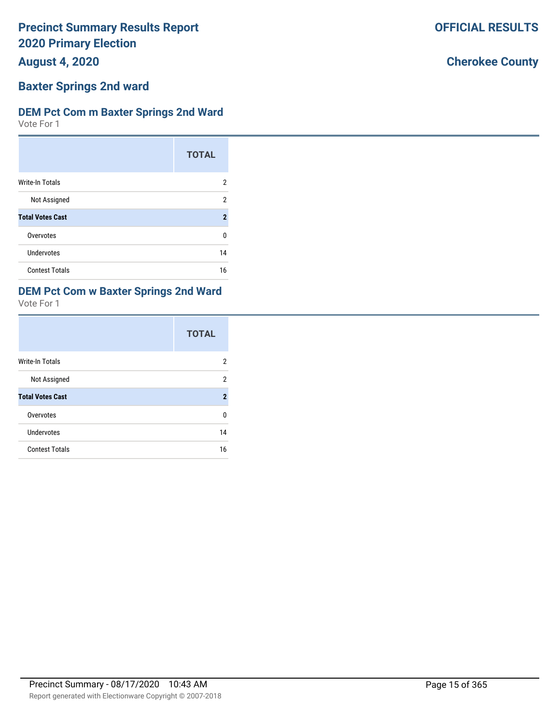**August 4, 2020**

# **Baxter Springs 2nd ward**

### **DEM Pct Com m Baxter Springs 2nd Ward**

Vote For 1

|                         | <b>TOTAL</b>   |
|-------------------------|----------------|
| <b>Write-In Totals</b>  | 2              |
| Not Assigned            | 2              |
| <b>Total Votes Cast</b> | $\overline{2}$ |
| Overvotes               | U              |
| Undervotes              | 14             |
| <b>Contest Totals</b>   | 16             |

# **DEM Pct Com w Baxter Springs 2nd Ward**

Vote For 1

|                         | <b>TOTAL</b>   |
|-------------------------|----------------|
| Write-In Totals         | 2              |
| Not Assigned            | 2              |
| <b>Total Votes Cast</b> | $\overline{2}$ |
| Overvotes               | U              |
| <b>Undervotes</b>       | 14             |
| <b>Contest Totals</b>   | 16             |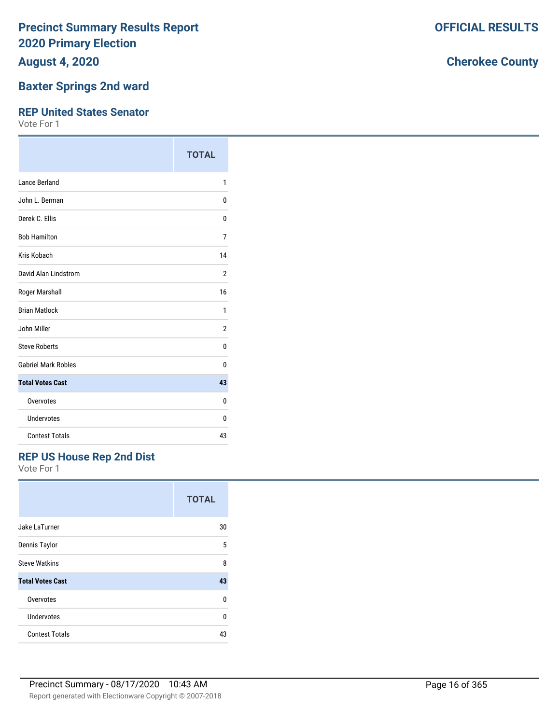**August 4, 2020**

### **Baxter Springs 2nd ward**

#### **REP United States Senator**

Vote For 1

|                            | <b>TOTAL</b> |
|----------------------------|--------------|
| Lance Berland              | 1            |
| John L. Berman             | 0            |
| Derek C. Ellis             | 0            |
| <b>Bob Hamilton</b>        | 7            |
| Kris Kobach                | 14           |
| David Alan Lindstrom       | 2            |
| Roger Marshall             | 16           |
| <b>Brian Matlock</b>       | 1            |
| John Miller                | 2            |
| <b>Steve Roberts</b>       | 0            |
| <b>Gabriel Mark Robles</b> | U            |
| <b>Total Votes Cast</b>    | 43           |
| Overvotes                  | 0            |
| Undervotes                 | 0            |
| <b>Contest Totals</b>      | 43           |

### **REP US House Rep 2nd Dist**

Vote For 1

|                         | <b>TOTAL</b> |
|-------------------------|--------------|
| Jake LaTurner           | 30           |
| Dennis Taylor           | 5            |
| <b>Steve Watkins</b>    | 8            |
| <b>Total Votes Cast</b> | 43           |
| Overvotes               | $\Omega$     |
| Undervotes              | $\Omega$     |
| <b>Contest Totals</b>   | 43           |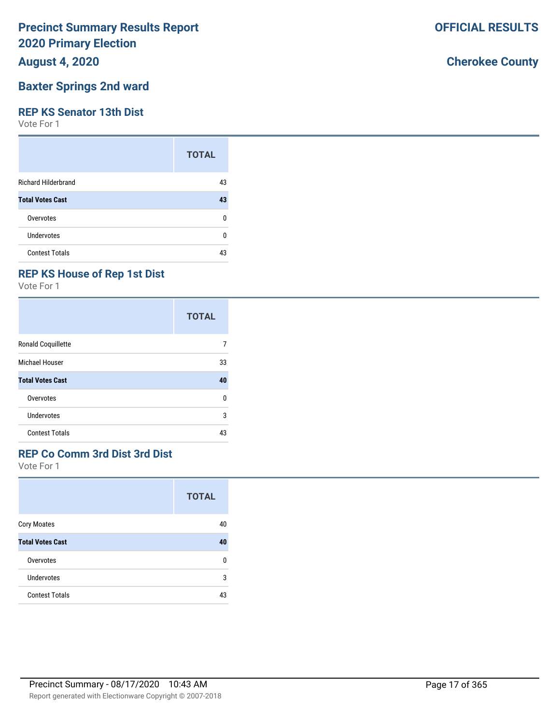### **August 4, 2020**

### **Baxter Springs 2nd ward**

#### **REP KS Senator 13th Dist**

Vote For 1

|                            | <b>TOTAL</b> |
|----------------------------|--------------|
| <b>Richard Hilderbrand</b> | 43           |
| <b>Total Votes Cast</b>    | 43           |
| Overvotes                  | ŋ            |
| Undervotes                 | n            |
| <b>Contest Totals</b>      | 43           |

## **REP KS House of Rep 1st Dist**

Vote For 1

|                         | <b>TOTAL</b> |
|-------------------------|--------------|
| Ronald Coquillette      |              |
| Michael Houser          | 33           |
| <b>Total Votes Cast</b> | 40           |
| Overvotes               | 0            |
| Undervotes              | 3            |
| <b>Contest Totals</b>   | 43           |

### **REP Co Comm 3rd Dist 3rd Dist**

Vote For 1

|                         | <b>TOTAL</b> |
|-------------------------|--------------|
| <b>Cory Moates</b>      | 40           |
| <b>Total Votes Cast</b> | 40           |
| Overvotes               | n            |
| Undervotes              | 3            |
| <b>Contest Totals</b>   | 43           |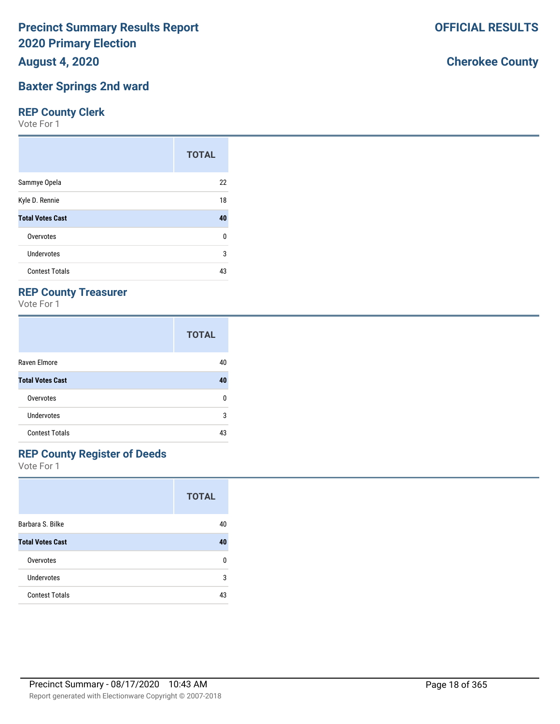**August 4, 2020**

# **Baxter Springs 2nd ward**

## **REP County Clerk**

Vote For 1

|                         | <b>TOTAL</b> |
|-------------------------|--------------|
| Sammye Opela            | 22           |
| Kyle D. Rennie          | 18           |
| <b>Total Votes Cast</b> | 40           |
| Overvotes               | 0            |
| Undervotes              | 3            |
| <b>Contest Totals</b>   | 43           |

# **REP County Treasurer**

Vote For 1

|                         | <b>TOTAL</b> |
|-------------------------|--------------|
| Raven Elmore            | 40           |
| <b>Total Votes Cast</b> | 40           |
| Overvotes               | n            |
| Undervotes              | 3            |
| <b>Contest Totals</b>   | 43           |

# **REP County Register of Deeds**

Vote For 1

|                         | <b>TOTAL</b> |
|-------------------------|--------------|
| Barbara S. Bilke        | 40           |
| <b>Total Votes Cast</b> | 40           |
| Overvotes               | n            |
| Undervotes              | 3            |
| <b>Contest Totals</b>   | 43           |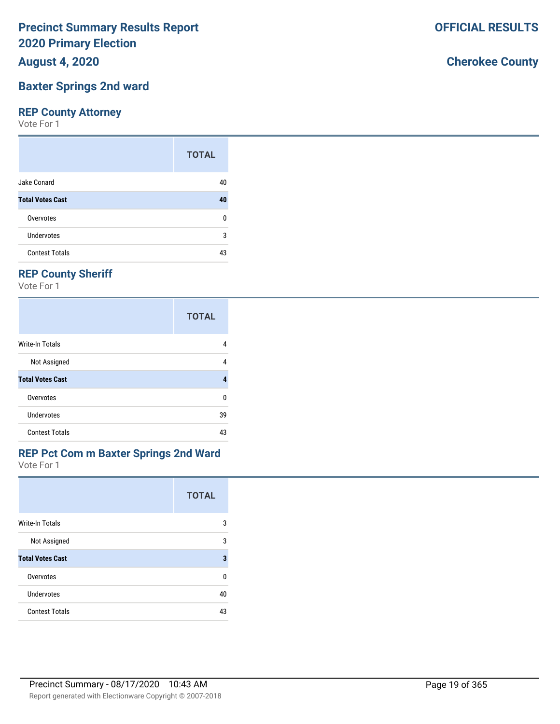**August 4, 2020**

## **Baxter Springs 2nd ward**

### **REP County Attorney**

Vote For 1

|                         | <b>TOTAL</b> |
|-------------------------|--------------|
| Jake Conard             | 40           |
| <b>Total Votes Cast</b> | 40           |
| Overvotes               | U            |
| Undervotes              | 3            |
| <b>Contest Totals</b>   | 43           |

# **REP County Sheriff**

Vote For 1

|                         | <b>TOTAL</b> |
|-------------------------|--------------|
| Write-In Totals         | 4            |
| Not Assigned            | 4            |
| <b>Total Votes Cast</b> | Δ            |
| Overvotes               | U            |
| Undervotes              | 39           |
| <b>Contest Totals</b>   | 43           |

# **REP Pct Com m Baxter Springs 2nd Ward**

Vote For 1

|                         | <b>TOTAL</b> |
|-------------------------|--------------|
| Write-In Totals         | 3            |
| Not Assigned            | 3            |
| <b>Total Votes Cast</b> | 3            |
| Overvotes               | U            |
| Undervotes              | 40           |
| <b>Contest Totals</b>   | 43           |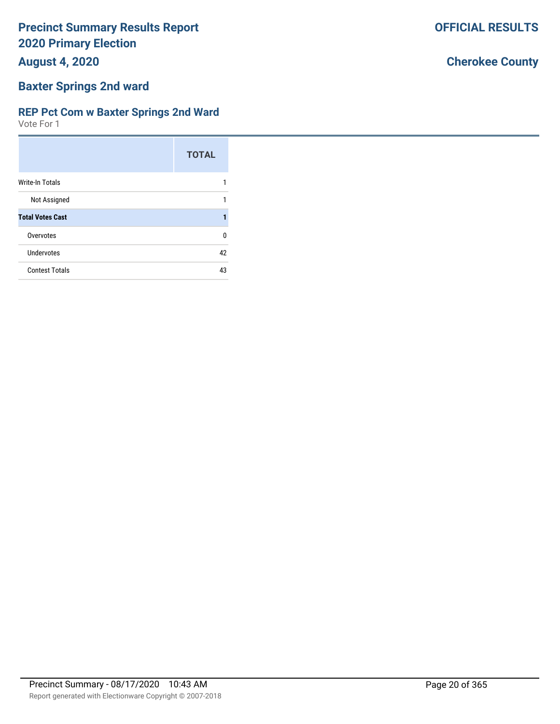**August 4, 2020**

# **Baxter Springs 2nd ward**

### **REP Pct Com w Baxter Springs 2nd Ward**

Vote For 1

|                         | <b>TOTAL</b> |
|-------------------------|--------------|
| Write-In Totals         |              |
| Not Assigned            | 1            |
| <b>Total Votes Cast</b> |              |
| Overvotes               | U            |
| Undervotes              | 42           |
| <b>Contest Totals</b>   | 43           |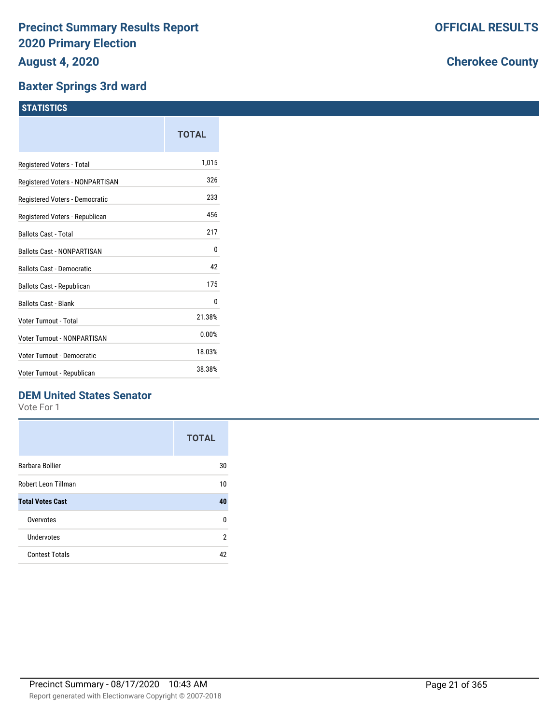### **Baxter Springs 3rd ward**

|                                   | TOTAL  |
|-----------------------------------|--------|
| Registered Voters - Total         | 1,015  |
| Registered Voters - NONPARTISAN   | 326    |
| Registered Voters - Democratic    | 233    |
| Registered Voters - Republican    | 456    |
| <b>Ballots Cast - Total</b>       | 217    |
| <b>Ballots Cast - NONPARTISAN</b> | 0      |
| <b>Ballots Cast - Democratic</b>  | 42     |
| <b>Ballots Cast - Republican</b>  | 175    |
| <b>Ballots Cast - Blank</b>       | 0      |
| Voter Turnout - Total             | 21.38% |
| Voter Turnout - NONPARTISAN       | 0.00%  |
| Voter Turnout - Democratic        | 18.03% |
| Voter Turnout - Republican        | 38.38% |
|                                   |        |

### **DEM United States Senator**

Vote For 1

|                         | <b>TOTAL</b> |
|-------------------------|--------------|
| Barbara Bollier         | 30           |
| Robert Leon Tillman     | 10           |
| <b>Total Votes Cast</b> | 40           |
| Overvotes               | U            |
| Undervotes              | 2            |
| <b>Contest Totals</b>   | 42           |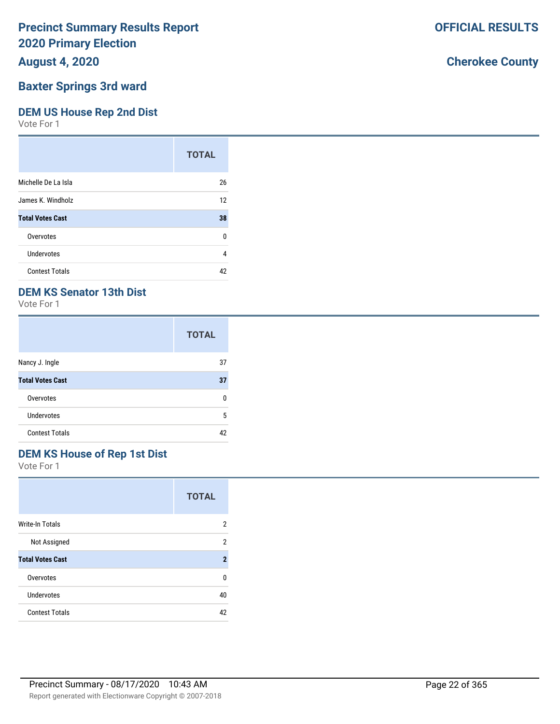### **August 4, 2020**

### **Baxter Springs 3rd ward**

### **DEM US House Rep 2nd Dist**

Vote For 1

|                         | <b>TOTAL</b> |
|-------------------------|--------------|
| Michelle De La Isla     | 26           |
| James K. Windholz       | 12           |
| <b>Total Votes Cast</b> | 38           |
| Overvotes               | 0            |
| Undervotes              | 4            |
| <b>Contest Totals</b>   | 42           |

### **DEM KS Senator 13th Dist**

Vote For 1

|                         | <b>TOTAL</b> |
|-------------------------|--------------|
| Nancy J. Ingle          | 37           |
| <b>Total Votes Cast</b> | 37           |
| Overvotes               | n            |
| <b>Undervotes</b>       | 5            |
| <b>Contest Totals</b>   | 42           |

### **DEM KS House of Rep 1st Dist**

Vote For 1

|                         | <b>TOTAL</b> |
|-------------------------|--------------|
| <b>Write-In Totals</b>  | 2            |
| Not Assigned            | 2            |
| <b>Total Votes Cast</b> | 2            |
| Overvotes               | U            |
| Undervotes              | 40           |
| <b>Contest Totals</b>   | 42           |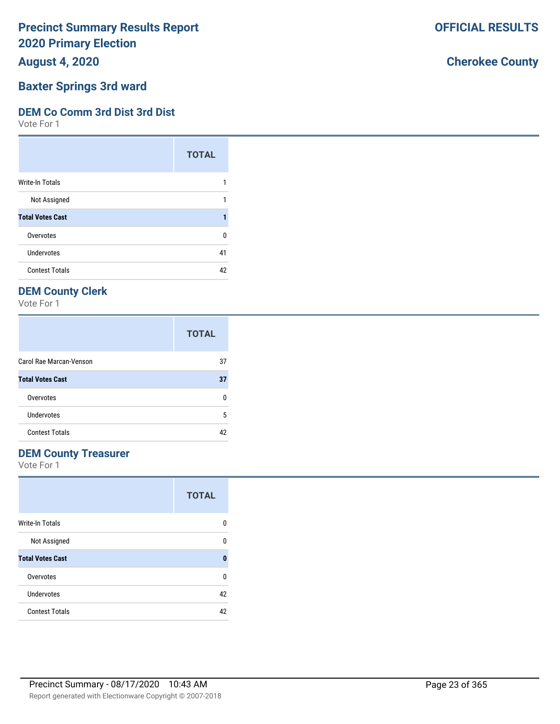**August 4, 2020**

#### **Baxter Springs 3rd ward**

#### **DEM Co Comm 3rd Dist 3rd Dist**

Vote For 1

|                         | <b>TOTAL</b> |
|-------------------------|--------------|
| Write-In Totals         |              |
| Not Assigned            |              |
| <b>Total Votes Cast</b> |              |
| Overvotes               | ŋ            |
| <b>Undervotes</b>       | 41           |
| <b>Contest Totals</b>   | 42           |

### **DEM County Clerk**

Vote For 1

|                         | <b>TOTAL</b> |
|-------------------------|--------------|
| Carol Rae Marcan-Venson | 37           |
| <b>Total Votes Cast</b> | 37           |
| Overvotes               | n            |
| Undervotes              | 5            |
| <b>Contest Totals</b>   | 42           |

### **DEM County Treasurer**

Vote For 1

|                         | <b>TOTAL</b> |
|-------------------------|--------------|
| Write-In Totals         | 0            |
| Not Assigned            | n            |
| <b>Total Votes Cast</b> | O            |
| Overvotes               | U            |
| Undervotes              | 42           |
| <b>Contest Totals</b>   | 42           |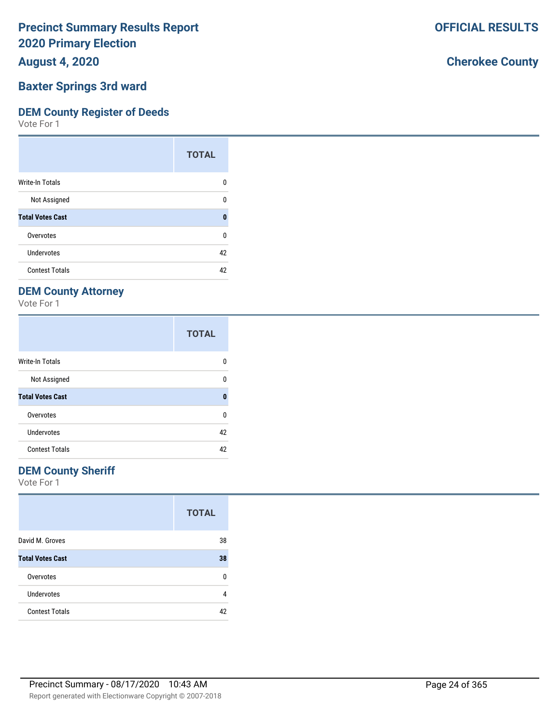**August 4, 2020**

#### **Baxter Springs 3rd ward**

#### **DEM County Register of Deeds**

Vote For 1

|                         | <b>TOTAL</b> |
|-------------------------|--------------|
| Write-In Totals         | n            |
| Not Assigned            | n            |
| <b>Total Votes Cast</b> | n            |
| Overvotes               | ŋ            |
| Undervotes              | 42           |
| <b>Contest Totals</b>   | 42           |

### **DEM County Attorney**

Vote For 1

|                         | <b>TOTAL</b> |
|-------------------------|--------------|
| <b>Write-In Totals</b>  | n            |
| Not Assigned            | ŋ            |
| <b>Total Votes Cast</b> | 0            |
| Overvotes               | U            |
| Undervotes              | 42           |
| <b>Contest Totals</b>   | 42           |

### **DEM County Sheriff**

Vote For 1

|                         | <b>TOTAL</b> |
|-------------------------|--------------|
| David M. Groves         | 38           |
| <b>Total Votes Cast</b> | 38           |
| Overvotes               | n            |
| <b>Undervotes</b>       | 4            |
| <b>Contest Totals</b>   | 42           |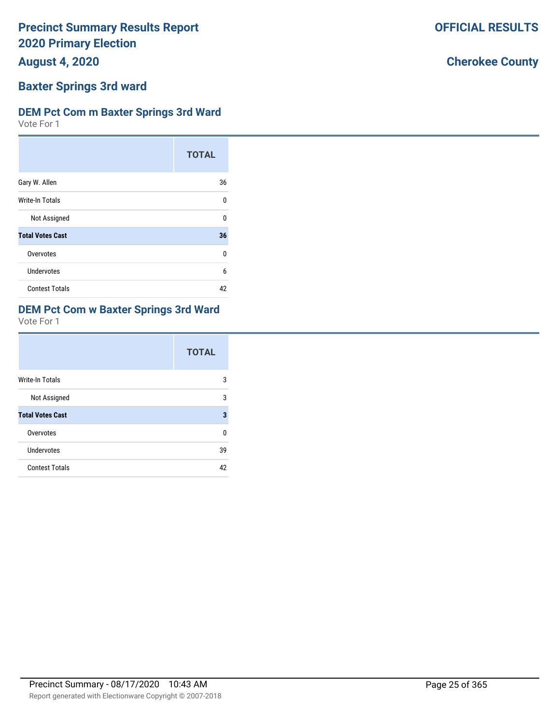**August 4, 2020**

# **Baxter Springs 3rd ward**

### **DEM Pct Com m Baxter Springs 3rd Ward**

Vote For 1

|                         | <b>TOTAL</b> |
|-------------------------|--------------|
| Gary W. Allen           | 36           |
| Write-In Totals         | $\Omega$     |
| Not Assigned            | 0            |
| <b>Total Votes Cast</b> | 36           |
| Overvotes               | U            |
| Undervotes              | 6            |
| <b>Contest Totals</b>   | 42           |

# **DEM Pct Com w Baxter Springs 3rd Ward**

Vote For 1

|                         | <b>TOTAL</b> |
|-------------------------|--------------|
| <b>Write-In Totals</b>  | 3            |
| Not Assigned            | 3            |
| <b>Total Votes Cast</b> | 3            |
| Overvotes               | U            |
| Undervotes              | 39           |
| <b>Contest Totals</b>   | 42           |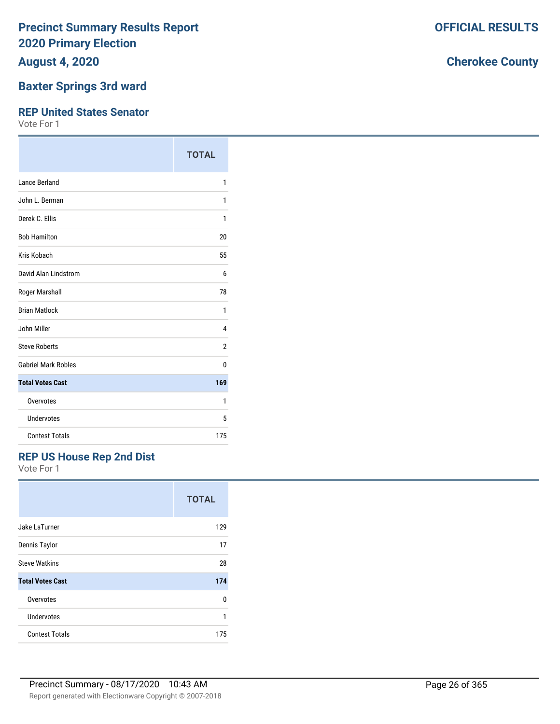**August 4, 2020**

### **Baxter Springs 3rd ward**

#### **REP United States Senator**

Vote For 1

|                            | <b>TOTAL</b> |
|----------------------------|--------------|
| Lance Berland              | 1            |
| John L. Berman             | 1            |
| Derek C. Ellis             | 1            |
| <b>Bob Hamilton</b>        | 20           |
| Kris Kobach                | 55           |
| David Alan Lindstrom       | 6            |
| Roger Marshall             | 78           |
| <b>Brian Matlock</b>       | 1            |
| John Miller                | 4            |
| <b>Steve Roberts</b>       | 2            |
| <b>Gabriel Mark Robles</b> | 0            |
| <b>Total Votes Cast</b>    | 169          |
| Overvotes                  | 1            |
| Undervotes                 | 5            |
| <b>Contest Totals</b>      | 175          |

### **REP US House Rep 2nd Dist**

Vote For 1

|                         | <b>TOTAL</b> |
|-------------------------|--------------|
| Jake LaTurner           | 129          |
| Dennis Taylor           | 17           |
| <b>Steve Watkins</b>    | 28           |
| <b>Total Votes Cast</b> | 174          |
| Overvotes               | U            |
| Undervotes              | 1            |
| <b>Contest Totals</b>   | 175          |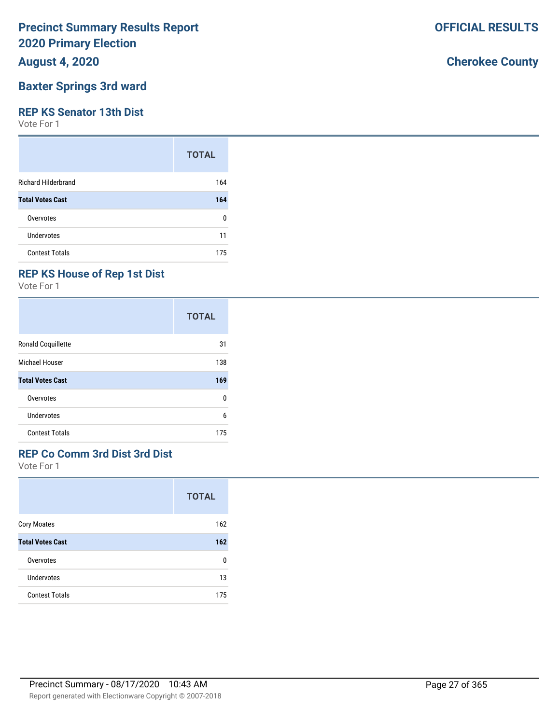**August 4, 2020**

### **Baxter Springs 3rd ward**

#### **REP KS Senator 13th Dist**

Vote For 1

|                            | <b>TOTAL</b> |
|----------------------------|--------------|
| <b>Richard Hilderbrand</b> | 164          |
| <b>Total Votes Cast</b>    | 164          |
| Overvotes                  | ŋ            |
| <b>Undervotes</b>          | 11           |
| <b>Contest Totals</b>      | 175          |

### **REP KS House of Rep 1st Dist**

Vote For 1

|                         | <b>TOTAL</b> |
|-------------------------|--------------|
| Ronald Coquillette      | 31           |
| Michael Houser          | 138          |
| <b>Total Votes Cast</b> | 169          |
| Overvotes               | 0            |
| Undervotes              | 6            |
| <b>Contest Totals</b>   | 175          |

### **REP Co Comm 3rd Dist 3rd Dist**

Vote For 1

|                         | <b>TOTAL</b> |
|-------------------------|--------------|
| <b>Cory Moates</b>      | 162          |
| <b>Total Votes Cast</b> | 162          |
| Overvotes               | n            |
| Undervotes              | 13           |
| <b>Contest Totals</b>   | 175          |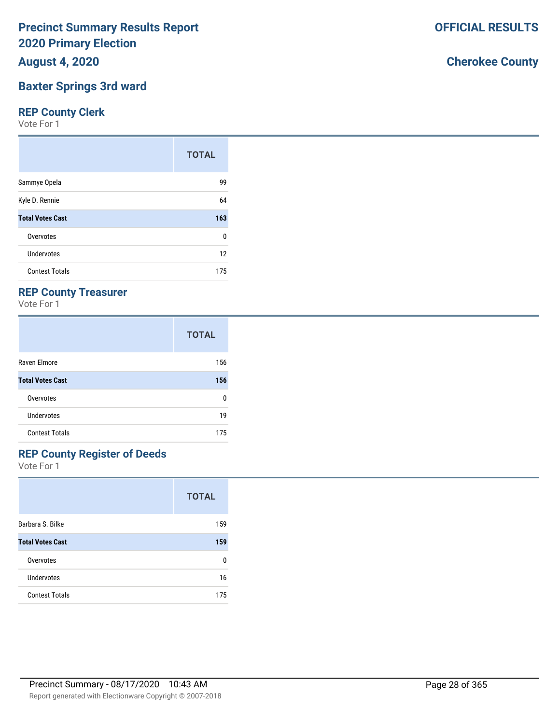**August 4, 2020**

### **Baxter Springs 3rd ward**

### **REP County Clerk**

Vote For 1

|                         | <b>TOTAL</b> |
|-------------------------|--------------|
| Sammye Opela            | 99           |
| Kyle D. Rennie          | 64           |
| <b>Total Votes Cast</b> | 163          |
| Overvotes               | 0            |
| Undervotes              | 12           |
| <b>Contest Totals</b>   | 175          |

### **REP County Treasurer**

Vote For 1

|                         | <b>TOTAL</b> |
|-------------------------|--------------|
| Raven Elmore            | 156          |
| <b>Total Votes Cast</b> | 156          |
| Overvotes               | n            |
| Undervotes              | 19           |
| <b>Contest Totals</b>   | 175          |

### **REP County Register of Deeds**

Vote For 1

|                         | <b>TOTAL</b> |
|-------------------------|--------------|
| Barbara S. Bilke        | 159          |
| <b>Total Votes Cast</b> | 159          |
| Overvotes               | o            |
| Undervotes              | 16           |
| <b>Contest Totals</b>   | 175          |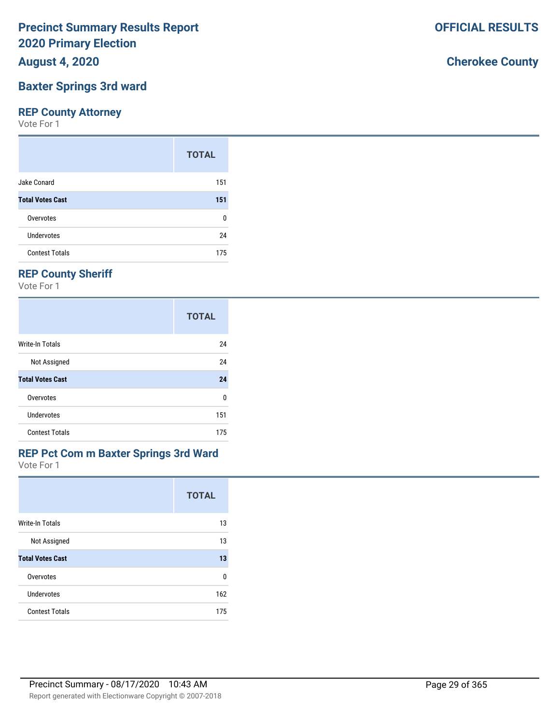**August 4, 2020**

# **Baxter Springs 3rd ward**

### **REP County Attorney**

Vote For 1

|                         | <b>TOTAL</b> |
|-------------------------|--------------|
| Jake Conard             | 151          |
| <b>Total Votes Cast</b> | 151          |
| Overvotes               | ŋ            |
| Undervotes              | 24           |
| <b>Contest Totals</b>   | 175          |

# **REP County Sheriff**

Vote For 1

|                         | <b>TOTAL</b> |
|-------------------------|--------------|
| Write-In Totals         | 24           |
| Not Assigned            | 24           |
| <b>Total Votes Cast</b> | 24           |
| Overvotes               | 0            |
| Undervotes              | 151          |
| <b>Contest Totals</b>   | 175          |

#### Vote For 1 **REP Pct Com m Baxter Springs 3rd Ward**

|                         | <b>TOTAL</b> |
|-------------------------|--------------|
| <b>Write-In Totals</b>  | 13           |
| Not Assigned            | 13           |
| <b>Total Votes Cast</b> | 13           |
| Overvotes               | 0            |
| Undervotes              | 162          |
| <b>Contest Totals</b>   | 175          |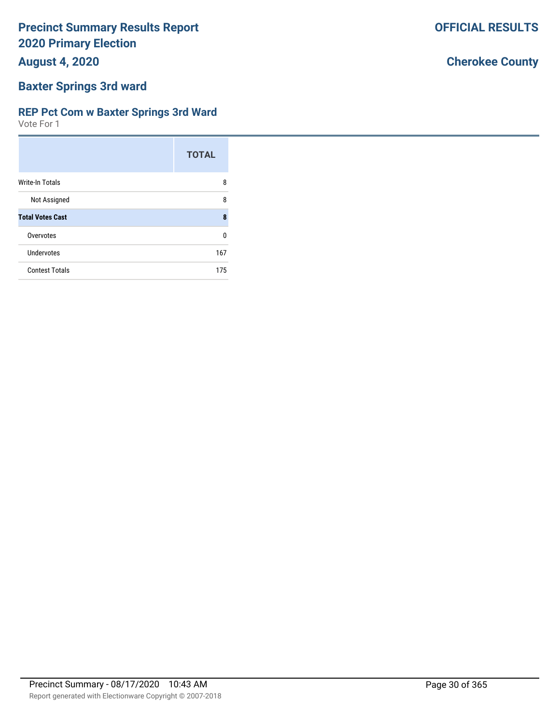**August 4, 2020**

### **Baxter Springs 3rd ward**

#### **REP Pct Com w Baxter Springs 3rd Ward**

Vote For 1

|                         | <b>TOTAL</b> |
|-------------------------|--------------|
| <b>Write-In Totals</b>  | 8            |
| Not Assigned            | 8            |
| <b>Total Votes Cast</b> | 8            |
| Overvotes               | U            |
| Undervotes              | 167          |
| <b>Contest Totals</b>   | 175          |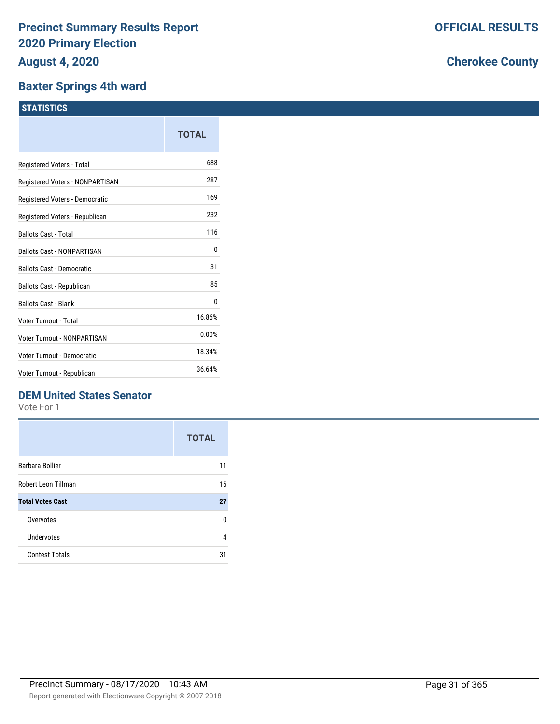### **Baxter Springs 4th ward**

### **STATISTICS**

| TOTAL  |
|--------|
| 688    |
| 287    |
| 169    |
| 232    |
| 116    |
| 0      |
| 31     |
| 85     |
| 0      |
| 16.86% |
| 0.00%  |
| 18.34% |
| 36.64% |
|        |

### **DEM United States Senator**

Vote For 1

|                         | <b>TOTAL</b> |
|-------------------------|--------------|
| <b>Barbara Bollier</b>  | 11           |
| Robert Leon Tillman     | 16           |
| <b>Total Votes Cast</b> | 27           |
| Overvotes               | n            |
| Undervotes              | 4            |
| <b>Contest Totals</b>   | 31           |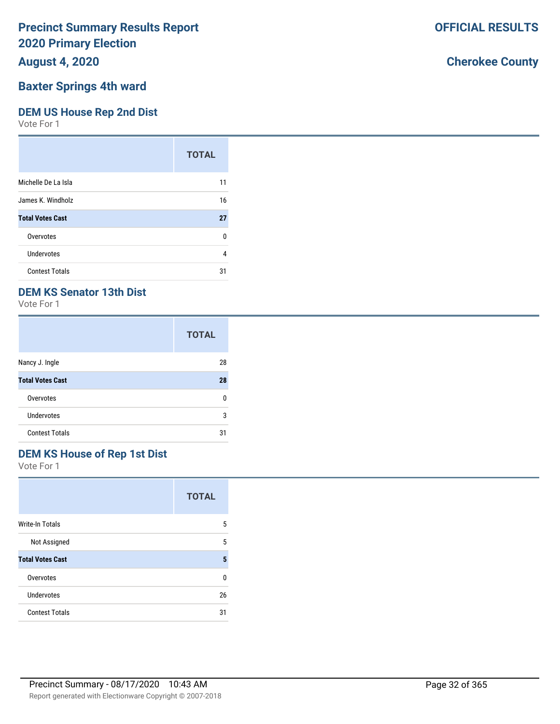### **August 4, 2020**

### **Baxter Springs 4th ward**

### **DEM US House Rep 2nd Dist**

Vote For 1

|                         | <b>TOTAL</b> |
|-------------------------|--------------|
| Michelle De La Isla     | 11           |
| James K. Windholz       | 16           |
| <b>Total Votes Cast</b> | 27           |
| Overvotes               | ŋ            |
| Undervotes              | 4            |
| <b>Contest Totals</b>   | 31           |

### **DEM KS Senator 13th Dist**

Vote For 1

|                         | <b>TOTAL</b> |
|-------------------------|--------------|
| Nancy J. Ingle          | 28           |
| <b>Total Votes Cast</b> | 28           |
| Overvotes               | n            |
| Undervotes              | 3            |
| <b>Contest Totals</b>   | 31           |

### **DEM KS House of Rep 1st Dist**

Vote For 1

|                         | <b>TOTAL</b> |
|-------------------------|--------------|
| <b>Write-In Totals</b>  | 5            |
| Not Assigned            | 5            |
| <b>Total Votes Cast</b> | 5            |
| Overvotes               | U            |
| Undervotes              | 26           |
| <b>Contest Totals</b>   | 31           |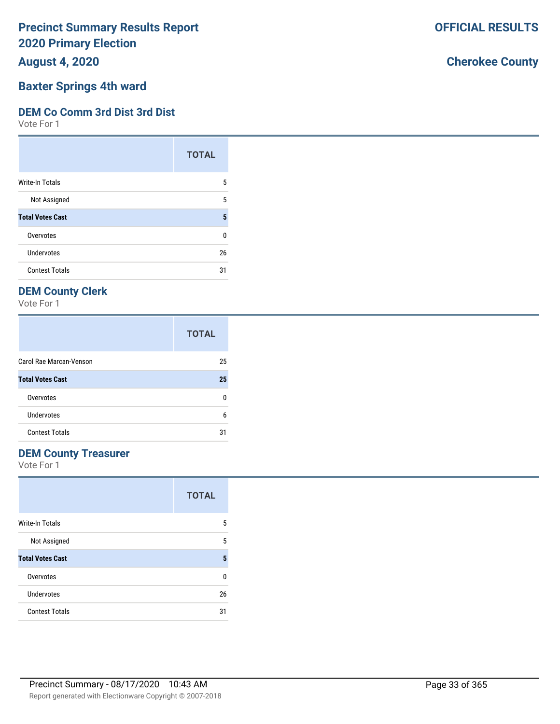**August 4, 2020**

# **Baxter Springs 4th ward**

### **DEM Co Comm 3rd Dist 3rd Dist**

Vote For 1

|                         | <b>TOTAL</b> |
|-------------------------|--------------|
| Write-In Totals         | 5            |
| Not Assigned            | 5            |
| <b>Total Votes Cast</b> | 5            |
| Overvotes               | 0            |
| Undervotes              | 26           |
| <b>Contest Totals</b>   | 31           |

# **DEM County Clerk**

Vote For 1

|                         | <b>TOTAL</b> |
|-------------------------|--------------|
| Carol Rae Marcan-Venson | 25           |
| <b>Total Votes Cast</b> | 25           |
| Overvotes               | n            |
| Undervotes              | 6            |
| <b>Contest Totals</b>   | 31           |

### **DEM County Treasurer**

Vote For 1

|                         | <b>TOTAL</b> |
|-------------------------|--------------|
| <b>Write-In Totals</b>  | 5            |
| Not Assigned            | 5            |
| <b>Total Votes Cast</b> | 5            |
| Overvotes               | U            |
| Undervotes              | 26           |
| <b>Contest Totals</b>   | 31           |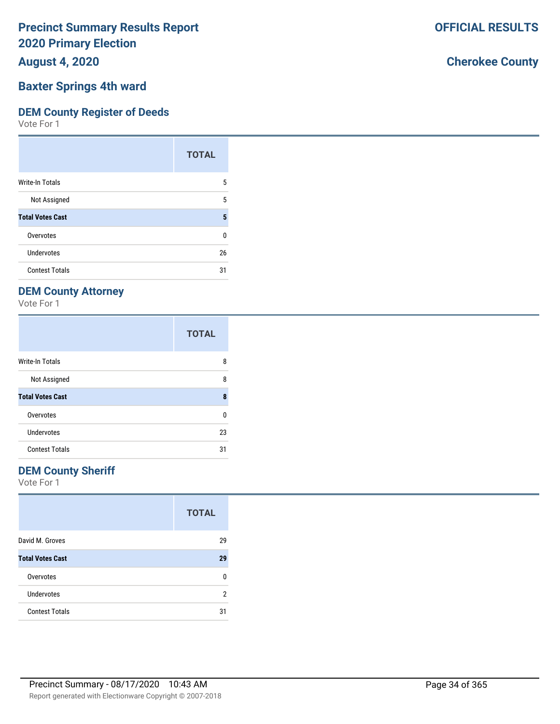**August 4, 2020**

### **Baxter Springs 4th ward**

#### **DEM County Register of Deeds**

Vote For 1

|                         | <b>TOTAL</b> |
|-------------------------|--------------|
| Write-In Totals         | 5            |
| Not Assigned            | 5            |
| <b>Total Votes Cast</b> | 5            |
| Overvotes               | 0            |
| Undervotes              | 26           |
| <b>Contest Totals</b>   | 31           |

### **DEM County Attorney**

Vote For 1

|                         | <b>TOTAL</b> |
|-------------------------|--------------|
| <b>Write-In Totals</b>  | 8            |
| Not Assigned            | 8            |
| <b>Total Votes Cast</b> | 8            |
| Overvotes               | 0            |
| Undervotes              | 23           |
| <b>Contest Totals</b>   | 31           |

### **DEM County Sheriff**

Vote For 1

|                         | <b>TOTAL</b> |
|-------------------------|--------------|
| David M. Groves         | 29           |
| <b>Total Votes Cast</b> | 29           |
| Overvotes               | n            |
| <b>Undervotes</b>       | 2            |
| <b>Contest Totals</b>   | 31           |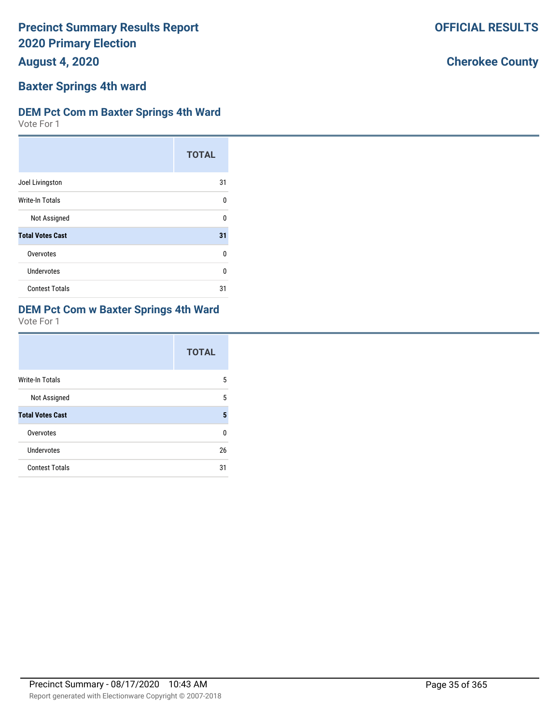**August 4, 2020**

## **Baxter Springs 4th ward**

### **DEM Pct Com m Baxter Springs 4th Ward**

Vote For 1

|                         | <b>TOTAL</b> |
|-------------------------|--------------|
| Joel Livingston         | 31           |
| Write-In Totals         | O            |
| Not Assigned            | ŋ            |
| <b>Total Votes Cast</b> | 31           |
| Overvotes               | U            |
| Undervotes              | U            |
| <b>Contest Totals</b>   | 31           |

## **DEM Pct Com w Baxter Springs 4th Ward**

Vote For 1

|                         | <b>TOTAL</b> |
|-------------------------|--------------|
| <b>Write-In Totals</b>  | 5            |
| Not Assigned            | 5            |
| <b>Total Votes Cast</b> | 5            |
| Overvotes               | U            |
| Undervotes              | 26           |
| <b>Contest Totals</b>   | 31           |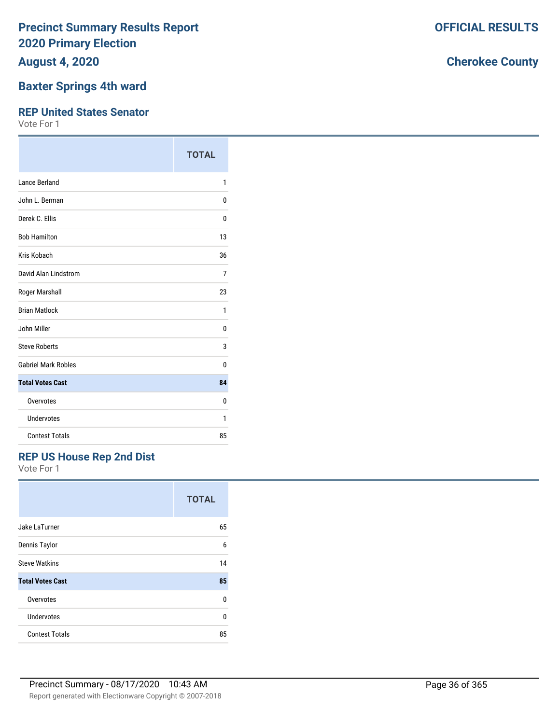**August 4, 2020**

### **Baxter Springs 4th ward**

#### **REP United States Senator**

Vote For 1

|                            | <b>TOTAL</b> |
|----------------------------|--------------|
| Lance Berland              | 1            |
| John L. Berman             | 0            |
| Derek C. Ellis             | 0            |
| <b>Bob Hamilton</b>        | 13           |
| Kris Kobach                | 36           |
| David Alan Lindstrom       | 7            |
| Roger Marshall             | 23           |
| <b>Brian Matlock</b>       | 1            |
| John Miller                | 0            |
| <b>Steve Roberts</b>       | 3            |
| <b>Gabriel Mark Robles</b> | 0            |
| <b>Total Votes Cast</b>    | 84           |
| Overvotes                  | 0            |
| Undervotes                 | 1            |
| <b>Contest Totals</b>      | 85           |

### **REP US House Rep 2nd Dist**

Vote For 1

|                         | <b>TOTAL</b> |
|-------------------------|--------------|
| Jake LaTurner           | 65           |
| Dennis Taylor           | 6            |
| <b>Steve Watkins</b>    | 14           |
| <b>Total Votes Cast</b> | 85           |
| Overvotes               | U            |
| Undervotes              | U            |
| <b>Contest Totals</b>   | 85           |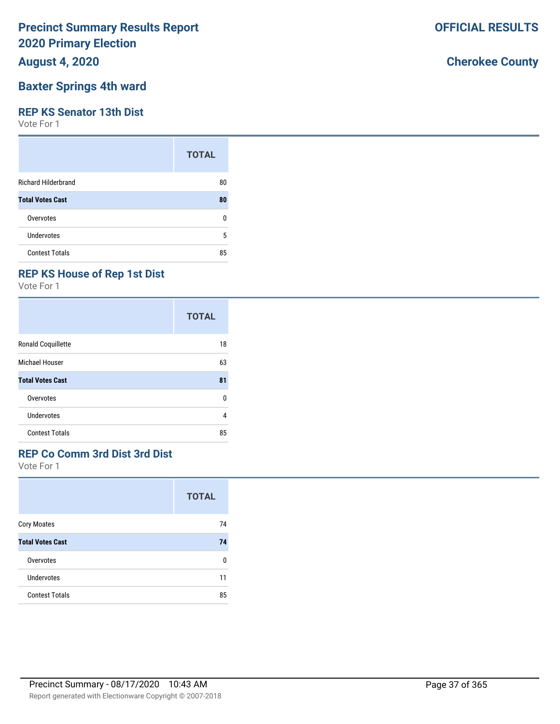**August 4, 2020**

## **Baxter Springs 4th ward**

#### **REP KS Senator 13th Dist**

Vote For 1

|                            | <b>TOTAL</b> |
|----------------------------|--------------|
| <b>Richard Hilderbrand</b> | 80           |
| <b>Total Votes Cast</b>    | 80           |
| Overvotes                  | 0            |
| Undervotes                 | 5            |
| <b>Contest Totals</b>      | 85           |

## **REP KS House of Rep 1st Dist**

Vote For 1

|                         | <b>TOTAL</b> |
|-------------------------|--------------|
| Ronald Coquillette      | 18           |
| Michael Houser          | 63           |
| <b>Total Votes Cast</b> | 81           |
| Overvotes               | 0            |
| Undervotes              | 4            |
| <b>Contest Totals</b>   | 85           |

## **REP Co Comm 3rd Dist 3rd Dist**

Vote For 1

|                         | <b>TOTAL</b> |
|-------------------------|--------------|
| <b>Cory Moates</b>      | 74           |
| <b>Total Votes Cast</b> | 74           |
| Overvotes               | 0            |
| Undervotes              | 11           |
| <b>Contest Totals</b>   | 85           |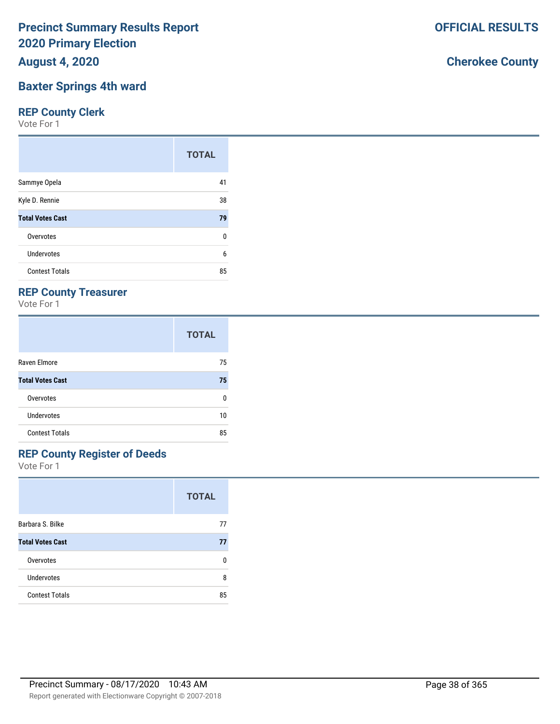**August 4, 2020**

#### **Baxter Springs 4th ward**

### **REP County Clerk**

Vote For 1

|                         | <b>TOTAL</b> |
|-------------------------|--------------|
| Sammye Opela            | 41           |
| Kyle D. Rennie          | 38           |
| <b>Total Votes Cast</b> | 79           |
| Overvotes               | 0            |
| Undervotes              | 6            |
| <b>Contest Totals</b>   | 85           |

## **REP County Treasurer**

Vote For 1

|                         | <b>TOTAL</b> |
|-------------------------|--------------|
| Raven Elmore            | 75           |
| <b>Total Votes Cast</b> | 75           |
| Overvotes               | n            |
| <b>Undervotes</b>       | 10           |
| <b>Contest Totals</b>   | 85           |

## **REP County Register of Deeds**

Vote For 1

|                         | <b>TOTAL</b> |
|-------------------------|--------------|
| Barbara S. Bilke        | 77           |
| <b>Total Votes Cast</b> | 77           |
| Overvotes               | n            |
| Undervotes              | 8            |
| <b>Contest Totals</b>   | 85           |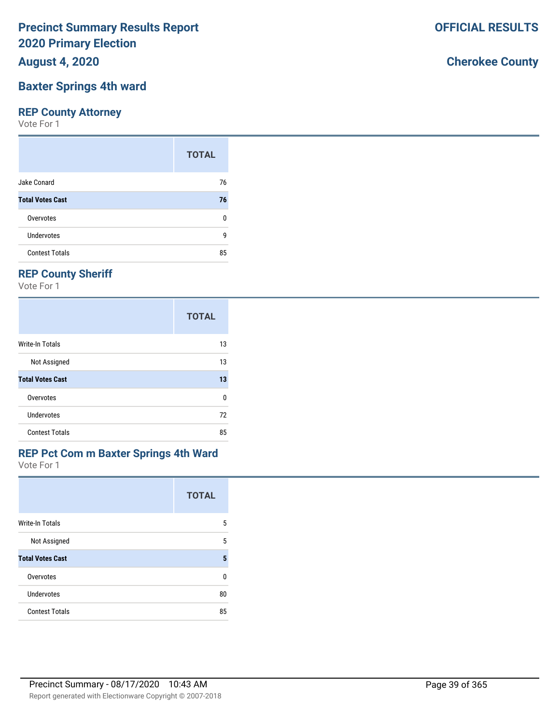**August 4, 2020**

## **Baxter Springs 4th ward**

## **REP County Attorney**

Vote For 1

|                         | <b>TOTAL</b> |
|-------------------------|--------------|
| Jake Conard             | 76           |
| <b>Total Votes Cast</b> | 76           |
| Overvotes               | ŋ            |
| Undervotes              | g            |
| <b>Contest Totals</b>   | 85           |

# **REP County Sheriff**

Vote For 1

|                         | <b>TOTAL</b> |
|-------------------------|--------------|
| Write-In Totals         | 13           |
| Not Assigned            | 13           |
| <b>Total Votes Cast</b> | 13           |
| Overvotes               | 0            |
| Undervotes              | 72           |
| <b>Contest Totals</b>   | 85           |

# **REP Pct Com m Baxter Springs 4th Ward**

Vote For 1

|                         | <b>TOTAL</b> |
|-------------------------|--------------|
| <b>Write-In Totals</b>  | 5            |
| Not Assigned            | 5            |
| <b>Total Votes Cast</b> | 5            |
| Overvotes               | U            |
| Undervotes              | 80           |
| <b>Contest Totals</b>   | 85           |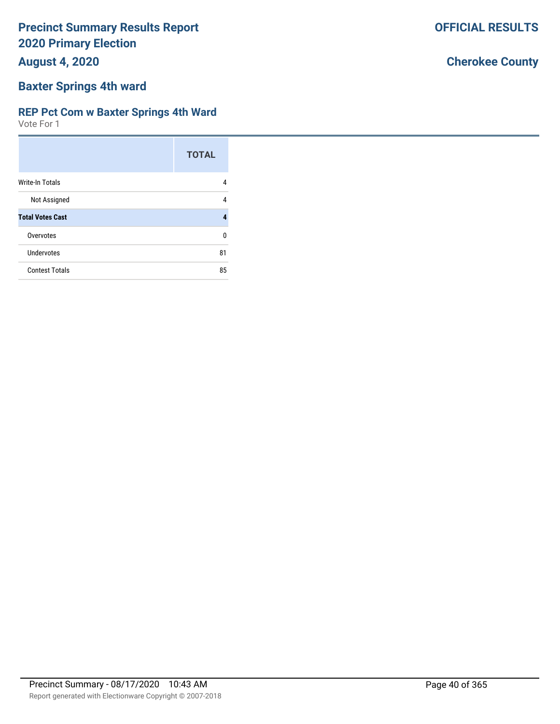**August 4, 2020**

## **Baxter Springs 4th ward**

#### **REP Pct Com w Baxter Springs 4th Ward**

Vote For 1

|                         | <b>TOTAL</b> |
|-------------------------|--------------|
| <b>Write-In Totals</b>  | 4            |
| Not Assigned            | 4            |
| <b>Total Votes Cast</b> | 4            |
| Overvotes               | U            |
| Undervotes              | 81           |
| <b>Contest Totals</b>   | 85           |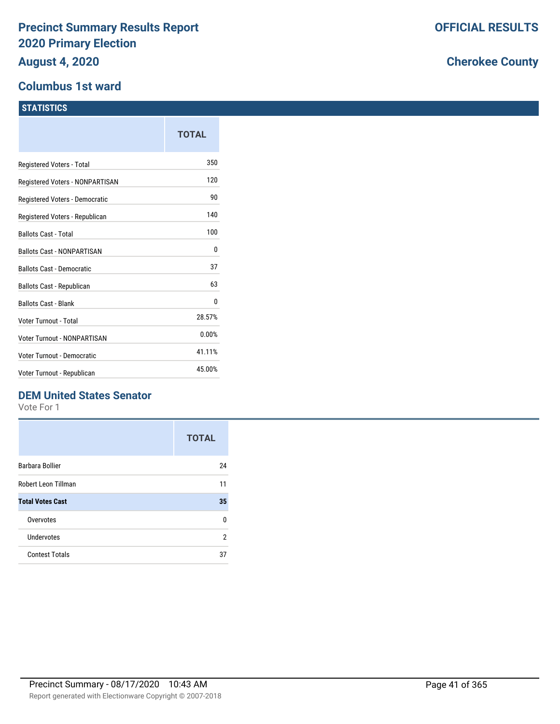#### **Columbus 1st ward**

|                                   | <b>TOTAL</b> |
|-----------------------------------|--------------|
| Registered Voters - Total         | 350          |
| Registered Voters - NONPARTISAN   | 120          |
| Registered Voters - Democratic    | 90           |
| Registered Voters - Republican    | 140          |
| <b>Ballots Cast - Total</b>       | 100          |
| <b>Ballots Cast - NONPARTISAN</b> | 0            |
| <b>Ballots Cast - Democratic</b>  | 37           |
| Ballots Cast - Republican         | 63           |
| <b>Ballots Cast - Blank</b>       | 0            |
| Voter Turnout - Total             | 28.57%       |
| Voter Turnout - NONPARTISAN       | 0.00%        |
| Voter Turnout - Democratic        | 41.11%       |
| Voter Turnout - Republican        | 45.00%       |
|                                   |              |

## **DEM United States Senator**

Vote For 1

|                         | <b>TOTAL</b> |
|-------------------------|--------------|
| Barbara Bollier         | 24           |
| Robert Leon Tillman     | 11           |
| <b>Total Votes Cast</b> | 35           |
| Overvotes               | U            |
| Undervotes              | 2            |
| <b>Contest Totals</b>   | 37           |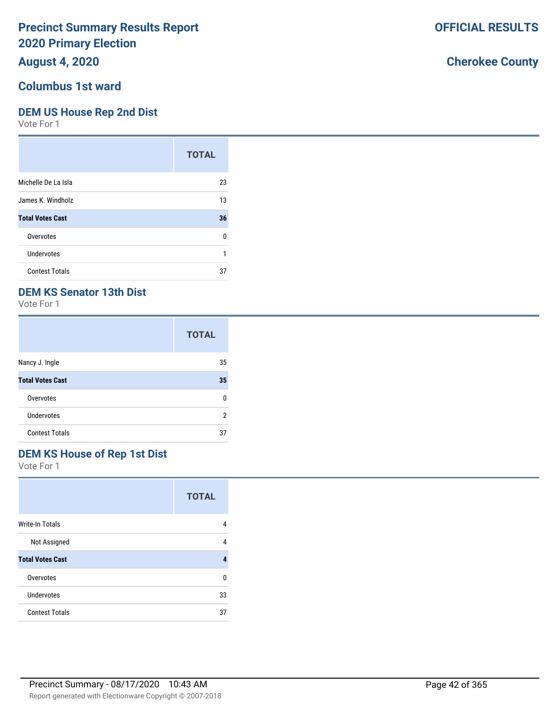## **August 4, 2020**

#### **Columbus 1st ward**

#### **DEM US House Rep 2nd Dist**

Vote For 1

|                         | <b>TOTAL</b> |
|-------------------------|--------------|
| Michelle De La Isla     | 23           |
| James K. Windholz       | 13           |
| <b>Total Votes Cast</b> | 36           |
| Overvotes               | U            |
| Undervotes              | 1            |
| <b>Contest Totals</b>   | 37           |

## **DEM KS Senator 13th Dist**

Vote For 1

|                         | <b>TOTAL</b> |
|-------------------------|--------------|
| Nancy J. Ingle          | 35           |
| <b>Total Votes Cast</b> | 35           |
| Overvotes               | n            |
| Undervotes              | 2            |
| <b>Contest Totals</b>   | 37           |

# **DEM KS House of Rep 1st Dist**

Vote For 1

|                         | <b>TOTAL</b> |
|-------------------------|--------------|
| <b>Write-In Totals</b>  | 4            |
| Not Assigned            | 4            |
| <b>Total Votes Cast</b> | 4            |
| Overvotes               | n            |
| Undervotes              | 33           |
| <b>Contest Totals</b>   | 37           |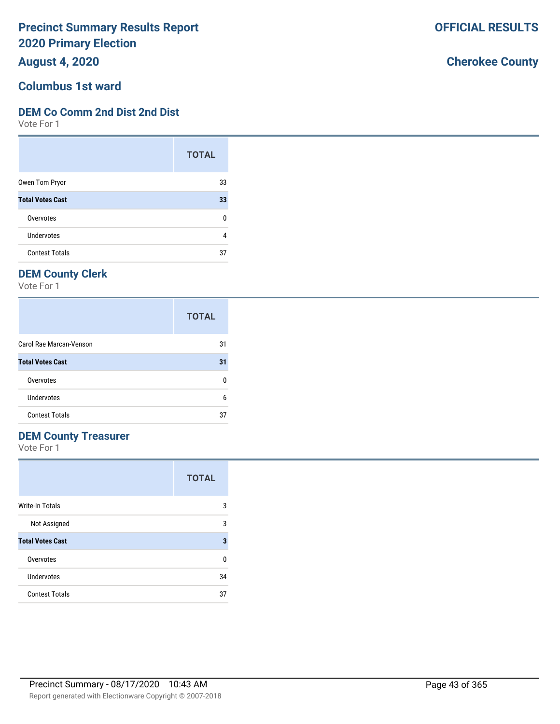**August 4, 2020**

#### **Columbus 1st ward**

#### **DEM Co Comm 2nd Dist 2nd Dist**

Vote For 1

|                         | <b>TOTAL</b> |
|-------------------------|--------------|
| Owen Tom Pryor          | 33           |
| <b>Total Votes Cast</b> | 33           |
| Overvotes               | U            |
| <b>Undervotes</b>       |              |
| <b>Contest Totals</b>   | 37           |

## **DEM County Clerk**

Vote For 1

|                         | <b>TOTAL</b> |
|-------------------------|--------------|
| Carol Rae Marcan-Venson | 31           |
| <b>Total Votes Cast</b> | 31           |
| Overvotes               |              |
| Undervotes              | 6            |
| <b>Contest Totals</b>   | 37           |

### **DEM County Treasurer**

Vote For 1

|                         | <b>TOTAL</b> |
|-------------------------|--------------|
| <b>Write-In Totals</b>  | 3            |
| Not Assigned            | 3            |
| <b>Total Votes Cast</b> | 3            |
| Overvotes               | 0            |
| Undervotes              | 34           |
| <b>Contest Totals</b>   | 37           |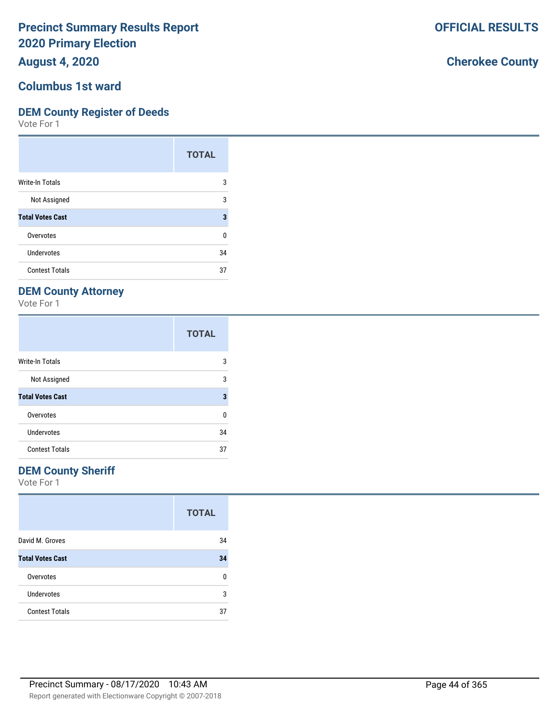**August 4, 2020**

## **Columbus 1st ward**

### **DEM County Register of Deeds**

Vote For 1

|                         | <b>TOTAL</b> |
|-------------------------|--------------|
| <b>Write-In Totals</b>  | 3            |
| Not Assigned            | 3            |
| <b>Total Votes Cast</b> | 3            |
| Overvotes               | ŋ            |
| Undervotes              | 34           |
| <b>Contest Totals</b>   | 37           |

# **DEM County Attorney**

Vote For 1

|                         | <b>TOTAL</b> |
|-------------------------|--------------|
| <b>Write-In Totals</b>  | 3            |
| Not Assigned            | 3            |
| <b>Total Votes Cast</b> | 3            |
| Overvotes               | U            |
| Undervotes              | 34           |
| <b>Contest Totals</b>   | 37           |

### **DEM County Sheriff**

Vote For 1

|                         | <b>TOTAL</b> |
|-------------------------|--------------|
| David M. Groves         | 34           |
| <b>Total Votes Cast</b> | 34           |
| Overvotes               | n            |
| <b>Undervotes</b>       | 3            |
| <b>Contest Totals</b>   | 37           |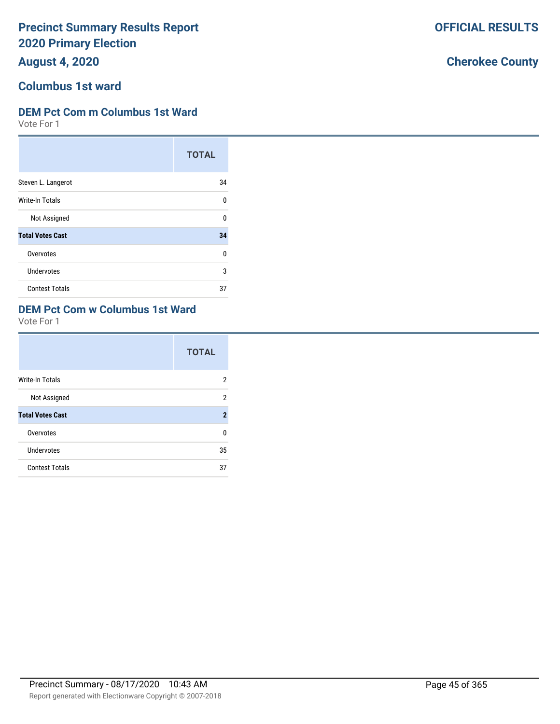**August 4, 2020**

#### **Columbus 1st ward**

#### **DEM Pct Com m Columbus 1st Ward**

Vote For 1

|                         | <b>TOTAL</b> |
|-------------------------|--------------|
| Steven L. Langerot      | 34           |
| Write-In Totals         | ŋ            |
| Not Assigned            | n            |
| <b>Total Votes Cast</b> | 34           |
| Overvotes               | U            |
| Undervotes              | 3            |
| <b>Contest Totals</b>   | 37           |

## **DEM Pct Com w Columbus 1st Ward**

Vote For 1

|                         | <b>TOTAL</b>   |
|-------------------------|----------------|
| <b>Write-In Totals</b>  | 2              |
| Not Assigned            | 2              |
| <b>Total Votes Cast</b> | $\overline{2}$ |
| Overvotes               | U              |
| <b>Undervotes</b>       | 35             |
| <b>Contest Totals</b>   | 37             |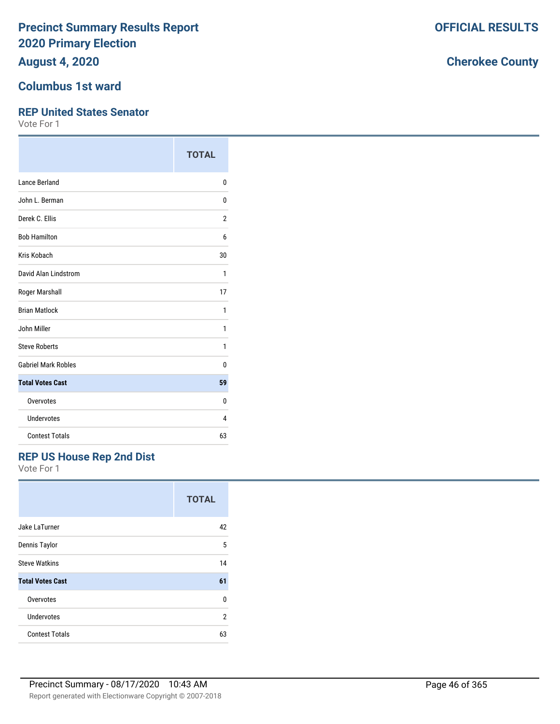**August 4, 2020**

#### **Columbus 1st ward**

#### **REP United States Senator**

Vote For 1

|                            | <b>TOTAL</b>   |
|----------------------------|----------------|
| <b>Lance Berland</b>       | 0              |
| John L. Berman             | 0              |
| Derek C. Ellis             | $\overline{2}$ |
| <b>Bob Hamilton</b>        | 6              |
| Kris Kobach                | 30             |
| David Alan Lindstrom       | 1              |
| Roger Marshall             | 17             |
| <b>Brian Matlock</b>       | 1              |
| John Miller                | 1              |
| <b>Steve Roberts</b>       | 1              |
| <b>Gabriel Mark Robles</b> | 0              |
| <b>Total Votes Cast</b>    | 59             |
| Overvotes                  | 0              |
| Undervotes                 | 4              |
| <b>Contest Totals</b>      | 63             |

#### **REP US House Rep 2nd Dist**

Vote For 1

|                         | <b>TOTAL</b>   |
|-------------------------|----------------|
| Jake LaTurner           | 42             |
| Dennis Taylor           | 5              |
| <b>Steve Watkins</b>    | 14             |
| <b>Total Votes Cast</b> | 61             |
| Overvotes               | $\Omega$       |
| Undervotes              | $\overline{2}$ |
| <b>Contest Totals</b>   | 63             |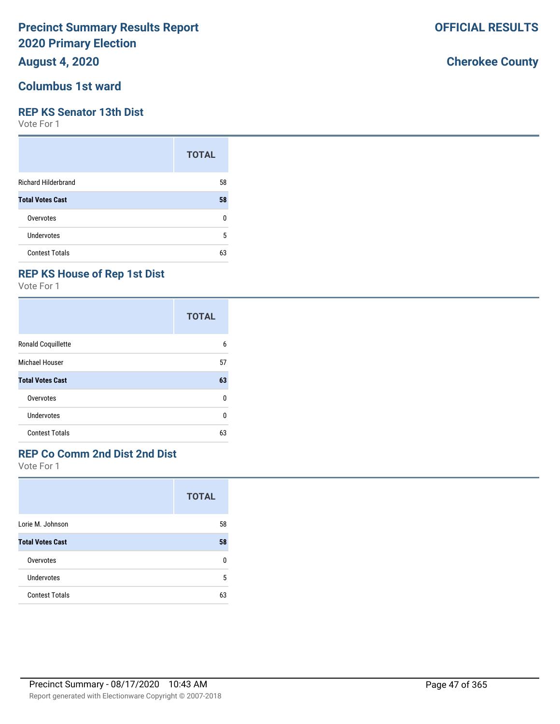## **August 4, 2020**

#### **Columbus 1st ward**

#### **REP KS Senator 13th Dist**

Vote For 1

|                            | <b>TOTAL</b> |
|----------------------------|--------------|
| <b>Richard Hilderbrand</b> | 58           |
| <b>Total Votes Cast</b>    | 58           |
| Overvotes                  | ŋ            |
| <b>Undervotes</b>          | 5            |
| <b>Contest Totals</b>      | 63           |

## **REP KS House of Rep 1st Dist**

Vote For 1

|                         | <b>TOTAL</b> |
|-------------------------|--------------|
| Ronald Coquillette      | 6            |
| Michael Houser          | 57           |
| <b>Total Votes Cast</b> | 63           |
| Overvotes               | U            |
| Undervotes              | ŋ            |
| <b>Contest Totals</b>   | 63           |

## **REP Co Comm 2nd Dist 2nd Dist**

Vote For 1

|                         | <b>TOTAL</b> |
|-------------------------|--------------|
| Lorie M. Johnson        | 58           |
| <b>Total Votes Cast</b> | 58           |
| Overvotes               | ŋ            |
| Undervotes              | 5            |
| <b>Contest Totals</b>   | 63           |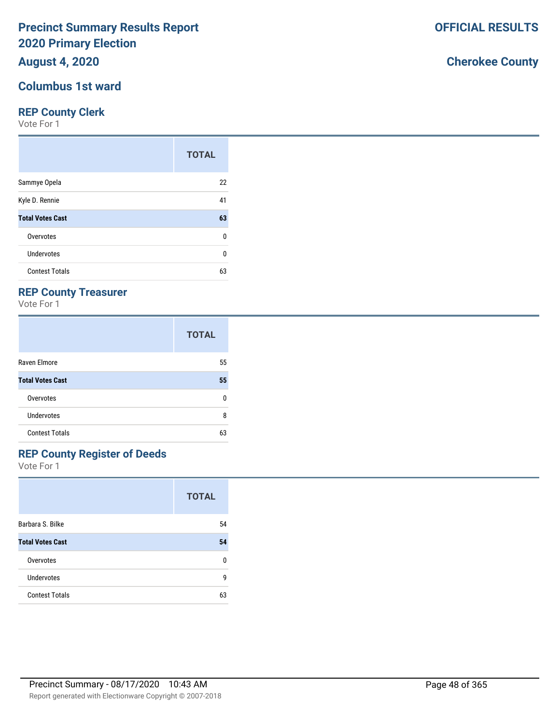## **August 4, 2020**

#### **Columbus 1st ward**

#### **REP County Clerk**

Vote For 1

|                         | <b>TOTAL</b> |
|-------------------------|--------------|
| Sammye Opela            | 22           |
| Kyle D. Rennie          | 41           |
| <b>Total Votes Cast</b> | 63           |
| Overvotes               | 0            |
| Undervotes              | 0            |
| <b>Contest Totals</b>   | 63           |

### **REP County Treasurer**

Vote For 1

|                         | <b>TOTAL</b> |
|-------------------------|--------------|
| Raven Elmore            | 55           |
| <b>Total Votes Cast</b> | 55           |
| Overvotes               | n            |
| Undervotes              | 8            |
| <b>Contest Totals</b>   | 63           |

# **REP County Register of Deeds**

Vote For 1

|                         | <b>TOTAL</b> |
|-------------------------|--------------|
| Barbara S. Bilke        | 54           |
| <b>Total Votes Cast</b> | 54           |
| Overvotes               | n            |
| Undervotes              | g            |
| <b>Contest Totals</b>   | 63           |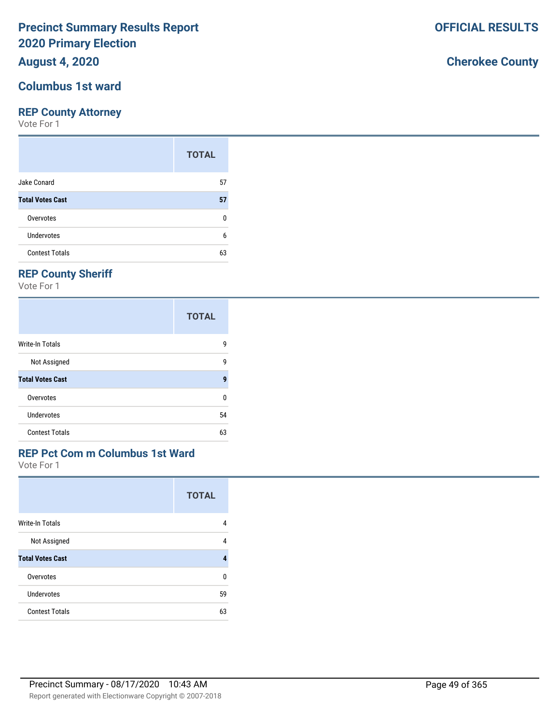## **August 4, 2020**

#### **Columbus 1st ward**

#### **REP County Attorney**

Vote For 1

|                         | <b>TOTAL</b> |
|-------------------------|--------------|
| Jake Conard             | 57           |
| <b>Total Votes Cast</b> | 57           |
| Overvotes               | 0            |
| Undervotes              | 6            |
| <b>Contest Totals</b>   | 63           |

## **REP County Sheriff**

Vote For 1

|                         | <b>TOTAL</b> |
|-------------------------|--------------|
| Write-In Totals         | 9            |
| Not Assigned            | 9            |
| <b>Total Votes Cast</b> | 9            |
| Overvotes               | 0            |
| Undervotes              | 54           |
| <b>Contest Totals</b>   | 63           |

### **REP Pct Com m Columbus 1st Ward**

Vote For 1

|                         | <b>TOTAL</b> |
|-------------------------|--------------|
| <b>Write-In Totals</b>  | 4            |
| Not Assigned            | 4            |
| <b>Total Votes Cast</b> | 4            |
| Overvotes               | U            |
| Undervotes              | 59           |
| <b>Contest Totals</b>   | 63           |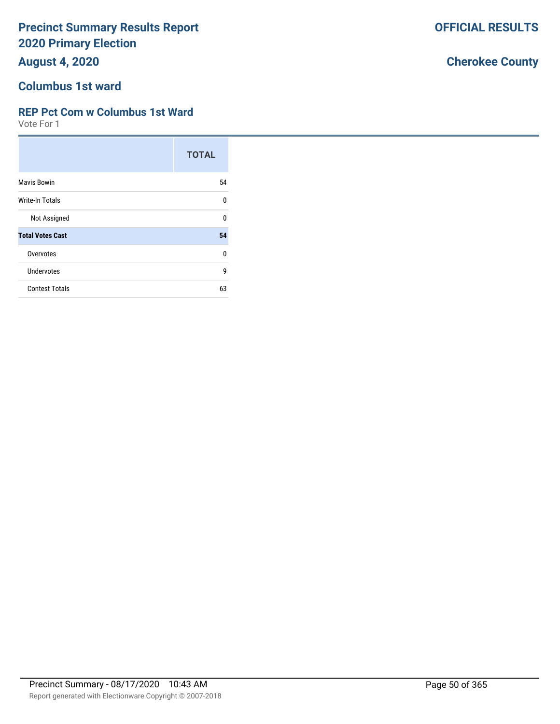**August 4, 2020**

#### **Columbus 1st ward**

#### **REP Pct Com w Columbus 1st Ward**

Vote For 1

|                         | <b>TOTAL</b> |
|-------------------------|--------------|
| <b>Mavis Bowin</b>      | 54           |
| Write-In Totals         | $\Omega$     |
| Not Assigned            | $\Omega$     |
| <b>Total Votes Cast</b> | 54           |
| Overvotes               | $\Omega$     |
| <b>Undervotes</b>       | 9            |
| <b>Contest Totals</b>   | 63           |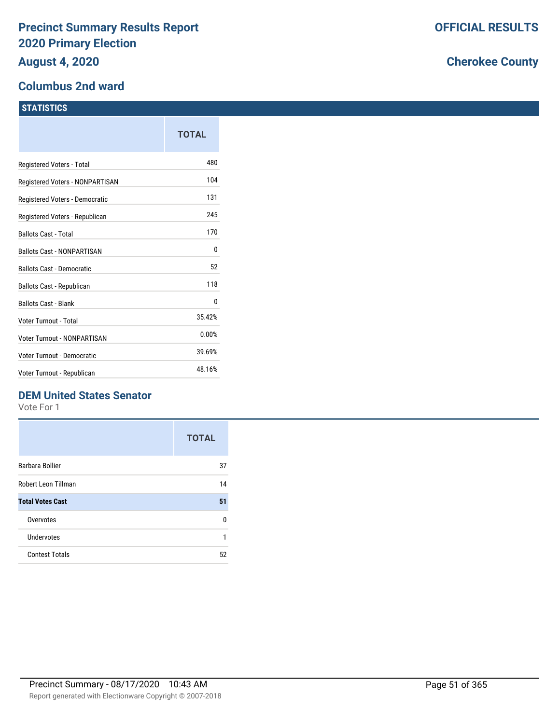#### **Columbus 2nd ward**

#### **STATISTICS**

|                                   | TOTAL  |
|-----------------------------------|--------|
| Registered Voters - Total         | 480    |
| Registered Voters - NONPARTISAN   | 104    |
| Registered Voters - Democratic    | 131    |
| Registered Voters - Republican    | 245    |
| <b>Ballots Cast - Total</b>       | 170    |
| <b>Ballots Cast - NONPARTISAN</b> | 0      |
| <b>Ballots Cast - Democratic</b>  | 52     |
| Ballots Cast - Republican         | 118    |
| <b>Ballots Cast - Blank</b>       | 0      |
| Voter Turnout - Total             | 35.42% |
| Voter Turnout - NONPARTISAN       | 0.00%  |
| Voter Turnout - Democratic        | 39.69% |
| Voter Turnout - Republican        | 48.16% |

### **DEM United States Senator**

Vote For 1

|                         | <b>TOTAL</b> |
|-------------------------|--------------|
| Barbara Bollier         | 37           |
| Robert Leon Tillman     | 14           |
| <b>Total Votes Cast</b> | 51           |
| Overvotes               | n            |
| Undervotes              | 1            |
| <b>Contest Totals</b>   | 52           |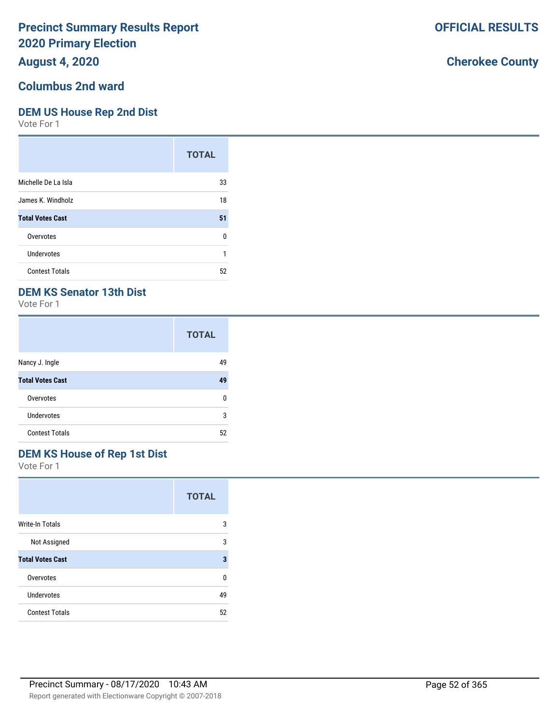## **August 4, 2020**

## **Columbus 2nd ward**

#### **DEM US House Rep 2nd Dist**

Vote For 1

|                         | <b>TOTAL</b> |
|-------------------------|--------------|
| Michelle De La Isla     | 33           |
| James K. Windholz       | 18           |
| <b>Total Votes Cast</b> | 51           |
| Overvotes               | ŋ            |
| Undervotes              | 1            |
| <b>Contest Totals</b>   | 52           |

### **DEM KS Senator 13th Dist**

Vote For 1

|                         | <b>TOTAL</b> |
|-------------------------|--------------|
| Nancy J. Ingle          | 49           |
| <b>Total Votes Cast</b> | 49           |
| Overvotes               | n            |
| Undervotes              | 3            |
| <b>Contest Totals</b>   | 52           |

## **DEM KS House of Rep 1st Dist**

Vote For 1

|                         | <b>TOTAL</b> |
|-------------------------|--------------|
| <b>Write-In Totals</b>  | 3            |
| Not Assigned            | 3            |
| <b>Total Votes Cast</b> | 3            |
| Overvotes               | U            |
| <b>Undervotes</b>       | 49           |
| <b>Contest Totals</b>   | 52           |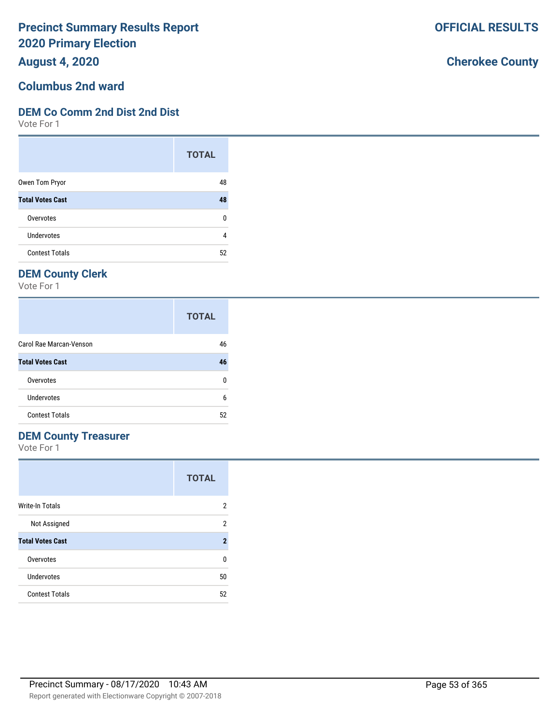**August 4, 2020**

# **Columbus 2nd ward**

#### **DEM Co Comm 2nd Dist 2nd Dist**

Vote For 1

|                         | <b>TOTAL</b> |
|-------------------------|--------------|
| Owen Tom Pryor          | 48           |
| <b>Total Votes Cast</b> | 48           |
| Overvotes               | ŋ            |
| Undervotes              | 4            |
| <b>Contest Totals</b>   | 52           |

## **DEM County Clerk**

Vote For 1

|                         | <b>TOTAL</b> |
|-------------------------|--------------|
| Carol Rae Marcan-Venson | 46           |
| <b>Total Votes Cast</b> | 46           |
| Overvotes               | n            |
| Undervotes              | 6            |
| <b>Contest Totals</b>   | 52           |

### **DEM County Treasurer**

Vote For 1

|                         | <b>TOTAL</b> |
|-------------------------|--------------|
| Write-In Totals         | 2            |
| Not Assigned            | 2            |
| <b>Total Votes Cast</b> | $\mathbf 2$  |
| Overvotes               | n            |
| Undervotes              | 50           |
| <b>Contest Totals</b>   | 52           |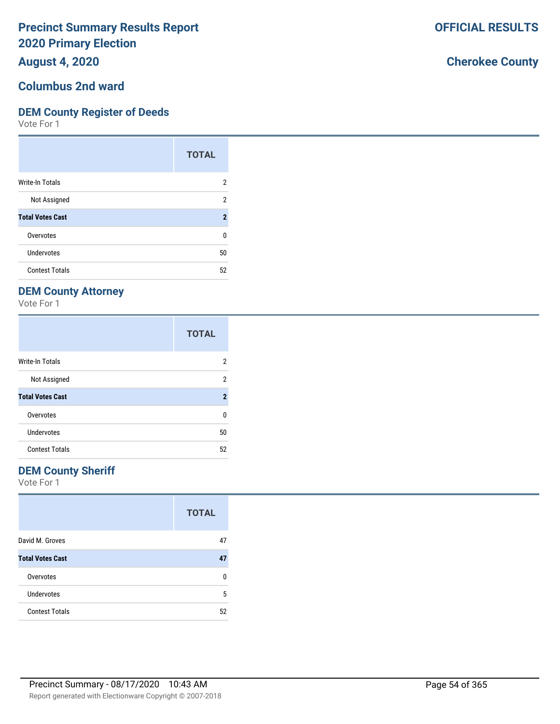**August 4, 2020**

#### **Columbus 2nd ward**

#### **DEM County Register of Deeds**

Vote For 1

|                         | <b>TOTAL</b>   |
|-------------------------|----------------|
| Write-In Totals         | 2              |
| Not Assigned            | 2              |
| <b>Total Votes Cast</b> | $\overline{2}$ |
| Overvotes               | 0              |
| Undervotes              | 50             |
| <b>Contest Totals</b>   | 52             |

## **DEM County Attorney**

Vote For 1

|                         | <b>TOTAL</b>   |
|-------------------------|----------------|
| <b>Write-In Totals</b>  | 2              |
| Not Assigned            | 2              |
| <b>Total Votes Cast</b> | $\overline{2}$ |
| Overvotes               | 0              |
| Undervotes              | 50             |
| <b>Contest Totals</b>   | 52             |

### **DEM County Sheriff**

Vote For 1

|                         | <b>TOTAL</b> |
|-------------------------|--------------|
| David M. Groves         | 47           |
| <b>Total Votes Cast</b> | 47           |
| Overvotes               | n            |
| <b>Undervotes</b>       | 5            |
| <b>Contest Totals</b>   | 52           |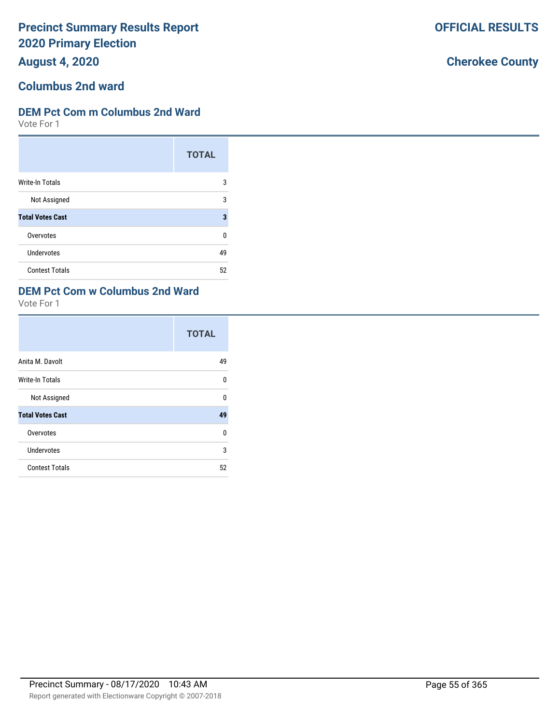**August 4, 2020**

# **Columbus 2nd ward**

### **DEM Pct Com m Columbus 2nd Ward**

Vote For 1

|                         | <b>TOTAL</b> |
|-------------------------|--------------|
| Write-In Totals         | 3            |
| Not Assigned            | 3            |
| <b>Total Votes Cast</b> | 3            |
| Overvotes               | 0            |
| <b>Undervotes</b>       | 49           |
| <b>Contest Totals</b>   | 52           |

## **DEM Pct Com w Columbus 2nd Ward**

Vote For 1

|                         | <b>TOTAL</b> |
|-------------------------|--------------|
| Anita M. Davolt         | 49           |
| Write-In Totals         | U            |
| Not Assigned            | U            |
| <b>Total Votes Cast</b> | 49           |
| Overvotes               | U            |
| Undervotes              | 3            |
| <b>Contest Totals</b>   | 52           |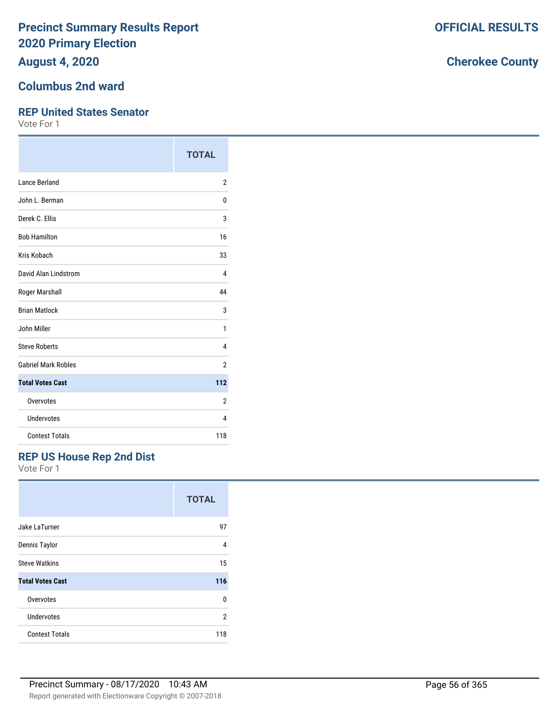**August 4, 2020**

#### **Columbus 2nd ward**

#### **REP United States Senator**

Vote For 1

|                            | <b>TOTAL</b>   |
|----------------------------|----------------|
| <b>Lance Berland</b>       | 2              |
| John L. Berman             | 0              |
| Derek C. Ellis             | 3              |
| <b>Bob Hamilton</b>        | 16             |
| Kris Kobach                | 33             |
| David Alan Lindstrom       | 4              |
| Roger Marshall             | 44             |
| <b>Brian Matlock</b>       | 3              |
| John Miller                | 1              |
| <b>Steve Roberts</b>       | 4              |
| <b>Gabriel Mark Robles</b> | $\overline{2}$ |
| <b>Total Votes Cast</b>    | 112            |
| Overvotes                  | $\overline{2}$ |
| <b>Undervotes</b>          | 4              |
| <b>Contest Totals</b>      | 118            |

#### **REP US House Rep 2nd Dist**

Vote For 1

|                         | <b>TOTAL</b> |
|-------------------------|--------------|
| Jake LaTurner           | 97           |
| Dennis Taylor           | 4            |
| <b>Steve Watkins</b>    | 15           |
| <b>Total Votes Cast</b> | 116          |
| Overvotes               | U            |
| Undervotes              | 2            |
| <b>Contest Totals</b>   | 118          |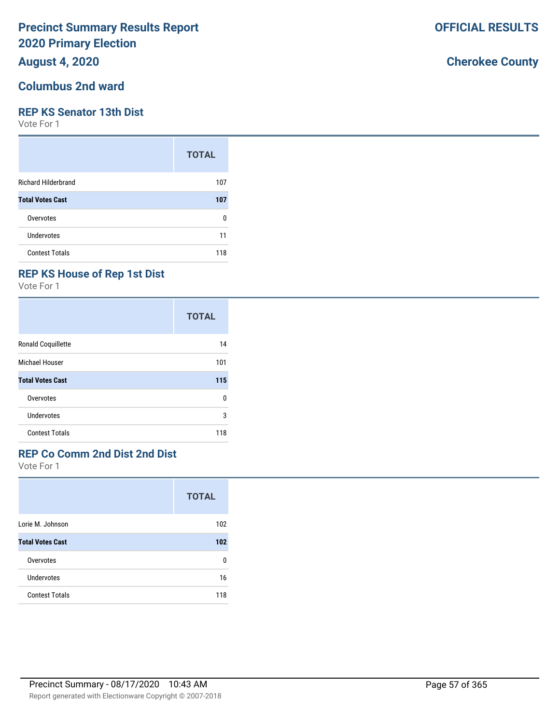## **August 4, 2020**

#### **Columbus 2nd ward**

#### **REP KS Senator 13th Dist**

Vote For 1

|                            | <b>TOTAL</b> |
|----------------------------|--------------|
| <b>Richard Hilderbrand</b> | 107          |
| <b>Total Votes Cast</b>    | 107          |
| Overvotes                  | ŋ            |
| Undervotes                 | 11           |
| <b>Contest Totals</b>      | 118          |

## **REP KS House of Rep 1st Dist**

Vote For 1

|                         | <b>TOTAL</b> |
|-------------------------|--------------|
| Ronald Coquillette      | 14           |
| Michael Houser          | 101          |
| <b>Total Votes Cast</b> | 115          |
| Overvotes               | 0            |
| Undervotes              | 3            |
| <b>Contest Totals</b>   | 118          |

## **REP Co Comm 2nd Dist 2nd Dist**

Vote For 1

|                         | <b>TOTAL</b> |
|-------------------------|--------------|
| Lorie M. Johnson        | 102          |
| <b>Total Votes Cast</b> | 102          |
| Overvotes               | n            |
| Undervotes              | 16           |
| <b>Contest Totals</b>   | 118          |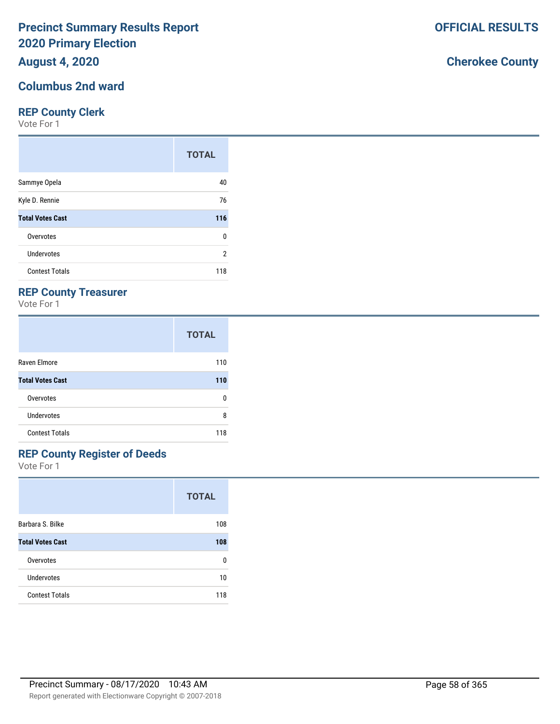## **August 4, 2020**

#### **Columbus 2nd ward**

#### **REP County Clerk**

Vote For 1

|                         | <b>TOTAL</b> |
|-------------------------|--------------|
| Sammye Opela            | 40           |
| Kyle D. Rennie          | 76           |
| <b>Total Votes Cast</b> | 116          |
| Overvotes               | 0            |
| Undervotes              | 2            |
| <b>Contest Totals</b>   | 118          |

### **REP County Treasurer**

Vote For 1

|                         | <b>TOTAL</b> |
|-------------------------|--------------|
| Raven Elmore            | 110          |
| <b>Total Votes Cast</b> | 110          |
| Overvotes               | n            |
| <b>Undervotes</b>       | 8            |
| <b>Contest Totals</b>   | 118          |

# **REP County Register of Deeds**

Vote For 1

|                         | <b>TOTAL</b> |
|-------------------------|--------------|
| Barbara S. Bilke        | 108          |
| <b>Total Votes Cast</b> | 108          |
| Overvotes               | O            |
| Undervotes              | 10           |
| <b>Contest Totals</b>   | 118          |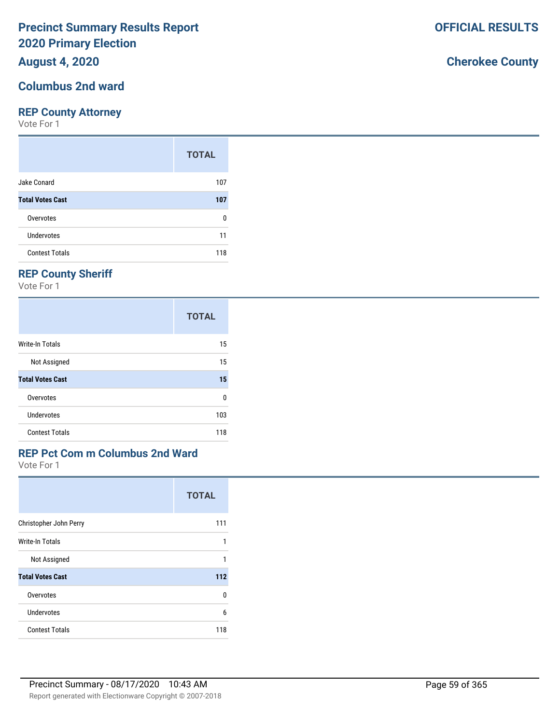## **August 4, 2020**

#### **Columbus 2nd ward**

#### **REP County Attorney**

Vote For 1

|                         | <b>TOTAL</b> |
|-------------------------|--------------|
| Jake Conard             | 107          |
| <b>Total Votes Cast</b> | 107          |
| Overvotes               | O            |
| Undervotes              | 11           |
| <b>Contest Totals</b>   | 118          |

## **REP County Sheriff**

Vote For 1

|                         | <b>TOTAL</b> |
|-------------------------|--------------|
| Write-In Totals         | 15           |
| Not Assigned            | 15           |
| <b>Total Votes Cast</b> | 15           |
| Overvotes               | 0            |
| <b>Undervotes</b>       | 103          |
| <b>Contest Totals</b>   | 118          |

### **REP Pct Com m Columbus 2nd Ward**

Vote For 1

|                         | <b>TOTAL</b> |
|-------------------------|--------------|
| Christopher John Perry  | 111          |
| Write-In Totals         | 1            |
| Not Assigned            | 1            |
| <b>Total Votes Cast</b> | 112          |
| Overvotes               | U            |
| Undervotes              | 6            |
| <b>Contest Totals</b>   | 118          |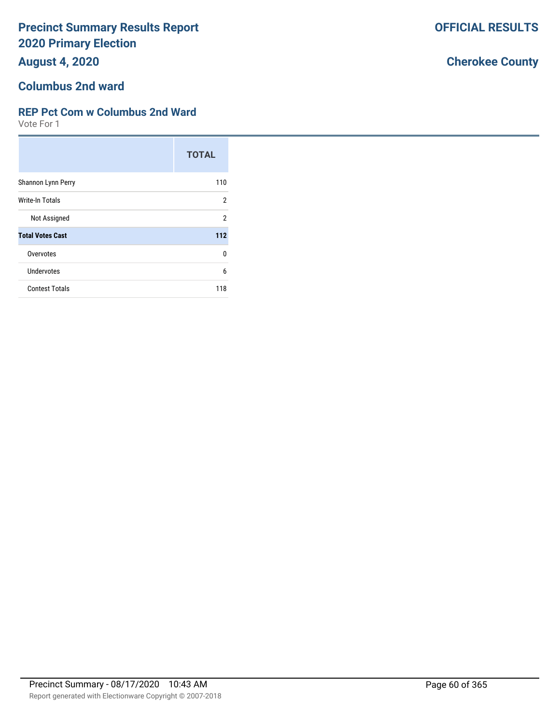**August 4, 2020**

## **Columbus 2nd ward**

#### **REP Pct Com w Columbus 2nd Ward**

Vote For 1

|                         | <b>TOTAL</b>   |
|-------------------------|----------------|
| Shannon Lynn Perry      | 110            |
| Write-In Totals         | $\overline{2}$ |
| Not Assigned            | $\mathfrak{p}$ |
| <b>Total Votes Cast</b> | 112            |
| Overvotes               | 0              |
| <b>Undervotes</b>       | 6              |
| <b>Contest Totals</b>   | 118            |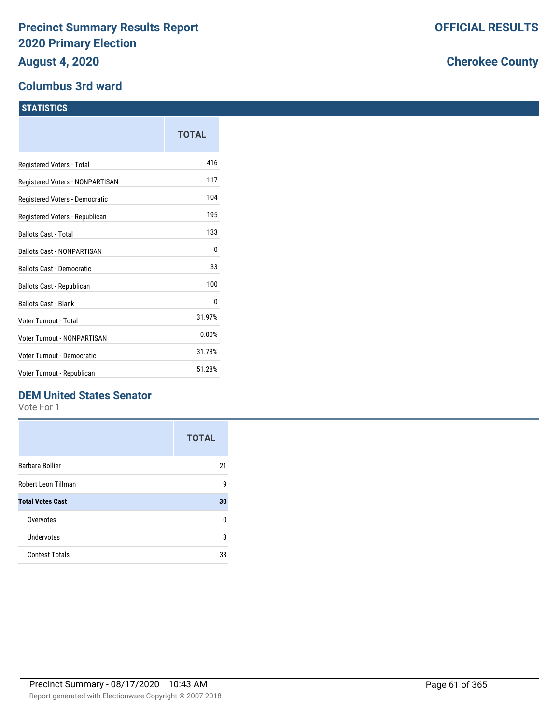#### **Columbus 3rd ward**

#### **STATISTICS**

|                                   | TOTAL  |
|-----------------------------------|--------|
| Registered Voters - Total         | 416    |
| Registered Voters - NONPARTISAN   | 117    |
| Registered Voters - Democratic    | 104    |
| Registered Voters - Republican    | 195    |
| <b>Ballots Cast - Total</b>       | 133    |
| <b>Ballots Cast - NONPARTISAN</b> | 0      |
| <b>Ballots Cast - Democratic</b>  | 33     |
| Ballots Cast - Republican         | 100    |
| <b>Ballots Cast - Blank</b>       | 0      |
| Voter Turnout - Total             | 31.97% |
| Voter Turnout - NONPARTISAN       | 0.00%  |
| Voter Turnout - Democratic        | 31.73% |
| Voter Turnout - Republican        | 51.28% |

## **DEM United States Senator**

Vote For 1

|                         | <b>TOTAL</b> |
|-------------------------|--------------|
| Barbara Bollier         | 21           |
| Robert Leon Tillman     | g            |
| <b>Total Votes Cast</b> | 30           |
| Overvotes               | n            |
| Undervotes              | 3            |
| <b>Contest Totals</b>   | 33           |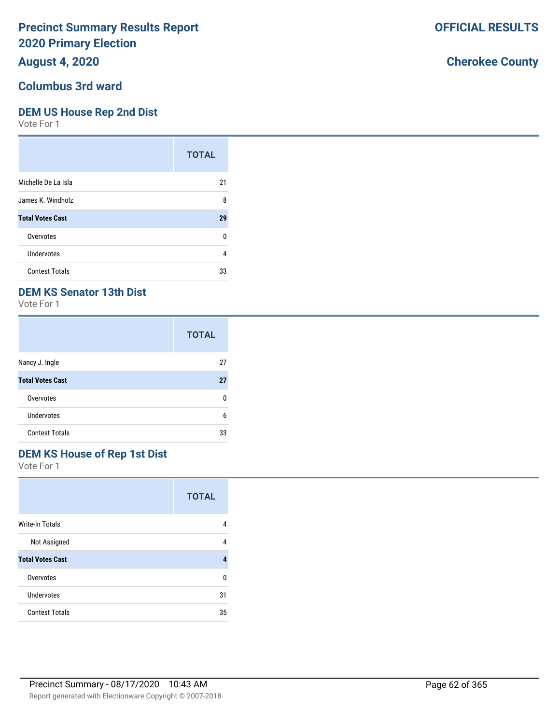## **August 4, 2020**

#### **Columbus 3rd ward**

#### **DEM US House Rep 2nd Dist**

Vote For 1

|                         | <b>TOTAL</b> |
|-------------------------|--------------|
| Michelle De La Isla     | 21           |
| James K. Windholz       | 8            |
| <b>Total Votes Cast</b> | 29           |
| Overvotes               | ŋ            |
| Undervotes              | 4            |
| <b>Contest Totals</b>   | 33           |

## **DEM KS Senator 13th Dist**

Vote For 1

|                         | <b>TOTAL</b> |
|-------------------------|--------------|
| Nancy J. Ingle          | 27           |
| <b>Total Votes Cast</b> | 27           |
| Overvotes               | n            |
| Undervotes              | 6            |
| <b>Contest Totals</b>   | 33           |

## **DEM KS House of Rep 1st Dist**

Vote For 1

|                         | <b>TOTAL</b> |
|-------------------------|--------------|
| <b>Write-In Totals</b>  | 4            |
| Not Assigned            | 4            |
| <b>Total Votes Cast</b> | 4            |
| Overvotes               | U            |
| Undervotes              | 31           |
| <b>Contest Totals</b>   | 35           |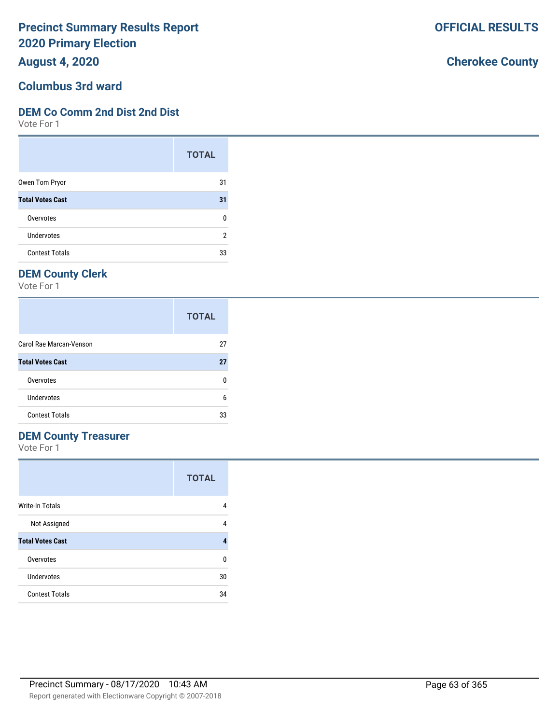**August 4, 2020**

#### **Columbus 3rd ward**

#### **DEM Co Comm 2nd Dist 2nd Dist**

Vote For 1

|                         | <b>TOTAL</b> |
|-------------------------|--------------|
| Owen Tom Pryor          | 31           |
| <b>Total Votes Cast</b> | 31           |
| Overvotes               | ŋ            |
| <b>Undervotes</b>       | 2            |
| <b>Contest Totals</b>   | 33           |

## **DEM County Clerk**

Vote For 1

|                         | <b>TOTAL</b> |
|-------------------------|--------------|
| Carol Rae Marcan-Venson | 27           |
| <b>Total Votes Cast</b> | 27           |
| Overvotes               | O            |
| Undervotes              | 6            |
| <b>Contest Totals</b>   | 33           |

### **DEM County Treasurer**

Vote For 1

|                         | <b>TOTAL</b> |
|-------------------------|--------------|
| Write-In Totals         | 4            |
| Not Assigned            | 4            |
| <b>Total Votes Cast</b> | 4            |
| Overvotes               | 0            |
| Undervotes              | 30           |
| <b>Contest Totals</b>   | 34           |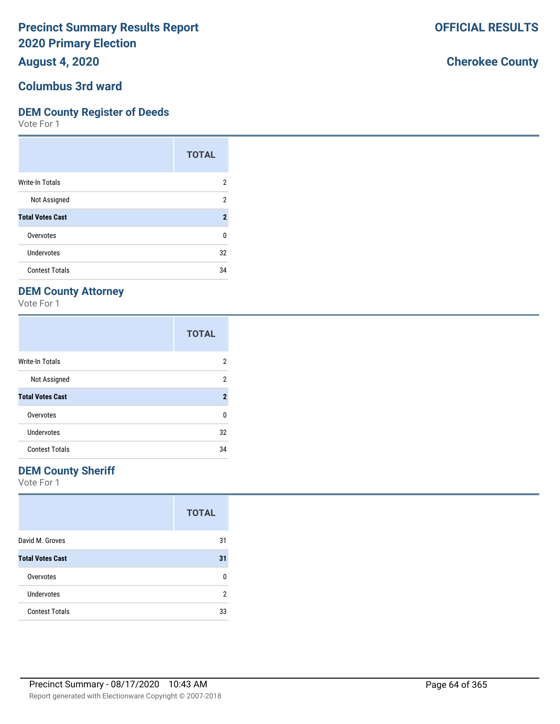**August 4, 2020**

#### **Columbus 3rd ward**

#### **DEM County Register of Deeds**

Vote For 1

|                         | <b>TOTAL</b>        |
|-------------------------|---------------------|
| Write-In Totals         | 2                   |
| Not Assigned            | 2                   |
| <b>Total Votes Cast</b> | $\boldsymbol{\eta}$ |
| Overvotes               | 0                   |
| Undervotes              | 32                  |
| <b>Contest Totals</b>   | 34                  |

## **DEM County Attorney**

Vote For 1

|                         | <b>TOTAL</b>   |
|-------------------------|----------------|
| <b>Write-In Totals</b>  | 2              |
| Not Assigned            | 2              |
| <b>Total Votes Cast</b> | $\overline{2}$ |
| Overvotes               | U              |
| Undervotes              | 32             |
| <b>Contest Totals</b>   | 34             |

### **DEM County Sheriff**

Vote For 1

|                         | <b>TOTAL</b> |
|-------------------------|--------------|
| David M. Groves         | 31           |
| <b>Total Votes Cast</b> | 31           |
| Overvotes               | n            |
| <b>Undervotes</b>       | 2            |
| <b>Contest Totals</b>   | 33           |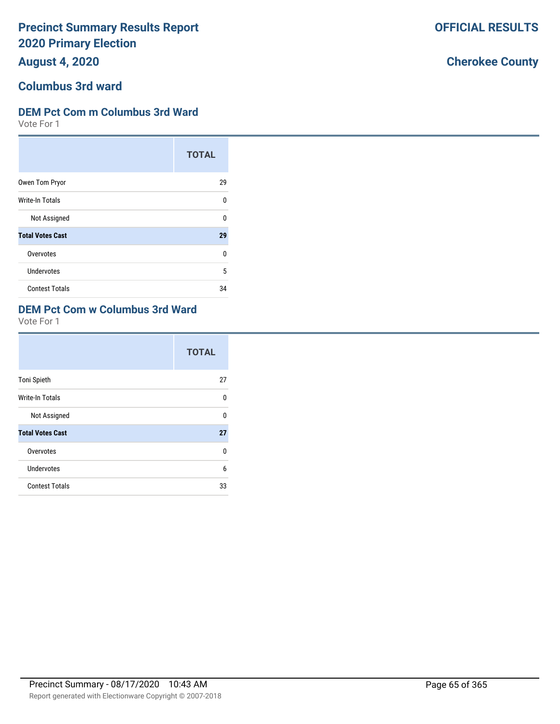**August 4, 2020**

# **Columbus 3rd ward**

#### **DEM Pct Com m Columbus 3rd Ward**

Vote For 1

|                         | <b>TOTAL</b> |
|-------------------------|--------------|
| Owen Tom Pryor          | 29           |
| <b>Write-In Totals</b>  | 0            |
| Not Assigned            | U            |
| <b>Total Votes Cast</b> | 29           |
| Overvotes               | U            |
| <b>Undervotes</b>       | 5            |
| <b>Contest Totals</b>   | 34           |

## **DEM Pct Com w Columbus 3rd Ward**

Vote For 1

|                         | <b>TOTAL</b> |
|-------------------------|--------------|
| <b>Toni Spieth</b>      | 27           |
| Write-In Totals         | U            |
| Not Assigned            | U            |
| <b>Total Votes Cast</b> | 27           |
| Overvotes               | U            |
| Undervotes              | 6            |
| <b>Contest Totals</b>   | 33           |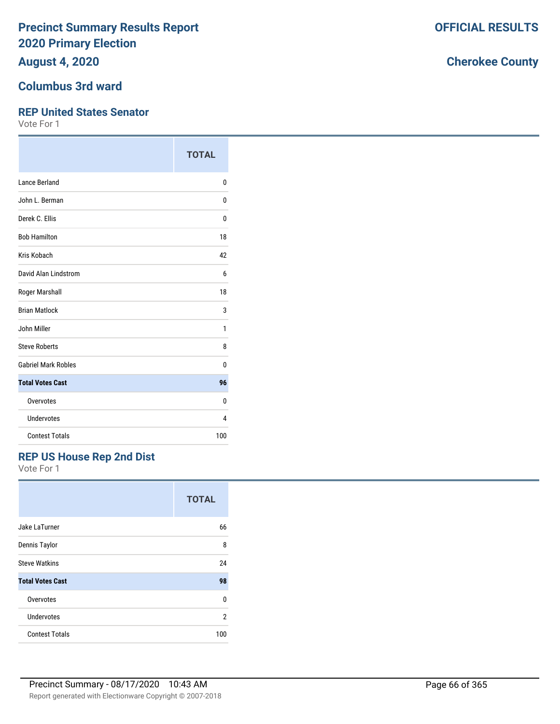**August 4, 2020**

#### **Columbus 3rd ward**

#### **REP United States Senator**

Vote For 1

|                            | <b>TOTAL</b> |
|----------------------------|--------------|
| <b>Lance Berland</b>       | 0            |
| John L. Berman             | 0            |
| Derek C. Ellis             | 0            |
| <b>Bob Hamilton</b>        | 18           |
| Kris Kobach                | 42           |
| David Alan Lindstrom       | 6            |
| Roger Marshall             | 18           |
| <b>Brian Matlock</b>       | 3            |
| John Miller                | 1            |
| <b>Steve Roberts</b>       | 8            |
| <b>Gabriel Mark Robles</b> | 0            |
| <b>Total Votes Cast</b>    | 96           |
| Overvotes                  | 0            |
| Undervotes                 | 4            |
| <b>Contest Totals</b>      | 100          |

## **REP US House Rep 2nd Dist**

Vote For 1

|                         | <b>TOTAL</b> |
|-------------------------|--------------|
| Jake LaTurner           | 66           |
| Dennis Taylor           | 8            |
| <b>Steve Watkins</b>    | 24           |
| <b>Total Votes Cast</b> | 98           |
| Overvotes               | 0            |
| <b>Undervotes</b>       | 2            |
| <b>Contest Totals</b>   | 100          |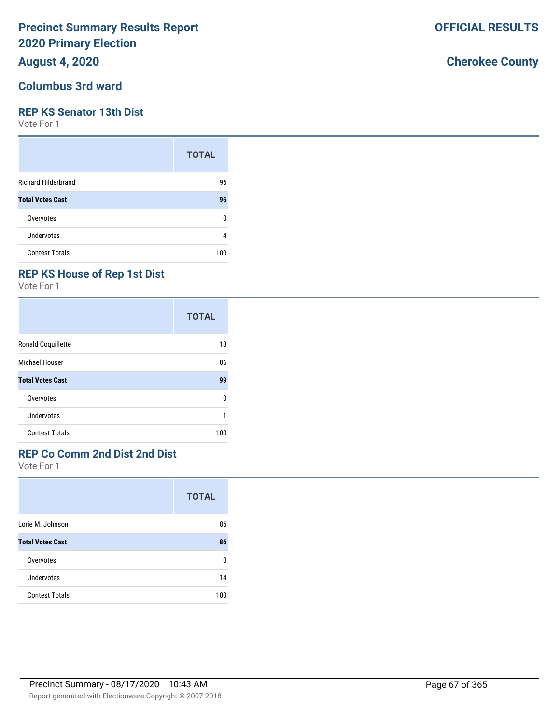## **August 4, 2020**

#### **Columbus 3rd ward**

#### **REP KS Senator 13th Dist**

Vote For 1

|                            | <b>TOTAL</b> |
|----------------------------|--------------|
| <b>Richard Hilderbrand</b> | 96           |
| <b>Total Votes Cast</b>    | 96           |
| Overvotes                  | ŋ            |
| Undervotes                 | 4            |
| <b>Contest Totals</b>      | 100          |

## **REP KS House of Rep 1st Dist**

Vote For 1

|                         | <b>TOTAL</b> |
|-------------------------|--------------|
| Ronald Coquillette      | 13           |
| Michael Houser          | 86           |
| <b>Total Votes Cast</b> | 99           |
| Overvotes               | 0            |
| Undervotes              |              |
| <b>Contest Totals</b>   | 100          |

## **REP Co Comm 2nd Dist 2nd Dist**

Vote For 1

|                         | <b>TOTAL</b> |
|-------------------------|--------------|
| Lorie M. Johnson        | 86           |
| <b>Total Votes Cast</b> | 86           |
| Overvotes               | U            |
| <b>Undervotes</b>       | 14           |
| <b>Contest Totals</b>   | 100          |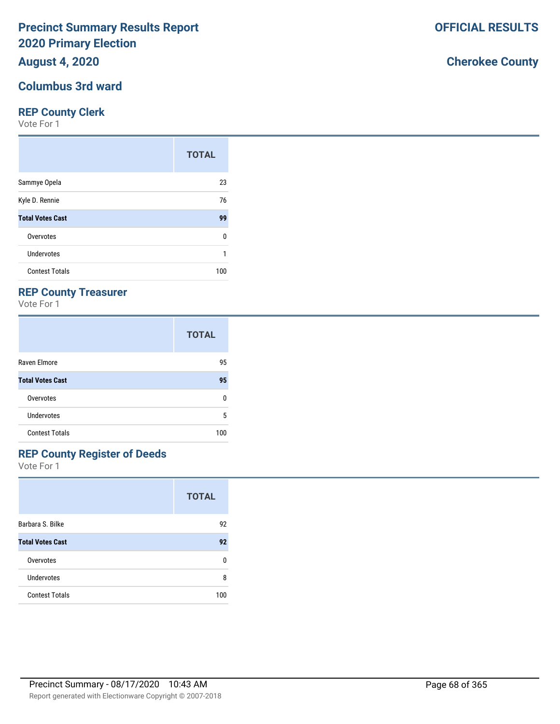## **August 4, 2020**

### **Columbus 3rd ward**

#### **REP County Clerk**

Vote For 1

|                         | <b>TOTAL</b> |
|-------------------------|--------------|
| Sammye Opela            | 23           |
| Kyle D. Rennie          | 76           |
| <b>Total Votes Cast</b> | 99           |
| Overvotes               | 0            |
| Undervotes              |              |
| <b>Contest Totals</b>   | 100          |

### **REP County Treasurer**

Vote For 1

|                         | <b>TOTAL</b> |
|-------------------------|--------------|
| Raven Elmore            | 95           |
| <b>Total Votes Cast</b> | 95           |
| Overvotes               | n            |
| <b>Undervotes</b>       | 5            |
| <b>Contest Totals</b>   | 100          |

## **REP County Register of Deeds**

Vote For 1

|                         | <b>TOTAL</b> |
|-------------------------|--------------|
| Barbara S. Bilke        | 92           |
| <b>Total Votes Cast</b> | 92           |
| Overvotes               | n            |
| Undervotes              | 8            |
| <b>Contest Totals</b>   | 100          |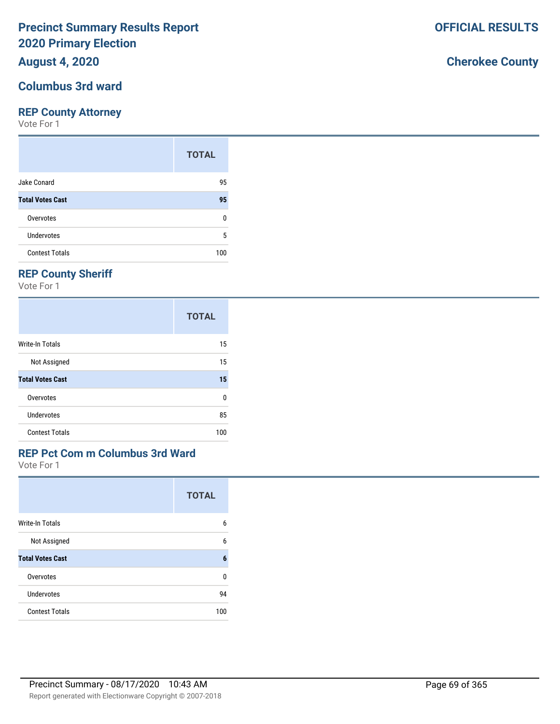## **August 4, 2020**

#### **Columbus 3rd ward**

#### **REP County Attorney**

Vote For 1

|                         | <b>TOTAL</b> |
|-------------------------|--------------|
| Jake Conard             | 95           |
| <b>Total Votes Cast</b> | 95           |
| Overvotes               | n            |
| Undervotes              | 5            |
| <b>Contest Totals</b>   | 100          |

## **REP County Sheriff**

Vote For 1

|                         | <b>TOTAL</b> |
|-------------------------|--------------|
| Write-In Totals         | 15           |
| Not Assigned            | 15           |
| <b>Total Votes Cast</b> | 15           |
| Overvotes               | n            |
| Undervotes              | 85           |
| <b>Contest Totals</b>   | 100          |

### **REP Pct Com m Columbus 3rd Ward**

Vote For 1

|                         | <b>TOTAL</b> |
|-------------------------|--------------|
| <b>Write-In Totals</b>  | 6            |
| Not Assigned            | 6            |
| <b>Total Votes Cast</b> | 6            |
| Overvotes               | U            |
| Undervotes              | 94           |
| <b>Contest Totals</b>   | 100          |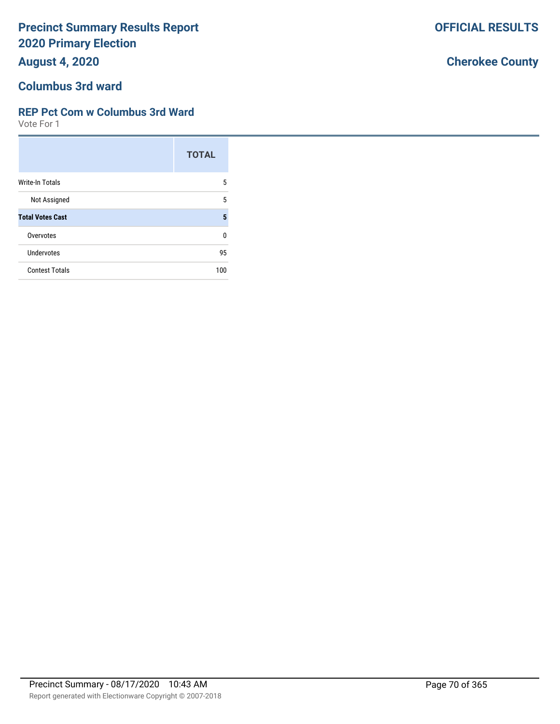**August 4, 2020**

# **Columbus 3rd ward**

### **REP Pct Com w Columbus 3rd Ward**

Vote For 1

|                         | <b>TOTAL</b> |
|-------------------------|--------------|
| <b>Write-In Totals</b>  | 5            |
| Not Assigned            | 5            |
| <b>Total Votes Cast</b> | 5            |
| Overvotes               | ŋ            |
| Undervotes              | 95           |
| <b>Contest Totals</b>   | 100          |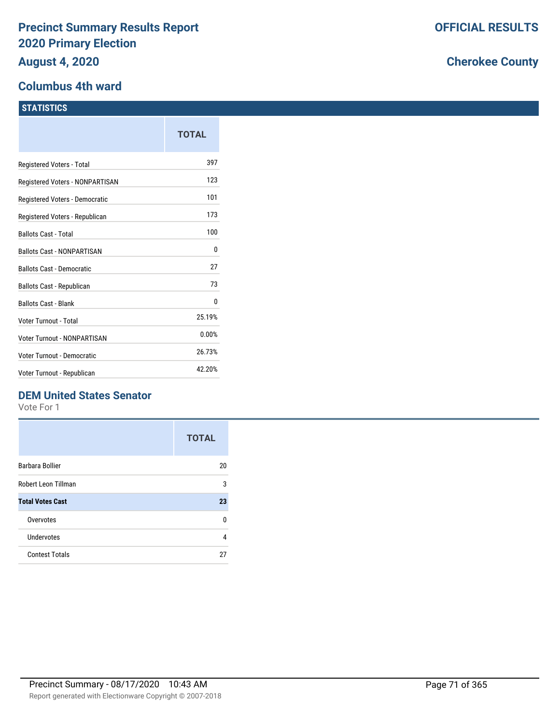### **Columbus 4th ward**

|                                   | TOTAL  |
|-----------------------------------|--------|
| Registered Voters - Total         | 397    |
| Registered Voters - NONPARTISAN   | 123    |
| Registered Voters - Democratic    | 101    |
| Registered Voters - Republican    | 173    |
| <b>Ballots Cast - Total</b>       | 100    |
| <b>Ballots Cast - NONPARTISAN</b> | 0      |
| <b>Ballots Cast - Democratic</b>  | 27     |
| Ballots Cast - Republican         | 73     |
| <b>Ballots Cast - Blank</b>       | 0      |
| Voter Turnout - Total             | 25.19% |
| Voter Turnout - NONPARTISAN       | 0.00%  |
| Voter Turnout - Democratic        | 26.73% |
| Voter Turnout - Republican        | 42.20% |
|                                   |        |

## **DEM United States Senator**

Vote For 1

|                         | <b>TOTAL</b> |
|-------------------------|--------------|
| Barbara Bollier         | 20           |
| Robert Leon Tillman     | 3            |
| <b>Total Votes Cast</b> | 23           |
| Overvotes               | n            |
| Undervotes              | 4            |
| <b>Contest Totals</b>   | 27           |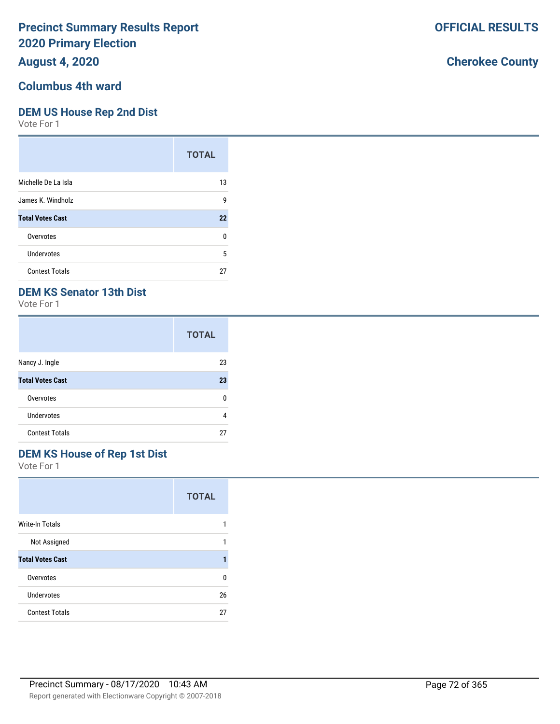## **August 4, 2020**

## **Columbus 4th ward**

#### **DEM US House Rep 2nd Dist**

Vote For 1

|                         | <b>TOTAL</b> |
|-------------------------|--------------|
| Michelle De La Isla     | 13           |
| James K. Windholz       | 9            |
| <b>Total Votes Cast</b> | 22           |
| Overvotes               | 0            |
| <b>Undervotes</b>       | 5            |
| <b>Contest Totals</b>   | 27           |

## **DEM KS Senator 13th Dist**

Vote For 1

|                         | <b>TOTAL</b> |
|-------------------------|--------------|
| Nancy J. Ingle          | 23           |
| <b>Total Votes Cast</b> | 23           |
| Overvotes               | n            |
| Undervotes              | 4            |
| <b>Contest Totals</b>   | 27           |

# **DEM KS House of Rep 1st Dist**

Vote For 1

|                         | <b>TOTAL</b> |
|-------------------------|--------------|
| <b>Write-In Totals</b>  |              |
| Not Assigned            |              |
| <b>Total Votes Cast</b> |              |
| Overvotes               | n            |
| Undervotes              | 26           |
| <b>Contest Totals</b>   | 27           |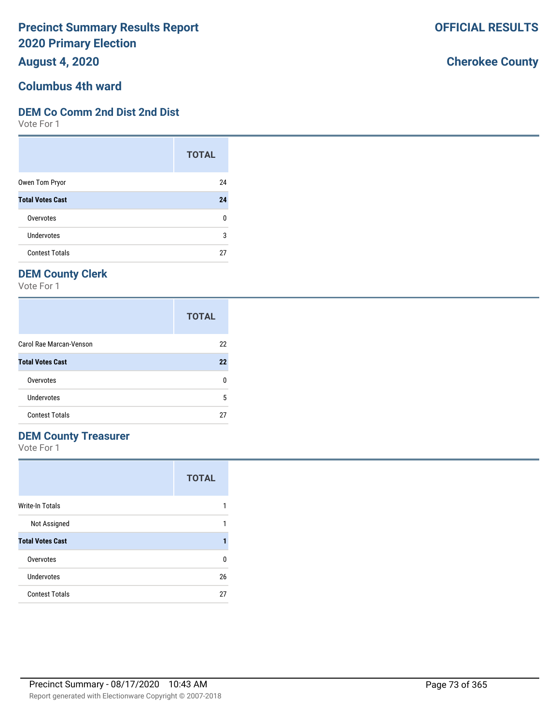**August 4, 2020**

# **Columbus 4th ward**

#### **DEM Co Comm 2nd Dist 2nd Dist**

Vote For 1

|                         | <b>TOTAL</b> |
|-------------------------|--------------|
| Owen Tom Pryor          | 24           |
| <b>Total Votes Cast</b> | 24           |
| Overvotes               | ŋ            |
| Undervotes              | 3            |
| <b>Contest Totals</b>   | 27           |

## **DEM County Clerk**

Vote For 1

|                         | <b>TOTAL</b> |
|-------------------------|--------------|
| Carol Rae Marcan-Venson | 22           |
| <b>Total Votes Cast</b> | 22           |
| Overvotes               |              |
| Undervotes              | 5            |
| <b>Contest Totals</b>   | 27           |

### **DEM County Treasurer**

Vote For 1

|                         | <b>TOTAL</b> |
|-------------------------|--------------|
| <b>Write-In Totals</b>  |              |
| Not Assigned            |              |
| <b>Total Votes Cast</b> |              |
| Overvotes               | n            |
| Undervotes              | 26           |
| <b>Contest Totals</b>   | 27           |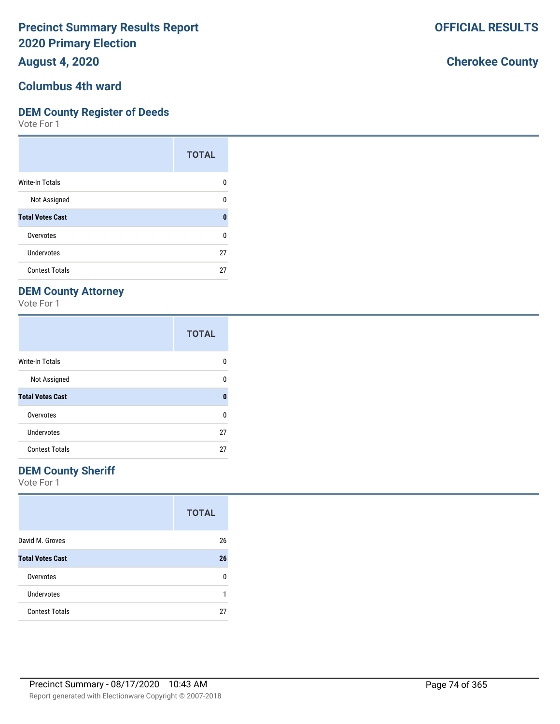**August 4, 2020**

# **Columbus 4th ward**

### **DEM County Register of Deeds**

Vote For 1

|                         | <b>TOTAL</b> |
|-------------------------|--------------|
| Write-In Totals         | O            |
| Not Assigned            | n            |
| <b>Total Votes Cast</b> | Ω            |
| Overvotes               | 0            |
| <b>Undervotes</b>       | 27           |
| <b>Contest Totals</b>   | 27           |

# **DEM County Attorney**

Vote For 1

|                         | <b>TOTAL</b> |
|-------------------------|--------------|
| <b>Write-In Totals</b>  | o            |
| Not Assigned            | U            |
| <b>Total Votes Cast</b> | O            |
| Overvotes               | U            |
| Undervotes              | 27           |
| <b>Contest Totals</b>   | 27           |

### **DEM County Sheriff**

Vote For 1

|                         | <b>TOTAL</b> |
|-------------------------|--------------|
| David M. Groves         | 26           |
| <b>Total Votes Cast</b> | 26           |
| Overvotes               | n            |
| Undervotes              |              |
| <b>Contest Totals</b>   | 27           |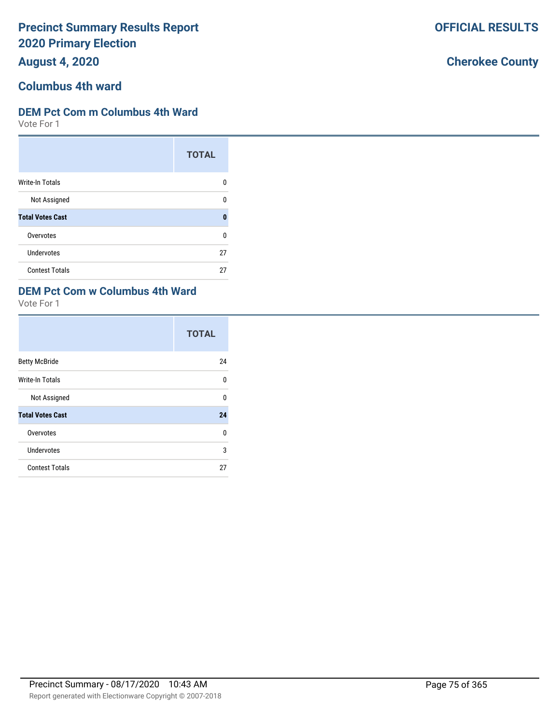**August 4, 2020**

# **Columbus 4th ward**

### **DEM Pct Com m Columbus 4th Ward**

Vote For 1

|                         | <b>TOTAL</b> |
|-------------------------|--------------|
| <b>Write-In Totals</b>  | n            |
| Not Assigned            | n            |
| <b>Total Votes Cast</b> | Λ            |
| Overvotes               | ŋ            |
| Undervotes              | 27           |
| <b>Contest Totals</b>   | 27           |

#### **DEM Pct Com w Columbus 4th Ward**

Vote For 1

|                         | <b>TOTAL</b> |
|-------------------------|--------------|
| <b>Betty McBride</b>    | 24           |
| Write-In Totals         | $\Omega$     |
| Not Assigned            | $\Omega$     |
| <b>Total Votes Cast</b> | 24           |
| Overvotes               | 0            |
| Undervotes              | 3            |
| <b>Contest Totals</b>   | 27           |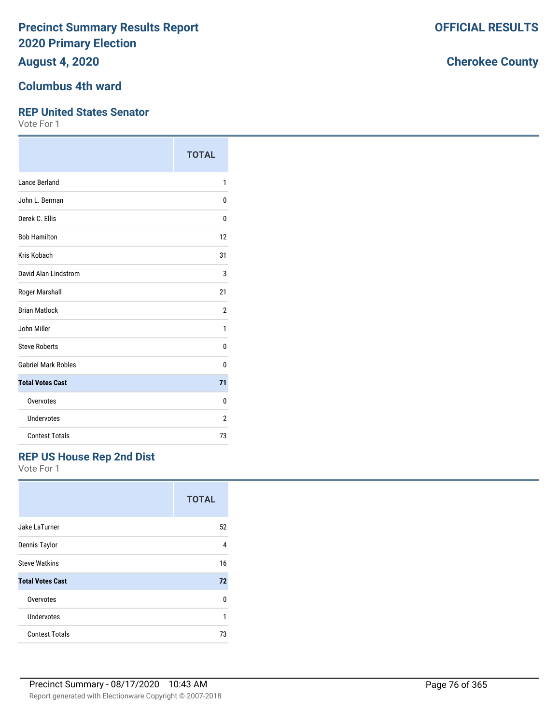**August 4, 2020**

# **Columbus 4th ward**

#### **REP United States Senator**

Vote For 1

|                            | <b>TOTAL</b>   |
|----------------------------|----------------|
| Lance Berland              | 1              |
| John L. Berman             | 0              |
| Derek C. Ellis             | 0              |
| <b>Bob Hamilton</b>        | 12             |
| Kris Kobach                | 31             |
| David Alan Lindstrom       | 3              |
| Roger Marshall             | 21             |
| <b>Brian Matlock</b>       | $\overline{2}$ |
| John Miller                | 1              |
| <b>Steve Roberts</b>       | 0              |
| <b>Gabriel Mark Robles</b> | 0              |
| <b>Total Votes Cast</b>    | 71             |
| Overvotes                  | 0              |
| Undervotes                 | 2              |
| <b>Contest Totals</b>      | 73             |

### **REP US House Rep 2nd Dist**

Vote For 1

|                         | <b>TOTAL</b> |
|-------------------------|--------------|
| Jake LaTurner           | 52           |
| Dennis Taylor           | 4            |
| <b>Steve Watkins</b>    | 16           |
| <b>Total Votes Cast</b> | 72           |
| Overvotes               | n            |
| Undervotes              | 1            |
| <b>Contest Totals</b>   | 73           |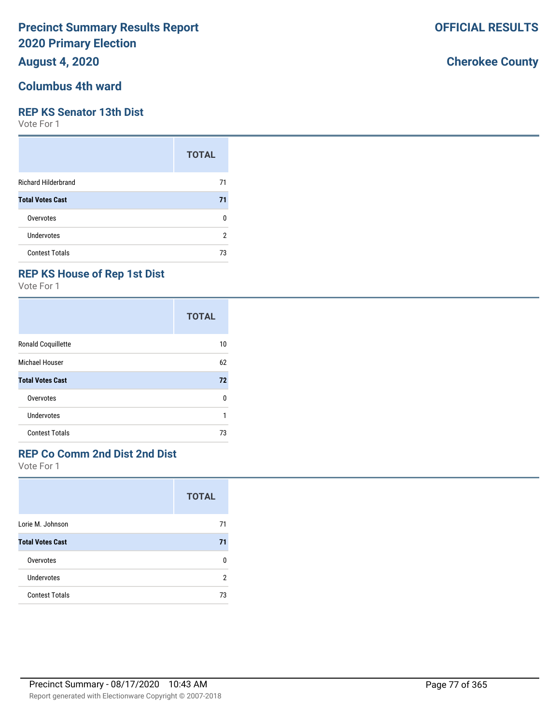### **August 4, 2020**

## **Columbus 4th ward**

#### **REP KS Senator 13th Dist**

Vote For 1

|                            | <b>TOTAL</b> |
|----------------------------|--------------|
| <b>Richard Hilderbrand</b> | 71           |
| <b>Total Votes Cast</b>    | 71           |
| Overvotes                  | n            |
| <b>Undervotes</b>          | 2            |
| <b>Contest Totals</b>      | 73           |

### **REP KS House of Rep 1st Dist**

Vote For 1

|                         | <b>TOTAL</b> |
|-------------------------|--------------|
| Ronald Coquillette      | 10           |
| <b>Michael Houser</b>   | 62           |
| <b>Total Votes Cast</b> | 72           |
| Overvotes               | 0            |
| Undervotes              |              |
| <b>Contest Totals</b>   | 73           |

### **REP Co Comm 2nd Dist 2nd Dist**

Vote For 1

|                         | <b>TOTAL</b> |
|-------------------------|--------------|
| Lorie M. Johnson        | 71           |
| <b>Total Votes Cast</b> | 71           |
| Overvotes               | n            |
| Undervotes              | 2            |
| <b>Contest Totals</b>   | 73           |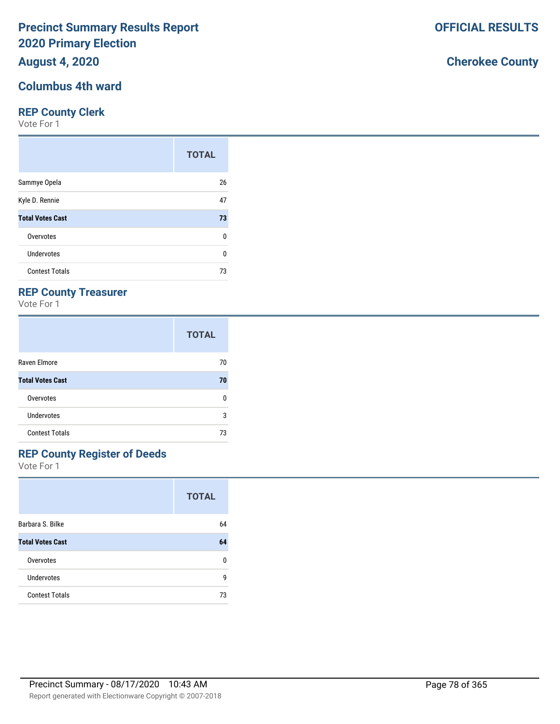**August 4, 2020**

# **Columbus 4th ward**

#### **REP County Clerk**

Vote For 1

|                         | <b>TOTAL</b> |
|-------------------------|--------------|
| Sammye Opela            | 26           |
| Kyle D. Rennie          | 47           |
| <b>Total Votes Cast</b> | 73           |
| Overvotes               | 0            |
| Undervotes              | 0            |
| <b>Contest Totals</b>   | 73           |

### **REP County Treasurer**

Vote For 1

|                         | <b>TOTAL</b> |
|-------------------------|--------------|
| Raven Elmore            | 70           |
| <b>Total Votes Cast</b> | 70           |
| Overvotes               | n            |
| Undervotes              | 3            |
| <b>Contest Totals</b>   | 73           |

# **REP County Register of Deeds**

Vote For 1

|                         | <b>TOTAL</b> |
|-------------------------|--------------|
| Barbara S. Bilke        | 64           |
| <b>Total Votes Cast</b> | 64           |
| Overvotes               | ŋ            |
| Undervotes              | g            |
| <b>Contest Totals</b>   | 73           |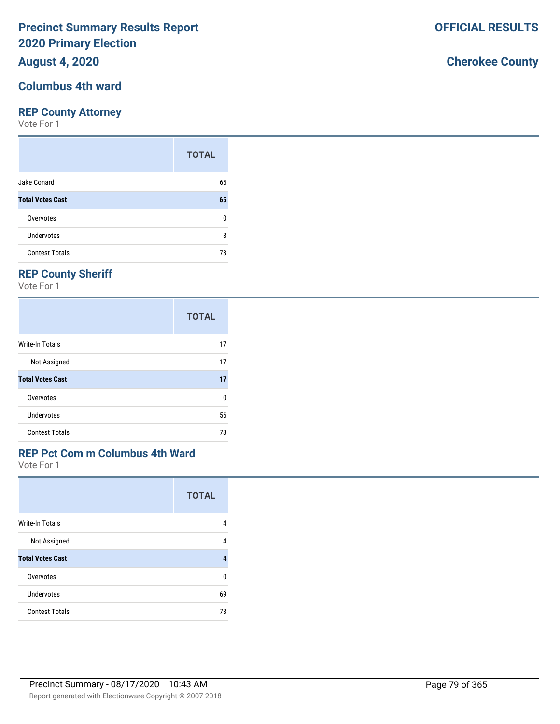### **August 4, 2020**

## **Columbus 4th ward**

#### **REP County Attorney**

Vote For 1

|                         | <b>TOTAL</b> |
|-------------------------|--------------|
| Jake Conard             | 65           |
| <b>Total Votes Cast</b> | 65           |
| Overvotes               | ŋ            |
| Undervotes              | 8            |
| <b>Contest Totals</b>   | 73           |

## **REP County Sheriff**

Vote For 1

|                         | <b>TOTAL</b> |
|-------------------------|--------------|
| Write-In Totals         | 17           |
| Not Assigned            | 17           |
| <b>Total Votes Cast</b> | 17           |
| Overvotes               | 0            |
| Undervotes              | 56           |
| <b>Contest Totals</b>   | 73           |

### **REP Pct Com m Columbus 4th Ward**

Vote For 1

|                         | <b>TOTAL</b> |
|-------------------------|--------------|
| <b>Write-In Totals</b>  | 4            |
| Not Assigned            | 4            |
| <b>Total Votes Cast</b> | 4            |
| Overvotes               | U            |
| Undervotes              | 69           |
| <b>Contest Totals</b>   | 73           |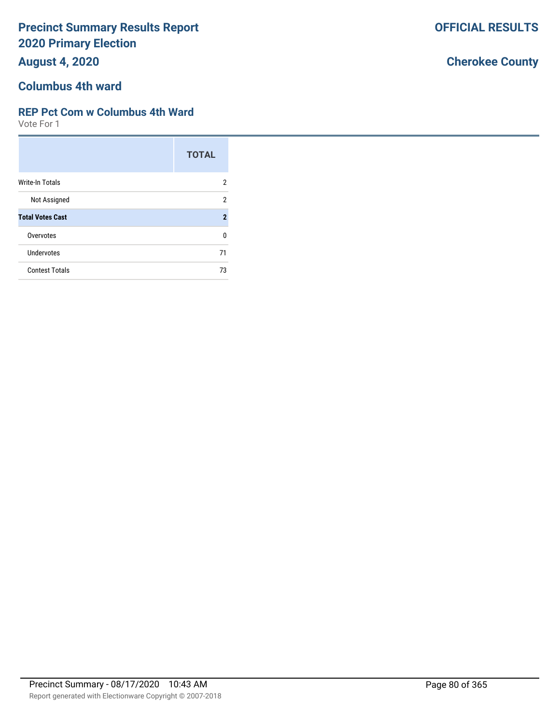**August 4, 2020**

# **Columbus 4th ward**

### **REP Pct Com w Columbus 4th Ward**

Vote For 1

|                         | <b>TOTAL</b>   |
|-------------------------|----------------|
| Write-In Totals         | 2              |
| Not Assigned            | 2              |
| <b>Total Votes Cast</b> | $\overline{2}$ |
| Overvotes               | n              |
| Undervotes              | 71             |
| <b>Contest Totals</b>   | 73             |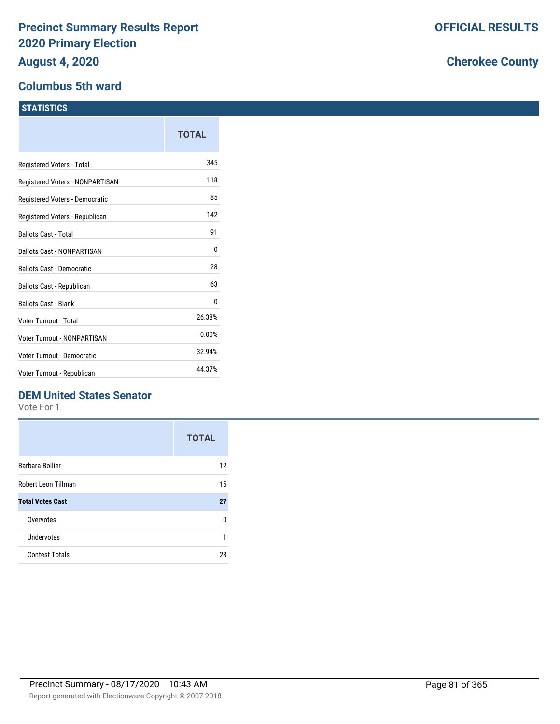#### **Columbus 5th ward**

#### **STATISTICS**

|                                   | TOTAL  |
|-----------------------------------|--------|
| Registered Voters - Total         | 345    |
| Registered Voters - NONPARTISAN   | 118    |
| Registered Voters - Democratic    | 85     |
| Registered Voters - Republican    | 142    |
| <b>Ballots Cast - Total</b>       | 91     |
| <b>Ballots Cast - NONPARTISAN</b> | 0      |
| <b>Ballots Cast - Democratic</b>  | 28     |
| Ballots Cast - Republican         | 63     |
| <b>Ballots Cast - Blank</b>       | 0      |
| Voter Turnout - Total             | 26.38% |
| Voter Turnout - NONPARTISAN       | 0.00%  |
| Voter Turnout - Democratic        | 32.94% |
| Voter Turnout - Republican        | 44.37% |

### **DEM United States Senator**

Vote For 1

|                         | <b>TOTAL</b> |
|-------------------------|--------------|
| <b>Barbara Bollier</b>  | 12           |
| Robert Leon Tillman     | 15           |
| <b>Total Votes Cast</b> | 27           |
| Overvotes               | n            |
| Undervotes              | 1            |
| <b>Contest Totals</b>   | 28           |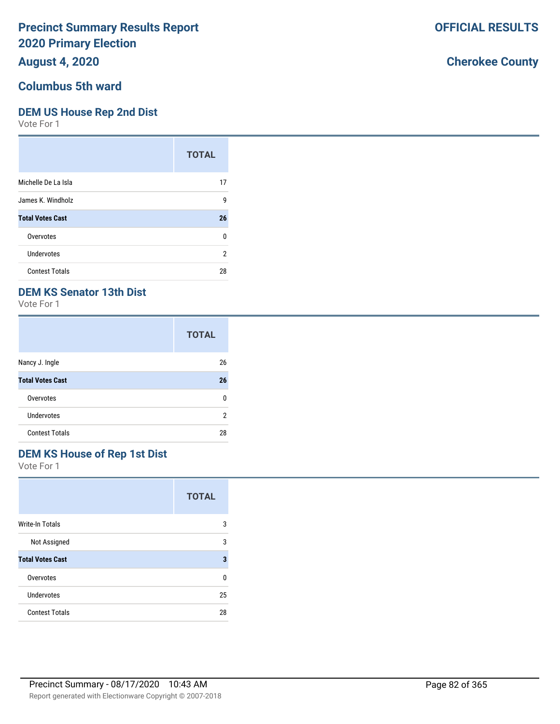## **August 4, 2020**

## **Columbus 5th ward**

#### **DEM US House Rep 2nd Dist**

Vote For 1

|                         | <b>TOTAL</b>   |
|-------------------------|----------------|
| Michelle De La Isla     | 17             |
| James K. Windholz       | 9              |
| <b>Total Votes Cast</b> | 26             |
| Overvotes               | 0              |
| Undervotes              | $\overline{2}$ |
| <b>Contest Totals</b>   | 28             |

### **DEM KS Senator 13th Dist**

Vote For 1

|                         | <b>TOTAL</b> |
|-------------------------|--------------|
| Nancy J. Ingle          | 26           |
| <b>Total Votes Cast</b> | 26           |
| Overvotes               | n            |
| Undervotes              | 2            |
| <b>Contest Totals</b>   | 28           |

# **DEM KS House of Rep 1st Dist**

Vote For 1

|                         | <b>TOTAL</b> |
|-------------------------|--------------|
| <b>Write-In Totals</b>  | 3            |
| Not Assigned            | 3            |
| <b>Total Votes Cast</b> | 3            |
| Overvotes               | U            |
| Undervotes              | 25           |
| <b>Contest Totals</b>   | 28           |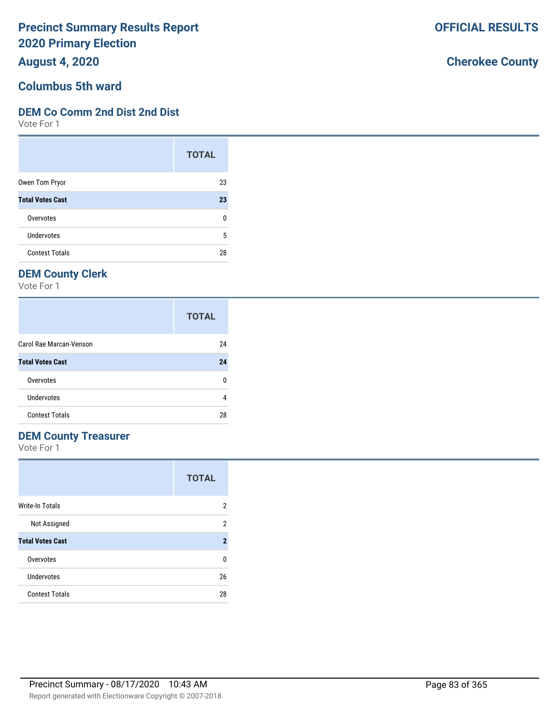**August 4, 2020**

# **Columbus 5th ward**

#### **DEM Co Comm 2nd Dist 2nd Dist**

Vote For 1

|                         | <b>TOTAL</b> |
|-------------------------|--------------|
| Owen Tom Pryor          | 23           |
| <b>Total Votes Cast</b> | 23           |
| Overvotes               | ŋ            |
| Undervotes              | 5            |
| <b>Contest Totals</b>   | 28           |

## **DEM County Clerk**

Vote For 1

|                         | <b>TOTAL</b> |
|-------------------------|--------------|
| Carol Rae Marcan-Venson | 24           |
| <b>Total Votes Cast</b> | 24           |
| Overvotes               |              |
| Undervotes              |              |
| <b>Contest Totals</b>   | 28           |

### **DEM County Treasurer**

Vote For 1

|                         | <b>TOTAL</b>   |
|-------------------------|----------------|
| Write-In Totals         | 2              |
| Not Assigned            | 2              |
| <b>Total Votes Cast</b> | $\overline{2}$ |
| Overvotes               | U              |
| Undervotes              | 26             |
| <b>Contest Totals</b>   | 28             |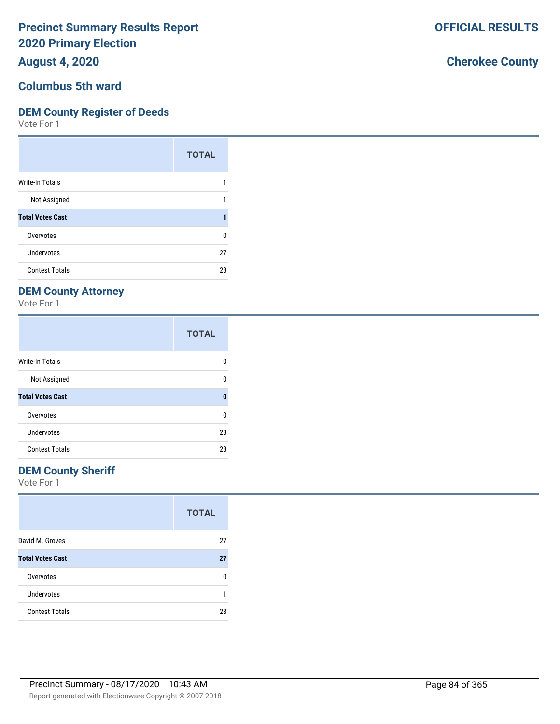**August 4, 2020**

### **Columbus 5th ward**

#### **DEM County Register of Deeds**

Vote For 1

|                         | <b>TOTAL</b> |
|-------------------------|--------------|
| Write-In Totals         |              |
| Not Assigned            |              |
| <b>Total Votes Cast</b> |              |
| Overvotes               | ŋ            |
| Undervotes              | 27           |
| <b>Contest Totals</b>   | 28           |

## **DEM County Attorney**

Vote For 1

|                         | <b>TOTAL</b> |
|-------------------------|--------------|
| <b>Write-In Totals</b>  | O            |
| Not Assigned            | ŋ            |
| <b>Total Votes Cast</b> | 0            |
| Overvotes               | U            |
| Undervotes              | 28           |
| <b>Contest Totals</b>   | 28           |

### **DEM County Sheriff**

Vote For 1

|                         | <b>TOTAL</b> |
|-------------------------|--------------|
| David M. Groves         | 27           |
| <b>Total Votes Cast</b> | 27           |
| Overvotes               | n            |
| <b>Undervotes</b>       |              |
| <b>Contest Totals</b>   | 28           |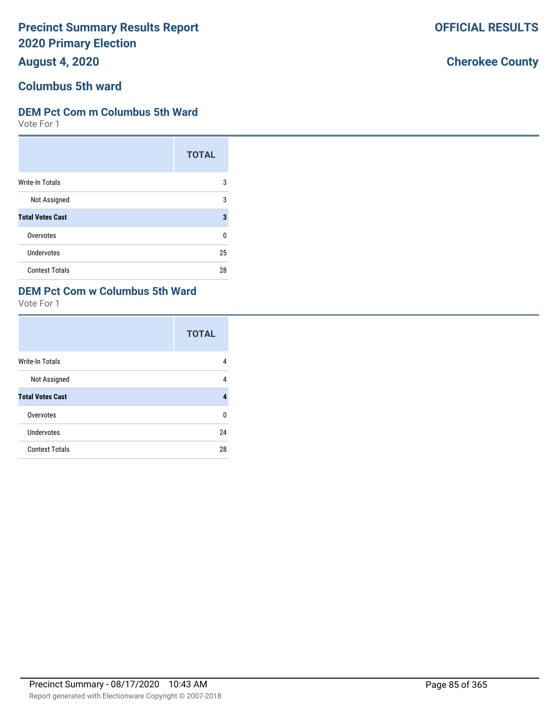**August 4, 2020**

# **Columbus 5th ward**

### **DEM Pct Com m Columbus 5th Ward**

Vote For 1

|                         | <b>TOTAL</b> |
|-------------------------|--------------|
| <b>Write-In Totals</b>  | 3            |
| Not Assigned            | 3            |
| <b>Total Votes Cast</b> | 3            |
| Overvotes               | 0            |
| <b>Undervotes</b>       | 25           |
| <b>Contest Totals</b>   | 28           |

### **DEM Pct Com w Columbus 5th Ward**

Vote For 1

|                         | <b>TOTAL</b> |
|-------------------------|--------------|
| <b>Write-In Totals</b>  | 4            |
| Not Assigned            | 4            |
| <b>Total Votes Cast</b> | 4            |
| Overvotes               | U            |
| <b>Undervotes</b>       | 24           |
| <b>Contest Totals</b>   | 28           |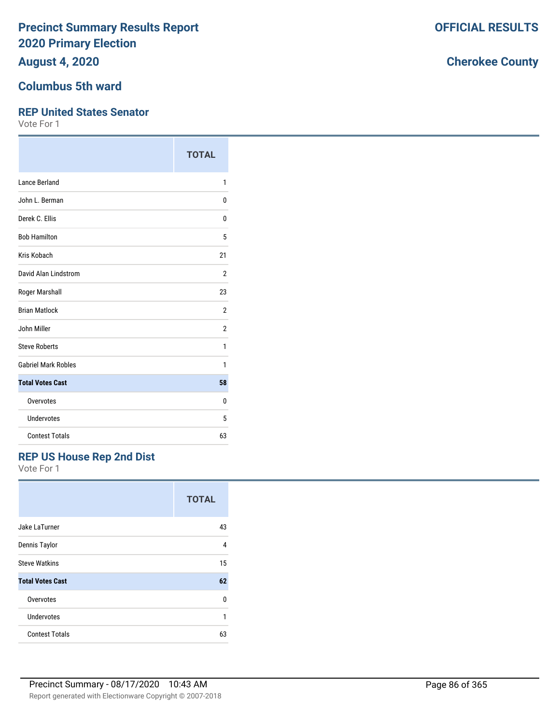**August 4, 2020**

### **Columbus 5th ward**

#### **REP United States Senator**

Vote For 1

|                            | <b>TOTAL</b>   |
|----------------------------|----------------|
| <b>Lance Berland</b>       | 1              |
| John L. Berman             | 0              |
| Derek C. Ellis             | 0              |
| <b>Bob Hamilton</b>        | 5              |
| Kris Kobach                | 21             |
| David Alan Lindstrom       | $\overline{2}$ |
| Roger Marshall             | 23             |
| <b>Brian Matlock</b>       | $\overline{2}$ |
| John Miller                | 2              |
| <b>Steve Roberts</b>       | 1              |
| <b>Gabriel Mark Robles</b> | 1              |
| <b>Total Votes Cast</b>    | 58             |
| Overvotes                  | 0              |
| Undervotes                 | 5              |
| <b>Contest Totals</b>      | 63             |

### **REP US House Rep 2nd Dist**

Vote For 1

|                         | <b>TOTAL</b> |
|-------------------------|--------------|
| Jake LaTurner           | 43           |
| Dennis Taylor           | 4            |
| <b>Steve Watkins</b>    | 15           |
| <b>Total Votes Cast</b> | 62           |
| Overvotes               | U            |
| Undervotes              | 1            |
| <b>Contest Totals</b>   | 63           |

# **Cherokee County**

**OFFICIAL RESULTS**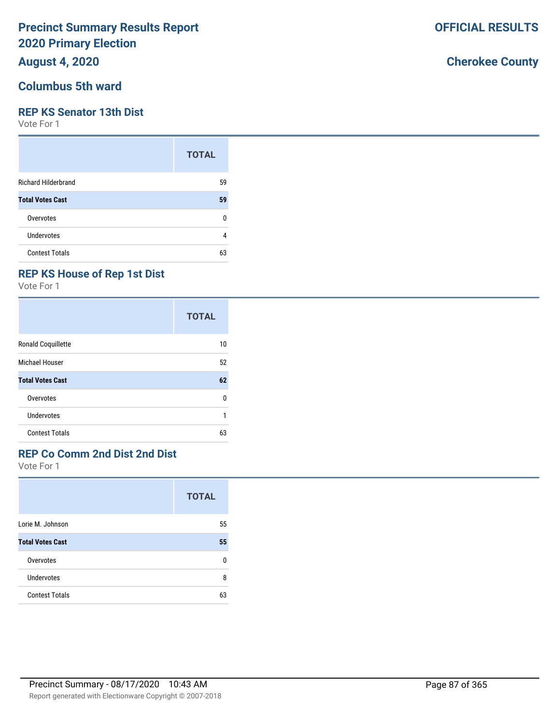### **August 4, 2020**

#### **Columbus 5th ward**

#### **REP KS Senator 13th Dist**

Vote For 1

|                            | <b>TOTAL</b> |
|----------------------------|--------------|
| <b>Richard Hilderbrand</b> | 59           |
| <b>Total Votes Cast</b>    | 59           |
| Overvotes                  | ŋ            |
| Undervotes                 | 4            |
| <b>Contest Totals</b>      | 63           |

## **REP KS House of Rep 1st Dist**

Vote For 1

|                         | <b>TOTAL</b> |
|-------------------------|--------------|
| Ronald Coquillette      | 10           |
| Michael Houser          | 52           |
| <b>Total Votes Cast</b> | 62           |
| Overvotes               | 0            |
| Undervotes              |              |
| <b>Contest Totals</b>   | 63           |

### **REP Co Comm 2nd Dist 2nd Dist**

Vote For 1

|                         | <b>TOTAL</b> |
|-------------------------|--------------|
| Lorie M. Johnson        | 55           |
| <b>Total Votes Cast</b> | 55           |
| Overvotes               | n            |
| Undervotes              | 8            |
| <b>Contest Totals</b>   | 63           |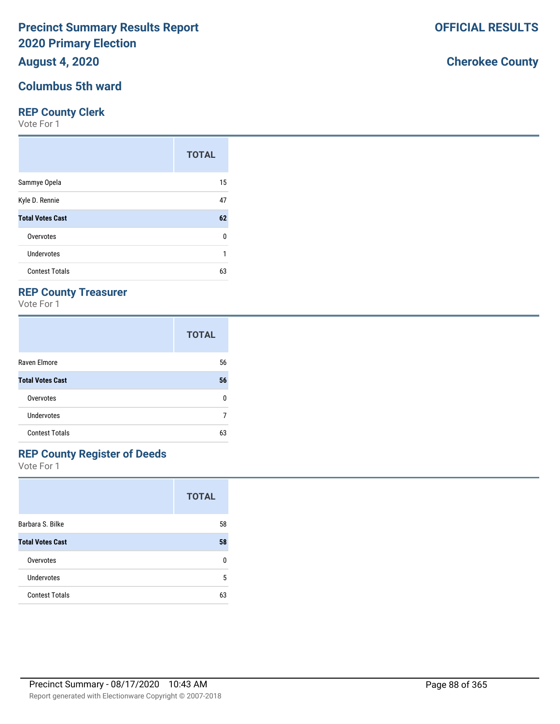**August 4, 2020**

### **Columbus 5th ward**

#### **REP County Clerk**

Vote For 1

|                         | <b>TOTAL</b> |
|-------------------------|--------------|
| Sammye Opela            | 15           |
| Kyle D. Rennie          | 47           |
| <b>Total Votes Cast</b> | 62           |
| Overvotes               | 0            |
| Undervotes              |              |
| <b>Contest Totals</b>   | 63           |

### **REP County Treasurer**

Vote For 1

|                         | <b>TOTAL</b> |
|-------------------------|--------------|
| Raven Elmore            | 56           |
| <b>Total Votes Cast</b> | 56           |
| Overvotes               | n            |
| Undervotes              |              |
| <b>Contest Totals</b>   | 63           |

# **REP County Register of Deeds**

Vote For 1

|                         | <b>TOTAL</b> |
|-------------------------|--------------|
| Barbara S. Bilke        | 58           |
| <b>Total Votes Cast</b> | 58           |
| Overvotes               | n            |
| Undervotes              | 5            |
| <b>Contest Totals</b>   | 63           |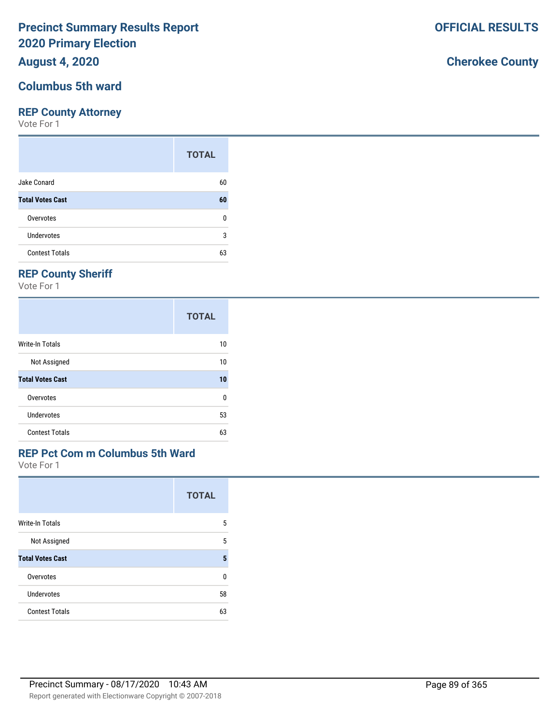### **August 4, 2020**

#### **Columbus 5th ward**

#### **REP County Attorney**

Vote For 1

|                         | <b>TOTAL</b> |
|-------------------------|--------------|
| Jake Conard             | 60           |
| <b>Total Votes Cast</b> | 60           |
| Overvotes               | n            |
| Undervotes              | 3            |
| <b>Contest Totals</b>   | 63           |

## **REP County Sheriff**

Vote For 1

|                         | <b>TOTAL</b> |
|-------------------------|--------------|
| Write-In Totals         | 10           |
| Not Assigned            | 10           |
| <b>Total Votes Cast</b> | 10           |
| Overvotes               | 0            |
| Undervotes              | 53           |
| <b>Contest Totals</b>   | 63           |

### **REP Pct Com m Columbus 5th Ward**

Vote For 1

|                         | <b>TOTAL</b> |
|-------------------------|--------------|
| <b>Write-In Totals</b>  | 5            |
| Not Assigned            | 5            |
| <b>Total Votes Cast</b> | 5            |
| Overvotes               | U            |
| Undervotes              | 58           |
| <b>Contest Totals</b>   | 63           |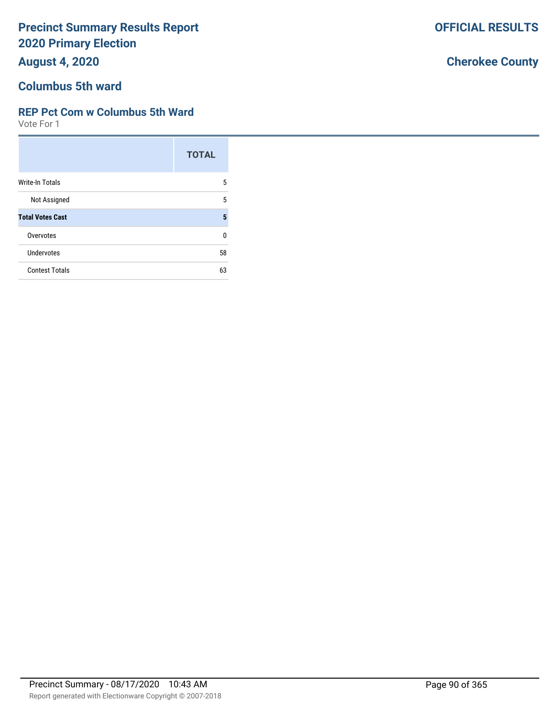**August 4, 2020**

# **Columbus 5th ward**

### **REP Pct Com w Columbus 5th Ward**

Vote For 1

|                         | <b>TOTAL</b> |
|-------------------------|--------------|
| Write-In Totals         | 5            |
| Not Assigned            | 5            |
| <b>Total Votes Cast</b> | 5            |
| Overvotes               | n            |
| Undervotes              | 58           |
| <b>Contest Totals</b>   | 63           |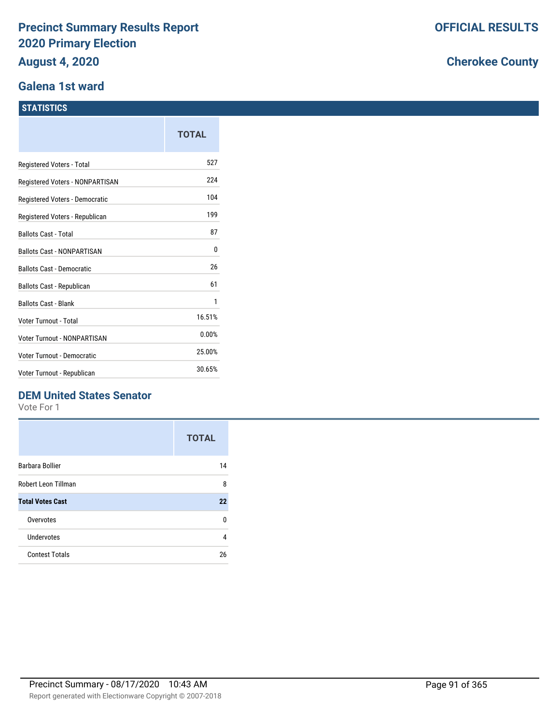#### **Galena 1st ward**

#### **STATISTICS**

|                                    | TOTAL  |
|------------------------------------|--------|
| Registered Voters - Total          | 527    |
| Registered Voters - NONPARTISAN    | 224    |
| Registered Voters - Democratic     | 104    |
| Registered Voters - Republican     | 199    |
| <b>Ballots Cast - Total</b>        | 87     |
| <b>Ballots Cast - NONPARTISAN</b>  | 0      |
| <b>Ballots Cast - Democratic</b>   | 26     |
| Ballots Cast - Republican          | 61     |
| <b>Ballots Cast - Blank</b>        | 1      |
| Voter Turnout - Total              | 16.51% |
| <b>Voter Turnout - NONPARTISAN</b> | 0.00%  |
| Voter Turnout - Democratic         | 25.00% |
| Voter Turnout - Republican         | 30.65% |

### **DEM United States Senator**

Vote For 1

|                         | <b>TOTAL</b> |
|-------------------------|--------------|
| <b>Barbara Bollier</b>  | 14           |
| Robert Leon Tillman     | 8            |
| <b>Total Votes Cast</b> | 22           |
| Overvotes               | n            |
| Undervotes              | 4            |
| <b>Contest Totals</b>   | 26           |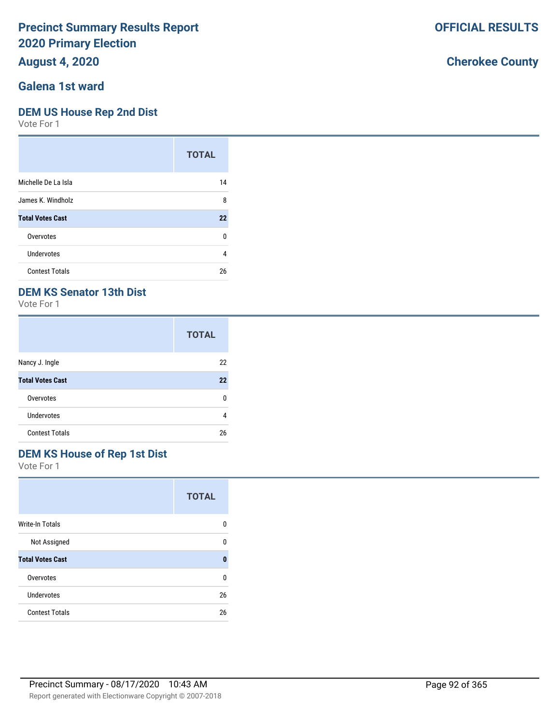**August 4, 2020**

### **Galena 1st ward**

#### **DEM US House Rep 2nd Dist**

Vote For 1

|                         | <b>TOTAL</b> |
|-------------------------|--------------|
| Michelle De La Isla     | 14           |
| James K. Windholz       | 8            |
| <b>Total Votes Cast</b> | 22           |
| Overvotes               | 0            |
| Undervotes              | 4            |
| <b>Contest Totals</b>   | 26           |

### **DEM KS Senator 13th Dist**

Vote For 1

|                         | <b>TOTAL</b> |
|-------------------------|--------------|
| Nancy J. Ingle          | 22           |
| <b>Total Votes Cast</b> | 22           |
| Overvotes               | n            |
| Undervotes              | 4            |
| <b>Contest Totals</b>   | 26           |

### **DEM KS House of Rep 1st Dist**

Vote For 1

|                         | <b>TOTAL</b> |
|-------------------------|--------------|
| <b>Write-In Totals</b>  | n            |
| Not Assigned            | ŋ            |
| <b>Total Votes Cast</b> | 0            |
| Overvotes               | U            |
| Undervotes              | 26           |
| <b>Contest Totals</b>   | 26           |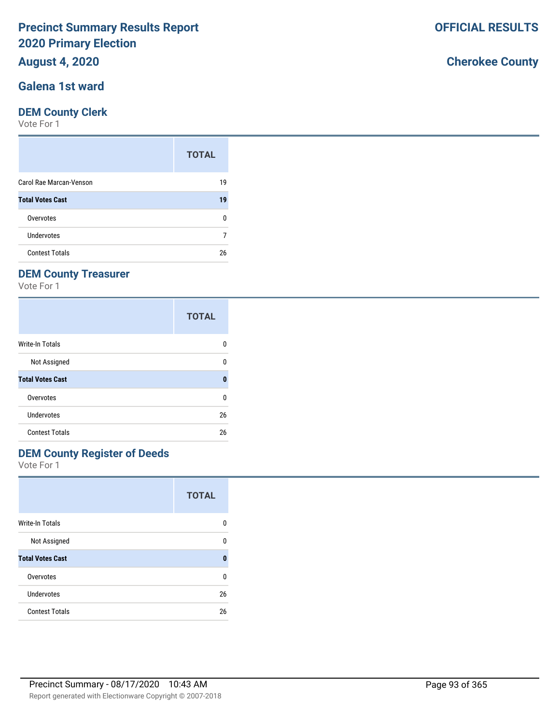### **August 4, 2020**

### **Galena 1st ward**

#### **DEM County Clerk**

Vote For 1

|                         | <b>TOTAL</b> |
|-------------------------|--------------|
| Carol Rae Marcan-Venson | 19           |
| <b>Total Votes Cast</b> | 19           |
| Overvotes               | n            |
| Undervotes              |              |
| <b>Contest Totals</b>   | 26           |

## **DEM County Treasurer**

Vote For 1

|                         | <b>TOTAL</b> |
|-------------------------|--------------|
| Write-In Totals         | O            |
| Not Assigned            | 0            |
| <b>Total Votes Cast</b> | Ω            |
| Overvotes               | 0            |
| Undervotes              | 26           |
| <b>Contest Totals</b>   | 26           |

## **DEM County Register of Deeds**

Vote For 1

|                         | <b>TOTAL</b> |
|-------------------------|--------------|
| Write-In Totals         | 0            |
| Not Assigned            | n            |
| <b>Total Votes Cast</b> | O            |
| Overvotes               | U            |
| Undervotes              | 26           |
| <b>Contest Totals</b>   | 26           |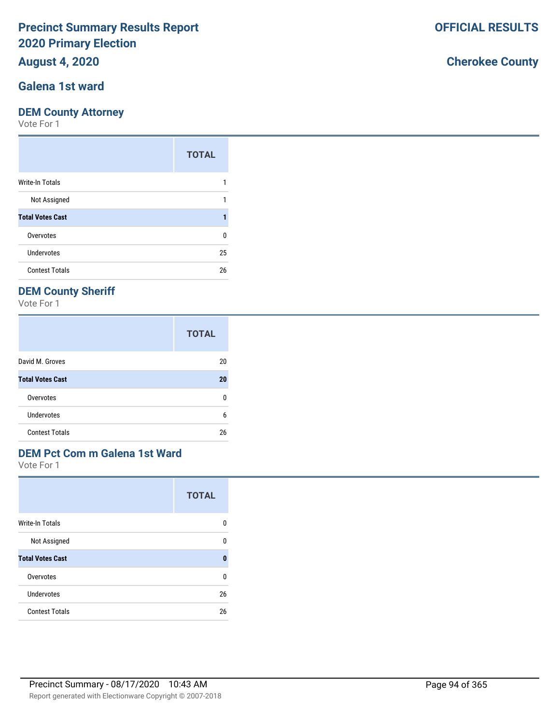### **August 4, 2020**

### **Galena 1st ward**

#### **DEM County Attorney**

Vote For 1

|                         | <b>TOTAL</b> |
|-------------------------|--------------|
| Write-In Totals         |              |
| Not Assigned            |              |
| <b>Total Votes Cast</b> |              |
| Overvotes               | 0            |
| <b>Undervotes</b>       | 25           |
| <b>Contest Totals</b>   | 26           |

### **DEM County Sheriff**

Vote For 1

|                         | <b>TOTAL</b> |
|-------------------------|--------------|
| David M. Groves         | 20           |
| <b>Total Votes Cast</b> | 20           |
| Overvotes               | n            |
| Undervotes              | 6            |
| <b>Contest Totals</b>   | 26           |

# **DEM Pct Com m Galena 1st Ward**

Vote For 1

|                         | <b>TOTAL</b> |
|-------------------------|--------------|
| <b>Write-In Totals</b>  | n            |
| Not Assigned            | ŋ            |
| <b>Total Votes Cast</b> | 0            |
| Overvotes               | U            |
| Undervotes              | 26           |
| <b>Contest Totals</b>   | 26           |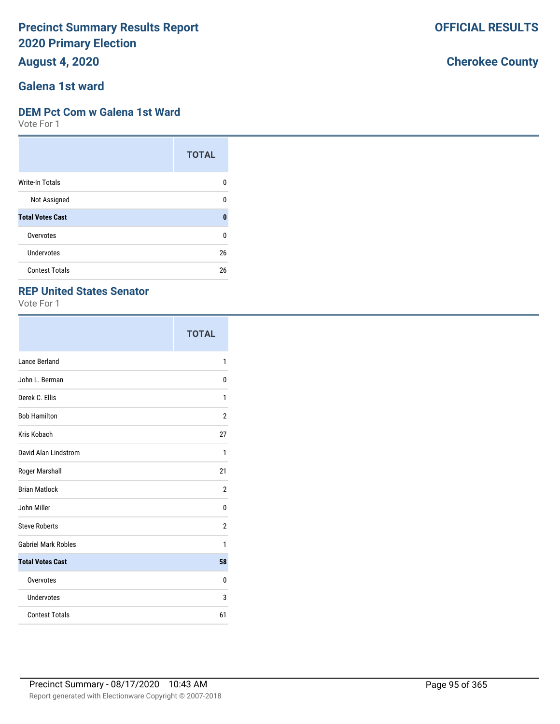**August 4, 2020**

### **Galena 1st ward**

#### **DEM Pct Com w Galena 1st Ward**

Vote For 1

|                         | <b>TOTAL</b> |
|-------------------------|--------------|
| <b>Write-In Totals</b>  | 0            |
| Not Assigned            | 0            |
| <b>Total Votes Cast</b> | 0            |
| Overvotes               | U            |
| Undervotes              | 26           |
| <b>Contest Totals</b>   | 26           |

### **REP United States Senator**

Vote For 1

|                            | <b>TOTAL</b>   |
|----------------------------|----------------|
| Lance Berland              | 1              |
| John L. Berman             | 0              |
| Derek C. Ellis             | 1              |
| <b>Bob Hamilton</b>        | 2              |
| Kris Kobach                | 27             |
| David Alan Lindstrom       | 1              |
| Roger Marshall             | 21             |
| <b>Brian Matlock</b>       | $\overline{2}$ |
| John Miller                | 0              |
| <b>Steve Roberts</b>       | 2              |
| <b>Gabriel Mark Robles</b> | 1              |
| <b>Total Votes Cast</b>    | 58             |
| Overvotes                  | 0              |
| Undervotes                 | 3              |
| <b>Contest Totals</b>      | 61             |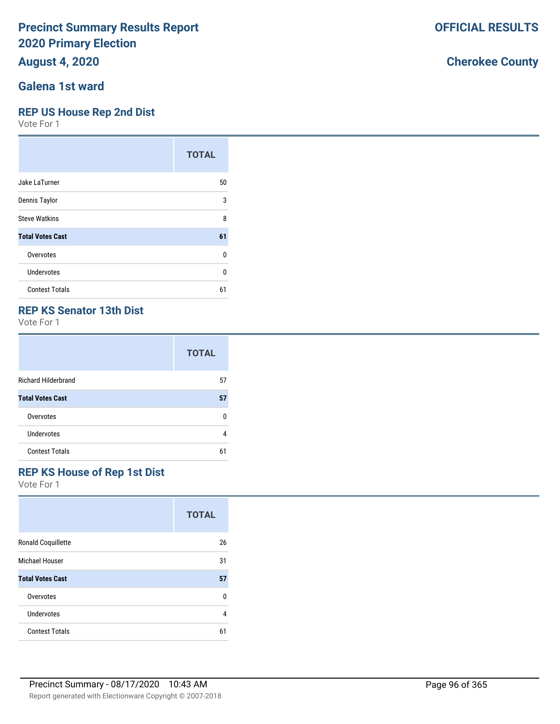**August 4, 2020**

### **Galena 1st ward**

#### **REP US House Rep 2nd Dist**

Vote For 1

|                         | <b>TOTAL</b> |
|-------------------------|--------------|
| Jake LaTurner           | 50           |
| Dennis Taylor           | 3            |
| <b>Steve Watkins</b>    | 8            |
| <b>Total Votes Cast</b> | 61           |
| Overvotes               | 0            |
| Undervotes              | 0            |
| <b>Contest Totals</b>   | 61           |

### **REP KS Senator 13th Dist**

Vote For 1

|                            | <b>TOTAL</b> |
|----------------------------|--------------|
| <b>Richard Hilderbrand</b> | 57           |
| <b>Total Votes Cast</b>    | 57           |
| Overvotes                  | ŋ            |
| Undervotes                 |              |
| <b>Contest Totals</b>      | 61           |

### **REP KS House of Rep 1st Dist**

Vote For 1

|                         | <b>TOTAL</b> |
|-------------------------|--------------|
| Ronald Coquillette      | 26           |
| Michael Houser          | 31           |
| <b>Total Votes Cast</b> | 57           |
| Overvotes               | U            |
| Undervotes              | 4            |
| <b>Contest Totals</b>   | 61           |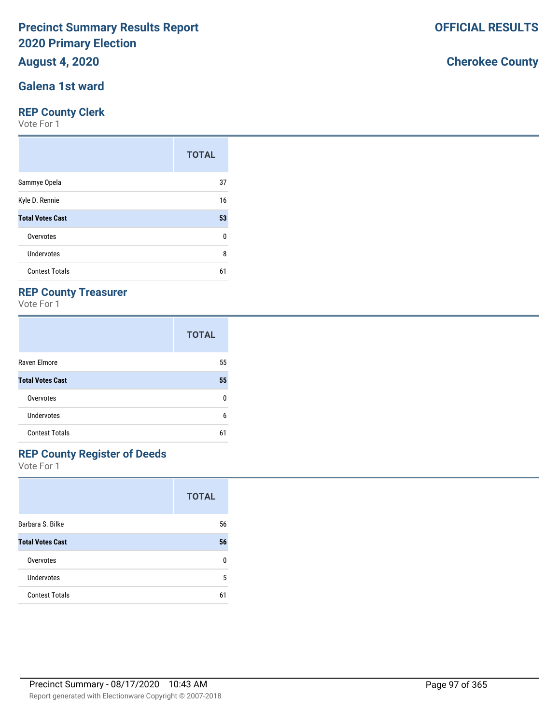## **August 4, 2020**

### **Galena 1st ward**

#### **REP County Clerk**

Vote For 1

|                         | <b>TOTAL</b> |
|-------------------------|--------------|
| Sammye Opela            | 37           |
| Kyle D. Rennie          | 16           |
| <b>Total Votes Cast</b> | 53           |
| Overvotes               | 0            |
| <b>Undervotes</b>       | 8            |
| <b>Contest Totals</b>   | 61           |

### **REP County Treasurer**

Vote For 1

|                         | <b>TOTAL</b> |
|-------------------------|--------------|
| Raven Elmore            | 55           |
| <b>Total Votes Cast</b> | 55           |
| Overvotes               | n            |
| Undervotes              | 6            |
| <b>Contest Totals</b>   | 61           |

# **REP County Register of Deeds**

Vote For 1

|                         | <b>TOTAL</b> |
|-------------------------|--------------|
| Barbara S. Bilke        | 56           |
| <b>Total Votes Cast</b> | 56           |
| Overvotes               | U            |
| <b>Undervotes</b>       | 5            |
| <b>Contest Totals</b>   | 61           |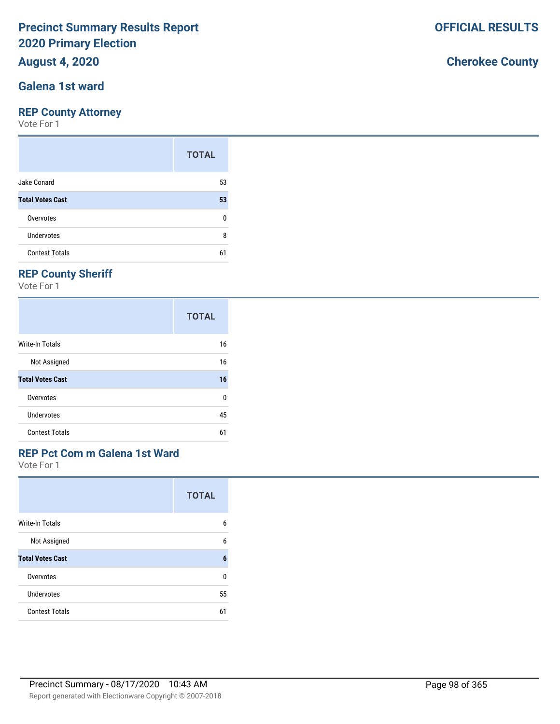### **August 4, 2020**

### **Galena 1st ward**

#### **REP County Attorney**

Vote For 1

|                         | <b>TOTAL</b> |
|-------------------------|--------------|
| Jake Conard             | 53           |
| <b>Total Votes Cast</b> | 53           |
| Overvotes               | n            |
| Undervotes              | 8            |
| <b>Contest Totals</b>   | 61           |

## **REP County Sheriff**

Vote For 1

|                         | <b>TOTAL</b> |
|-------------------------|--------------|
| Write-In Totals         | 16           |
| Not Assigned            | 16           |
| <b>Total Votes Cast</b> | 16           |
| Overvotes               | 0            |
| Undervotes              | 45           |
| <b>Contest Totals</b>   | 61           |

### **REP Pct Com m Galena 1st Ward**

Vote For 1

|                         | <b>TOTAL</b> |
|-------------------------|--------------|
| <b>Write-In Totals</b>  | 6            |
| Not Assigned            | 6            |
| <b>Total Votes Cast</b> | 6            |
| Overvotes               | U            |
| Undervotes              | 55           |
| <b>Contest Totals</b>   | 61           |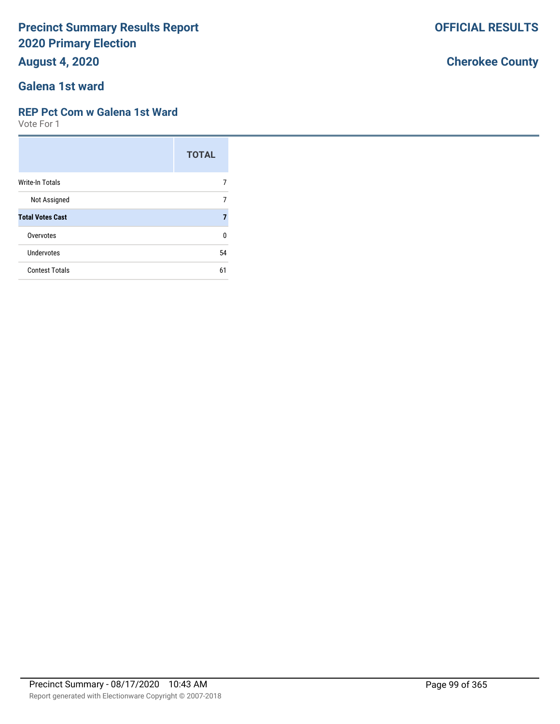**August 4, 2020**

### **Galena 1st ward**

#### **REP Pct Com w Galena 1st Ward**

Vote For 1

|                         | <b>TOTAL</b> |
|-------------------------|--------------|
| Write-In Totals         |              |
| Not Assigned            |              |
| <b>Total Votes Cast</b> |              |
| Overvotes               | ŋ            |
| Undervotes              | 54           |
| <b>Contest Totals</b>   | 61           |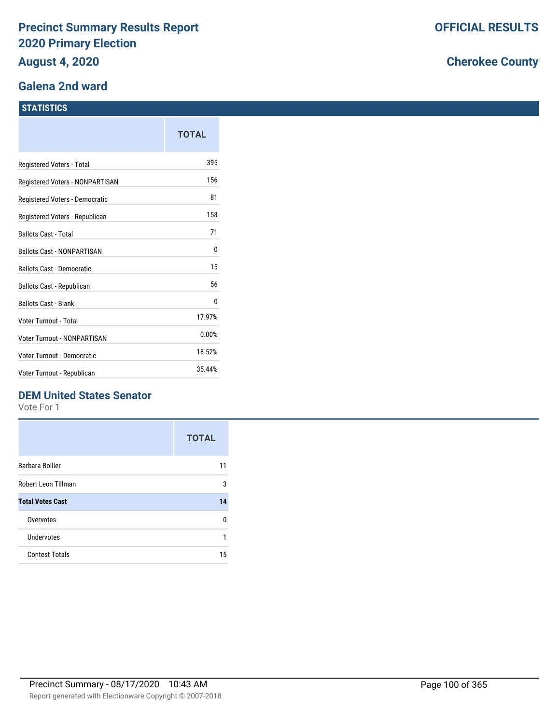#### **Galena 2nd ward**

#### **STATISTICS**

|                                   | TOTAL  |
|-----------------------------------|--------|
| Registered Voters - Total         | 395    |
| Registered Voters - NONPARTISAN   | 156    |
| Registered Voters - Democratic    | 81     |
| Registered Voters - Republican    | 158    |
| <b>Ballots Cast - Total</b>       | 71     |
| <b>Ballots Cast - NONPARTISAN</b> | 0      |
| <b>Ballots Cast - Democratic</b>  | 15     |
| Ballots Cast - Republican         | 56     |
| <b>Ballots Cast - Blank</b>       | 0      |
| Voter Turnout - Total             | 17.97% |
| Voter Turnout - NONPARTISAN       | 0.00%  |
| Voter Turnout - Democratic        | 18.52% |
| Voter Turnout - Republican        | 35.44% |

### **DEM United States Senator**

Vote For 1

|                         | <b>TOTAL</b> |
|-------------------------|--------------|
| Barbara Bollier         | 11           |
| Robert Leon Tillman     | 3            |
| <b>Total Votes Cast</b> | 14           |
| Overvotes               | U            |
| Undervotes              | 1            |
| <b>Contest Totals</b>   | 15           |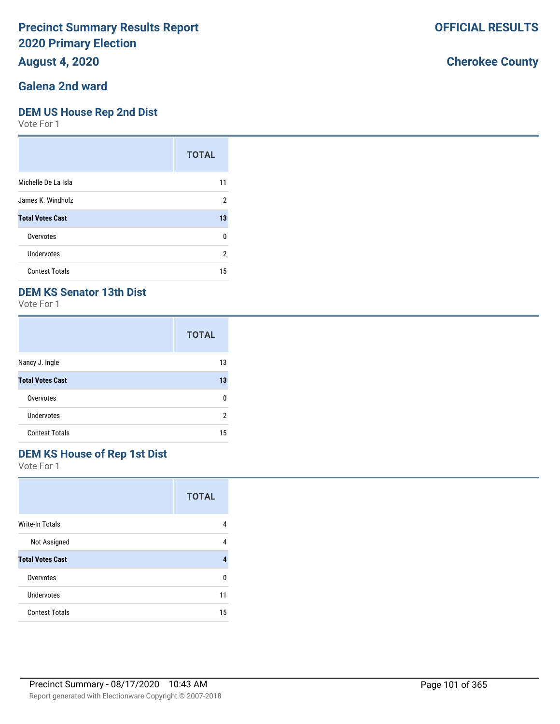### **August 4, 2020**

### **Galena 2nd ward**

#### **DEM US House Rep 2nd Dist**

Vote For 1

|                         | <b>TOTAL</b>   |
|-------------------------|----------------|
| Michelle De La Isla     | 11             |
| James K. Windholz       | $\overline{2}$ |
| <b>Total Votes Cast</b> | 13             |
| Overvotes               | 0              |
| Undervotes              | 2              |
| <b>Contest Totals</b>   | 15             |

### **DEM KS Senator 13th Dist**

Vote For 1

|                         | <b>TOTAL</b> |
|-------------------------|--------------|
| Nancy J. Ingle          | 13           |
| <b>Total Votes Cast</b> | 13           |
| Overvotes               | n            |
| <b>Undervotes</b>       | 2            |
| <b>Contest Totals</b>   | 15           |

### **DEM KS House of Rep 1st Dist**

Vote For 1

|                         | <b>TOTAL</b> |
|-------------------------|--------------|
| <b>Write-In Totals</b>  | 4            |
| Not Assigned            | 4            |
| <b>Total Votes Cast</b> | 4            |
| Overvotes               | U            |
| Undervotes              | 11           |
| <b>Contest Totals</b>   | 15           |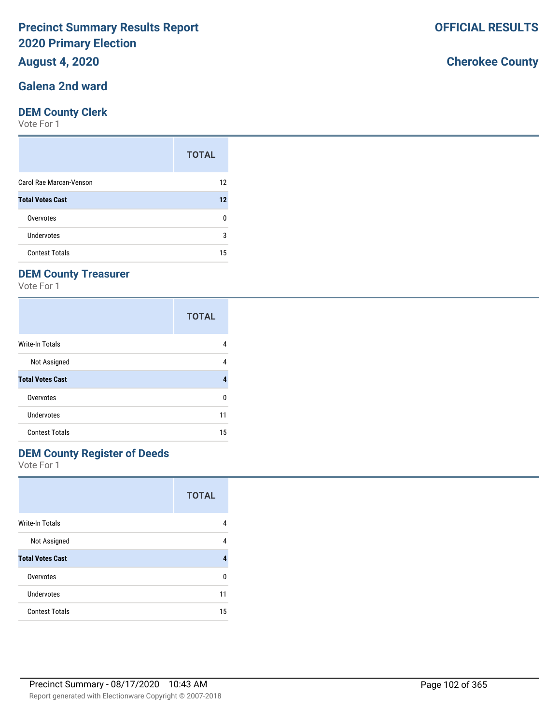### **August 4, 2020**

#### **Galena 2nd ward**

#### **DEM County Clerk**

Vote For 1

|                         | <b>TOTAL</b> |
|-------------------------|--------------|
| Carol Rae Marcan-Venson | 12           |
| <b>Total Votes Cast</b> | 12           |
| Overvotes               | n            |
| Undervotes              | 3            |
| <b>Contest Totals</b>   | 15           |

## **DEM County Treasurer**

Vote For 1

|                         | <b>TOTAL</b> |
|-------------------------|--------------|
| Write-In Totals         | 4            |
| Not Assigned            | 4            |
| <b>Total Votes Cast</b> | 4            |
| Overvotes               | ŋ            |
| Undervotes              | 11           |
| <b>Contest Totals</b>   | 15           |

### **DEM County Register of Deeds**

Vote For 1

|                         | <b>TOTAL</b> |
|-------------------------|--------------|
| <b>Write-In Totals</b>  | 4            |
| Not Assigned            | 4            |
| <b>Total Votes Cast</b> | 4            |
| Overvotes               | U            |
| Undervotes              | 11           |
| <b>Contest Totals</b>   | 15           |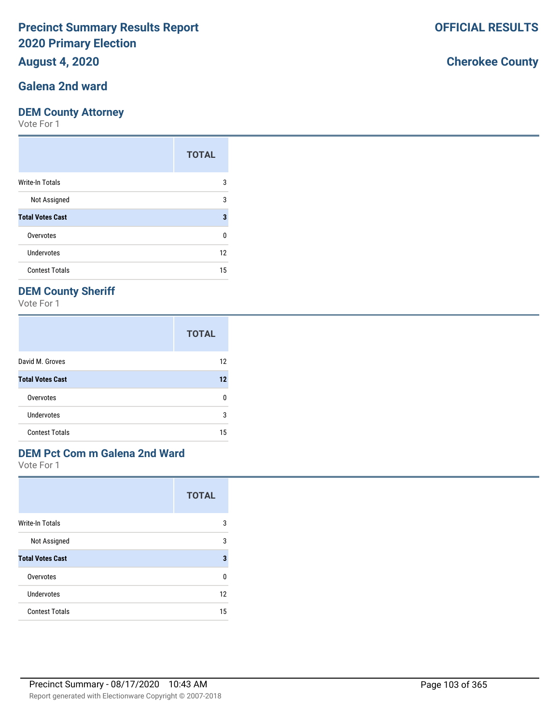### **August 4, 2020**

### **Galena 2nd ward**

#### **DEM County Attorney**

Vote For 1

|                         | <b>TOTAL</b> |
|-------------------------|--------------|
| Write-In Totals         | 3            |
| Not Assigned            | 3            |
| <b>Total Votes Cast</b> | 3            |
| Overvotes               | 0            |
| Undervotes              | 12           |
| <b>Contest Totals</b>   | 15           |

### **DEM County Sheriff**

Vote For 1

|                         | <b>TOTAL</b> |
|-------------------------|--------------|
| David M. Groves         | 12           |
| <b>Total Votes Cast</b> | 12           |
| Overvotes               | n            |
| Undervotes              | 3            |
| <b>Contest Totals</b>   | 15           |

# **DEM Pct Com m Galena 2nd Ward**

Vote For 1

|                         | <b>TOTAL</b> |
|-------------------------|--------------|
| <b>Write-In Totals</b>  | 3            |
| Not Assigned            | 3            |
| <b>Total Votes Cast</b> | 3            |
| Overvotes               | U            |
| Undervotes              | 12           |
| <b>Contest Totals</b>   | 15           |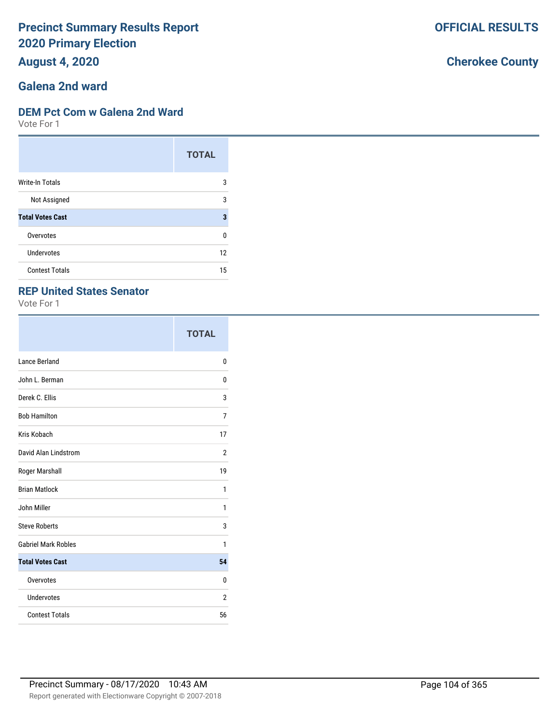**August 4, 2020**

# **Galena 2nd ward**

#### **DEM Pct Com w Galena 2nd Ward**

Vote For 1

|                         | <b>TOTAL</b> |
|-------------------------|--------------|
| <b>Write-In Totals</b>  | 3            |
| Not Assigned            | 3            |
| <b>Total Votes Cast</b> | 3            |
| Overvotes               | 0            |
| Undervotes              | 12           |
| <b>Contest Totals</b>   | 15           |

### **REP United States Senator**

Vote For 1

|                            | <b>TOTAL</b> |
|----------------------------|--------------|
| Lance Berland              | 0            |
| John L. Berman             | 0            |
| Derek C. Ellis             | 3            |
| <b>Bob Hamilton</b>        | 7            |
| Kris Kobach                | 17           |
| David Alan Lindstrom       | 2            |
| Roger Marshall             | 19           |
| <b>Brian Matlock</b>       | 1            |
| John Miller                | 1            |
| <b>Steve Roberts</b>       | 3            |
| <b>Gabriel Mark Robles</b> | 1            |
| <b>Total Votes Cast</b>    | 54           |
| Overvotes                  | 0            |
| Undervotes                 | 2            |
| <b>Contest Totals</b>      | 56           |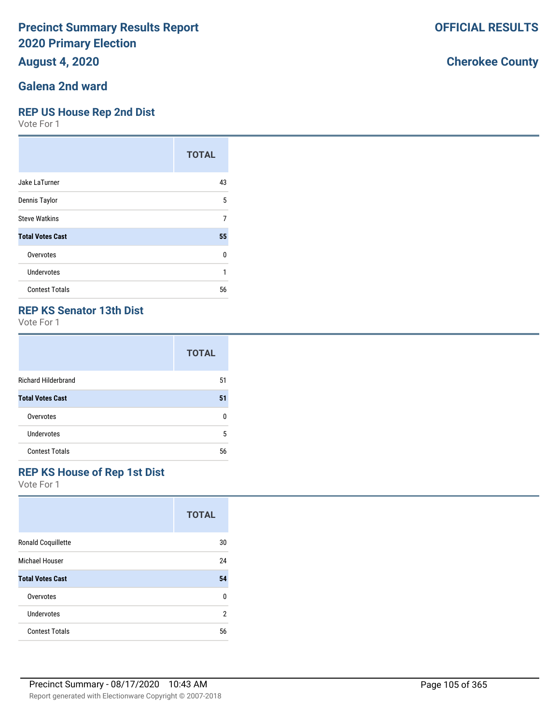## **August 4, 2020**

## **Galena 2nd ward**

#### **REP US House Rep 2nd Dist**

Vote For 1

|                         | <b>TOTAL</b> |
|-------------------------|--------------|
| Jake LaTurner           | 43           |
| Dennis Taylor           | 5            |
| <b>Steve Watkins</b>    | 7            |
| <b>Total Votes Cast</b> | 55           |
| Overvotes               | U            |
| <b>Undervotes</b>       | 1            |
| <b>Contest Totals</b>   | 56           |

### **REP KS Senator 13th Dist**

Vote For 1

|                            | <b>TOTAL</b> |
|----------------------------|--------------|
| <b>Richard Hilderbrand</b> | 51           |
| <b>Total Votes Cast</b>    | 51           |
| Overvotes                  | n            |
| Undervotes                 | 5            |
| <b>Contest Totals</b>      | 56           |

### **REP KS House of Rep 1st Dist**

Vote For 1

|                           | <b>TOTAL</b> |
|---------------------------|--------------|
| <b>Ronald Coquillette</b> | 30           |
| Michael Houser            | 24           |
| <b>Total Votes Cast</b>   | 54           |
| Overvotes                 | U            |
| Undervotes                | 2            |
| <b>Contest Totals</b>     | 56           |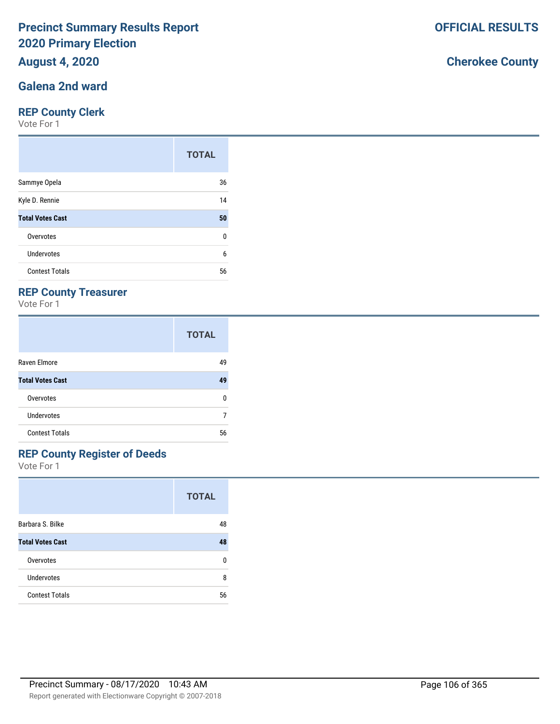## **August 4, 2020**

#### **Galena 2nd ward**

#### **REP County Clerk**

Vote For 1

|                         | <b>TOTAL</b> |
|-------------------------|--------------|
| Sammye Opela            | 36           |
| Kyle D. Rennie          | 14           |
| <b>Total Votes Cast</b> | 50           |
| Overvotes               | 0            |
| Undervotes              | 6            |
| <b>Contest Totals</b>   | 56           |

### **REP County Treasurer**

Vote For 1

|                         | <b>TOTAL</b> |
|-------------------------|--------------|
| Raven Elmore            | 49           |
| <b>Total Votes Cast</b> | 49           |
| Overvotes               | n            |
| <b>Undervotes</b>       |              |
| <b>Contest Totals</b>   | 56           |

### **REP County Register of Deeds**

Vote For 1

|                         | <b>TOTAL</b> |
|-------------------------|--------------|
| Barbara S. Bilke        | 48           |
| <b>Total Votes Cast</b> | 48           |
| Overvotes               | n            |
| Undervotes              | 8            |
| <b>Contest Totals</b>   | 56           |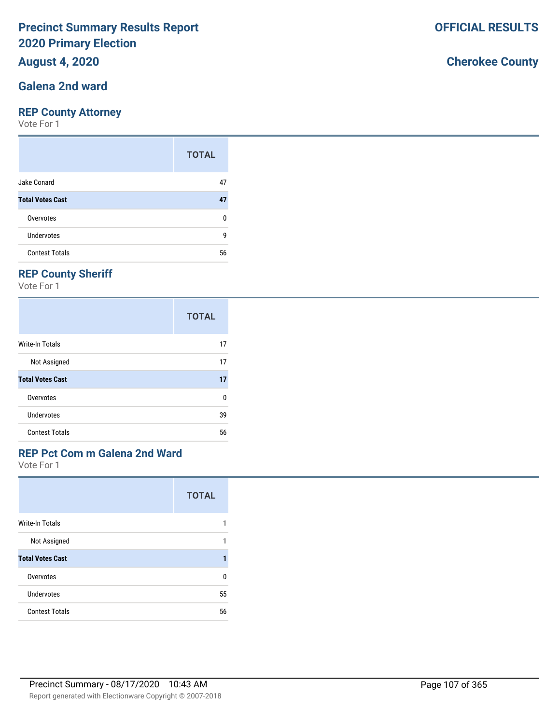### **August 4, 2020**

#### **Galena 2nd ward**

#### **REP County Attorney**

Vote For 1

|                         | <b>TOTAL</b> |
|-------------------------|--------------|
| Jake Conard             | 47           |
| <b>Total Votes Cast</b> | 47           |
| Overvotes               | ŋ            |
| Undervotes              | g            |
| <b>Contest Totals</b>   | 56           |

## **REP County Sheriff**

Vote For 1

|                         | <b>TOTAL</b> |
|-------------------------|--------------|
| Write-In Totals         | 17           |
| Not Assigned            | 17           |
| <b>Total Votes Cast</b> | 17           |
| Overvotes               | 0            |
| Undervotes              | 39           |
| <b>Contest Totals</b>   | 56           |

# **REP Pct Com m Galena 2nd Ward**

Vote For 1

|                         | <b>TOTAL</b> |
|-------------------------|--------------|
| <b>Write-In Totals</b>  |              |
| Not Assigned            |              |
| <b>Total Votes Cast</b> |              |
| Overvotes               | U            |
| Undervotes              | 55           |
| <b>Contest Totals</b>   | 56           |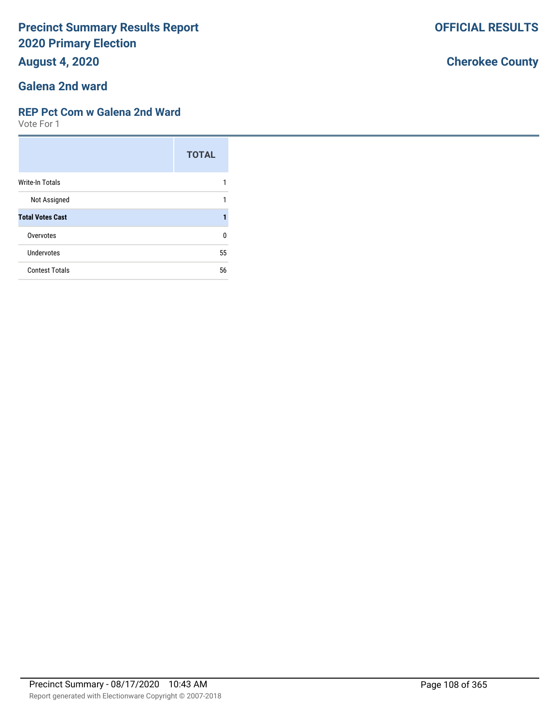**August 4, 2020**

# **Galena 2nd ward**

#### **REP Pct Com w Galena 2nd Ward**

Vote For 1

|                         | <b>TOTAL</b> |
|-------------------------|--------------|
| Write-In Totals         |              |
| Not Assigned            | 1            |
| <b>Total Votes Cast</b> |              |
| Overvotes               | U            |
| Undervotes              | 55           |
| <b>Contest Totals</b>   | 56           |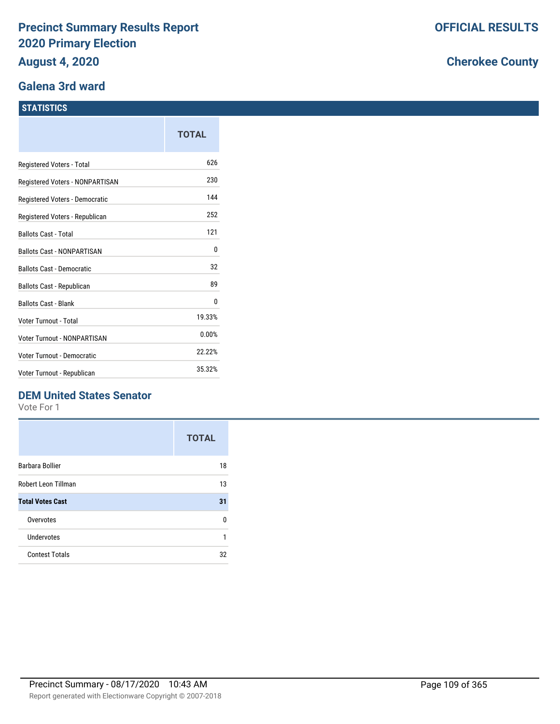### **Galena 3rd ward**

#### **STATISTICS**

|                                  | <b>TOTAL</b> |
|----------------------------------|--------------|
| Registered Voters - Total        | 626          |
| Registered Voters - NONPARTISAN  | 230          |
| Registered Voters - Democratic   | 144          |
| Registered Voters - Republican   | 252          |
| <b>Ballots Cast - Total</b>      | 121          |
| Ballots Cast - NONPARTISAN       | 0            |
| <b>Ballots Cast - Democratic</b> | 32           |
| <b>Ballots Cast - Republican</b> | 89           |
| <b>Ballots Cast - Blank</b>      | 0            |
| <b>Voter Turnout - Total</b>     | 19.33%       |
| Voter Turnout - NONPARTISAN      | 0.00%        |
| Voter Turnout - Democratic       | 22.22%       |
| Voter Turnout - Republican       | 35.32%       |

## **DEM United States Senator**

Vote For 1

|                         | <b>TOTAL</b> |
|-------------------------|--------------|
| Barbara Bollier         | 18           |
| Robert Leon Tillman     | 13           |
| <b>Total Votes Cast</b> | 31           |
| Overvotes               | n            |
| Undervotes              | 1            |
| <b>Contest Totals</b>   | 32           |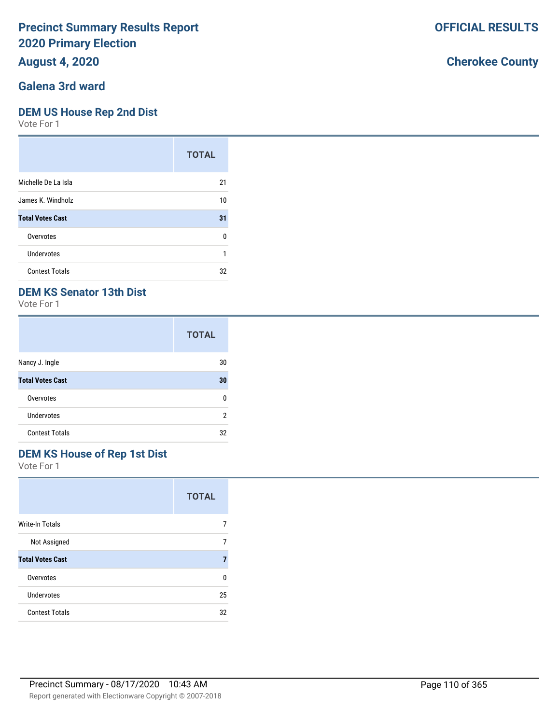## **August 4, 2020**

### **Galena 3rd ward**

#### **DEM US House Rep 2nd Dist**

Vote For 1

|                         | <b>TOTAL</b> |
|-------------------------|--------------|
| Michelle De La Isla     | 21           |
| James K. Windholz       | 10           |
| <b>Total Votes Cast</b> | 31           |
| Overvotes               | ŋ            |
| Undervotes              |              |
| <b>Contest Totals</b>   | 32           |

## **DEM KS Senator 13th Dist**

Vote For 1

|                         | <b>TOTAL</b> |
|-------------------------|--------------|
| Nancy J. Ingle          | 30           |
| <b>Total Votes Cast</b> | 30           |
| Overvotes               | U            |
| <b>Undervotes</b>       | 2            |
| <b>Contest Totals</b>   | 32           |

## **DEM KS House of Rep 1st Dist**

Vote For 1

|                         | <b>TOTAL</b> |
|-------------------------|--------------|
| <b>Write-In Totals</b>  |              |
| Not Assigned            |              |
| <b>Total Votes Cast</b> | 7            |
| Overvotes               | U            |
| Undervotes              | 25           |
| <b>Contest Totals</b>   | 32           |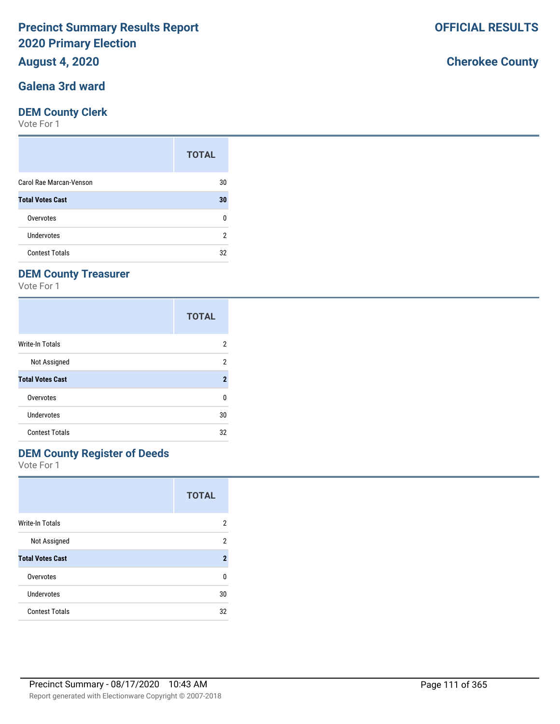## **August 4, 2020**

### **Galena 3rd ward**

#### **DEM County Clerk**

Vote For 1

|                         | <b>TOTAL</b> |
|-------------------------|--------------|
| Carol Rae Marcan-Venson | 30           |
| <b>Total Votes Cast</b> | 30           |
| Overvotes               | n            |
| Undervotes              | 2            |
| <b>Contest Totals</b>   | 32           |

## **DEM County Treasurer**

Vote For 1

|                         | <b>TOTAL</b>   |
|-------------------------|----------------|
| Write-In Totals         | 2              |
| Not Assigned            | 2              |
| <b>Total Votes Cast</b> | $\overline{2}$ |
| Overvotes               | 0              |
| Undervotes              | 30             |
| <b>Contest Totals</b>   | 32             |

## **DEM County Register of Deeds**

Vote For 1

|                         | <b>TOTAL</b>   |
|-------------------------|----------------|
| <b>Write-In Totals</b>  | 2              |
| Not Assigned            | 2              |
| <b>Total Votes Cast</b> | $\overline{2}$ |
| Overvotes               | U              |
| Undervotes              | 30             |
| <b>Contest Totals</b>   | 32             |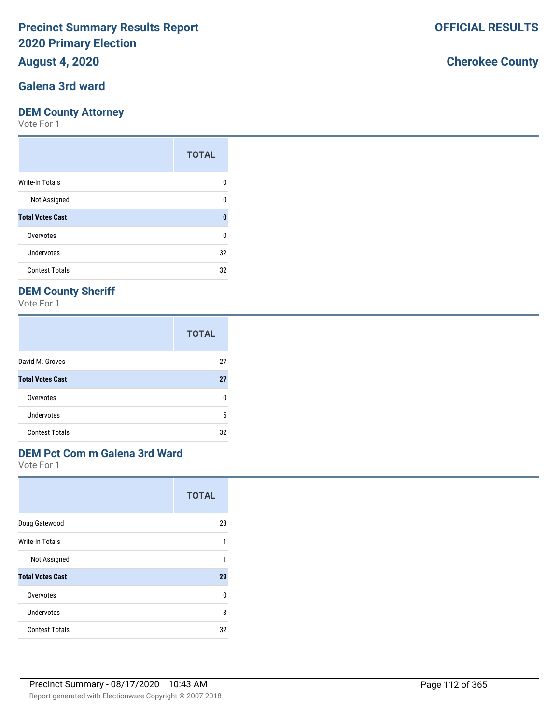## **August 4, 2020**

### **Galena 3rd ward**

#### **DEM County Attorney**

Vote For 1

|                         | <b>TOTAL</b> |
|-------------------------|--------------|
| Write-In Totals         | O            |
| Not Assigned            | n            |
| <b>Total Votes Cast</b> | O            |
| Overvotes               | U            |
| Undervotes              | 32           |
| <b>Contest Totals</b>   | 32           |

## **DEM County Sheriff**

Vote For 1

|                         | <b>TOTAL</b> |
|-------------------------|--------------|
| David M. Groves         | 27           |
| <b>Total Votes Cast</b> | 27           |
| Overvotes               | n            |
| Undervotes              | 5            |
| <b>Contest Totals</b>   | 32           |

# **DEM Pct Com m Galena 3rd Ward**

Vote For 1

|                         | <b>TOTAL</b> |
|-------------------------|--------------|
| Doug Gatewood           | 28           |
| Write-In Totals         | 1            |
| Not Assigned            | 1            |
| <b>Total Votes Cast</b> | 29           |
| Overvotes               | 0            |
| Undervotes              | 3            |
| <b>Contest Totals</b>   | 32           |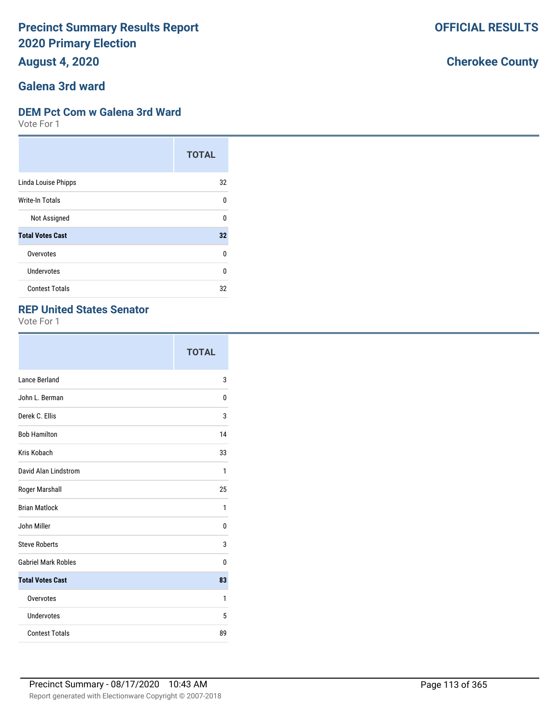**August 4, 2020**

# **Galena 3rd ward**

#### **DEM Pct Com w Galena 3rd Ward**

Vote For 1

|                         | <b>TOTAL</b> |
|-------------------------|--------------|
| Linda Louise Phipps     | 32           |
| Write-In Totals         | U            |
| Not Assigned            | U            |
| <b>Total Votes Cast</b> | 32           |
| Overvotes               | $\Omega$     |
| Undervotes              | 0            |
| <b>Contest Totals</b>   | 32           |

### **REP United States Senator**

Vote For 1

|                            | <b>TOTAL</b> |
|----------------------------|--------------|
| Lance Berland              | 3            |
| John L. Berman             | 0            |
| Derek C. Ellis             | 3            |
| <b>Bob Hamilton</b>        | 14           |
| Kris Kobach                | 33           |
| David Alan Lindstrom       | 1            |
| Roger Marshall             | 25           |
| <b>Brian Matlock</b>       | 1            |
| John Miller                | 0            |
| <b>Steve Roberts</b>       | 3            |
| <b>Gabriel Mark Robles</b> | 0            |
| <b>Total Votes Cast</b>    | 83           |
| Overvotes                  | 1            |
| Undervotes                 | 5            |
| <b>Contest Totals</b>      | 89           |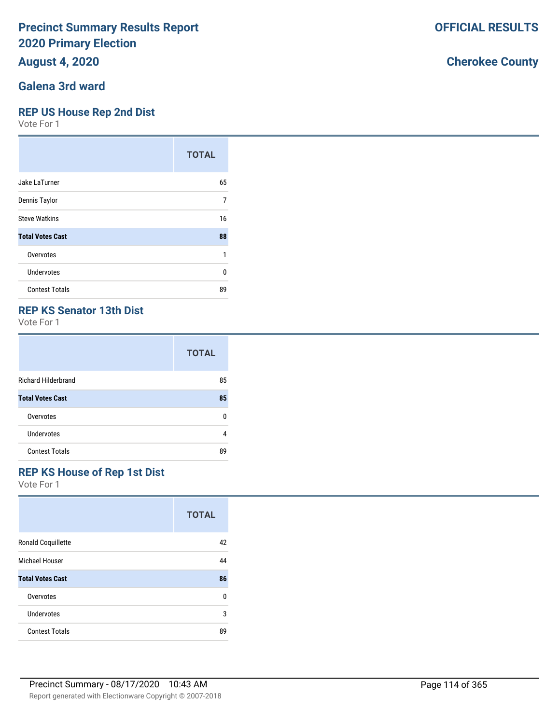## **August 4, 2020**

### **Galena 3rd ward**

#### **REP US House Rep 2nd Dist**

Vote For 1

|                         | <b>TOTAL</b> |
|-------------------------|--------------|
| Jake LaTurner           | 65           |
| Dennis Taylor           | 7            |
| <b>Steve Watkins</b>    | 16           |
| <b>Total Votes Cast</b> | 88           |
| Overvotes               | 1            |
| Undervotes              | U            |
| <b>Contest Totals</b>   | 89           |

### **REP KS Senator 13th Dist**

Vote For 1

|                            | <b>TOTAL</b> |
|----------------------------|--------------|
| <b>Richard Hilderbrand</b> | 85           |
| <b>Total Votes Cast</b>    | 85           |
| Overvotes                  | n            |
| Undervotes                 | 4            |
| <b>Contest Totals</b>      | 89           |

#### **REP KS House of Rep 1st Dist**

Vote For 1

|                           | <b>TOTAL</b> |
|---------------------------|--------------|
| <b>Ronald Coquillette</b> | 42           |
| Michael Houser            | 44           |
| <b>Total Votes Cast</b>   | 86           |
| Overvotes                 | 0            |
| Undervotes                | 3            |
| <b>Contest Totals</b>     | 89           |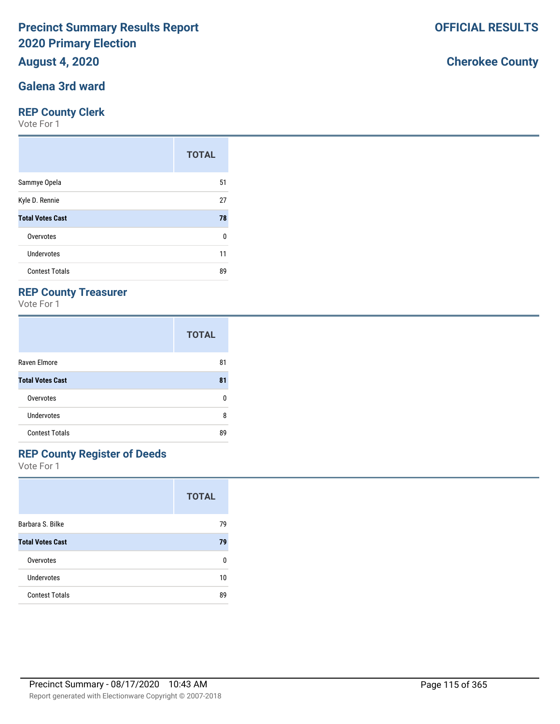## **August 4, 2020**

### **Galena 3rd ward**

#### **REP County Clerk**

Vote For 1

|                         | <b>TOTAL</b> |
|-------------------------|--------------|
| Sammye Opela            | 51           |
| Kyle D. Rennie          | 27           |
| <b>Total Votes Cast</b> | 78           |
| Overvotes               | 0            |
| <b>Undervotes</b>       | 11           |
| <b>Contest Totals</b>   | 89           |

## **REP County Treasurer**

Vote For 1

|                         | <b>TOTAL</b> |
|-------------------------|--------------|
| Raven Elmore            | 81           |
| <b>Total Votes Cast</b> | 81           |
| Overvotes               | n            |
| <b>Undervotes</b>       | 8            |
| <b>Contest Totals</b>   | 89           |

# **REP County Register of Deeds**

Vote For 1

|                         | <b>TOTAL</b> |
|-------------------------|--------------|
| Barbara S. Bilke        | 79           |
| <b>Total Votes Cast</b> | 79           |
| Overvotes               | n            |
| Undervotes              | 10           |
| <b>Contest Totals</b>   | 89           |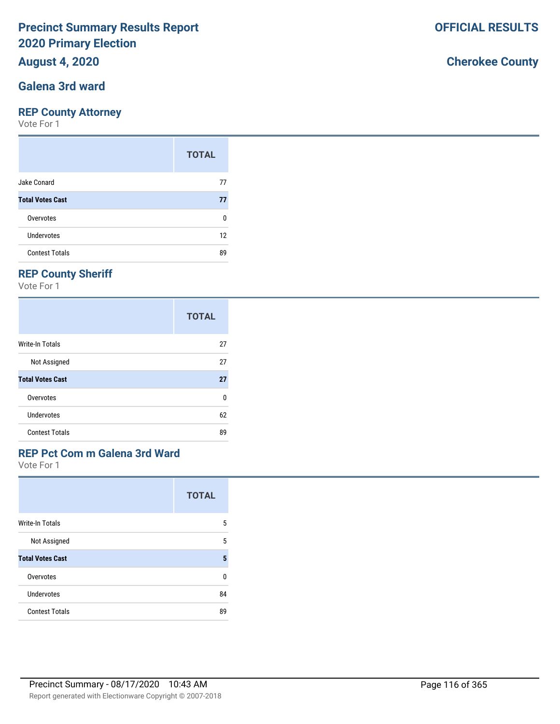## **August 4, 2020**

### **Galena 3rd ward**

#### **REP County Attorney**

Vote For 1

|                         | <b>TOTAL</b> |
|-------------------------|--------------|
| Jake Conard             | 77           |
| <b>Total Votes Cast</b> | 77           |
| Overvotes               | ŋ            |
| Undervotes              | 12           |
| <b>Contest Totals</b>   | 89           |

## **REP County Sheriff**

Vote For 1

|                         | <b>TOTAL</b> |
|-------------------------|--------------|
| Write-In Totals         | 27           |
| Not Assigned            | 27           |
| <b>Total Votes Cast</b> | 27           |
| Overvotes               | 0            |
| Undervotes              | 62           |
| <b>Contest Totals</b>   | 89           |

# **REP Pct Com m Galena 3rd Ward**

Vote For 1

|                         | <b>TOTAL</b> |
|-------------------------|--------------|
| <b>Write-In Totals</b>  | 5            |
| Not Assigned            | 5            |
| <b>Total Votes Cast</b> | 5            |
| Overvotes               | U            |
| Undervotes              | 84           |
| <b>Contest Totals</b>   | 89           |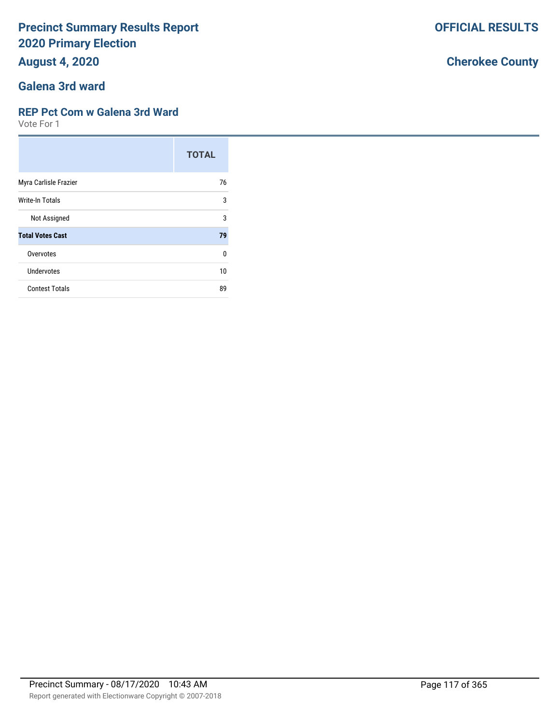**August 4, 2020**

### **Galena 3rd ward**

#### **REP Pct Com w Galena 3rd Ward**

Vote For 1

|                         | <b>TOTAL</b> |
|-------------------------|--------------|
| Myra Carlisle Frazier   | 76           |
| Write-In Totals         | 3            |
| Not Assigned            | 3            |
| <b>Total Votes Cast</b> | 79           |
| Overvotes               | 0            |
| Undervotes              | 10           |
| <b>Contest Totals</b>   | 89           |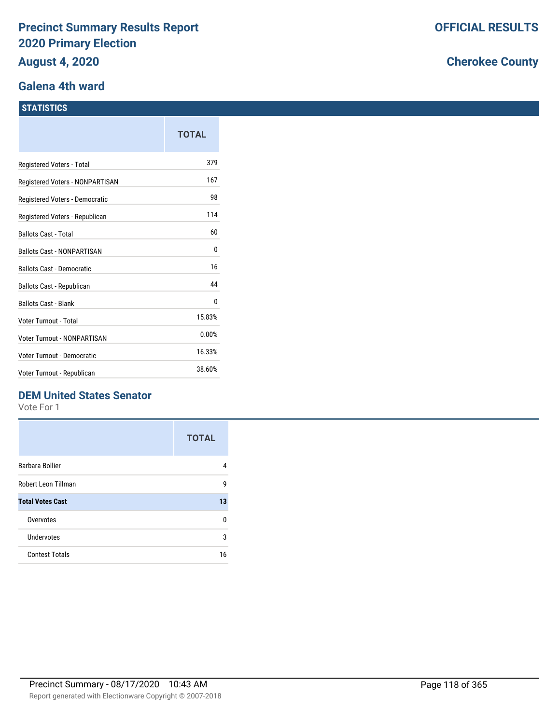#### **Galena 4th ward**

#### **STATISTICS**

|                                  | <b>TOTAL</b> |
|----------------------------------|--------------|
| Registered Voters - Total        | 379          |
| Registered Voters - NONPARTISAN  | 167          |
| Registered Voters - Democratic   | 98           |
| Registered Voters - Republican   | 114          |
| <b>Ballots Cast - Total</b>      | 60           |
| Ballots Cast - NONPARTISAN       | 0            |
| <b>Ballots Cast - Democratic</b> | 16           |
| <b>Ballots Cast - Republican</b> | 44           |
| <b>Ballots Cast - Blank</b>      | 0            |
| Voter Turnout - Total            | 15.83%       |
| Voter Turnout - NONPARTISAN      | 0.00%        |
| Voter Turnout - Democratic       | 16.33%       |
| Voter Turnout - Republican       | 38.60%       |

## **DEM United States Senator**

Vote For 1

|                         | <b>TOTAL</b> |
|-------------------------|--------------|
| Barbara Bollier         |              |
| Robert Leon Tillman     | g            |
| <b>Total Votes Cast</b> | 13           |
| Overvotes               | n            |
| Undervotes              | 3            |
| <b>Contest Totals</b>   | 16           |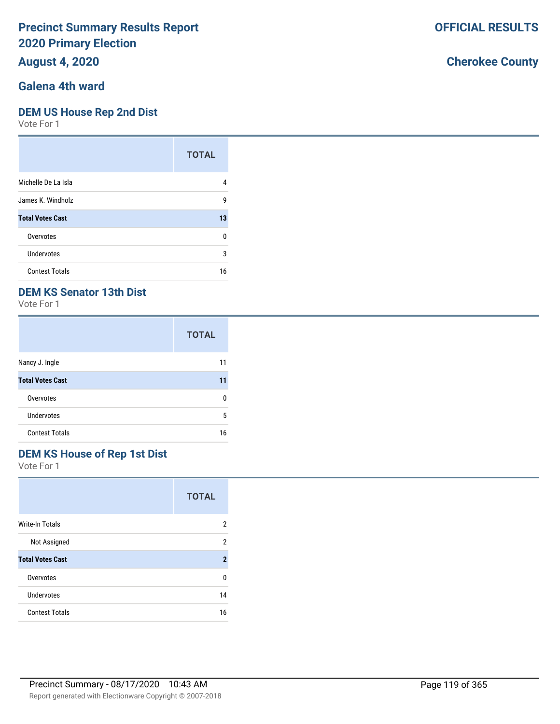## **August 4, 2020**

# **Galena 4th ward**

#### **DEM US House Rep 2nd Dist**

Vote For 1

|                         | <b>TOTAL</b> |
|-------------------------|--------------|
| Michelle De La Isla     | 4            |
| James K. Windholz       | 9            |
| <b>Total Votes Cast</b> | 13           |
| Overvotes               | 0            |
| Undervotes              | 3            |
| <b>Contest Totals</b>   | 16           |

## **DEM KS Senator 13th Dist**

Vote For 1

|                         | <b>TOTAL</b> |
|-------------------------|--------------|
| Nancy J. Ingle          | 11           |
| <b>Total Votes Cast</b> | 11           |
| Overvotes               | n            |
| <b>Undervotes</b>       | 5            |
| <b>Contest Totals</b>   | 16           |

# **DEM KS House of Rep 1st Dist**

Vote For 1

|                         | <b>TOTAL</b>        |
|-------------------------|---------------------|
| <b>Write-In Totals</b>  | 2                   |
| Not Assigned            | 2                   |
| <b>Total Votes Cast</b> | $\boldsymbol{\eta}$ |
| Overvotes               | U                   |
| Undervotes              | 14                  |
| <b>Contest Totals</b>   | 16                  |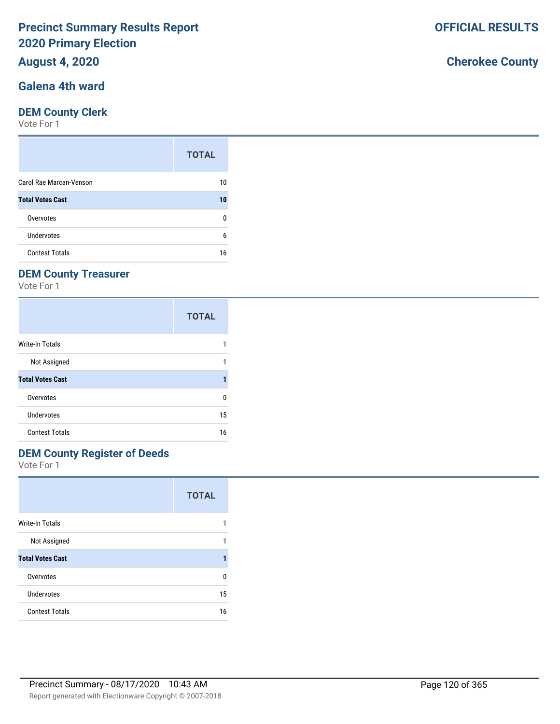## **August 4, 2020**

## **Galena 4th ward**

#### **DEM County Clerk**

Vote For 1

|                         | <b>TOTAL</b> |
|-------------------------|--------------|
| Carol Rae Marcan-Venson | 10           |
| <b>Total Votes Cast</b> | 10           |
| Overvotes               | n            |
| Undervotes              | 6            |
| <b>Contest Totals</b>   | 16           |

## **DEM County Treasurer**

Vote For 1

|                         | <b>TOTAL</b> |
|-------------------------|--------------|
| Write-In Totals         |              |
| Not Assigned            |              |
| <b>Total Votes Cast</b> | 1            |
| Overvotes               | 0            |
| Undervotes              | 15           |
| <b>Contest Totals</b>   | 16           |

## **DEM County Register of Deeds**

Vote For 1

|                         | <b>TOTAL</b> |
|-------------------------|--------------|
| <b>Write-In Totals</b>  |              |
| Not Assigned            |              |
| <b>Total Votes Cast</b> |              |
| Overvotes               | U            |
| Undervotes              | 15           |
| <b>Contest Totals</b>   | 16           |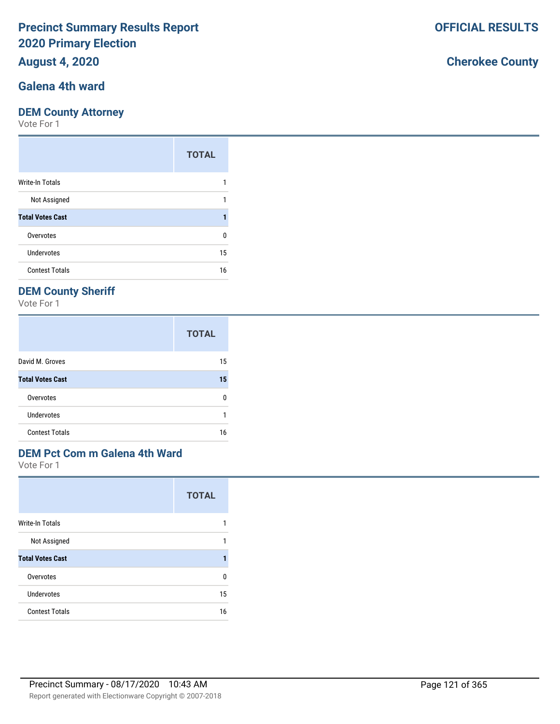## **August 4, 2020**

# **Galena 4th ward**

### **DEM County Attorney**

Vote For 1

|                         | <b>TOTAL</b> |
|-------------------------|--------------|
| Write-In Totals         |              |
| Not Assigned            |              |
| <b>Total Votes Cast</b> | 1            |
| Overvotes               | ŋ            |
| <b>Undervotes</b>       | 15           |
| <b>Contest Totals</b>   | 16           |

## **DEM County Sheriff**

Vote For 1

|                         | <b>TOTAL</b> |
|-------------------------|--------------|
| David M. Groves         | 15           |
| <b>Total Votes Cast</b> | 15           |
| Overvotes               | n            |
| Undervotes              | 1            |
| <b>Contest Totals</b>   | 16           |

# **DEM Pct Com m Galena 4th Ward**

Vote For 1

|                         | <b>TOTAL</b> |
|-------------------------|--------------|
| Write-In Totals         |              |
| Not Assigned            | 1            |
| <b>Total Votes Cast</b> |              |
| Overvotes               | U            |
| Undervotes              | 15           |
| <b>Contest Totals</b>   | 16           |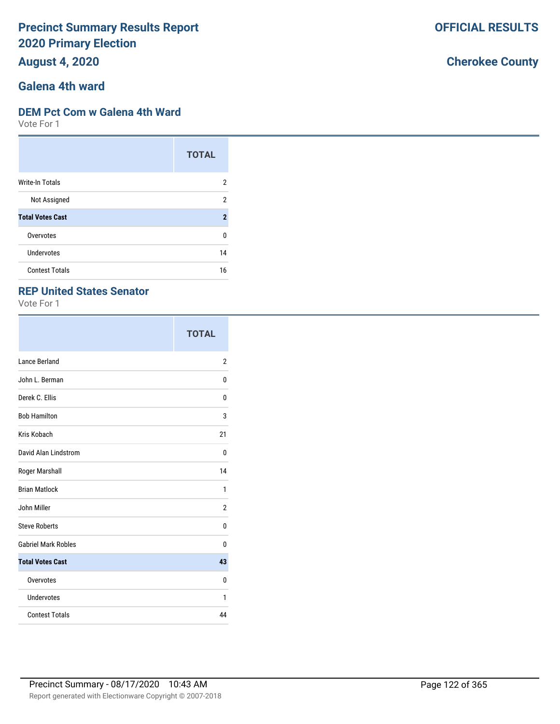**August 4, 2020**

# **Galena 4th ward**

#### **DEM Pct Com w Galena 4th Ward**

Vote For 1

|                         | <b>TOTAL</b>   |
|-------------------------|----------------|
| <b>Write-In Totals</b>  | 2              |
| Not Assigned            | 2              |
| <b>Total Votes Cast</b> | $\overline{2}$ |
| Overvotes               | 0              |
| Undervotes              | 14             |
| <b>Contest Totals</b>   | 16             |

#### **REP United States Senator**

Vote For 1

|                            | <b>TOTAL</b>   |
|----------------------------|----------------|
| Lance Berland              | $\overline{2}$ |
| John L. Berman             | 0              |
| Derek C. Ellis             | 0              |
| <b>Bob Hamilton</b>        | 3              |
| Kris Kobach                | 21             |
| David Alan Lindstrom       | 0              |
| Roger Marshall             | 14             |
| <b>Brian Matlock</b>       | 1              |
| John Miller                | $\overline{2}$ |
| <b>Steve Roberts</b>       | 0              |
| <b>Gabriel Mark Robles</b> | 0              |
| <b>Total Votes Cast</b>    | 43             |
| Overvotes                  | 0              |
| Undervotes                 | 1              |
| <b>Contest Totals</b>      | 44             |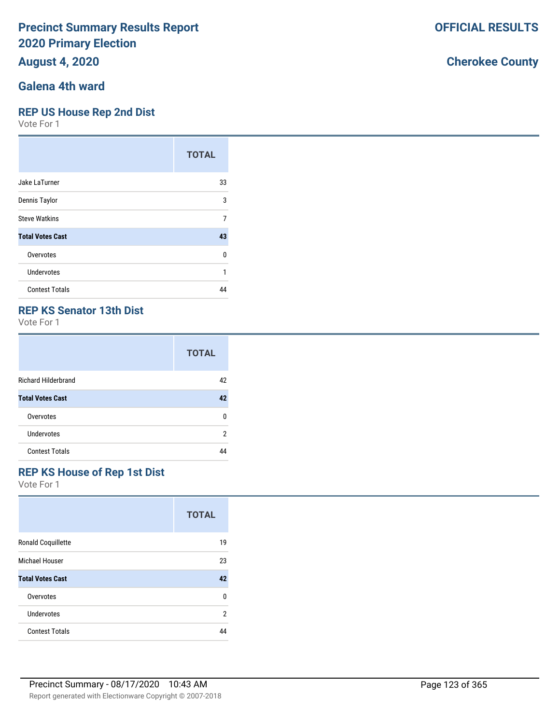**August 4, 2020**

# **Galena 4th ward**

#### **REP US House Rep 2nd Dist**

Vote For 1

|                         | <b>TOTAL</b> |
|-------------------------|--------------|
| Jake LaTurner           | 33           |
| Dennis Taylor           | 3            |
| <b>Steve Watkins</b>    | 7            |
| <b>Total Votes Cast</b> | 43           |
| Overvotes               | 0            |
| Undervotes              | 1            |
| <b>Contest Totals</b>   | ΔΔ           |

### **REP KS Senator 13th Dist**

Vote For 1

|                            | <b>TOTAL</b> |
|----------------------------|--------------|
| <b>Richard Hilderbrand</b> | 42           |
| <b>Total Votes Cast</b>    | 42           |
| Overvotes                  | ŋ            |
| Undervotes                 | 2            |
| <b>Contest Totals</b>      |              |

## **REP KS House of Rep 1st Dist**

Vote For 1

|                           | <b>TOTAL</b> |
|---------------------------|--------------|
| <b>Ronald Coquillette</b> | 19           |
| Michael Houser            | 23           |
| <b>Total Votes Cast</b>   | 42           |
| Overvotes                 | 0            |
| Undervotes                | 2            |
| <b>Contest Totals</b>     | 44           |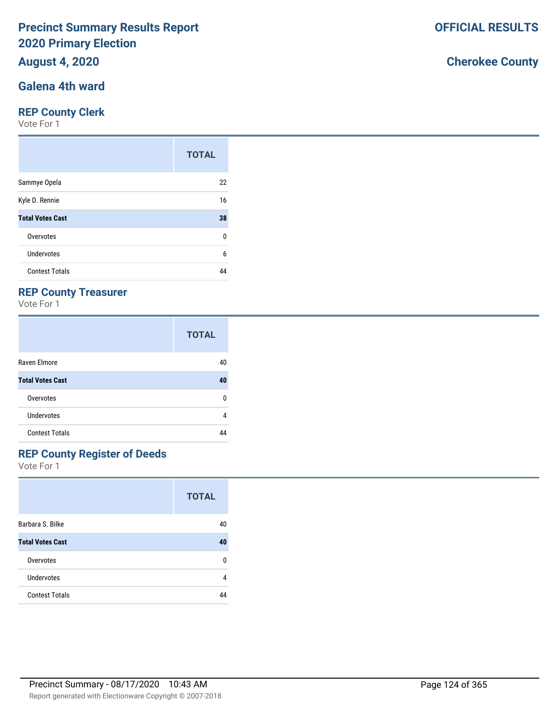## **August 4, 2020**

## **Galena 4th ward**

#### **REP County Clerk**

Vote For 1

|                         | <b>TOTAL</b> |
|-------------------------|--------------|
| Sammye Opela            | 22           |
| Kyle D. Rennie          | 16           |
| <b>Total Votes Cast</b> | 38           |
| Overvotes               | 0            |
| Undervotes              | 6            |
| <b>Contest Totals</b>   | 44           |

## **REP County Treasurer**

Vote For 1

|                         | <b>TOTAL</b> |
|-------------------------|--------------|
| Raven Elmore            | 40           |
| <b>Total Votes Cast</b> | 40           |
| Overvotes               | n            |
| <b>Undervotes</b>       | 4            |
| <b>Contest Totals</b>   |              |

## **REP County Register of Deeds**

Vote For 1

|                         | <b>TOTAL</b> |
|-------------------------|--------------|
| Barbara S. Bilke        | 40           |
| <b>Total Votes Cast</b> | 40           |
| Overvotes               | U            |
| <b>Undervotes</b>       | 4            |
| <b>Contest Totals</b>   |              |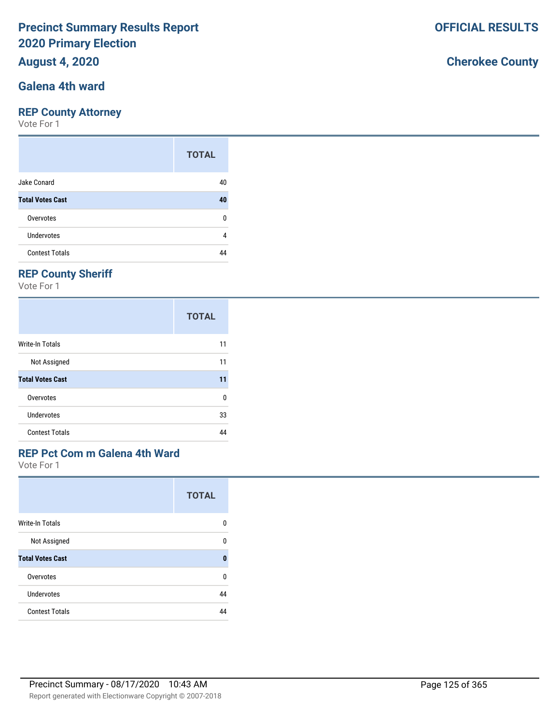## **August 4, 2020**

# **Galena 4th ward**

### **REP County Attorney**

Vote For 1

|                         | <b>TOTAL</b> |
|-------------------------|--------------|
| Jake Conard             | 40           |
| <b>Total Votes Cast</b> | 40           |
| Overvotes               | n            |
| Undervotes              | 4            |
| <b>Contest Totals</b>   |              |

## **REP County Sheriff**

Vote For 1

|                         | <b>TOTAL</b> |
|-------------------------|--------------|
| <b>Write-In Totals</b>  | 11           |
| Not Assigned            | 11           |
| <b>Total Votes Cast</b> | 11           |
| Overvotes               | 0            |
| Undervotes              | 33           |
| <b>Contest Totals</b>   |              |

# **REP Pct Com m Galena 4th Ward**

Vote For 1

|                         | <b>TOTAL</b> |
|-------------------------|--------------|
| <b>Write-In Totals</b>  | n            |
| Not Assigned            | n            |
| <b>Total Votes Cast</b> | 0            |
| Overvotes               | U            |
| Undervotes              | 44           |
| <b>Contest Totals</b>   | 44           |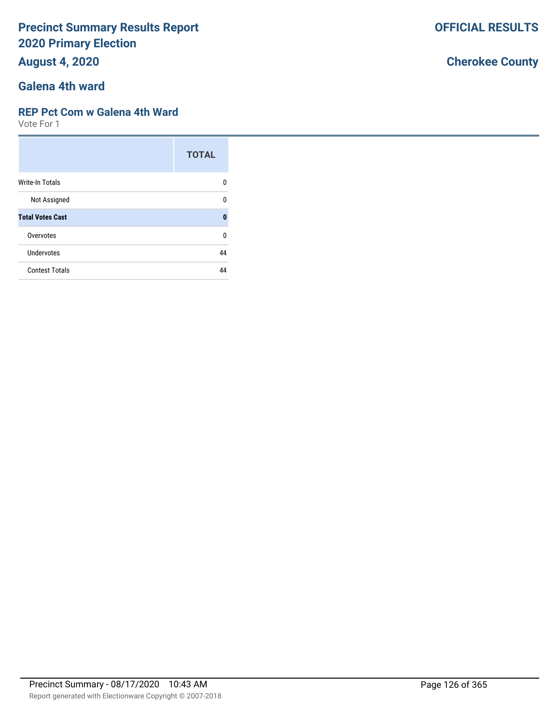**August 4, 2020**

# **Galena 4th ward**

#### **REP Pct Com w Galena 4th Ward**

Vote For 1

|                         | <b>TOTAL</b> |
|-------------------------|--------------|
| Write-In Totals         | n            |
| Not Assigned            | U            |
| <b>Total Votes Cast</b> | 0            |
| Overvotes               | 0            |
| Undervotes              | 44           |
| <b>Contest Totals</b>   | ΔΔ           |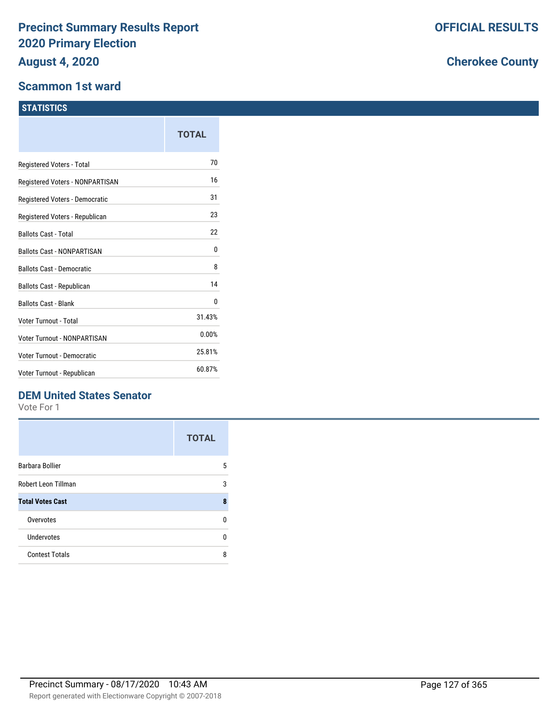#### **Scammon 1st ward**

#### **STATISTICS**

|                                  | <b>TOTAL</b> |
|----------------------------------|--------------|
| Registered Voters - Total        | 70           |
| Registered Voters - NONPARTISAN  | 16           |
| Registered Voters - Democratic   | 31           |
| Registered Voters - Republican   | 23           |
| <b>Ballots Cast - Total</b>      | 22           |
| Ballots Cast - NONPARTISAN       | 0            |
| <b>Ballots Cast - Democratic</b> | 8            |
| <b>Ballots Cast - Republican</b> | 14           |
| <b>Ballots Cast - Blank</b>      | 0            |
| <b>Voter Turnout - Total</b>     | 31.43%       |
| Voter Turnout - NONPARTISAN      | 0.00%        |
| Voter Turnout - Democratic       | 25.81%       |
| Voter Turnout - Republican       | 60.87%       |

## **DEM United States Senator**

Vote For 1

|                         | <b>TOTAL</b> |
|-------------------------|--------------|
| Barbara Bollier         | 5            |
| Robert Leon Tillman     | 3            |
| <b>Total Votes Cast</b> | 8            |
| Overvotes               | n            |
| Undervotes              | n            |
| <b>Contest Totals</b>   | ጸ            |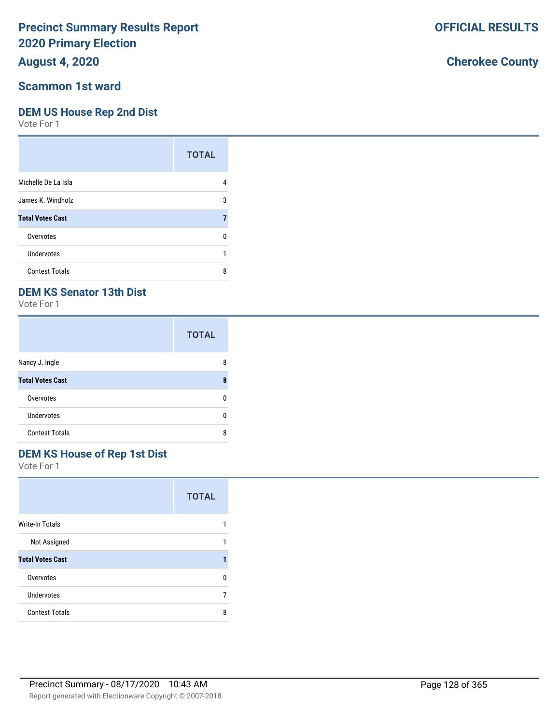## **August 4, 2020**

#### **Scammon 1st ward**

#### **DEM US House Rep 2nd Dist**

Vote For 1

|                         | <b>TOTAL</b> |
|-------------------------|--------------|
| Michelle De La Isla     | 4            |
| James K. Windholz       | 3            |
| <b>Total Votes Cast</b> | 7            |
| Overvotes               | n            |
| Undervotes              |              |
| <b>Contest Totals</b>   | 8            |

## **DEM KS Senator 13th Dist**

Vote For 1

|                         | <b>TOTAL</b> |
|-------------------------|--------------|
| Nancy J. Ingle          | 8            |
| <b>Total Votes Cast</b> | 8            |
| Overvotes               | n            |
| Undervotes              | n            |
| <b>Contest Totals</b>   | 8            |

## **DEM KS House of Rep 1st Dist**

Vote For 1

|                         | <b>TOTAL</b> |
|-------------------------|--------------|
| <b>Write-In Totals</b>  |              |
| Not Assigned            | 1            |
| <b>Total Votes Cast</b> |              |
| Overvotes               | n            |
| Undervotes              |              |
| <b>Contest Totals</b>   | ጸ            |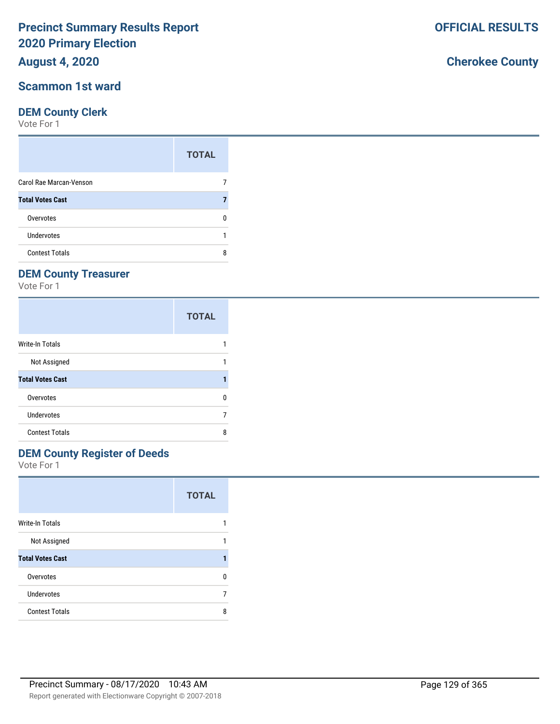**August 4, 2020**

### **Scammon 1st ward**

#### **DEM County Clerk**

Vote For 1

|                         | <b>TOTAL</b> |
|-------------------------|--------------|
| Carol Rae Marcan-Venson |              |
| <b>Total Votes Cast</b> |              |
| Overvotes               |              |
| Undervotes              |              |
| <b>Contest Totals</b>   |              |

## **DEM County Treasurer**

Vote For 1

|                         | <b>TOTAL</b> |
|-------------------------|--------------|
| <b>Write-In Totals</b>  |              |
| Not Assigned            |              |
| <b>Total Votes Cast</b> |              |
| Overvotes               | n            |
| Undervotes              |              |
| <b>Contest Totals</b>   | 8            |

# **DEM County Register of Deeds**

Vote For 1

|                         | <b>TOTAL</b> |
|-------------------------|--------------|
| Write-In Totals         |              |
| Not Assigned            | 1            |
| <b>Total Votes Cast</b> |              |
| Overvotes               | n            |
| Undervotes              |              |
| <b>Contest Totals</b>   | ጸ            |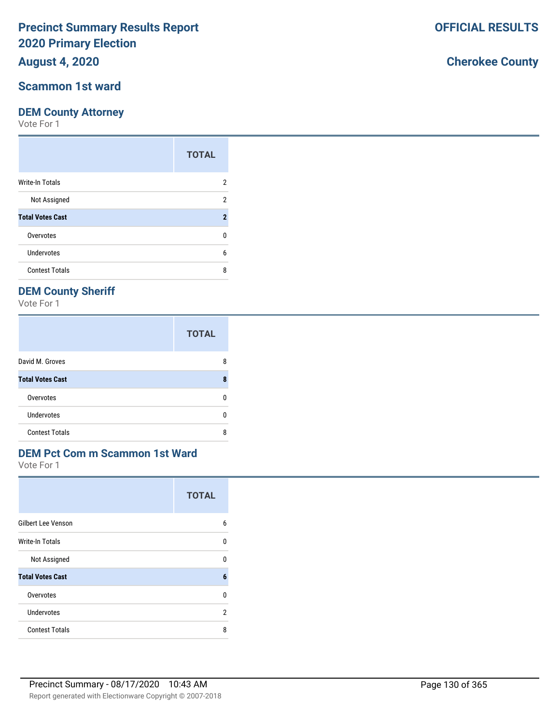## **August 4, 2020**

#### **Scammon 1st ward**

#### **DEM County Attorney**

Vote For 1

|                         | <b>TOTAL</b> |
|-------------------------|--------------|
| <b>Write-In Totals</b>  | 2            |
| Not Assigned            | 2            |
| <b>Total Votes Cast</b> | 2            |
| Overvotes               | U            |
| <b>Undervotes</b>       | 6            |
| <b>Contest Totals</b>   | 8            |

## **DEM County Sheriff**

Vote For 1

|                         | <b>TOTAL</b> |
|-------------------------|--------------|
| David M. Groves         | 8            |
| <b>Total Votes Cast</b> | 8            |
| Overvotes               | n            |
| <b>Undervotes</b>       | n            |
| <b>Contest Totals</b>   | 8            |

## **DEM Pct Com m Scammon 1st Ward**

Vote For 1

|                           | <b>TOTAL</b> |
|---------------------------|--------------|
| <b>Gilbert Lee Venson</b> | 6            |
| Write-In Totals           | U            |
| Not Assigned              | U            |
| <b>Total Votes Cast</b>   | 6            |
| Overvotes                 | 0            |
| Undervotes                | 2            |
| <b>Contest Totals</b>     | 8            |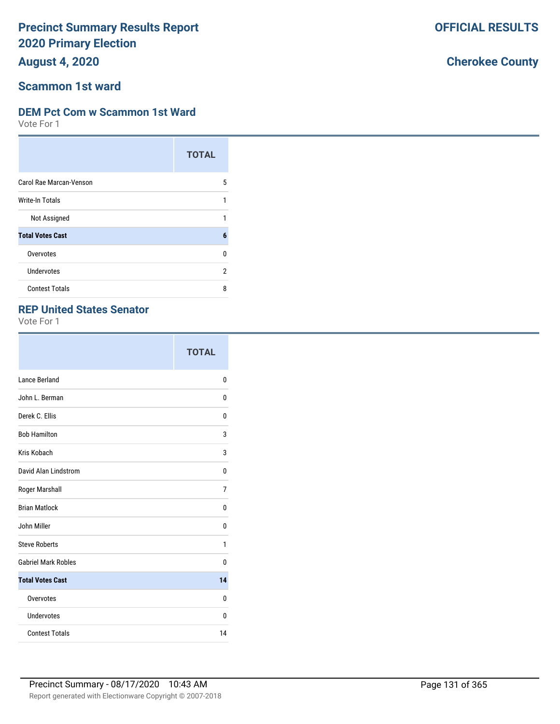**August 4, 2020**

#### **Scammon 1st ward**

#### **DEM Pct Com w Scammon 1st Ward**

Vote For 1

|                         | <b>TOTAL</b> |
|-------------------------|--------------|
| Carol Rae Marcan-Venson | 5            |
| Write-In Totals         | 1            |
| Not Assigned            | 1            |
| <b>Total Votes Cast</b> | 6            |
| Overvotes               | 0            |
| Undervotes              | 2            |
| <b>Contest Totals</b>   | 8            |

## **REP United States Senator**

Vote For 1

|                             | <b>TOTAL</b> |
|-----------------------------|--------------|
| Lance Berland               | 0            |
| John L. Berman              | 0            |
| Derek C. Ellis              | 0            |
| <b>Bob Hamilton</b>         | 3            |
| Kris Kobach                 | 3            |
| <b>David Alan Lindstrom</b> | 0            |
| Roger Marshall              | 7            |
| <b>Brian Matlock</b>        | 0            |
| John Miller                 | $\Omega$     |
| <b>Steve Roberts</b>        | 1            |
| <b>Gabriel Mark Robles</b>  | 0            |
| <b>Total Votes Cast</b>     | 14           |
| Overvotes                   | 0            |
| Undervotes                  | 0            |
| <b>Contest Totals</b>       | 14           |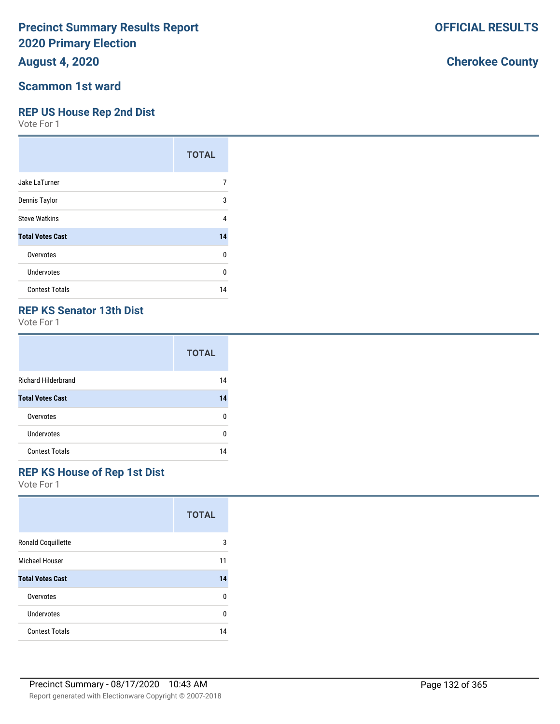**August 4, 2020**

### **Scammon 1st ward**

### **REP US House Rep 2nd Dist**

Vote For 1

|                         | <b>TOTAL</b> |
|-------------------------|--------------|
| Jake LaTurner           |              |
| Dennis Taylor           | 3            |
| <b>Steve Watkins</b>    | 4            |
| <b>Total Votes Cast</b> | 14           |
| Overvotes               | U            |
| <b>Undervotes</b>       | U            |
| <b>Contest Totals</b>   | 14           |

### **REP KS Senator 13th Dist**

Vote For 1

|                            | <b>TOTAL</b> |
|----------------------------|--------------|
| <b>Richard Hilderbrand</b> | 14           |
| <b>Total Votes Cast</b>    | 14           |
| Overvotes                  | n            |
| <b>Undervotes</b>          | n            |
| <b>Contest Totals</b>      | 14           |

## **REP KS House of Rep 1st Dist**

Vote For 1

|                         | <b>TOTAL</b> |
|-------------------------|--------------|
| Ronald Coquillette      | 3            |
| Michael Houser          | 11           |
| <b>Total Votes Cast</b> | 14           |
| Overvotes               | 0            |
| Undervotes              | U            |
| <b>Contest Totals</b>   | 14           |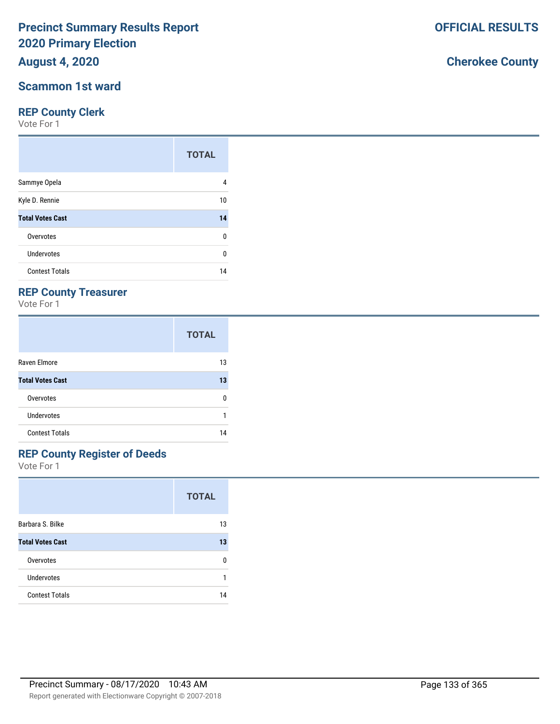**August 4, 2020**

### **Scammon 1st ward**

#### **REP County Clerk**

Vote For 1

|                         | <b>TOTAL</b> |
|-------------------------|--------------|
| Sammye Opela            | 4            |
| Kyle D. Rennie          | 10           |
| <b>Total Votes Cast</b> | 14           |
| Overvotes               | 0            |
| Undervotes              | 0            |
| <b>Contest Totals</b>   | 14           |

## **REP County Treasurer**

Vote For 1

|                         | <b>TOTAL</b> |
|-------------------------|--------------|
| Raven Elmore            | 13           |
| <b>Total Votes Cast</b> | 13           |
| Overvotes               | n            |
| Undervotes              |              |
| <b>Contest Totals</b>   | 14           |

# **REP County Register of Deeds**

Vote For 1

|                         | <b>TOTAL</b> |
|-------------------------|--------------|
| Barbara S. Bilke        | 13           |
| <b>Total Votes Cast</b> | 13           |
| Overvotes               | n            |
| Undervotes              |              |
| <b>Contest Totals</b>   | 14           |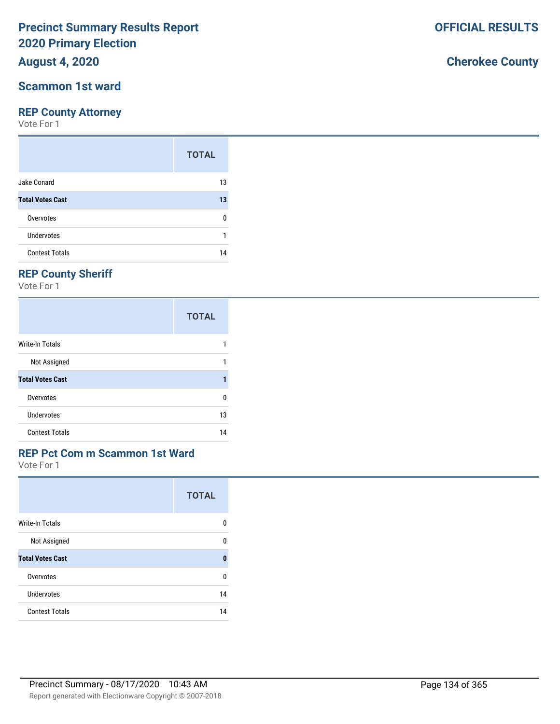## **August 4, 2020**

#### **Scammon 1st ward**

#### **REP County Attorney**

Vote For 1

|                         | <b>TOTAL</b> |
|-------------------------|--------------|
| Jake Conard             | 13           |
| <b>Total Votes Cast</b> | 13           |
| Overvotes               | 0            |
| Undervotes              |              |
| <b>Contest Totals</b>   | 14           |

## **REP County Sheriff**

Vote For 1

|                         | <b>TOTAL</b> |
|-------------------------|--------------|
| Write-In Totals         |              |
| Not Assigned            |              |
| <b>Total Votes Cast</b> |              |
| Overvotes               | 0            |
| Undervotes              | 13           |
| <b>Contest Totals</b>   | 14           |

## **REP Pct Com m Scammon 1st Ward**

Vote For 1

|                         | <b>TOTAL</b> |
|-------------------------|--------------|
| <b>Write-In Totals</b>  | U            |
| Not Assigned            | n            |
| <b>Total Votes Cast</b> | 0            |
| Overvotes               | n            |
| Undervotes              | 14           |
| <b>Contest Totals</b>   | 14           |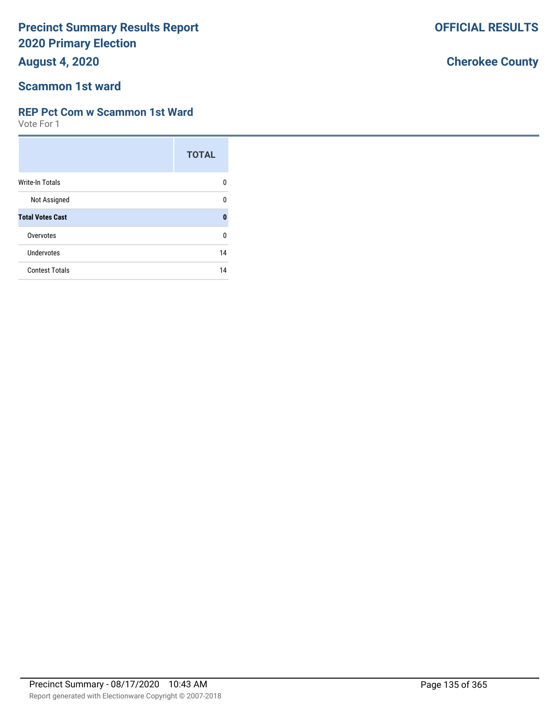**August 4, 2020**

## **Scammon 1st ward**

### **REP Pct Com w Scammon 1st Ward**

Vote For 1

|                         | <b>TOTAL</b> |
|-------------------------|--------------|
| Write-In Totals         | n            |
| Not Assigned            | U            |
| <b>Total Votes Cast</b> | O            |
| Overvotes               | U            |
| Undervotes              | 14           |
| <b>Contest Totals</b>   | 14           |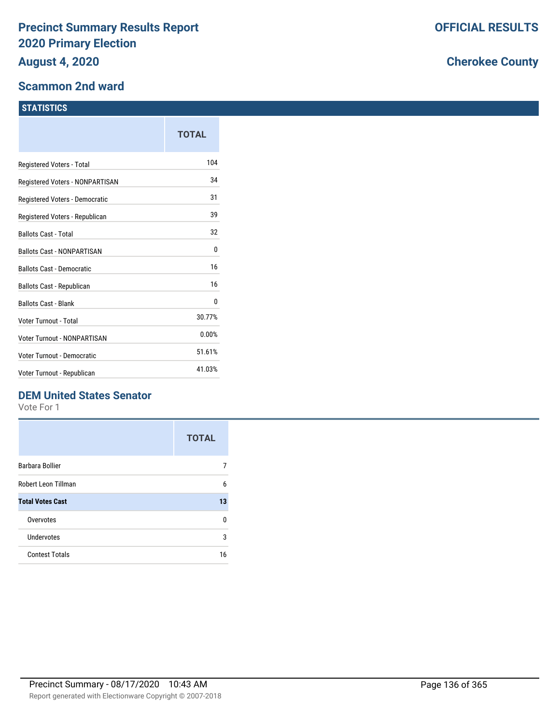#### **Scammon 2nd ward**

#### **STATISTICS**

|                                   | TOTAL  |
|-----------------------------------|--------|
| Registered Voters - Total         | 104    |
| Registered Voters - NONPARTISAN   | 34     |
| Registered Voters - Democratic    | 31     |
| Registered Voters - Republican    | 39     |
| <b>Ballots Cast - Total</b>       | 32     |
| <b>Ballots Cast - NONPARTISAN</b> | 0      |
| <b>Ballots Cast - Democratic</b>  | 16     |
| Ballots Cast - Republican         | 16     |
| <b>Ballots Cast - Blank</b>       | 0      |
| Voter Turnout - Total             | 30.77% |
| Voter Turnout - NONPARTISAN       | 0.00%  |
| Voter Turnout - Democratic        | 51.61% |
| Voter Turnout - Republican        | 41.03% |
|                                   |        |

## **DEM United States Senator**

Vote For 1

|                         | <b>TOTAL</b> |
|-------------------------|--------------|
| Barbara Bollier         |              |
| Robert Leon Tillman     | 6            |
| <b>Total Votes Cast</b> | 13           |
| Overvotes               | n            |
| Undervotes              | 3            |
| <b>Contest Totals</b>   | 16           |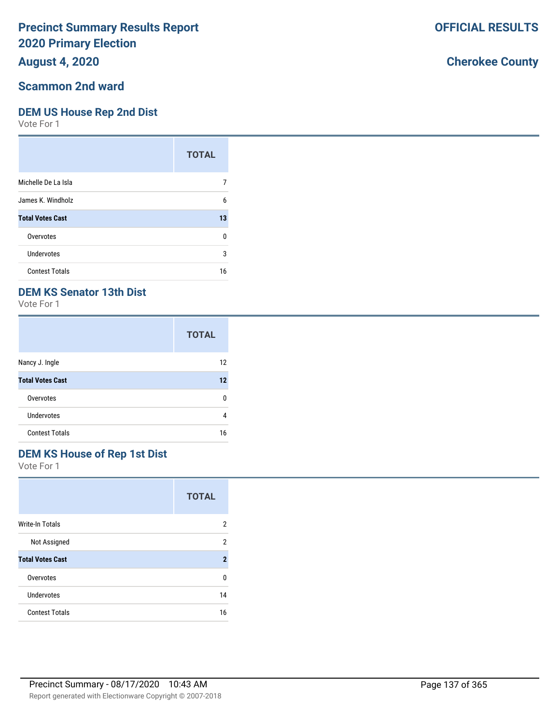## **August 4, 2020**

#### **Scammon 2nd ward**

#### **DEM US House Rep 2nd Dist**

Vote For 1

|                         | <b>TOTAL</b> |
|-------------------------|--------------|
| Michelle De La Isla     |              |
| James K. Windholz       | 6            |
| <b>Total Votes Cast</b> | 13           |
| Overvotes               | 0            |
| Undervotes              | 3            |
| <b>Contest Totals</b>   | 16           |

## **DEM KS Senator 13th Dist**

Vote For 1

|                         | <b>TOTAL</b> |
|-------------------------|--------------|
| Nancy J. Ingle          | 12           |
| <b>Total Votes Cast</b> | 12           |
| Overvotes               | n            |
| <b>Undervotes</b>       | 4            |
| <b>Contest Totals</b>   | 16           |

# **DEM KS House of Rep 1st Dist**

Vote For 1

|                         | <b>TOTAL</b>   |
|-------------------------|----------------|
| <b>Write-In Totals</b>  | 2              |
| Not Assigned            | 2              |
| <b>Total Votes Cast</b> | $\overline{2}$ |
| Overvotes               | U              |
| Undervotes              | 14             |
| <b>Contest Totals</b>   | 16             |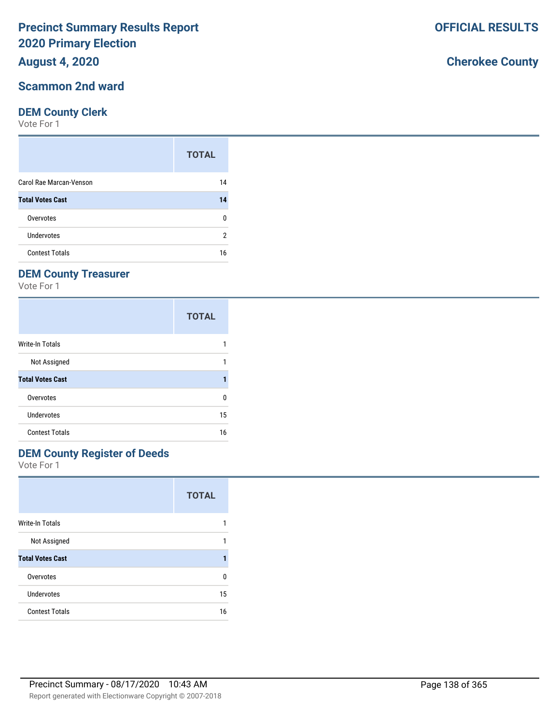### **August 4, 2020**

#### **Scammon 2nd ward**

#### **DEM County Clerk**

Vote For 1

|                         | <b>TOTAL</b> |
|-------------------------|--------------|
| Carol Rae Marcan-Venson | 14           |
| <b>Total Votes Cast</b> | 14           |
| Overvotes               |              |
| Undervotes              | 2            |
| <b>Contest Totals</b>   | 16           |

## **DEM County Treasurer**

Vote For 1

|                         | <b>TOTAL</b> |
|-------------------------|--------------|
| Write-In Totals         |              |
| Not Assigned            |              |
| <b>Total Votes Cast</b> | 1            |
| Overvotes               | 0            |
| Undervotes              | 15           |
| <b>Contest Totals</b>   | 16           |

## **DEM County Register of Deeds**

Vote For 1

|                         | <b>TOTAL</b> |
|-------------------------|--------------|
| <b>Write-In Totals</b>  |              |
| Not Assigned            |              |
| <b>Total Votes Cast</b> |              |
| Overvotes               | n            |
| Undervotes              | 15           |
| <b>Contest Totals</b>   | 16           |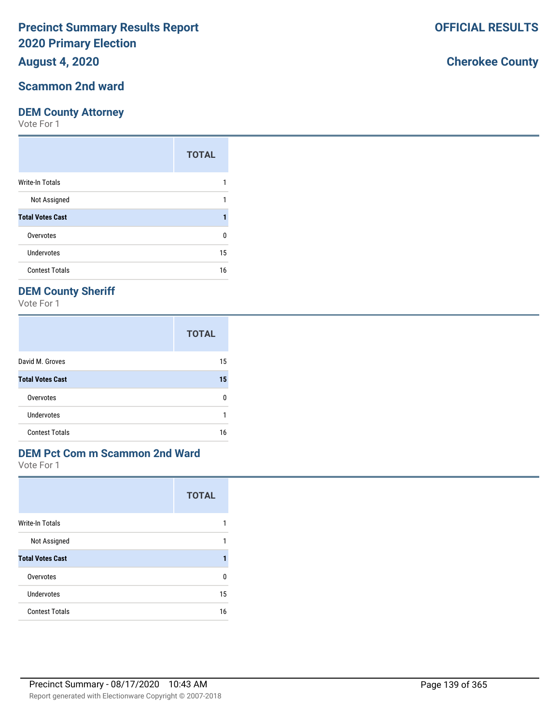## **August 4, 2020**

### **Scammon 2nd ward**

#### **DEM County Attorney**

Vote For 1

|                         | <b>TOTAL</b> |
|-------------------------|--------------|
| Write-In Totals         |              |
| Not Assigned            |              |
| <b>Total Votes Cast</b> |              |
| Overvotes               | 0            |
| Undervotes              | 15           |
| <b>Contest Totals</b>   | 16           |

## **DEM County Sheriff**

Vote For 1

|                         | <b>TOTAL</b> |
|-------------------------|--------------|
| David M. Groves         | 15           |
| <b>Total Votes Cast</b> | 15           |
| Overvotes               | n            |
| <b>Undervotes</b>       |              |
| <b>Contest Totals</b>   | 16           |

## **DEM Pct Com m Scammon 2nd Ward**

Vote For 1

|                         | <b>TOTAL</b> |
|-------------------------|--------------|
| Write-In Totals         |              |
| Not Assigned            | 1            |
| <b>Total Votes Cast</b> |              |
| Overvotes               | ŋ            |
| Undervotes              | 15           |
| <b>Contest Totals</b>   | 16           |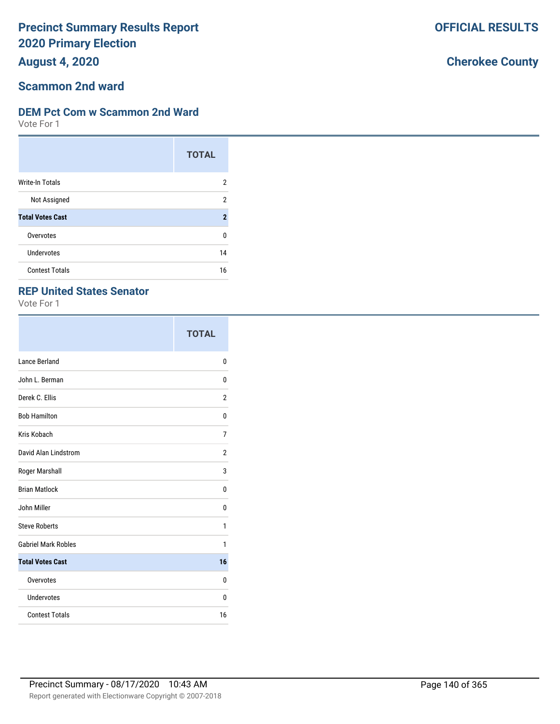**August 4, 2020**

#### **Scammon 2nd ward**

#### **DEM Pct Com w Scammon 2nd Ward**

Vote For 1

|                         | <b>TOTAL</b>   |
|-------------------------|----------------|
| <b>Write-In Totals</b>  | 2              |
| Not Assigned            | 2              |
| <b>Total Votes Cast</b> | $\overline{2}$ |
| Overvotes               | 0              |
| Undervotes              | 14             |
| <b>Contest Totals</b>   | 16             |

#### **REP United States Senator**

Vote For 1

|                            | <b>TOTAL</b> |
|----------------------------|--------------|
| Lance Berland              | 0            |
| John L. Berman             | 0            |
| Derek C. Ellis             | 2            |
| <b>Bob Hamilton</b>        | 0            |
| Kris Kobach                | 7            |
| David Alan Lindstrom       | 2            |
| Roger Marshall             | 3            |
| <b>Brian Matlock</b>       | 0            |
| John Miller                | 0            |
| <b>Steve Roberts</b>       | 1            |
| <b>Gabriel Mark Robles</b> | 1            |
| <b>Total Votes Cast</b>    | 16           |
| Overvotes                  | $\Omega$     |
| Undervotes                 | 0            |
| <b>Contest Totals</b>      | 16           |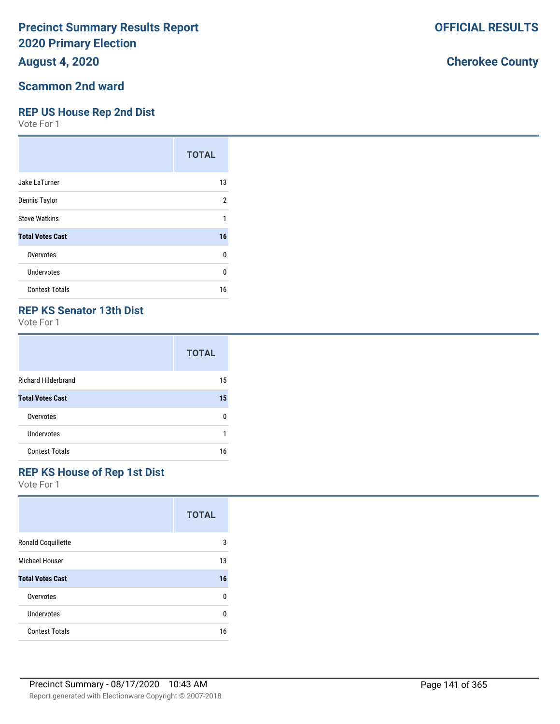## **August 4, 2020**

#### **Scammon 2nd ward**

#### **REP US House Rep 2nd Dist**

Vote For 1

|                         | <b>TOTAL</b> |
|-------------------------|--------------|
| Jake LaTurner           | 13           |
| Dennis Taylor           | 2            |
| <b>Steve Watkins</b>    | 1            |
| <b>Total Votes Cast</b> | 16           |
| Overvotes               | 0            |
| Undervotes              | 0            |
| <b>Contest Totals</b>   | 16           |

### **REP KS Senator 13th Dist**

Vote For 1

|                            | <b>TOTAL</b> |
|----------------------------|--------------|
| <b>Richard Hilderbrand</b> | 15           |
| <b>Total Votes Cast</b>    | 15           |
| Overvotes                  | n            |
| Undervotes                 |              |
| <b>Contest Totals</b>      | 16           |

## **REP KS House of Rep 1st Dist**

Vote For 1

|                         | <b>TOTAL</b> |
|-------------------------|--------------|
| Ronald Coquillette      | 3            |
| Michael Houser          | 13           |
| <b>Total Votes Cast</b> | 16           |
| Overvotes               | 0            |
| Undervotes              | U            |
| <b>Contest Totals</b>   | 16           |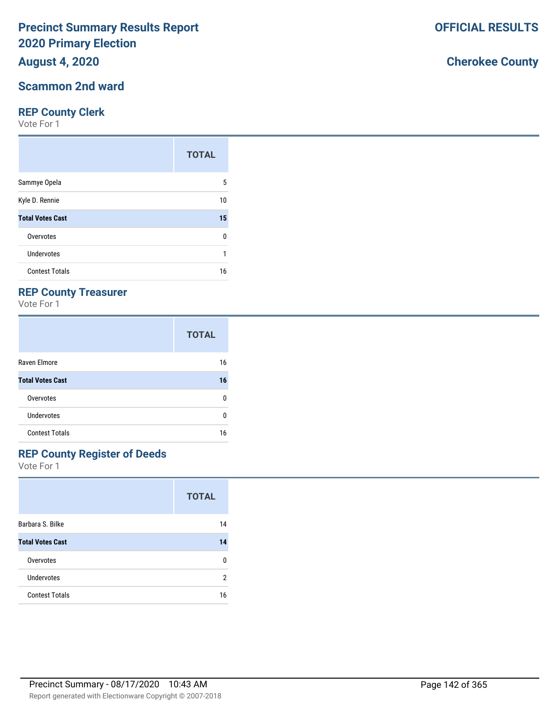## **August 4, 2020**

### **Scammon 2nd ward**

#### **REP County Clerk**

Vote For 1

|                         | <b>TOTAL</b> |
|-------------------------|--------------|
| Sammye Opela            | 5            |
| Kyle D. Rennie          | 10           |
| <b>Total Votes Cast</b> | 15           |
| Overvotes               | 0            |
| Undervotes              |              |
| <b>Contest Totals</b>   | 16           |

## **REP County Treasurer**

Vote For 1

|                         | <b>TOTAL</b> |
|-------------------------|--------------|
| Raven Elmore            | 16           |
| <b>Total Votes Cast</b> | 16           |
| Overvotes               | n            |
| <b>Undervotes</b>       | n            |
| <b>Contest Totals</b>   | 16           |

## **REP County Register of Deeds**

Vote For 1

|                         | <b>TOTAL</b> |
|-------------------------|--------------|
| Barbara S. Bilke        | 14           |
| <b>Total Votes Cast</b> | 14           |
| Overvotes               | U            |
| <b>Undervotes</b>       | 2            |
| <b>Contest Totals</b>   | 16           |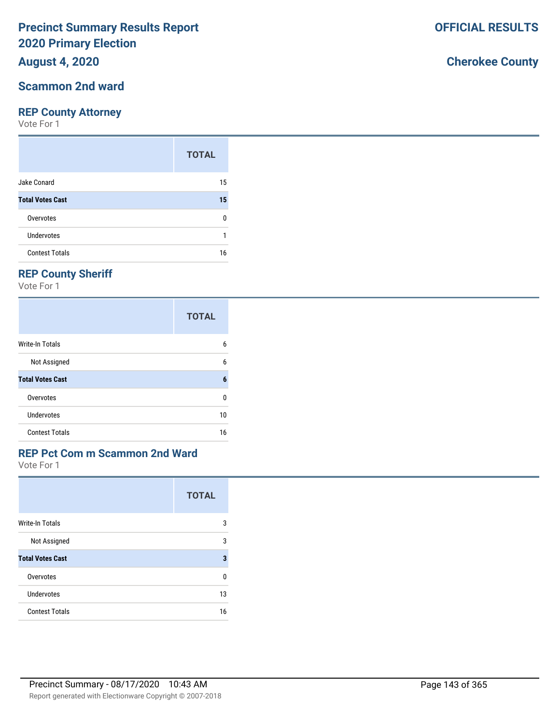## **August 4, 2020**

### **Scammon 2nd ward**

#### **REP County Attorney**

Vote For 1

|                         | <b>TOTAL</b> |
|-------------------------|--------------|
| Jake Conard             | 15           |
| <b>Total Votes Cast</b> | 15           |
| Overvotes               | ŋ            |
| Undervotes              |              |
| <b>Contest Totals</b>   | 16           |

## **REP County Sheriff**

Vote For 1

|                         | <b>TOTAL</b> |
|-------------------------|--------------|
| Write-In Totals         | 6            |
| Not Assigned            | 6            |
| <b>Total Votes Cast</b> | 6            |
| Overvotes               | 0            |
| Undervotes              | 10           |
| <b>Contest Totals</b>   | 16           |

## **REP Pct Com m Scammon 2nd Ward**

Vote For 1

|                         | <b>TOTAL</b> |
|-------------------------|--------------|
| <b>Write-In Totals</b>  | 3            |
| Not Assigned            | 3            |
| <b>Total Votes Cast</b> | 3            |
| Overvotes               | U            |
| Undervotes              | 13           |
| <b>Contest Totals</b>   | 16           |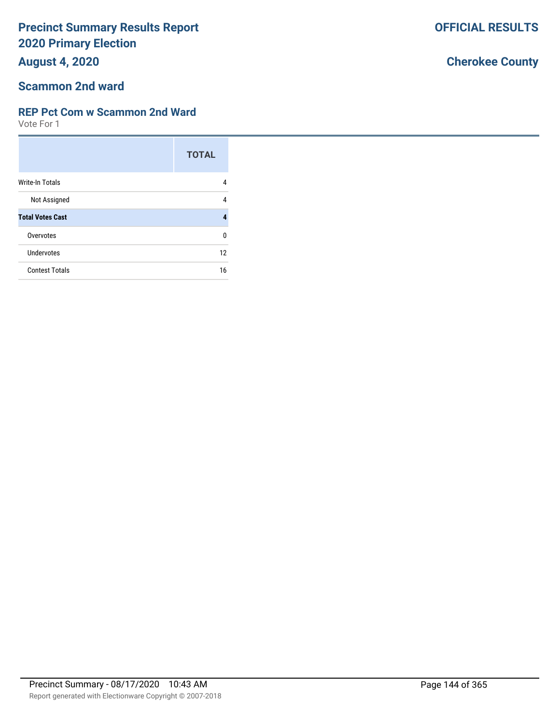**August 4, 2020**

#### **Scammon 2nd ward**

#### **REP Pct Com w Scammon 2nd Ward**

Vote For 1

|                         | <b>TOTAL</b> |
|-------------------------|--------------|
| Write-In Totals         | 4            |
| Not Assigned            | 4            |
| <b>Total Votes Cast</b> | 4            |
| Overvotes               | 0            |
| Undervotes              | 12           |
| <b>Contest Totals</b>   | 16           |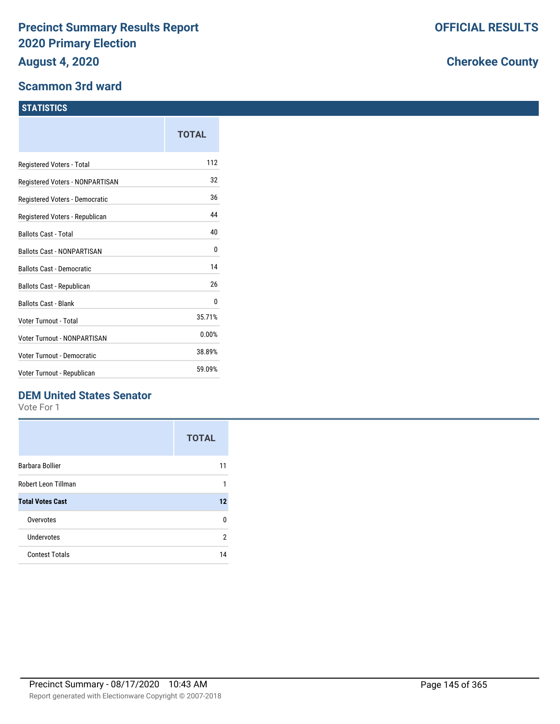#### **Scammon 3rd ward**

|                                   | TOTAL  |
|-----------------------------------|--------|
| Registered Voters - Total         | 112    |
| Registered Voters - NONPARTISAN   | 32     |
| Registered Voters - Democratic    | 36     |
| Registered Voters - Republican    | 44     |
| <b>Ballots Cast - Total</b>       | 40     |
| <b>Ballots Cast - NONPARTISAN</b> | 0      |
| <b>Ballots Cast - Democratic</b>  | 14     |
| Ballots Cast - Republican         | 26     |
| <b>Ballots Cast - Blank</b>       | 0      |
| Voter Turnout - Total             | 35.71% |
| Voter Turnout - NONPARTISAN       | 0.00%  |
| Voter Turnout - Democratic        | 38.89% |
| Voter Turnout - Republican        | 59.09% |
|                                   |        |

## **DEM United States Senator**

Vote For 1

|                         | <b>TOTAL</b> |
|-------------------------|--------------|
| Barbara Bollier         | 11           |
| Robert Leon Tillman     | 1            |
| <b>Total Votes Cast</b> | 12           |
| Overvotes               | n            |
| Undervotes              | 2            |
| <b>Contest Totals</b>   | 14           |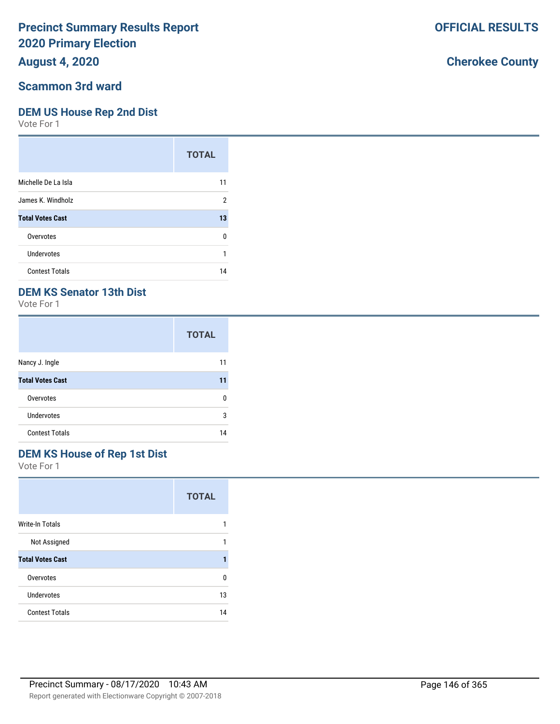### **August 4, 2020**

#### **Scammon 3rd ward**

#### **DEM US House Rep 2nd Dist**

Vote For 1

|                         | <b>TOTAL</b> |
|-------------------------|--------------|
| Michelle De La Isla     | 11           |
| James K. Windholz       | 2            |
| <b>Total Votes Cast</b> | 13           |
| Overvotes               | U            |
| Undervotes              |              |
| <b>Contest Totals</b>   | 14           |

### **DEM KS Senator 13th Dist**

Vote For 1

|                         | <b>TOTAL</b> |
|-------------------------|--------------|
| Nancy J. Ingle          | 11           |
| <b>Total Votes Cast</b> | 11           |
| Overvotes               | n            |
| <b>Undervotes</b>       | 3            |
| <b>Contest Totals</b>   | 14           |

## **DEM KS House of Rep 1st Dist**

Vote For 1

|                         | <b>TOTAL</b> |
|-------------------------|--------------|
| Write-In Totals         |              |
| Not Assigned            | 1            |
| <b>Total Votes Cast</b> |              |
| Overvotes               | n            |
| Undervotes              | 13           |
| <b>Contest Totals</b>   | 14           |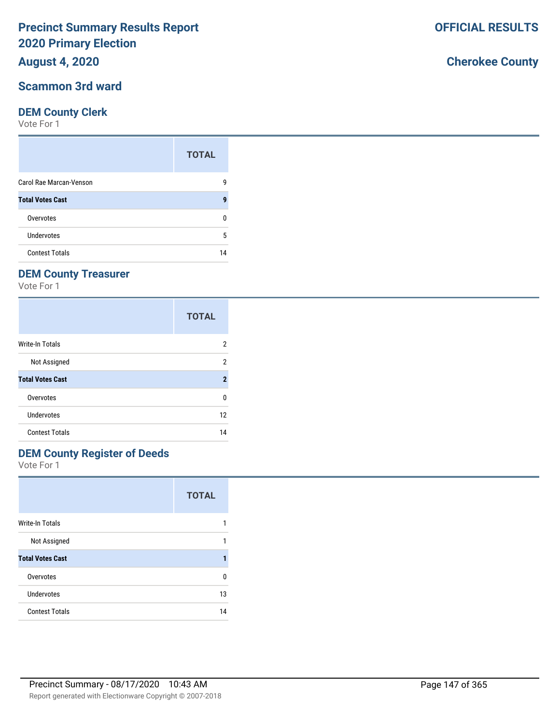#### **August 4, 2020**

#### **Scammon 3rd ward**

#### **DEM County Clerk**

Vote For 1

|                         | <b>TOTAL</b> |
|-------------------------|--------------|
| Carol Rae Marcan-Venson | g            |
| <b>Total Votes Cast</b> | g            |
| Overvotes               |              |
| Undervotes              | 5            |
| <b>Contest Totals</b>   | 14           |

## **DEM County Treasurer**

Vote For 1

|                         | <b>TOTAL</b>   |
|-------------------------|----------------|
| Write-In Totals         | 2              |
| Not Assigned            | 2              |
| <b>Total Votes Cast</b> | $\overline{2}$ |
| Overvotes               | 0              |
| Undervotes              | 12             |
| <b>Contest Totals</b>   | 14             |

## **DEM County Register of Deeds**

Vote For 1

|                         | <b>TOTAL</b> |
|-------------------------|--------------|
| <b>Write-In Totals</b>  |              |
| Not Assigned            |              |
| <b>Total Votes Cast</b> |              |
| Overvotes               | n            |
| Undervotes              | 13           |
| <b>Contest Totals</b>   | 14           |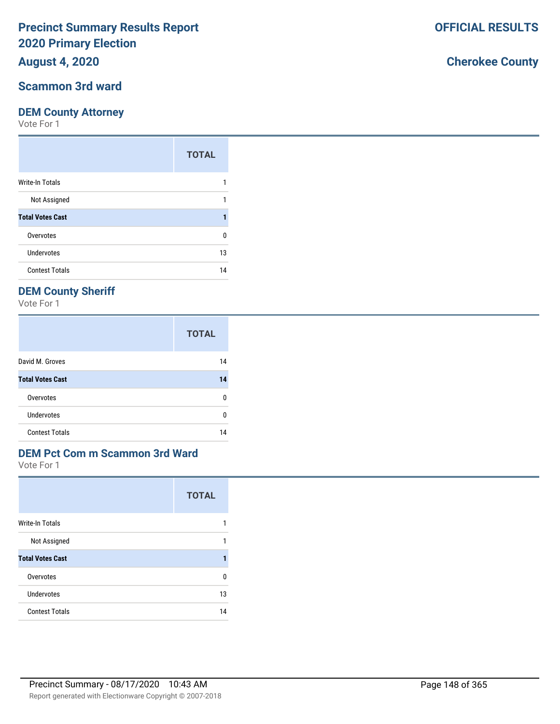## **August 4, 2020**

#### **Scammon 3rd ward**

#### **DEM County Attorney**

Vote For 1

|                         | <b>TOTAL</b> |
|-------------------------|--------------|
| Write-In Totals         |              |
| Not Assigned            |              |
| <b>Total Votes Cast</b> |              |
| Overvotes               | 0            |
| <b>Undervotes</b>       | 13           |
| <b>Contest Totals</b>   | 14           |

### **DEM County Sheriff**

Vote For 1

|                         | <b>TOTAL</b> |
|-------------------------|--------------|
| David M. Groves         | 14           |
| <b>Total Votes Cast</b> | 14           |
| Overvotes               | n            |
| Undervotes              | n            |
| <b>Contest Totals</b>   |              |

#### **DEM Pct Com m Scammon 3rd Ward**

Vote For 1

|                         | <b>TOTAL</b> |
|-------------------------|--------------|
| <b>Write-In Totals</b>  | 1            |
| Not Assigned            | 1            |
| <b>Total Votes Cast</b> |              |
| Overvotes               | n            |
| Undervotes              | 13           |
| <b>Contest Totals</b>   | 14           |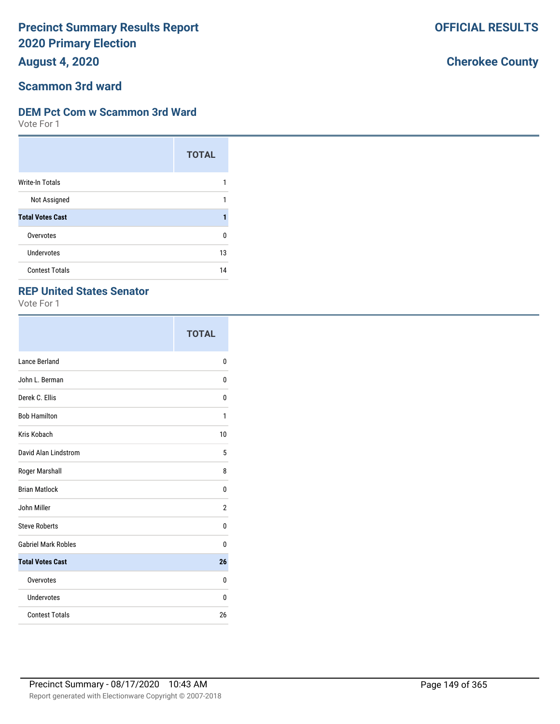**August 4, 2020**

#### **Scammon 3rd ward**

#### **DEM Pct Com w Scammon 3rd Ward**

Vote For 1

|                         | <b>TOTAL</b> |
|-------------------------|--------------|
| <b>Write-In Totals</b>  |              |
| Not Assigned            |              |
| <b>Total Votes Cast</b> |              |
| Overvotes               | 0            |
| Undervotes              | 13           |
| <b>Contest Totals</b>   | 14           |

#### **REP United States Senator**

Vote For 1

|                            | <b>TOTAL</b> |
|----------------------------|--------------|
| Lance Berland              | 0            |
| John L. Berman             | 0            |
| Derek C. Ellis             | 0            |
| <b>Bob Hamilton</b>        | 1            |
| Kris Kobach                | 10           |
| David Alan Lindstrom       | 5            |
| Roger Marshall             | 8            |
| <b>Brian Matlock</b>       | 0            |
| John Miller                | 2            |
| <b>Steve Roberts</b>       | 0            |
| <b>Gabriel Mark Robles</b> | 0            |
| <b>Total Votes Cast</b>    | 26           |
| Overvotes                  | 0            |
| Undervotes                 | 0            |
| <b>Contest Totals</b>      | 26           |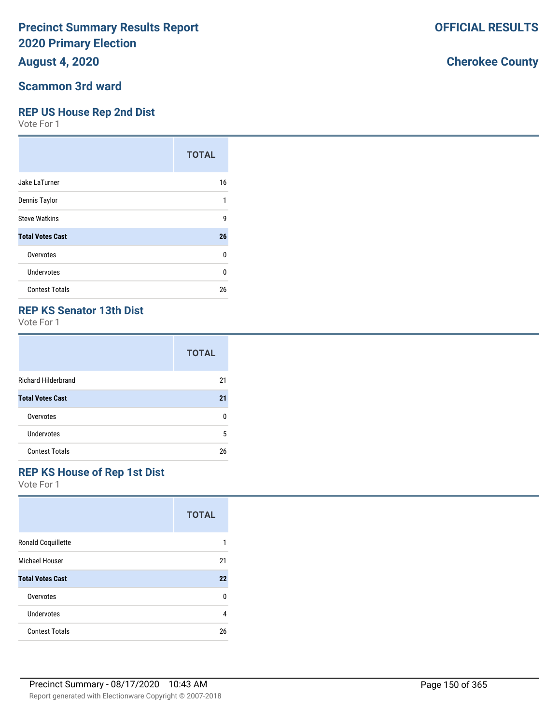## **August 4, 2020**

#### **Scammon 3rd ward**

#### **REP US House Rep 2nd Dist**

Vote For 1

|                         | <b>TOTAL</b> |
|-------------------------|--------------|
| Jake LaTurner           | 16           |
| Dennis Taylor           | 1            |
| <b>Steve Watkins</b>    | 9            |
| <b>Total Votes Cast</b> | 26           |
| Overvotes               | 0            |
| Undervotes              | 0            |
| <b>Contest Totals</b>   | 26           |

#### **REP KS Senator 13th Dist**

Vote For 1

|                            | <b>TOTAL</b> |
|----------------------------|--------------|
| <b>Richard Hilderbrand</b> | 21           |
| <b>Total Votes Cast</b>    | 21           |
| Overvotes                  | ŋ            |
| Undervotes                 | 5            |
| <b>Contest Totals</b>      | 26           |

#### **REP KS House of Rep 1st Dist**

Vote For 1

|                           | <b>TOTAL</b> |
|---------------------------|--------------|
| <b>Ronald Coquillette</b> |              |
| <b>Michael Houser</b>     | 21           |
| <b>Total Votes Cast</b>   | 22           |
| Overvotes                 | 0            |
| Undervotes                | 4            |
| <b>Contest Totals</b>     | 26           |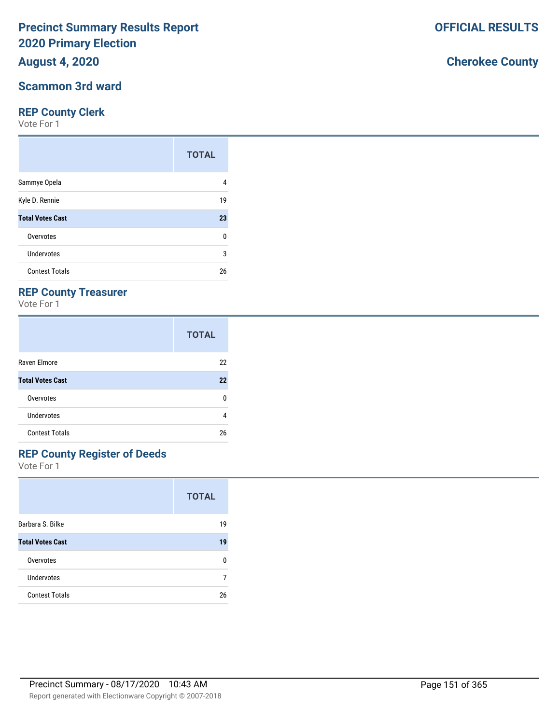**August 4, 2020**

#### **Scammon 3rd ward**

#### **REP County Clerk**

Vote For 1

|                         | <b>TOTAL</b> |
|-------------------------|--------------|
| Sammye Opela            | 4            |
| Kyle D. Rennie          | 19           |
| <b>Total Votes Cast</b> | 23           |
| Overvotes               | 0            |
| Undervotes              | 3            |
| <b>Contest Totals</b>   | 26           |

### **REP County Treasurer**

Vote For 1

|                         | <b>TOTAL</b> |
|-------------------------|--------------|
| Raven Elmore            | 22           |
| <b>Total Votes Cast</b> | 22           |
| Overvotes               | n            |
| <b>Undervotes</b>       | 4            |
| <b>Contest Totals</b>   | 26           |

## **REP County Register of Deeds**

Vote For 1

|                         | <b>TOTAL</b> |
|-------------------------|--------------|
| Barbara S. Bilke        | 19           |
| <b>Total Votes Cast</b> | 19           |
| Overvotes               | n            |
| Undervotes              |              |
| <b>Contest Totals</b>   | 26           |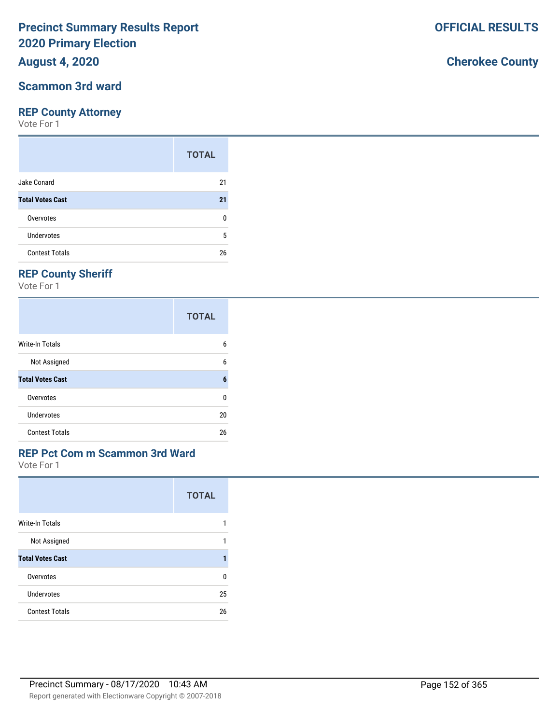## **August 4, 2020**

#### **Scammon 3rd ward**

#### **REP County Attorney**

Vote For 1

|                         | <b>TOTAL</b> |
|-------------------------|--------------|
| Jake Conard             | 21           |
| <b>Total Votes Cast</b> | 21           |
| Overvotes               | n            |
| Undervotes              | 5            |
| <b>Contest Totals</b>   | 26           |

## **REP County Sheriff**

Vote For 1

|                         | <b>TOTAL</b> |
|-------------------------|--------------|
| Write-In Totals         | 6            |
| Not Assigned            | 6            |
| <b>Total Votes Cast</b> | 6            |
| Overvotes               | 0            |
| Undervotes              | 20           |
| <b>Contest Totals</b>   | 26           |

#### **REP Pct Com m Scammon 3rd Ward**

Vote For 1

|                         | <b>TOTAL</b> |
|-------------------------|--------------|
| <b>Write-In Totals</b>  | 1            |
| Not Assigned            | 1            |
| <b>Total Votes Cast</b> |              |
| Overvotes               | n            |
| Undervotes              | 25           |
| <b>Contest Totals</b>   | 26           |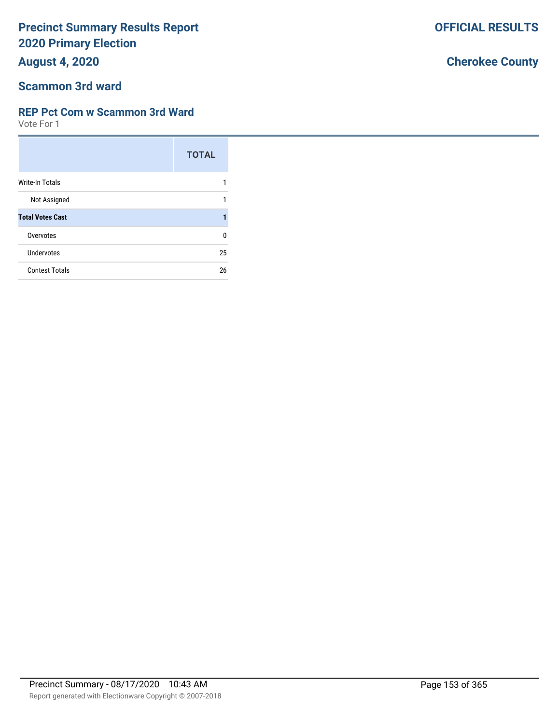**August 4, 2020**

## **Scammon 3rd ward**

#### **REP Pct Com w Scammon 3rd Ward**

Vote For 1

|                         | <b>TOTAL</b> |
|-------------------------|--------------|
| Write-In Totals         |              |
| Not Assigned            | 1            |
| <b>Total Votes Cast</b> |              |
| Overvotes               | U            |
| Undervotes              | 25           |
| <b>Contest Totals</b>   | 26           |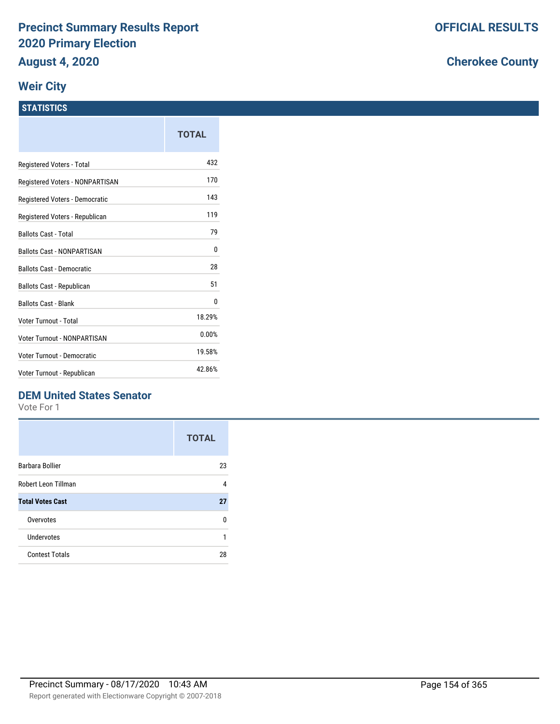#### **Weir City**

#### **STATISTICS**

|                                   | TOTAL  |
|-----------------------------------|--------|
| Registered Voters - Total         | 432    |
| Registered Voters - NONPARTISAN   | 170    |
| Registered Voters - Democratic    | 143    |
| Registered Voters - Republican    | 119    |
| <b>Ballots Cast - Total</b>       | 79     |
| <b>Ballots Cast - NONPARTISAN</b> | 0      |
| <b>Ballots Cast - Democratic</b>  | 28     |
| Ballots Cast - Republican         | 51     |
| <b>Ballots Cast - Blank</b>       | 0      |
| Voter Turnout - Total             | 18.29% |
| Voter Turnout - NONPARTISAN       | 0.00%  |
| Voter Turnout - Democratic        | 19.58% |
| Voter Turnout - Republican        | 42.86% |

### **DEM United States Senator**

Vote For 1

|                         | <b>TOTAL</b> |
|-------------------------|--------------|
| Barbara Bollier         | 23           |
| Robert Leon Tillman     | 4            |
| <b>Total Votes Cast</b> | 27           |
| Overvotes               | n            |
| Undervotes              | 1            |
| <b>Contest Totals</b>   | 28           |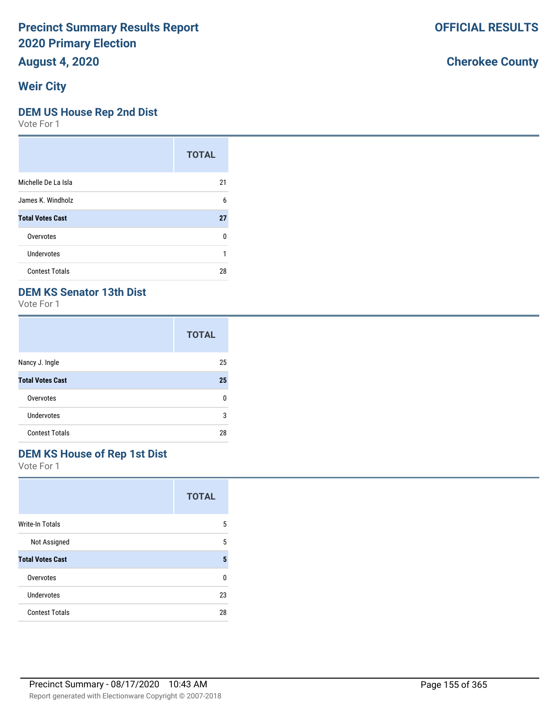**August 4, 2020**

## **Weir City**

#### **DEM US House Rep 2nd Dist**

Vote For 1

|                         | <b>TOTAL</b> |
|-------------------------|--------------|
| Michelle De La Isla     | 21           |
| James K. Windholz       | 6            |
| <b>Total Votes Cast</b> | 27           |
| Overvotes               | 0            |
| Undervotes              |              |
| <b>Contest Totals</b>   | 28           |

### **DEM KS Senator 13th Dist**

Vote For 1

|                         | <b>TOTAL</b> |
|-------------------------|--------------|
| Nancy J. Ingle          | 25           |
| <b>Total Votes Cast</b> | 25           |
| Overvotes               | n            |
| <b>Undervotes</b>       | 3            |
| <b>Contest Totals</b>   | 28           |

## **DEM KS House of Rep 1st Dist**

Vote For 1

|                         | <b>TOTAL</b> |
|-------------------------|--------------|
| <b>Write-In Totals</b>  | 5            |
| Not Assigned            | 5            |
| <b>Total Votes Cast</b> | 5            |
| Overvotes               | U            |
| Undervotes              | 23           |
| <b>Contest Totals</b>   | 28           |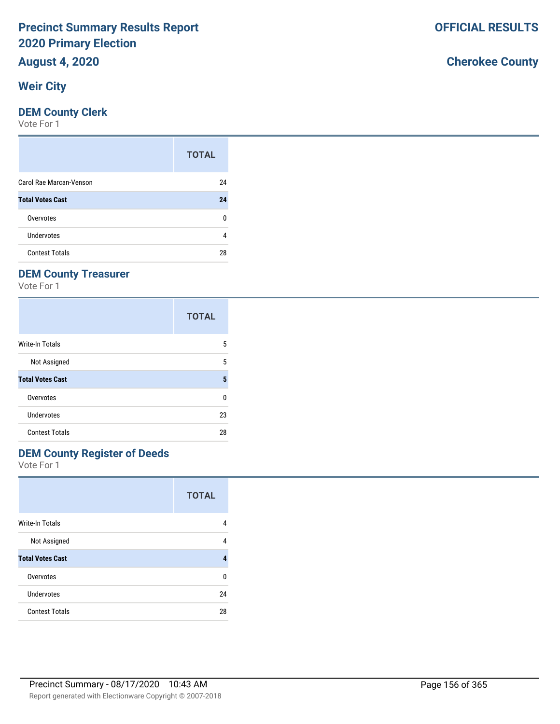# **August 4, 2020**

## **Weir City**

#### **DEM County Clerk**

Vote For 1

|                         | <b>TOTAL</b> |
|-------------------------|--------------|
| Carol Rae Marcan-Venson | 24           |
| <b>Total Votes Cast</b> | 24           |
| Overvotes               | O            |
| Undervotes              | 4            |
| <b>Contest Totals</b>   | 28           |

## **DEM County Treasurer**

Vote For 1

|                         | <b>TOTAL</b> |
|-------------------------|--------------|
| Write-In Totals         | 5            |
| Not Assigned            | 5            |
| <b>Total Votes Cast</b> | 5            |
| Overvotes               | 0            |
| Undervotes              | 23           |
| <b>Contest Totals</b>   | 28           |

## **DEM County Register of Deeds**

Vote For 1

|                         | <b>TOTAL</b> |
|-------------------------|--------------|
| <b>Write-In Totals</b>  | 4            |
| Not Assigned            | 4            |
| <b>Total Votes Cast</b> | 4            |
| Overvotes               | U            |
| Undervotes              | 24           |
| <b>Contest Totals</b>   | 28           |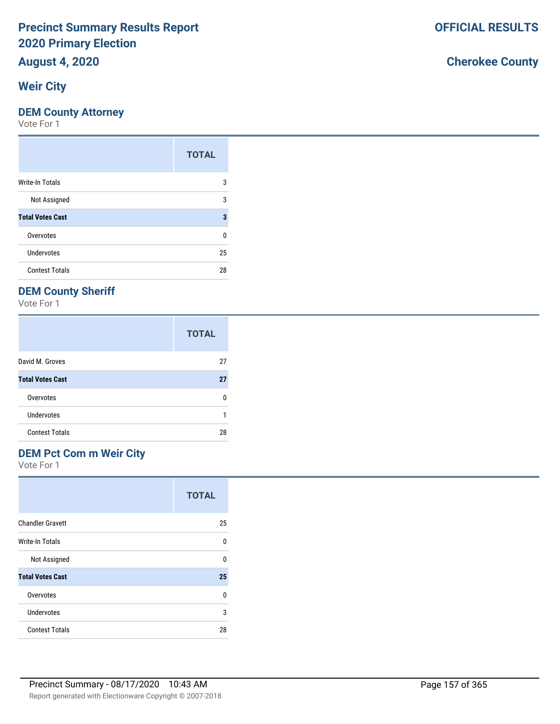## **August 4, 2020**

## **Weir City**

#### **DEM County Attorney**

Vote For 1

|                         | <b>TOTAL</b> |
|-------------------------|--------------|
| Write-In Totals         | 3            |
| Not Assigned            | 3            |
| <b>Total Votes Cast</b> | 3            |
| Overvotes               | 0            |
| Undervotes              | 25           |
| <b>Contest Totals</b>   | 28           |

## **DEM County Sheriff**

Vote For 1

|                         | <b>TOTAL</b> |
|-------------------------|--------------|
| David M. Groves         | 27           |
| <b>Total Votes Cast</b> | 27           |
| Overvotes               | n            |
| Undervotes              |              |
| <b>Contest Totals</b>   | 28           |

## **DEM Pct Com m Weir City**

Vote For 1

|                         | <b>TOTAL</b> |
|-------------------------|--------------|
| <b>Chandler Gravett</b> | 25           |
| Write-In Totals         | U            |
| Not Assigned            | U            |
| <b>Total Votes Cast</b> | 25           |
| Overvotes               | 0            |
| Undervotes              | 3            |
| <b>Contest Totals</b>   | 28           |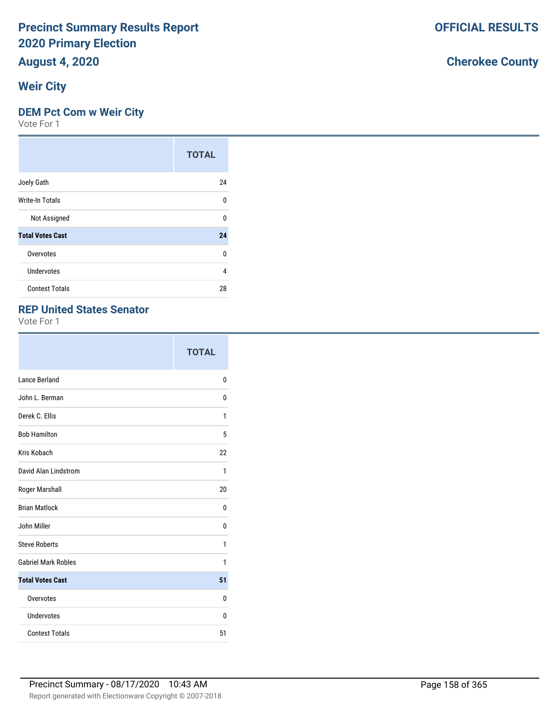# **August 4, 2020**

## **Weir City**

#### **DEM Pct Com w Weir City**

Vote For 1

|                         | <b>TOTAL</b> |
|-------------------------|--------------|
| Joely Gath              | 24           |
| Write-In Totals         | U            |
| Not Assigned            | U            |
| <b>Total Votes Cast</b> | 24           |
| Overvotes               | 0            |
| Undervotes              | 4            |
| <b>Contest Totals</b>   | 28           |

#### **REP United States Senator**

Vote For 1

|                            | <b>TOTAL</b> |
|----------------------------|--------------|
| Lance Berland              | 0            |
| John L. Berman             | 0            |
| Derek C. Ellis             | 1            |
| <b>Bob Hamilton</b>        | 5            |
| Kris Kobach                | 22           |
| David Alan Lindstrom       | 1            |
| Roger Marshall             | 20           |
| <b>Brian Matlock</b>       | 0            |
| John Miller                | 0            |
| <b>Steve Roberts</b>       | 1            |
| <b>Gabriel Mark Robles</b> | 1            |
| <b>Total Votes Cast</b>    | 51           |
| Overvotes                  | 0            |
| Undervotes                 | 0            |
| <b>Contest Totals</b>      | 51           |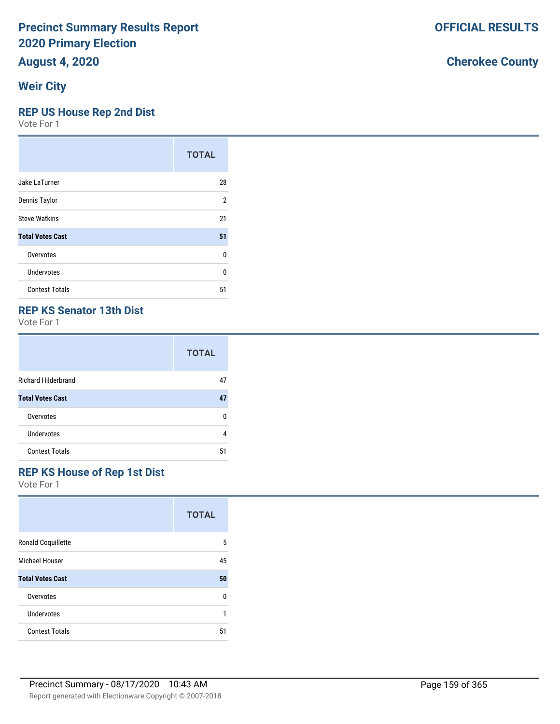# **August 4, 2020**

## **Weir City**

#### **REP US House Rep 2nd Dist**

Vote For 1

|                         | <b>TOTAL</b> |
|-------------------------|--------------|
| Jake LaTurner           | 28           |
| Dennis Taylor           | 2            |
| <b>Steve Watkins</b>    | 21           |
| <b>Total Votes Cast</b> | 51           |
| Overvotes               | 0            |
| Undervotes              | U            |
| <b>Contest Totals</b>   | 51           |

#### **REP KS Senator 13th Dist**

Vote For 1

|                            | <b>TOTAL</b> |
|----------------------------|--------------|
| <b>Richard Hilderbrand</b> | 47           |
| <b>Total Votes Cast</b>    | 47           |
| Overvotes                  | n            |
| Undervotes                 | 4            |
| <b>Contest Totals</b>      | 51           |

#### **REP KS House of Rep 1st Dist**

|                           | <b>TOTAL</b> |
|---------------------------|--------------|
| <b>Ronald Coquillette</b> | 5            |
| <b>Michael Houser</b>     | 45           |
| <b>Total Votes Cast</b>   | 50           |
| Overvotes                 | 0            |
| Undervotes                |              |
| <b>Contest Totals</b>     | 51           |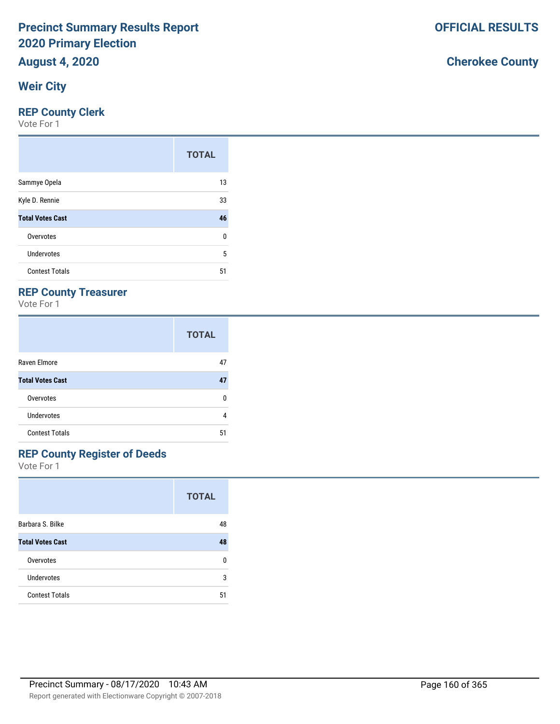# **August 4, 2020**

## **Weir City**

#### **REP County Clerk**

Vote For 1

|                         | <b>TOTAL</b> |
|-------------------------|--------------|
| Sammye Opela            | 13           |
| Kyle D. Rennie          | 33           |
| <b>Total Votes Cast</b> | 46           |
| Overvotes               | 0            |
| Undervotes              | 5            |
| <b>Contest Totals</b>   | 51           |

### **REP County Treasurer**

Vote For 1

|                         | <b>TOTAL</b> |
|-------------------------|--------------|
| Raven Elmore            | 47           |
| <b>Total Votes Cast</b> | 47           |
| Overvotes               | n            |
| <b>Undervotes</b>       | 4            |
| <b>Contest Totals</b>   | 51           |

## **REP County Register of Deeds**

Vote For 1

|                         | <b>TOTAL</b> |
|-------------------------|--------------|
| Barbara S. Bilke        | 48           |
| <b>Total Votes Cast</b> | 48           |
| Overvotes               | n            |
| Undervotes              | 3            |
| <b>Contest Totals</b>   | 51           |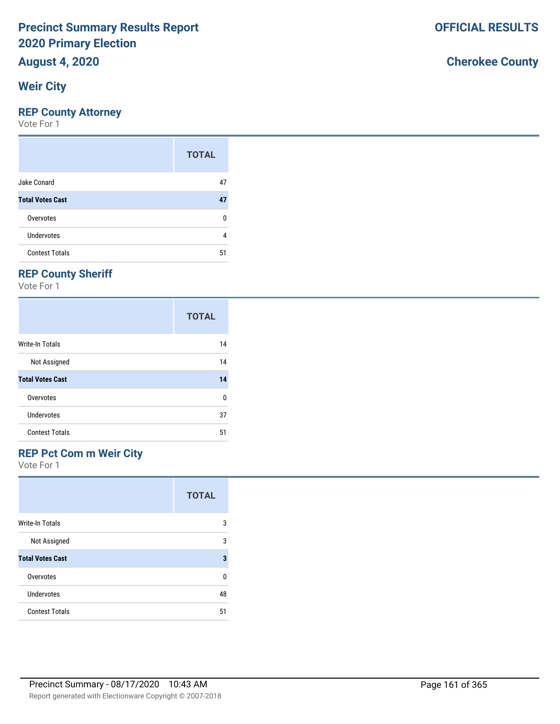# **August 4, 2020**

## **Weir City**

### **REP County Attorney**

Vote For 1

|                         | <b>TOTAL</b> |
|-------------------------|--------------|
| Jake Conard             | 47           |
| <b>Total Votes Cast</b> | 47           |
| Overvotes               | n            |
| <b>Undervotes</b>       | 4            |
| <b>Contest Totals</b>   | 51           |

## **REP County Sheriff**

Vote For 1

|                         | <b>TOTAL</b> |
|-------------------------|--------------|
| <b>Write-In Totals</b>  | 14           |
| Not Assigned            | 14           |
| <b>Total Votes Cast</b> | 14           |
| Overvotes               | 0            |
| Undervotes              | 37           |
| <b>Contest Totals</b>   | 51           |

## **REP Pct Com m Weir City**

Vote For 1

|                         | <b>TOTAL</b> |
|-------------------------|--------------|
| Write-In Totals         | 3            |
| Not Assigned            | 3            |
| <b>Total Votes Cast</b> | 3            |
| Overvotes               | U            |
| Undervotes              | 48           |
| <b>Contest Totals</b>   | 51           |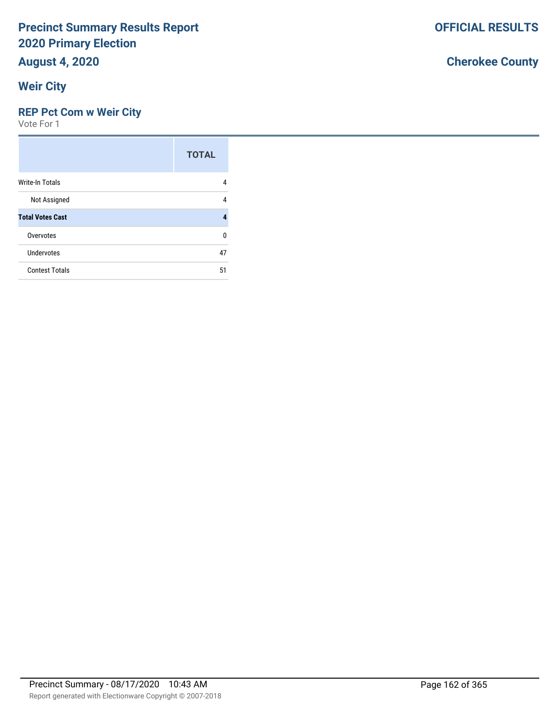# **August 4, 2020**

## **Weir City**

#### **REP Pct Com w Weir City**

Vote For 1

|                         | <b>TOTAL</b> |
|-------------------------|--------------|
| <b>Write-In Totals</b>  | 4            |
| Not Assigned            | 4            |
| <b>Total Votes Cast</b> |              |
| Overvotes               | n            |
| <b>Undervotes</b>       | 47           |
| <b>Contest Totals</b>   | 51           |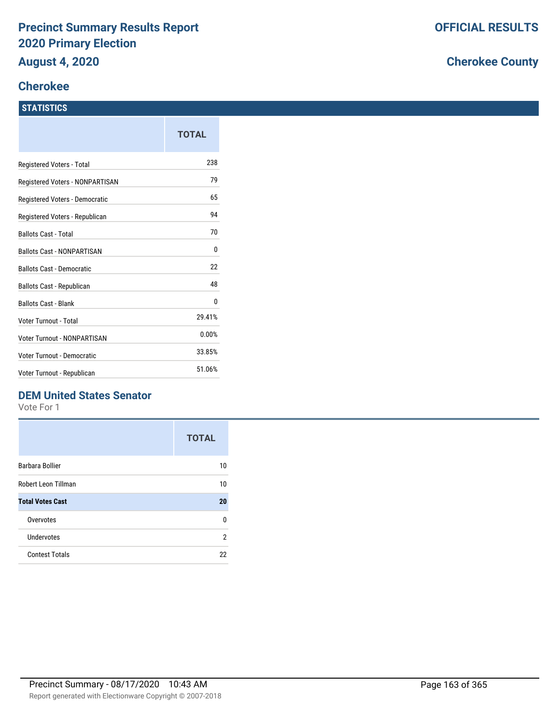## **Cherokee**

#### **STATISTICS**

| TOTAL  |
|--------|
| 238    |
| 79     |
| 65     |
| 94     |
| 70     |
| 0      |
| 22     |
| 48     |
| 0      |
| 29.41% |
| 0.00%  |
| 33.85% |
| 51.06% |
|        |

### **DEM United States Senator**

Vote For 1

|                         | <b>TOTAL</b> |
|-------------------------|--------------|
| Barbara Bollier         | 10           |
| Robert Leon Tillman     | 10           |
| <b>Total Votes Cast</b> | 20           |
| Overvotes               | n            |
| Undervotes              | 2            |
| <b>Contest Totals</b>   | 22           |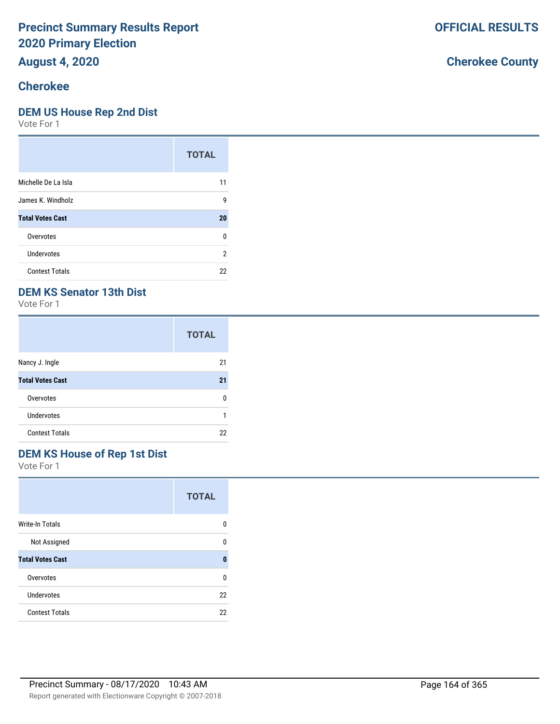# **August 4, 2020**

# **Cherokee**

#### **DEM US House Rep 2nd Dist**

Vote For 1

|                         | <b>TOTAL</b> |
|-------------------------|--------------|
| Michelle De La Isla     | 11           |
| James K. Windholz       | 9            |
| <b>Total Votes Cast</b> | 20           |
| Overvotes               | 0            |
| Undervotes              | 2            |
| <b>Contest Totals</b>   | 22           |

### **DEM KS Senator 13th Dist**

Vote For 1

|                         | <b>TOTAL</b> |
|-------------------------|--------------|
| Nancy J. Ingle          | 21           |
| <b>Total Votes Cast</b> | 21           |
| Overvotes               | n            |
| <b>Undervotes</b>       | 1            |
| <b>Contest Totals</b>   | 22           |

## **DEM KS House of Rep 1st Dist**

Vote For 1

|                         | <b>TOTAL</b> |
|-------------------------|--------------|
| <b>Write-In Totals</b>  | n            |
| Not Assigned            | n            |
| <b>Total Votes Cast</b> | 0            |
| Overvotes               | U            |
| Undervotes              | 22           |
| <b>Contest Totals</b>   | 22           |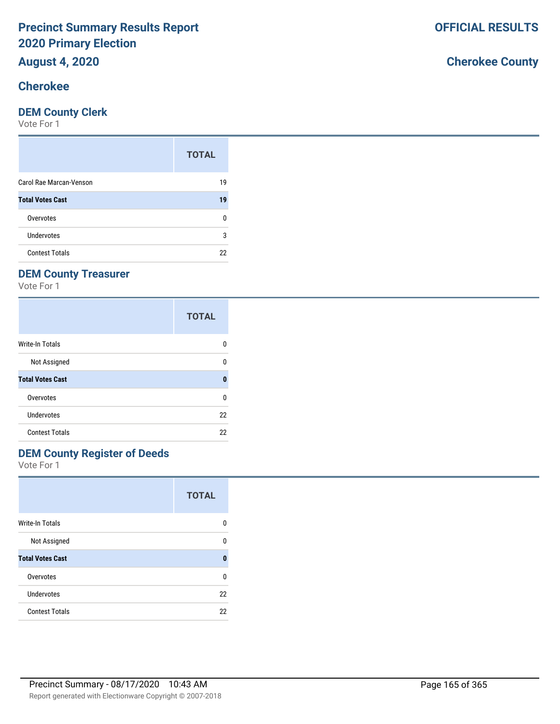# **August 4, 2020**

## **Cherokee**

#### **DEM County Clerk**

Vote For 1

|                         | <b>TOTAL</b> |
|-------------------------|--------------|
| Carol Rae Marcan-Venson | 19           |
| <b>Total Votes Cast</b> | 19           |
| Overvotes               | n            |
| Undervotes              | 3            |
| <b>Contest Totals</b>   | 22           |

## **DEM County Treasurer**

Vote For 1

|                         | <b>TOTAL</b> |
|-------------------------|--------------|
| Write-In Totals         | n            |
| Not Assigned            | n            |
| <b>Total Votes Cast</b> | Ω            |
| Overvotes               | ŋ            |
| Undervotes              | 22           |
| <b>Contest Totals</b>   | 22           |

## **DEM County Register of Deeds**

Vote For 1

|                         | <b>TOTAL</b> |
|-------------------------|--------------|
| <b>Write-In Totals</b>  | n            |
| Not Assigned            | n            |
| <b>Total Votes Cast</b> | ŋ            |
| Overvotes               | n            |
| Undervotes              | 22           |
| <b>Contest Totals</b>   | 22           |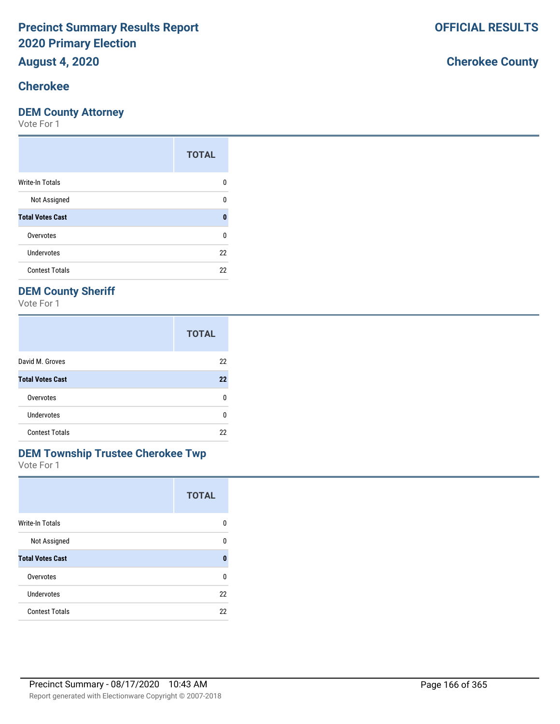# **August 4, 2020**

# **Cherokee**

#### **DEM County Attorney**

Vote For 1

|                         | <b>TOTAL</b> |
|-------------------------|--------------|
| Write-In Totals         | O            |
| Not Assigned            | n            |
| <b>Total Votes Cast</b> | 0            |
| Overvotes               | 0            |
| <b>Undervotes</b>       | 22           |
| <b>Contest Totals</b>   | 22           |

## **DEM County Sheriff**

Vote For 1

|                         | <b>TOTAL</b> |
|-------------------------|--------------|
| David M. Groves         | 22           |
| <b>Total Votes Cast</b> | 22           |
| Overvotes               | n            |
| Undervotes              | n            |
| <b>Contest Totals</b>   | 22           |

# **DEM Township Trustee Cherokee Twp**

Vote For 1

|                         | <b>TOTAL</b> |
|-------------------------|--------------|
| <b>Write-In Totals</b>  | 0            |
| Not Assigned            | n            |
| <b>Total Votes Cast</b> | O            |
| Overvotes               | U            |
| Undervotes              | 22           |
| <b>Contest Totals</b>   | 22           |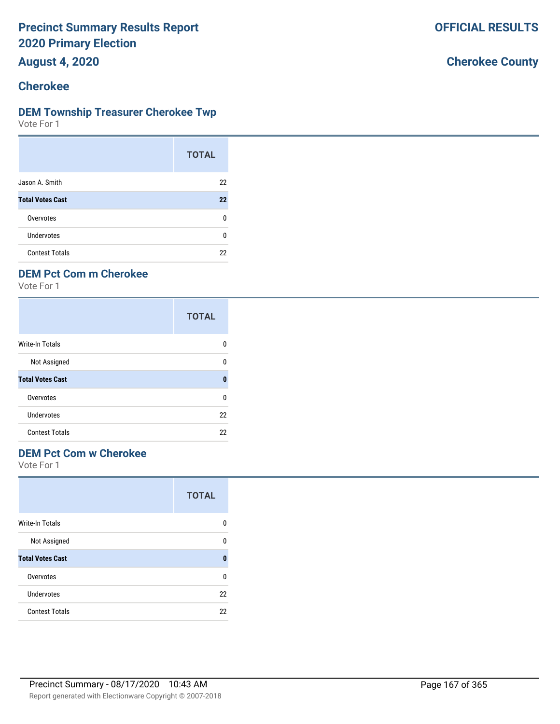**August 4, 2020**

## **Cherokee**

#### **DEM Township Treasurer Cherokee Twp**

Vote For 1

|                         | <b>TOTAL</b> |
|-------------------------|--------------|
| Jason A. Smith          | 22           |
| <b>Total Votes Cast</b> | 22           |
| Overvotes               | n            |
| <b>Undervotes</b>       | n            |
| <b>Contest Totals</b>   | 22           |

## **DEM Pct Com m Cherokee**

Vote For 1

|                         | <b>TOTAL</b> |
|-------------------------|--------------|
| Write-In Totals         | O            |
| Not Assigned            | U            |
| <b>Total Votes Cast</b> | 0            |
| Overvotes               | 0            |
| Undervotes              | 22           |
| <b>Contest Totals</b>   | 22           |

#### **DEM Pct Com w Cherokee**

|                         | <b>TOTAL</b> |
|-------------------------|--------------|
| <b>Write-In Totals</b>  | 0            |
| Not Assigned            | ŋ            |
| <b>Total Votes Cast</b> | O            |
| Overvotes               | U            |
| Undervotes              | 22           |
| <b>Contest Totals</b>   | 22           |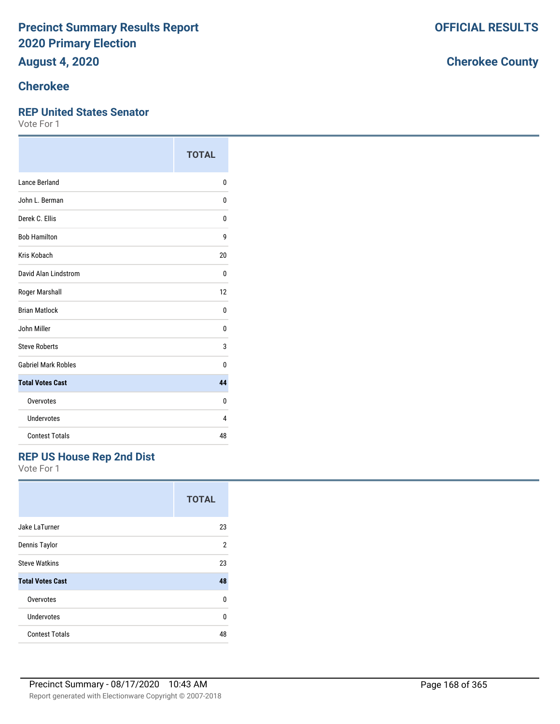# **August 4, 2020**

# **Cherokee**

#### **REP United States Senator**

Vote For 1

|                            | <b>TOTAL</b> |
|----------------------------|--------------|
| Lance Berland              | 0            |
| John L. Berman             | 0            |
| Derek C. Ellis             | 0            |
| <b>Bob Hamilton</b>        | 9            |
| Kris Kobach                | 20           |
| David Alan Lindstrom       | 0            |
| Roger Marshall             | 12           |
| <b>Brian Matlock</b>       | 0            |
| John Miller                | 0            |
| <b>Steve Roberts</b>       | 3            |
| <b>Gabriel Mark Robles</b> | U            |
| <b>Total Votes Cast</b>    | 44           |
| Overvotes                  | 0            |
| Undervotes                 | 4            |
| <b>Contest Totals</b>      | 48           |

### **REP US House Rep 2nd Dist**

|                         | <b>TOTAL</b> |
|-------------------------|--------------|
| Jake LaTurner           | 23           |
| Dennis Taylor           | 2            |
| <b>Steve Watkins</b>    | 23           |
| <b>Total Votes Cast</b> | 48           |
| Overvotes               | U            |
| Undervotes              | U            |
| <b>Contest Totals</b>   | 48           |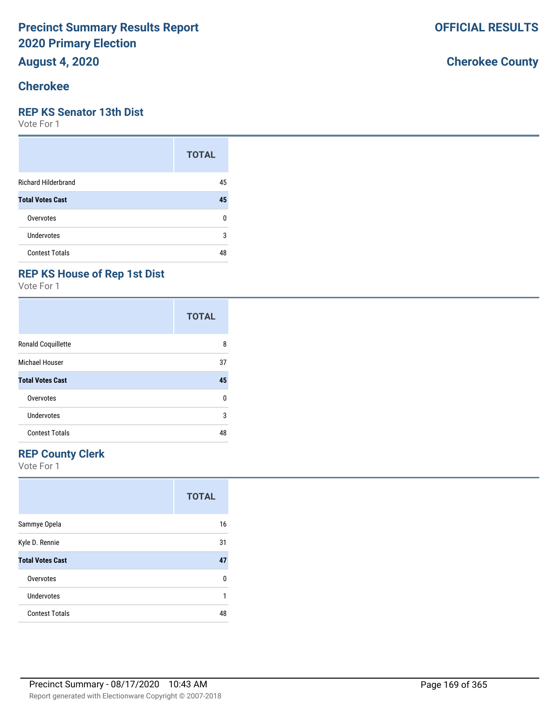**August 4, 2020**

## **Cherokee**

#### **REP KS Senator 13th Dist**

Vote For 1

|                            | <b>TOTAL</b> |
|----------------------------|--------------|
| <b>Richard Hilderbrand</b> | 45           |
| <b>Total Votes Cast</b>    | 45           |
| Overvotes                  | 0            |
| Undervotes                 | 3            |
| <b>Contest Totals</b>      | 48           |

## **REP KS House of Rep 1st Dist**

Vote For 1

|                           | <b>TOTAL</b> |
|---------------------------|--------------|
| <b>Ronald Coquillette</b> | 8            |
| Michael Houser            | 37           |
| <b>Total Votes Cast</b>   | 45           |
| Overvotes                 | n            |
| <b>Undervotes</b>         | 3            |
| <b>Contest Totals</b>     | 48           |

## **REP County Clerk**

|                         | <b>TOTAL</b> |
|-------------------------|--------------|
| Sammye Opela            | 16           |
| Kyle D. Rennie          | 31           |
| <b>Total Votes Cast</b> | 47           |
| Overvotes               | U            |
| Undervotes              | 1            |
| <b>Contest Totals</b>   | 48           |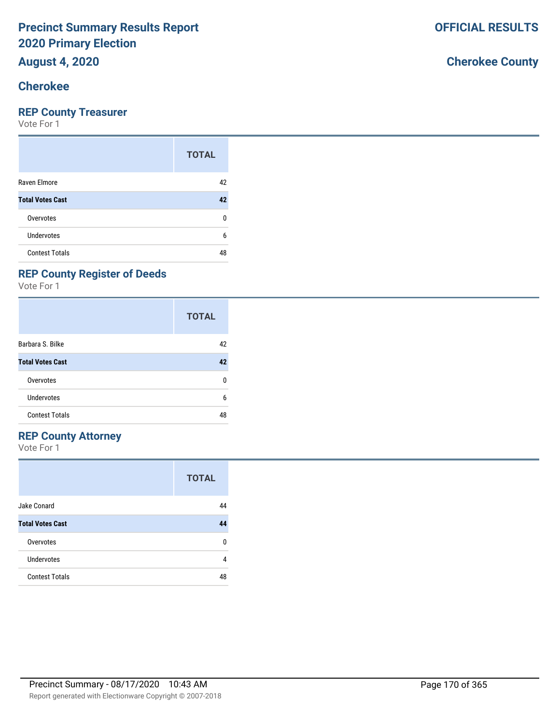## **August 4, 2020**

## **Cherokee**

#### **REP County Treasurer**

Vote For 1

|                         | <b>TOTAL</b> |
|-------------------------|--------------|
| Raven Elmore            | 42           |
| <b>Total Votes Cast</b> | 42           |
| Overvotes               | 0            |
| <b>Undervotes</b>       | 6            |
| <b>Contest Totals</b>   | 48           |

## **REP County Register of Deeds**

Vote For 1

|                         | <b>TOTAL</b> |
|-------------------------|--------------|
| Barbara S. Bilke        | 42           |
| <b>Total Votes Cast</b> | 42           |
| Overvotes               | 0            |
| Undervotes              | 6            |
| <b>Contest Totals</b>   | 48           |

#### **REP County Attorney**

Vote For 1

|                         | <b>TOTAL</b> |
|-------------------------|--------------|
| Jake Conard             | 44           |
| <b>Total Votes Cast</b> | 44           |
| Overvotes               | ŋ            |
| Undervotes              | 4            |
| <b>Contest Totals</b>   | 48           |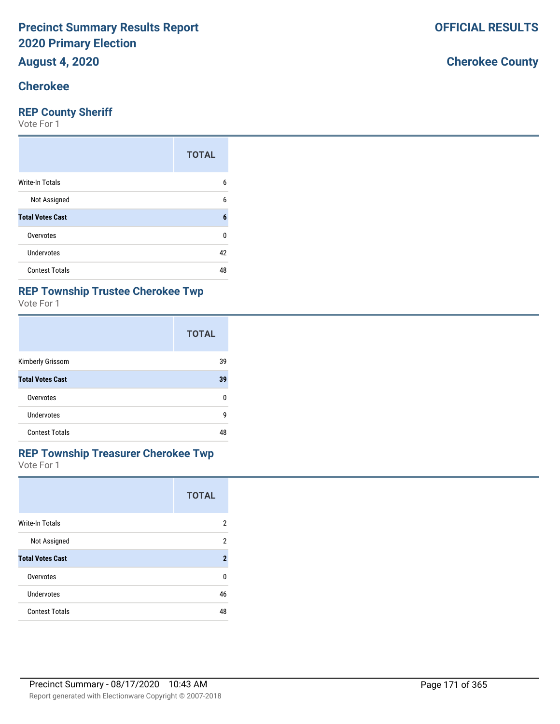# **August 4, 2020**

## **Cherokee**

#### **REP County Sheriff**

Vote For 1

|                         | <b>TOTAL</b> |
|-------------------------|--------------|
| Write-In Totals         | 6            |
| Not Assigned            | 6            |
| <b>Total Votes Cast</b> | 6            |
| Overvotes               | 0            |
| Undervotes              | 42           |
| <b>Contest Totals</b>   | 48           |

#### **REP Township Trustee Cherokee Twp**

Vote For 1

|                         | <b>TOTAL</b> |
|-------------------------|--------------|
| Kimberly Grissom        | 39           |
| <b>Total Votes Cast</b> | 39           |
| Overvotes               | U            |
| Undervotes              | g            |
| <b>Contest Totals</b>   | 48           |

#### Vote For 1 **REP Township Treasurer Cherokee Twp**

|                        | <b>TOTAL</b> |
|------------------------|--------------|
| <b>Write-In Totals</b> | 2            |
| Mat Assistant          | $\sqrt{2}$   |

| Not Assigned            |    |
|-------------------------|----|
| <b>Total Votes Cast</b> |    |
| Overvotes               |    |
| Undervotes              | 46 |
| <b>Contest Totals</b>   | 48 |
|                         |    |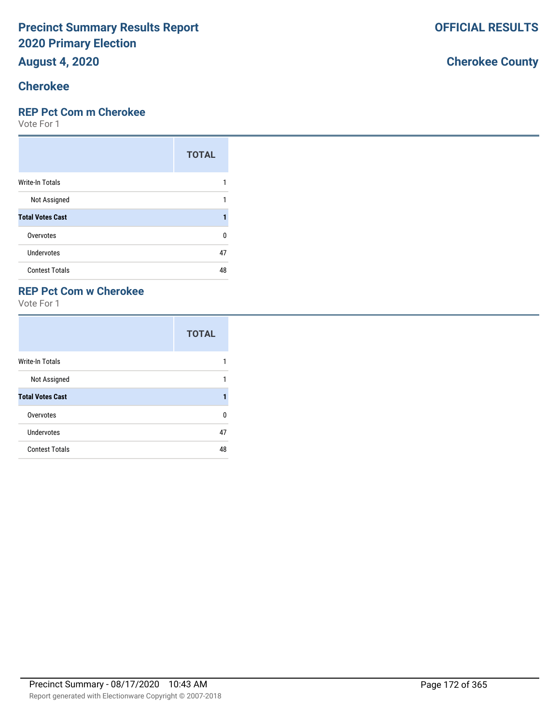# **August 4, 2020**

## **Cherokee**

#### **REP Pct Com m Cherokee**

Vote For 1

|                         | <b>TOTAL</b> |
|-------------------------|--------------|
| <b>Write-In Totals</b>  |              |
| Not Assigned            |              |
| <b>Total Votes Cast</b> |              |
| Overvotes               | U            |
| Undervotes              | 47           |
| <b>Contest Totals</b>   | 48           |

#### **REP Pct Com w Cherokee**

Vote For 1

|                         | <b>TOTAL</b> |
|-------------------------|--------------|
| <b>Write-In Totals</b>  |              |
| Not Assigned            | 1            |
| <b>Total Votes Cast</b> |              |
| Overvotes               | U            |
| <b>Undervotes</b>       | 47           |
| <b>Contest Totals</b>   | 48           |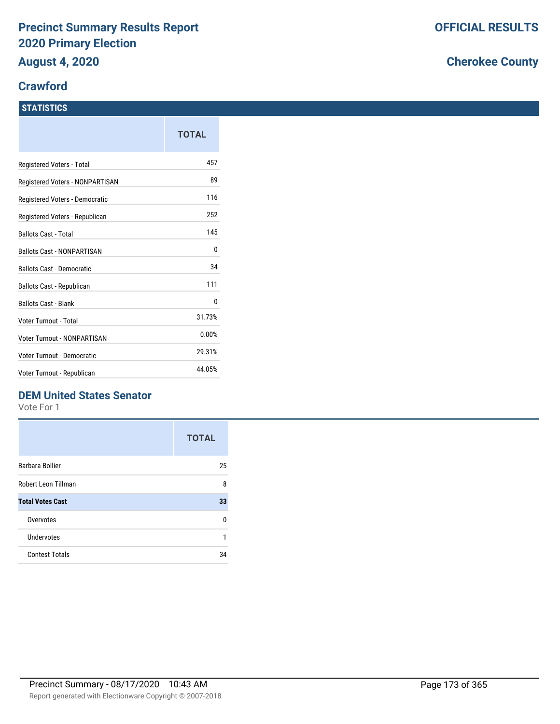#### **Crawford**

#### **STATISTICS**

|                                   | TOTAL  |
|-----------------------------------|--------|
| Registered Voters - Total         | 457    |
| Registered Voters - NONPARTISAN   | 89     |
| Registered Voters - Democratic    | 116    |
| Registered Voters - Republican    | 252    |
| <b>Ballots Cast - Total</b>       | 145    |
| <b>Ballots Cast - NONPARTISAN</b> | 0      |
| <b>Ballots Cast - Democratic</b>  | 34     |
| Ballots Cast - Republican         | 111    |
| <b>Ballots Cast - Blank</b>       | 0      |
| Voter Turnout - Total             | 31.73% |
| Voter Turnout - NONPARTISAN       | 0.00%  |
| Voter Turnout - Democratic        | 29.31% |
| Voter Turnout - Republican        | 44.05% |

### **DEM United States Senator**

Vote For 1

|                         | <b>TOTAL</b> |
|-------------------------|--------------|
| Barbara Bollier         | 25           |
| Robert Leon Tillman     | 8            |
| <b>Total Votes Cast</b> | 33           |
| Overvotes               | n            |
| Undervotes              | 1            |
| <b>Contest Totals</b>   | 34           |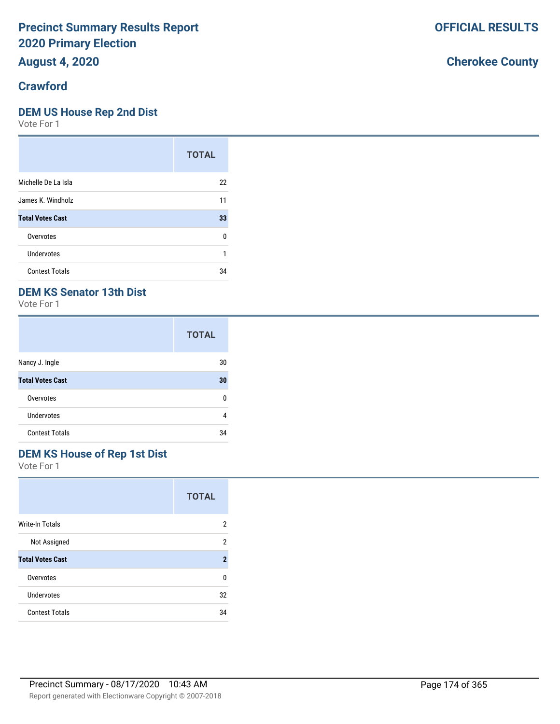**August 4, 2020**

#### **Crawford**

#### **DEM US House Rep 2nd Dist**

Vote For 1

|                         | <b>TOTAL</b> |
|-------------------------|--------------|
| Michelle De La Isla     | 22           |
| James K. Windholz       | 11           |
| <b>Total Votes Cast</b> | 33           |
| Overvotes               | ŋ            |
| Undervotes              |              |
| <b>Contest Totals</b>   | 34           |

### **DEM KS Senator 13th Dist**

Vote For 1

|                         | <b>TOTAL</b> |
|-------------------------|--------------|
| Nancy J. Ingle          | 30           |
| <b>Total Votes Cast</b> | 30           |
| Overvotes               | n            |
| <b>Undervotes</b>       | 4            |
| <b>Contest Totals</b>   | 34           |

## **DEM KS House of Rep 1st Dist**

Vote For 1

|                         | <b>TOTAL</b>   |
|-------------------------|----------------|
| <b>Write-In Totals</b>  | 2              |
| Not Assigned            | 2              |
| <b>Total Votes Cast</b> | $\overline{2}$ |
| Overvotes               | U              |
| Undervotes              | 32             |
| <b>Contest Totals</b>   | 34             |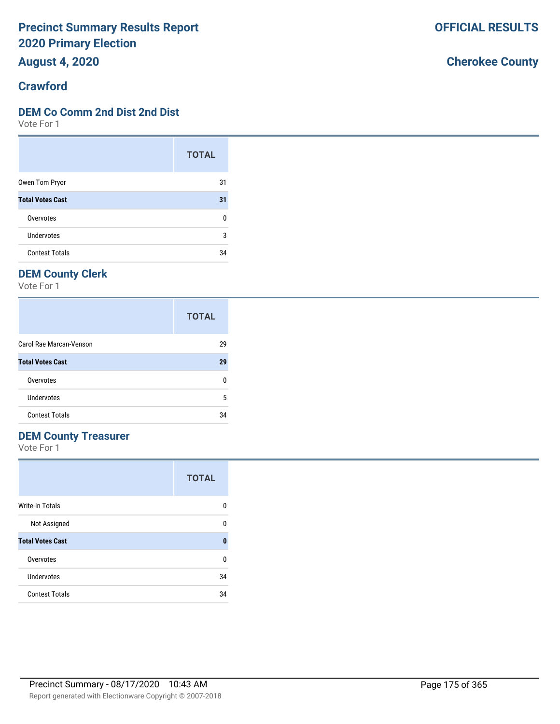**August 4, 2020**

#### **Crawford**

#### **DEM Co Comm 2nd Dist 2nd Dist**

Vote For 1

|                         | <b>TOTAL</b> |
|-------------------------|--------------|
| Owen Tom Pryor          | 31           |
| <b>Total Votes Cast</b> | 31           |
| Overvotes               | 0            |
| Undervotes              | 3            |
| <b>Contest Totals</b>   | 34           |

## **DEM County Clerk**

Vote For 1

|                         | <b>TOTAL</b> |
|-------------------------|--------------|
| Carol Rae Marcan-Venson | 29           |
| <b>Total Votes Cast</b> | 29           |
| Overvotes               | n            |
| Undervotes              | 5            |
| <b>Contest Totals</b>   | 34           |

### **DEM County Treasurer**

Vote For 1

|                         | <b>TOTAL</b> |
|-------------------------|--------------|
| <b>Write-In Totals</b>  | 0            |
| Not Assigned            | 0            |
| <b>Total Votes Cast</b> | 0            |
| Overvotes               | ŋ            |
| Undervotes              | 34           |
| <b>Contest Totals</b>   | 34           |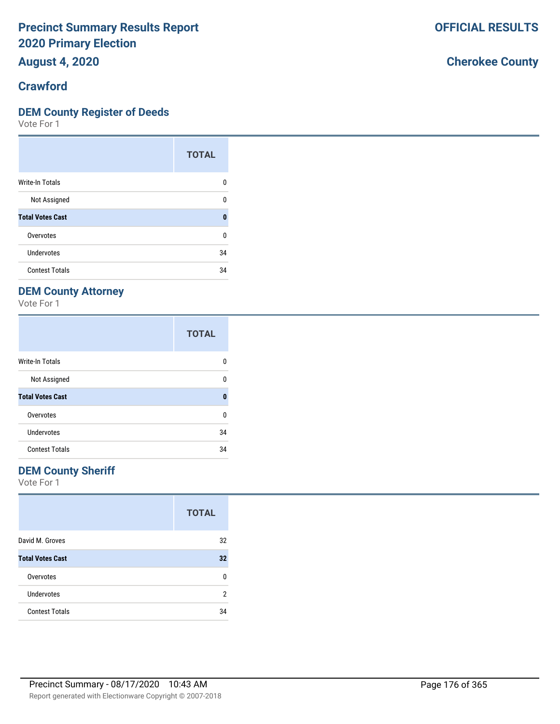**August 4, 2020**

#### **Crawford**

#### **DEM County Register of Deeds**

Vote For 1

|                         | <b>TOTAL</b> |
|-------------------------|--------------|
| Write-In Totals         | n            |
| Not Assigned            | 0            |
| <b>Total Votes Cast</b> | 0            |
| Overvotes               | U            |
| Undervotes              | 34           |
| <b>Contest Totals</b>   | 34           |

## **DEM County Attorney**

Vote For 1

|                         | <b>TOTAL</b> |
|-------------------------|--------------|
| <b>Write-In Totals</b>  | n            |
| Not Assigned            | ŋ            |
| <b>Total Votes Cast</b> | 0            |
| Overvotes               | 0            |
| Undervotes              | 34           |
| <b>Contest Totals</b>   | 34           |

#### **DEM County Sheriff**

Vote For 1

|                         | <b>TOTAL</b> |
|-------------------------|--------------|
| David M. Groves         | 32           |
| <b>Total Votes Cast</b> | 32           |
| Overvotes               | n            |
| Undervotes              | 2            |
| <b>Contest Totals</b>   | 34           |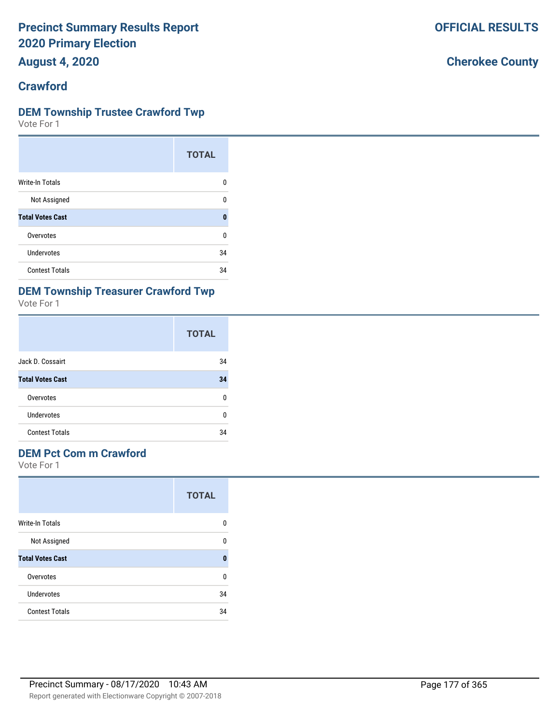**August 4, 2020**

#### **Crawford**

#### **DEM Township Trustee Crawford Twp**

Vote For 1

|                         | <b>TOTAL</b> |
|-------------------------|--------------|
| Write-In Totals         | n            |
| Not Assigned            | n            |
| <b>Total Votes Cast</b> | Λ            |
| Overvotes               | ŋ            |
| Undervotes              | 34           |
| <b>Contest Totals</b>   | 34           |

# **DEM Township Treasurer Crawford Twp**

Vote For 1

|                         | <b>TOTAL</b> |
|-------------------------|--------------|
| Jack D. Cossairt        | 34           |
| <b>Total Votes Cast</b> | 34           |
| Overvotes               | n            |
| Undervotes              | n            |
| <b>Contest Totals</b>   | 34           |

## **DEM Pct Com m Crawford**

|                         | <b>TOTAL</b> |
|-------------------------|--------------|
| <b>Write-In Totals</b>  | 0            |
| Not Assigned            | 0            |
| <b>Total Votes Cast</b> | 0            |
| Overvotes               | U            |
| Undervotes              | 34           |
| <b>Contest Totals</b>   | 34           |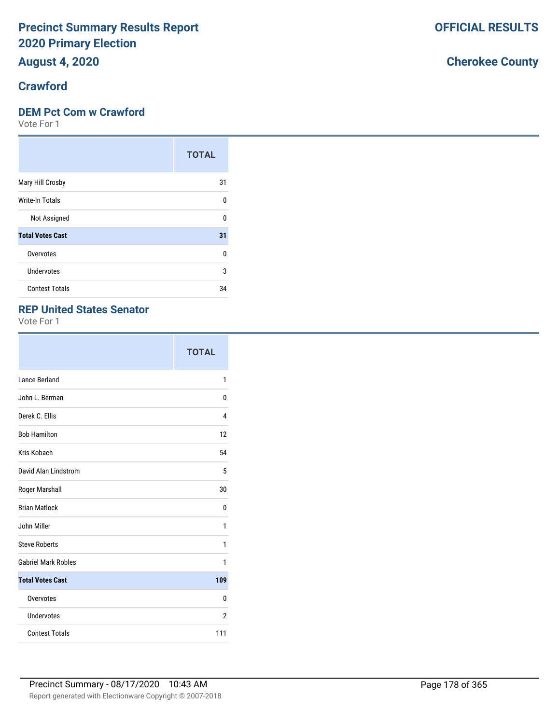## **August 4, 2020**

#### **Crawford**

#### **DEM Pct Com w Crawford**

Vote For 1

|                         | <b>TOTAL</b> |
|-------------------------|--------------|
| Mary Hill Crosby        | 31           |
| Write-In Totals         | U            |
| Not Assigned            | U            |
| <b>Total Votes Cast</b> | 31           |
| Overvotes               | $\Omega$     |
| <b>Undervotes</b>       | 3            |
| <b>Contest Totals</b>   | 34           |

#### **REP United States Senator**

Vote For 1

|                            | <b>TOTAL</b> |
|----------------------------|--------------|
| Lance Berland              | 1            |
| John L. Berman             | 0            |
| Derek C. Ellis             | 4            |
| <b>Bob Hamilton</b>        | 12           |
| Kris Kobach                | 54           |
| David Alan Lindstrom       | 5            |
| Roger Marshall             | 30           |
| <b>Brian Matlock</b>       | 0            |
| John Miller                | 1            |
| <b>Steve Roberts</b>       | 1            |
| <b>Gabriel Mark Robles</b> | 1            |
| <b>Total Votes Cast</b>    | 109          |
| Overvotes                  | 0            |
| Undervotes                 | 2            |
| <b>Contest Totals</b>      | 111          |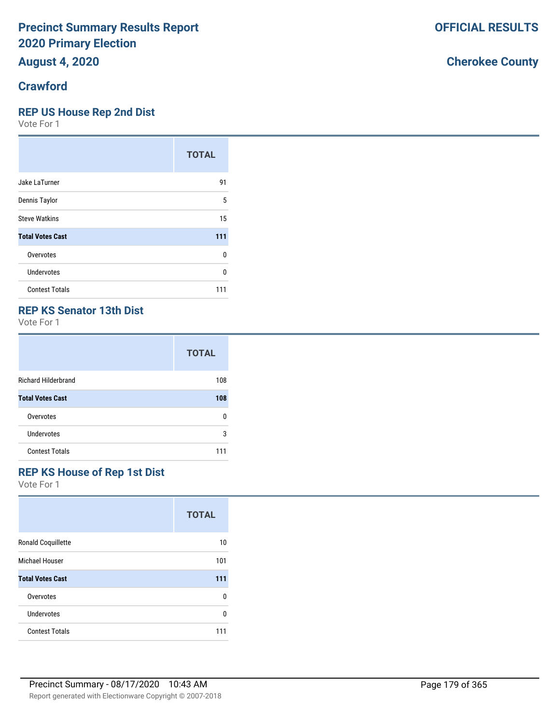# **August 4, 2020**

## **Crawford**

### **REP US House Rep 2nd Dist**

Vote For 1

|                         | <b>TOTAL</b> |
|-------------------------|--------------|
| Jake LaTurner           | 91           |
| Dennis Taylor           | 5            |
| <b>Steve Watkins</b>    | 15           |
| <b>Total Votes Cast</b> | 111          |
| Overvotes               | 0            |
| Undervotes              | U            |
| <b>Contest Totals</b>   | 111          |

## **REP KS Senator 13th Dist**

Vote For 1

|                            | <b>TOTAL</b> |
|----------------------------|--------------|
| <b>Richard Hilderbrand</b> | 108          |
| <b>Total Votes Cast</b>    | 108          |
| Overvotes                  | n            |
| Undervotes                 | 3            |
| <b>Contest Totals</b>      | 111          |

### **REP KS House of Rep 1st Dist**

Vote For 1

|                           | <b>TOTAL</b> |
|---------------------------|--------------|
| <b>Ronald Coquillette</b> | 10           |
| Michael Houser            | 101          |
| <b>Total Votes Cast</b>   | 111          |
| Overvotes                 | U            |
| Undervotes                | n            |
| <b>Contest Totals</b>     | 111          |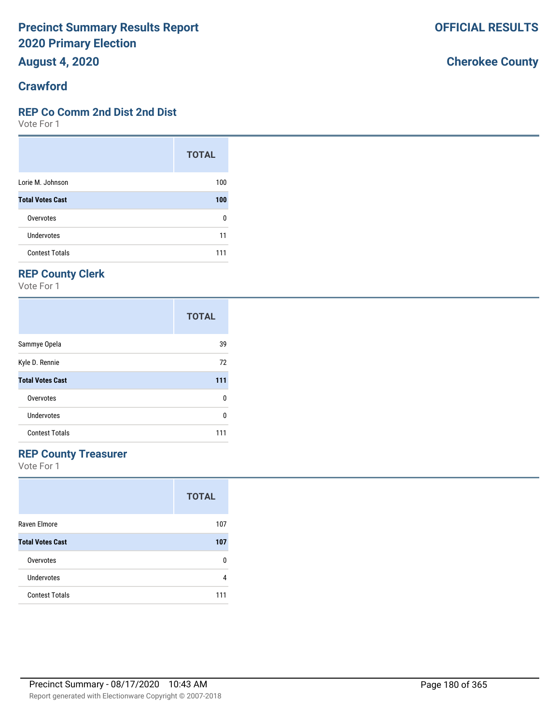**August 4, 2020**

#### **Crawford**

#### **REP Co Comm 2nd Dist 2nd Dist**

Vote For 1

|                         | <b>TOTAL</b> |
|-------------------------|--------------|
| Lorie M. Johnson        | 100          |
| <b>Total Votes Cast</b> | 100          |
| Overvotes               | 0            |
| Undervotes              | 11           |
| <b>Contest Totals</b>   | 111          |

## **REP County Clerk**

Vote For 1

|                         | <b>TOTAL</b> |
|-------------------------|--------------|
| Sammye Opela            | 39           |
| Kyle D. Rennie          | 72           |
| <b>Total Votes Cast</b> | 111          |
| Overvotes               | 0            |
| Undervotes              | ŋ            |
| <b>Contest Totals</b>   | 111          |

## **REP County Treasurer**

Vote For 1

|                         | <b>TOTAL</b> |
|-------------------------|--------------|
| Raven Elmore            | 107          |
| <b>Total Votes Cast</b> | 107          |
| Overvotes               | n            |
| Undervotes              | 4            |
| <b>Contest Totals</b>   |              |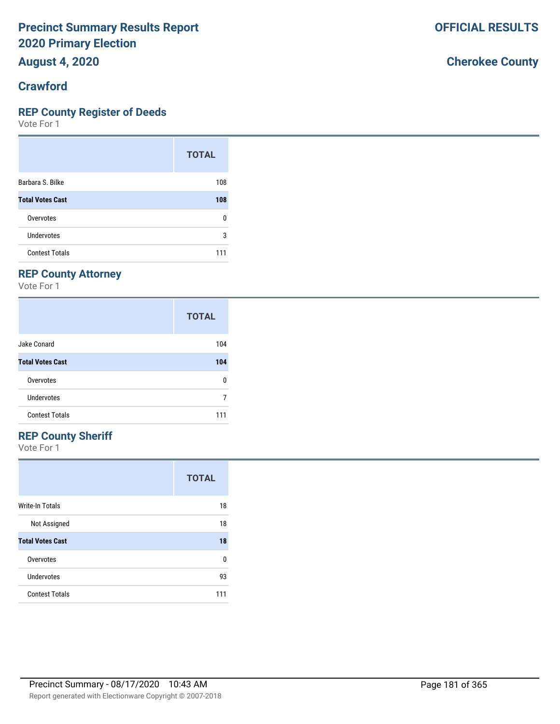**August 4, 2020**

#### **Crawford**

#### **REP County Register of Deeds**

Vote For 1

|                         | <b>TOTAL</b> |
|-------------------------|--------------|
| Barbara S. Bilke        | 108          |
| <b>Total Votes Cast</b> | 108          |
| Overvotes               | n            |
| Undervotes              | 3            |
| <b>Contest Totals</b>   | 111          |

#### **REP County Attorney**

Vote For 1

|                         | <b>TOTAL</b> |
|-------------------------|--------------|
| Jake Conard             | 104          |
| <b>Total Votes Cast</b> | 104          |
| Overvotes               | U            |
| Undervotes              |              |
| <b>Contest Totals</b>   | 111          |

#### **REP County Sheriff**

Vote For 1

|                         | <b>TOTAL</b> |
|-------------------------|--------------|
| Write-In Totals         | 18           |
| Not Assigned            | 18           |
| <b>Total Votes Cast</b> | 18           |
| Overvotes               | U            |
| Undervotes              | 93           |
| <b>Contest Totals</b>   | 111          |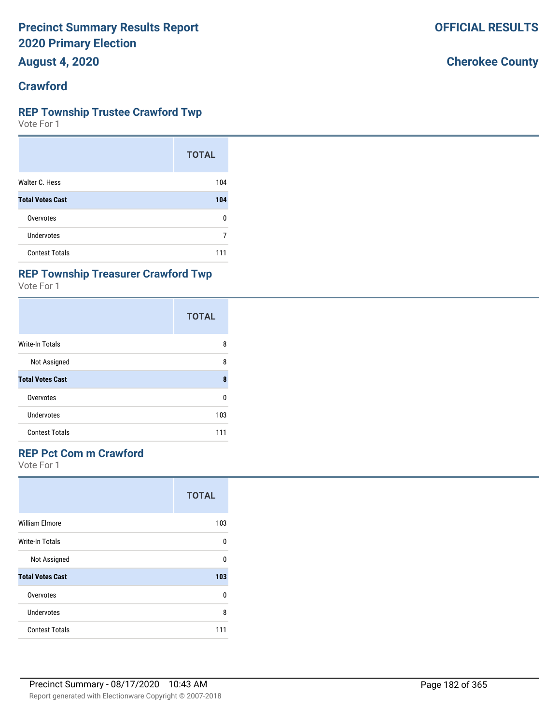**August 4, 2020**

#### **Crawford**

#### **REP Township Trustee Crawford Twp**

Vote For 1

|                         | <b>TOTAL</b> |
|-------------------------|--------------|
| Walter C. Hess          | 104          |
| <b>Total Votes Cast</b> | 104          |
| Overvotes               | n            |
| Undervotes              |              |
| <b>Contest Totals</b>   | 111          |

#### **REP Township Treasurer Crawford Twp**

Vote For 1

|                         | <b>TOTAL</b> |
|-------------------------|--------------|
| Write-In Totals         | 8            |
| Not Assigned            | 8            |
| <b>Total Votes Cast</b> | 8            |
| Overvotes               | 0            |
| Undervotes              | 103          |
| <b>Contest Totals</b>   | 111          |

#### **REP Pct Com m Crawford**

Vote For 1

|                         | <b>TOTAL</b> |
|-------------------------|--------------|
| <b>William Elmore</b>   | 103          |
| Write-In Totals         | U            |
| Not Assigned            | U            |
| <b>Total Votes Cast</b> | 103          |
| Overvotes               | 0            |
| Undervotes              | 8            |
| <b>Contest Totals</b>   | 111          |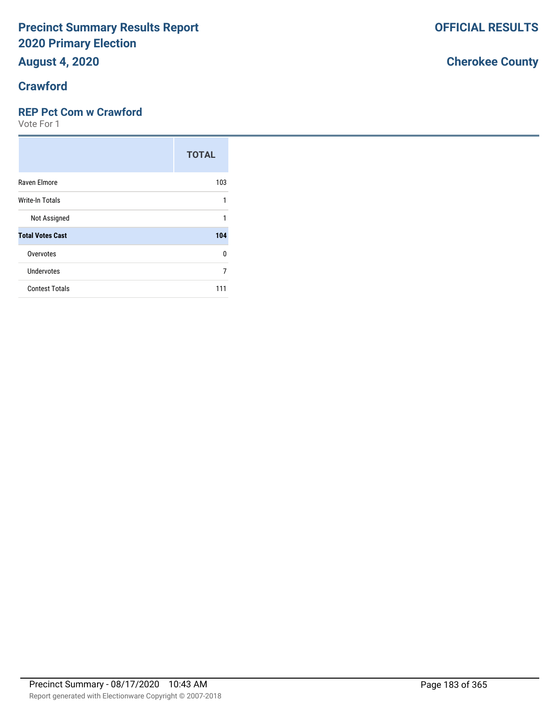# **August 4, 2020**

#### **Crawford**

#### **REP Pct Com w Crawford**

Vote For 1

|                         | <b>TOTAL</b> |
|-------------------------|--------------|
| Raven Elmore            | 103          |
| Write-In Totals         |              |
| Not Assigned            |              |
| <b>Total Votes Cast</b> | 104          |
| Overvotes               | U            |
| <b>Undervotes</b>       | 7            |
| <b>Contest Totals</b>   | 111          |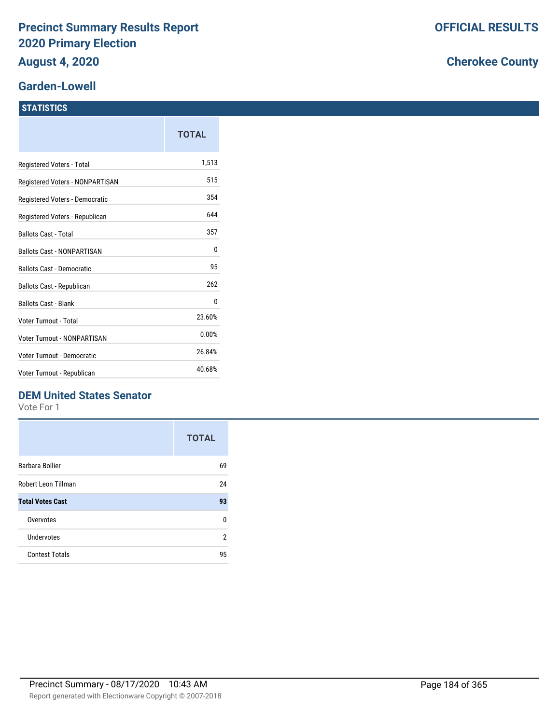#### **Garden-Lowell**

#### **STATISTICS**

|                                   | <b>TOTAL</b> |
|-----------------------------------|--------------|
| Registered Voters - Total         | 1,513        |
| Registered Voters - NONPARTISAN   | 515          |
| Registered Voters - Democratic    | 354          |
| Registered Voters - Republican    | 644          |
| <b>Ballots Cast - Total</b>       | 357          |
| <b>Ballots Cast - NONPARTISAN</b> | 0            |
| <b>Ballots Cast - Democratic</b>  | 95           |
| <b>Ballots Cast - Republican</b>  | 262          |
| <b>Ballots Cast - Blank</b>       | 0            |
| Voter Turnout - Total             | 23.60%       |
| Voter Turnout - NONPARTISAN       | 0.00%        |
| <b>Voter Turnout - Democratic</b> | 26.84%       |
| Voter Turnout - Republican        | 40.68%       |

#### **DEM United States Senator**

Vote For 1

|                         | <b>TOTAL</b> |
|-------------------------|--------------|
| Barbara Bollier         | 69           |
| Robert Leon Tillman     | 24           |
| <b>Total Votes Cast</b> | 93           |
| Overvotes               | n            |
| Undervotes              | 2            |
| <b>Contest Totals</b>   | 95           |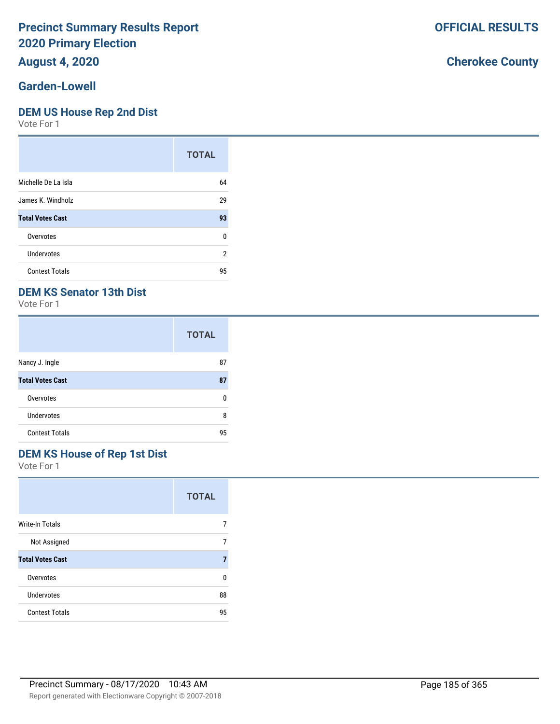## **August 4, 2020**

#### **Garden-Lowell**

#### **DEM US House Rep 2nd Dist**

Vote For 1

|                         | <b>TOTAL</b> |
|-------------------------|--------------|
| Michelle De La Isla     | 64           |
| James K. Windholz       | 29           |
| <b>Total Votes Cast</b> | 93           |
| Overvotes               | 0            |
| Undervotes              | 2            |
| <b>Contest Totals</b>   | 95           |

#### **DEM KS Senator 13th Dist**

Vote For 1

|                         | <b>TOTAL</b> |
|-------------------------|--------------|
| Nancy J. Ingle          | 87           |
| <b>Total Votes Cast</b> | 87           |
| Overvotes               | n            |
| Undervotes              | 8            |
| <b>Contest Totals</b>   | 95           |

#### **DEM KS House of Rep 1st Dist**

Vote For 1

|                         | <b>TOTAL</b> |
|-------------------------|--------------|
| Write-In Totals         |              |
| Not Assigned            |              |
| <b>Total Votes Cast</b> |              |
| Overvotes               | n            |
| Undervotes              | 88           |
| <b>Contest Totals</b>   | 95           |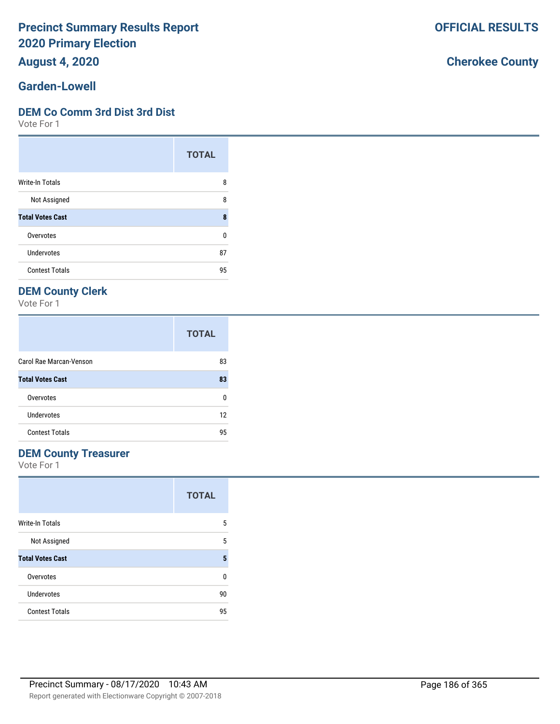**August 4, 2020**

#### **Garden-Lowell**

#### **DEM Co Comm 3rd Dist 3rd Dist**

Vote For 1

|                         | <b>TOTAL</b> |
|-------------------------|--------------|
| Write-In Totals         | 8            |
| Not Assigned            | 8            |
| <b>Total Votes Cast</b> | 8            |
| Overvotes               | 0            |
| Undervotes              | 87           |
| <b>Contest Totals</b>   | 95           |

#### **DEM County Clerk**

Vote For 1

|                         | <b>TOTAL</b> |
|-------------------------|--------------|
| Carol Rae Marcan-Venson | 83           |
| <b>Total Votes Cast</b> | 83           |
| Overvotes               | n            |
| Undervotes              | 12           |
| <b>Contest Totals</b>   | 95           |

#### **DEM County Treasurer**

Vote For 1

|                         | <b>TOTAL</b> |
|-------------------------|--------------|
| <b>Write-In Totals</b>  | 5            |
| Not Assigned            | 5            |
| <b>Total Votes Cast</b> | 5            |
| Overvotes               | U            |
| Undervotes              | 90           |
| <b>Contest Totals</b>   | 95           |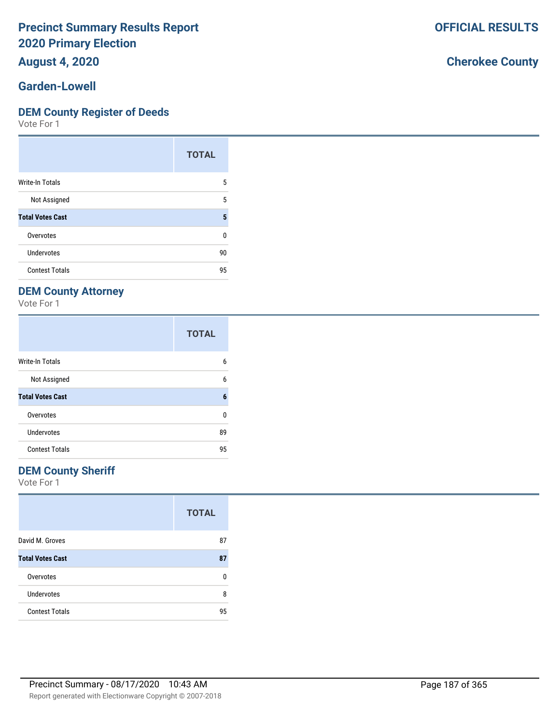#### **August 4, 2020**

#### **Garden-Lowell**

#### **DEM County Register of Deeds**

Vote For 1

|                         | <b>TOTAL</b> |
|-------------------------|--------------|
| <b>Write-In Totals</b>  | 5            |
| Not Assigned            | 5            |
| <b>Total Votes Cast</b> | 5            |
| Overvotes               | ŋ            |
| <b>Undervotes</b>       | 90           |
| <b>Contest Totals</b>   | 95           |

#### **DEM County Attorney**

Vote For 1

|                         | <b>TOTAL</b> |
|-------------------------|--------------|
| <b>Write-In Totals</b>  | 6            |
| Not Assigned            | 6            |
| <b>Total Votes Cast</b> | 6            |
| Overvotes               | U            |
| Undervotes              | 89           |
| <b>Contest Totals</b>   | 95           |

#### **DEM County Sheriff**

Vote For 1

|                         | <b>TOTAL</b> |
|-------------------------|--------------|
| David M. Groves         | 87           |
| <b>Total Votes Cast</b> | 87           |
| Overvotes               | U            |
| <b>Undervotes</b>       | 8            |
| <b>Contest Totals</b>   | 95           |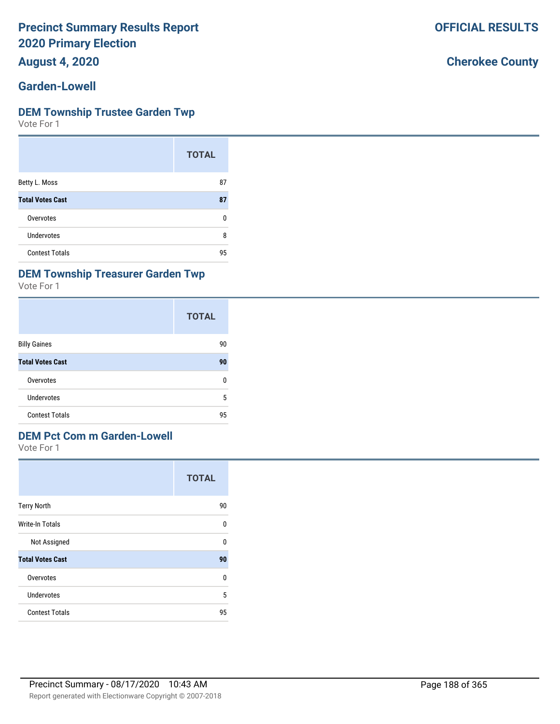**August 4, 2020**

#### **Garden-Lowell**

#### **DEM Township Trustee Garden Twp**

Vote For 1

|                         | <b>TOTAL</b> |
|-------------------------|--------------|
| Betty L. Moss           | 87           |
| <b>Total Votes Cast</b> | 87           |
| Overvotes               | n            |
| Undervotes              | 8            |
| <b>Contest Totals</b>   | 95           |

#### **DEM Township Treasurer Garden Twp**

Vote For 1

|                         | <b>TOTAL</b> |
|-------------------------|--------------|
| <b>Billy Gaines</b>     | 90           |
| <b>Total Votes Cast</b> | 90           |
| Overvotes               | 0            |
| Undervotes              | 5            |
| <b>Contest Totals</b>   | 95           |

### **DEM Pct Com m Garden-Lowell**

Vote For 1

|                         | <b>TOTAL</b> |
|-------------------------|--------------|
| <b>Terry North</b>      | 90           |
| Write-In Totals         | 0            |
| Not Assigned            | 0            |
| <b>Total Votes Cast</b> | 90           |
| Overvotes               | U            |
| Undervotes              | 5            |
| <b>Contest Totals</b>   | 95           |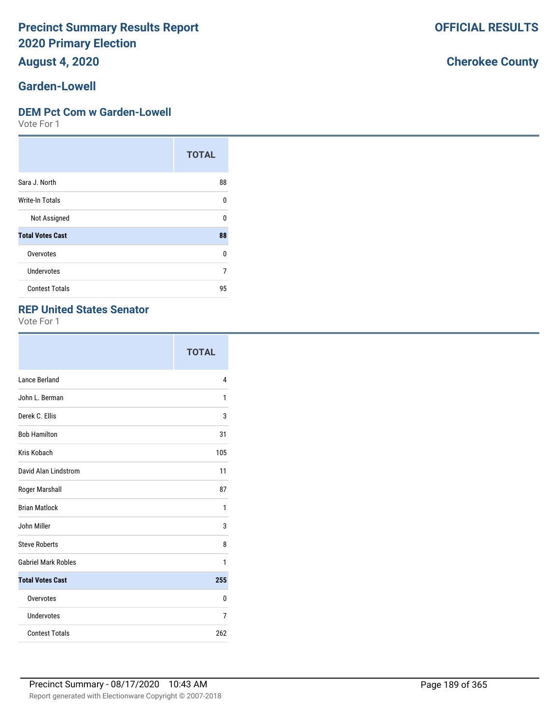### **August 4, 2020**

#### **Garden-Lowell**

#### **DEM Pct Com w Garden-Lowell**

Vote For 1

|                         | <b>TOTAL</b> |
|-------------------------|--------------|
| Sara J. North           | 88           |
| Write-In Totals         | U            |
| Not Assigned            | U            |
| <b>Total Votes Cast</b> | 88           |
| Overvotes               | 0            |
| Undervotes              | 7            |
| <b>Contest Totals</b>   | 95           |

#### **REP United States Senator**

Vote For 1

|                            | <b>TOTAL</b> |
|----------------------------|--------------|
| Lance Berland              | 4            |
| John L. Berman             | 1            |
| Derek C. Ellis             | 3            |
| <b>Bob Hamilton</b>        | 31           |
| Kris Kobach                | 105          |
| David Alan Lindstrom       | 11           |
| Roger Marshall             | 87           |
| <b>Brian Matlock</b>       | 1            |
| John Miller                | 3            |
| <b>Steve Roberts</b>       | 8            |
| <b>Gabriel Mark Robles</b> | 1            |
| <b>Total Votes Cast</b>    | 255          |
| Overvotes                  | 0            |
| <b>Undervotes</b>          | 7            |
| <b>Contest Totals</b>      | 262          |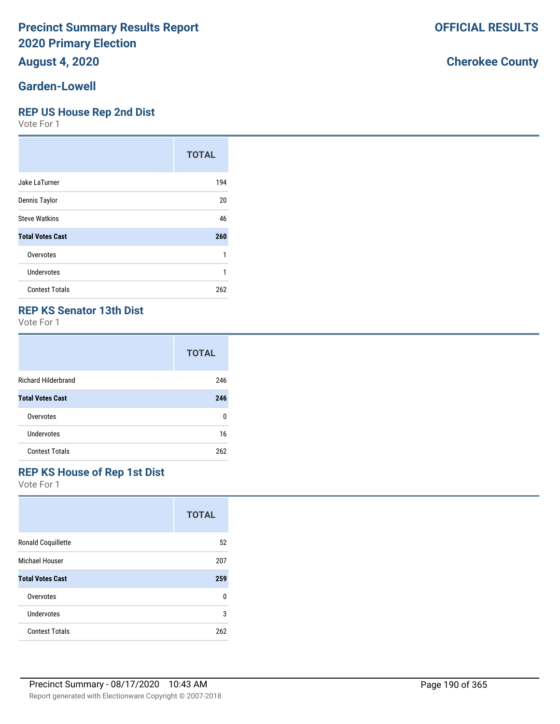## **August 4, 2020**

#### **Garden-Lowell**

#### **REP US House Rep 2nd Dist**

Vote For 1

|                         | <b>TOTAL</b> |
|-------------------------|--------------|
| Jake LaTurner           | 194          |
| Dennis Taylor           | 20           |
| <b>Steve Watkins</b>    | 46           |
| <b>Total Votes Cast</b> | 260          |
| Overvotes               | 1            |
| Undervotes              | 1            |
| <b>Contest Totals</b>   | 262          |

#### **REP KS Senator 13th Dist**

Vote For 1

|                            | <b>TOTAL</b> |
|----------------------------|--------------|
| <b>Richard Hilderbrand</b> | 246          |
| <b>Total Votes Cast</b>    | 246          |
| Overvotes                  | ŋ            |
| Undervotes                 | 16           |
| <b>Contest Totals</b>      | 262          |

#### **REP KS House of Rep 1st Dist**

Vote For 1

|                           | <b>TOTAL</b> |
|---------------------------|--------------|
| <b>Ronald Coquillette</b> | 52           |
| Michael Houser            | 207          |
| <b>Total Votes Cast</b>   | 259          |
| Overvotes                 | U            |
| Undervotes                | 3            |
| <b>Contest Totals</b>     | 262          |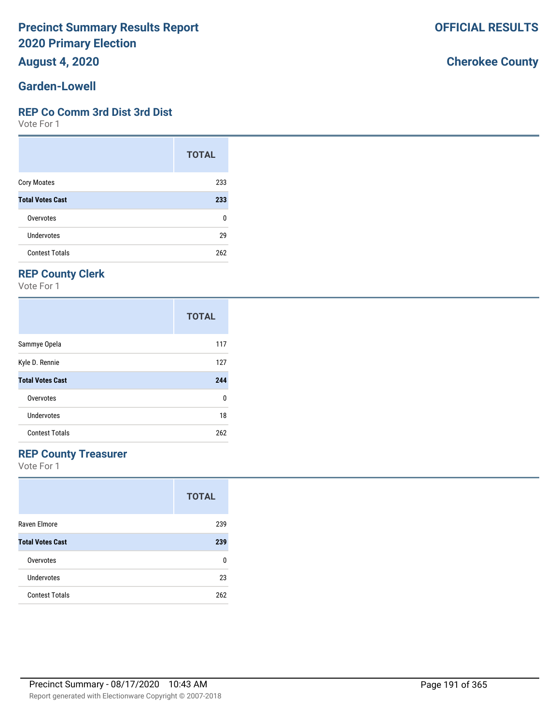**August 4, 2020**

#### **Garden-Lowell**

#### **REP Co Comm 3rd Dist 3rd Dist**

Vote For 1

|                         | <b>TOTAL</b> |
|-------------------------|--------------|
| <b>Cory Moates</b>      | 233          |
| <b>Total Votes Cast</b> | 233          |
| Overvotes               | 0            |
| Undervotes              | 29           |
| <b>Contest Totals</b>   | 262          |

## **REP County Clerk**

Vote For 1

|                         | <b>TOTAL</b> |
|-------------------------|--------------|
| Sammye Opela            | 117          |
| Kyle D. Rennie          | 127          |
| <b>Total Votes Cast</b> | 244          |
| Overvotes               | 0            |
| Undervotes              | 18           |
| <b>Contest Totals</b>   | 262          |

#### **REP County Treasurer**

Vote For 1

|                         | <b>TOTAL</b> |
|-------------------------|--------------|
| Raven Elmore            | 239          |
| <b>Total Votes Cast</b> | 239          |
| Overvotes               | n            |
| Undervotes              | 23           |
| <b>Contest Totals</b>   | 262          |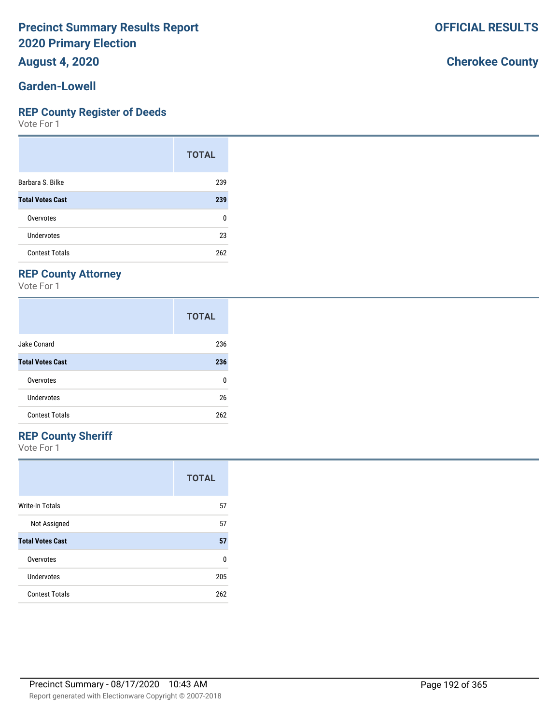#### **August 4, 2020**

#### **Garden-Lowell**

#### **REP County Register of Deeds**

Vote For 1

|                         | <b>TOTAL</b> |
|-------------------------|--------------|
| Barbara S. Bilke        | 239          |
| <b>Total Votes Cast</b> | 239          |
| Overvotes               | 0            |
| Undervotes              | 23           |
| <b>Contest Totals</b>   | 262          |

#### **REP County Attorney**

Vote For 1

|                         | <b>TOTAL</b> |
|-------------------------|--------------|
| Jake Conard             | 236          |
| <b>Total Votes Cast</b> | 236          |
| Overvotes               | 0            |
| Undervotes              | 26           |
| <b>Contest Totals</b>   | 262          |

#### **REP County Sheriff**

Vote For 1

|                         | <b>TOTAL</b> |
|-------------------------|--------------|
| Write-In Totals         | 57           |
| Not Assigned            | 57           |
| <b>Total Votes Cast</b> | 57           |
| Overvotes               | n            |
| Undervotes              | 205          |
| <b>Contest Totals</b>   | 262          |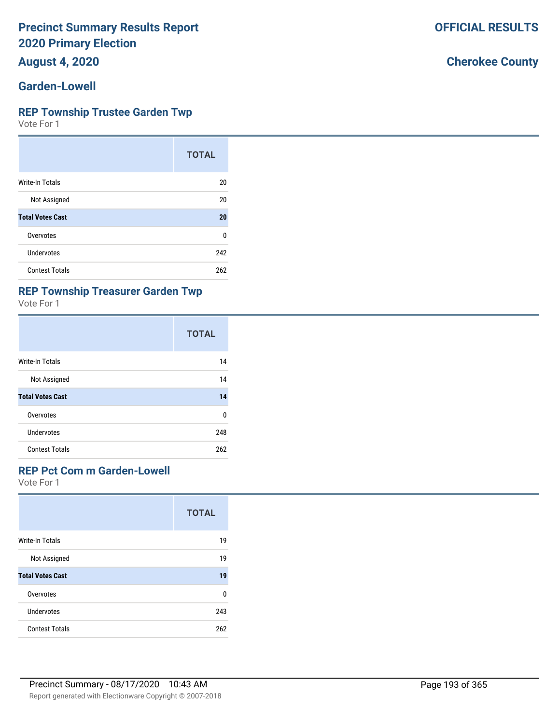**August 4, 2020**

#### **Garden-Lowell**

#### **REP Township Trustee Garden Twp**

Vote For 1

|                         | <b>TOTAL</b> |
|-------------------------|--------------|
| <b>Write-In Totals</b>  | 20           |
| Not Assigned            | 20           |
| <b>Total Votes Cast</b> | 20           |
| Overvotes               | 0            |
| Undervotes              | 242          |
| <b>Contest Totals</b>   | 262          |

#### **REP Township Treasurer Garden Twp**

Vote For 1

|                         | <b>TOTAL</b> |
|-------------------------|--------------|
| Write-In Totals         | 14           |
| Not Assigned            | 14           |
| <b>Total Votes Cast</b> | 14           |
| Overvotes               | ŋ            |
| Undervotes              | 248          |
| <b>Contest Totals</b>   | 262          |

#### **REP Pct Com m Garden-Lowell**

Vote For 1

|                         | <b>TOTAL</b> |
|-------------------------|--------------|
| Write-In Totals         | 19           |
| Not Assigned            | 19           |
| <b>Total Votes Cast</b> | 19           |
| Overvotes               | U            |
| Undervotes              | 243          |
| <b>Contest Totals</b>   | 262          |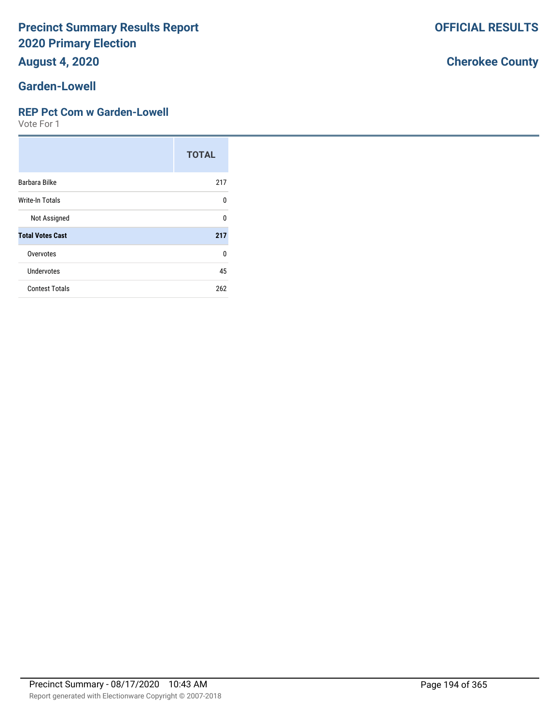# **August 4, 2020**

#### **Garden-Lowell**

#### **REP Pct Com w Garden-Lowell**

Vote For 1

|                         | <b>TOTAL</b> |
|-------------------------|--------------|
| Barbara Bilke           | 217          |
| <b>Write-In Totals</b>  | $\Omega$     |
| Not Assigned            | U            |
| <b>Total Votes Cast</b> | 217          |
| Overvotes               | 0            |
| <b>Undervotes</b>       | 45           |
| <b>Contest Totals</b>   | 262          |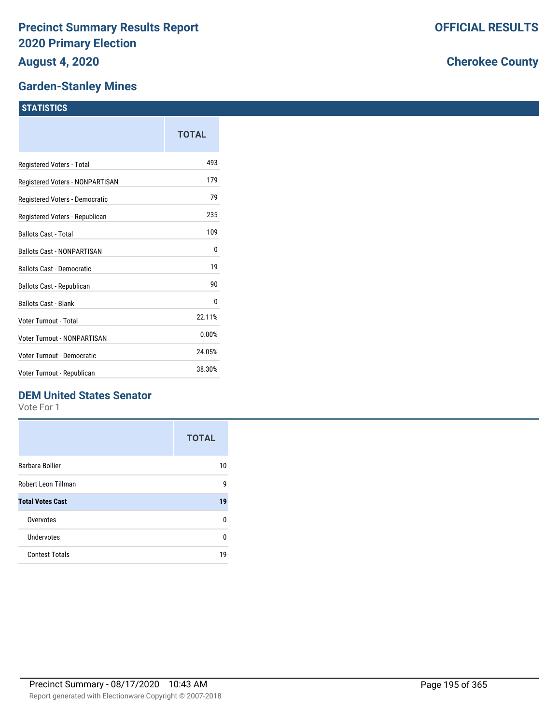#### **Garden-Stanley Mines**

# **STATISTICS**

|                                   | TOTAL  |
|-----------------------------------|--------|
| Registered Voters - Total         | 493    |
| Registered Voters - NONPARTISAN   | 179    |
| Registered Voters - Democratic    | 79     |
| Registered Voters - Republican    | 235    |
| <b>Ballots Cast - Total</b>       | 109    |
| <b>Ballots Cast - NONPARTISAN</b> | 0      |
| <b>Ballots Cast - Democratic</b>  | 19     |
| <b>Ballots Cast - Republican</b>  | 90     |
| <b>Ballots Cast - Blank</b>       | 0      |
| Voter Turnout - Total             | 22.11% |
| Voter Turnout - NONPARTISAN       | 0.00%  |
| Voter Turnout - Democratic        | 24.05% |
| Voter Turnout - Republican        | 38.30% |

#### **DEM United States Senator**

Vote For 1

|                         | <b>TOTAL</b> |
|-------------------------|--------------|
| Barbara Bollier         | 10           |
| Robert Leon Tillman     | g            |
| <b>Total Votes Cast</b> | 19           |
| Overvotes               | U            |
| Undervotes              | U            |
| <b>Contest Totals</b>   | 19           |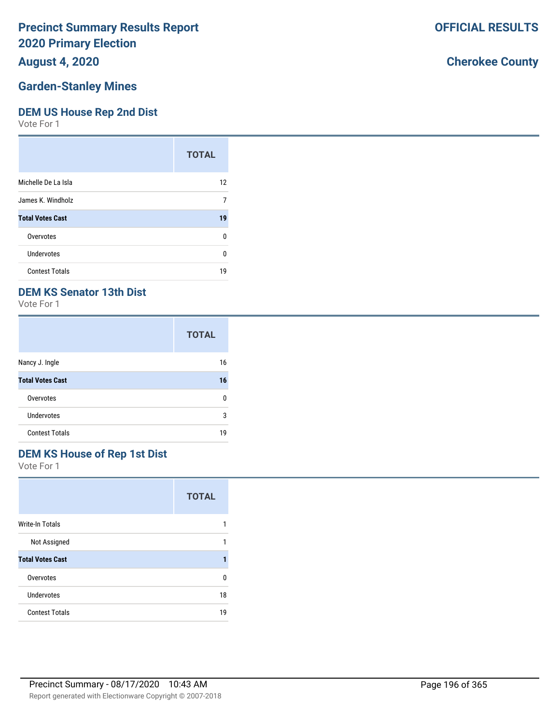#### **August 4, 2020**

#### **Garden-Stanley Mines**

#### **DEM US House Rep 2nd Dist**

Vote For 1

|                         | <b>TOTAL</b> |
|-------------------------|--------------|
| Michelle De La Isla     | 12           |
| James K. Windholz       | 7            |
| <b>Total Votes Cast</b> | 19           |
| Overvotes               | ŋ            |
| Undervotes              | ŋ            |
| <b>Contest Totals</b>   | 19           |

#### **DEM KS Senator 13th Dist**

Vote For 1

|                         | <b>TOTAL</b> |
|-------------------------|--------------|
| Nancy J. Ingle          | 16           |
| <b>Total Votes Cast</b> | 16           |
| Overvotes               | n            |
| Undervotes              | 3            |
| <b>Contest Totals</b>   | 19           |

#### **DEM KS House of Rep 1st Dist**

Vote For 1

|                         | <b>TOTAL</b> |
|-------------------------|--------------|
| <b>Write-In Totals</b>  |              |
| Not Assigned            |              |
| <b>Total Votes Cast</b> |              |
| Overvotes               | n            |
| Undervotes              | 18           |
| <b>Contest Totals</b>   | 19           |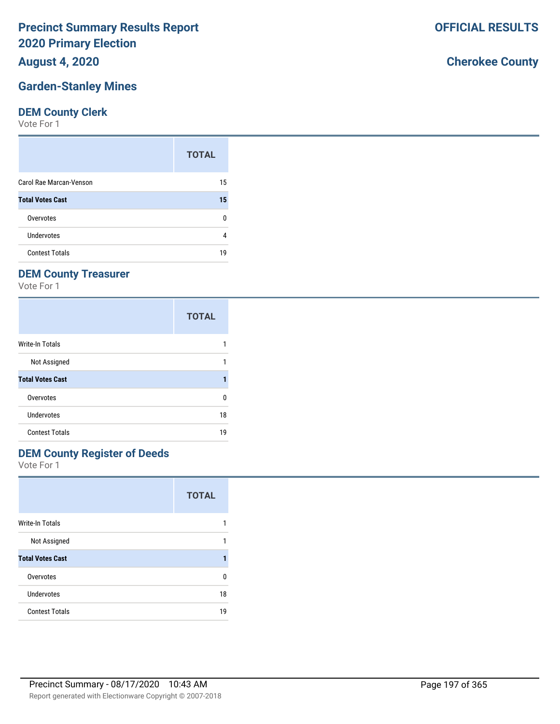**August 4, 2020**

## **Garden-Stanley Mines**

#### **DEM County Clerk**

Vote For 1

|                         | <b>TOTAL</b> |
|-------------------------|--------------|
| Carol Rae Marcan-Venson | 15           |
| <b>Total Votes Cast</b> | 15           |
| Overvotes               | n            |
| Undervotes              |              |
| <b>Contest Totals</b>   | 19           |

# **DEM County Treasurer**

Vote For 1

|                         | <b>TOTAL</b> |
|-------------------------|--------------|
| <b>Write-In Totals</b>  |              |
| Not Assigned            |              |
| <b>Total Votes Cast</b> | 1            |
| Overvotes               | 0            |
| Undervotes              | 18           |
| <b>Contest Totals</b>   | 19           |

## **DEM County Register of Deeds**

Vote For 1

|                         | <b>TOTAL</b> |
|-------------------------|--------------|
| <b>Write-In Totals</b>  | 1            |
| Not Assigned            | 1            |
| <b>Total Votes Cast</b> |              |
| Overvotes               | n            |
| Undervotes              | 18           |
| <b>Contest Totals</b>   | 19           |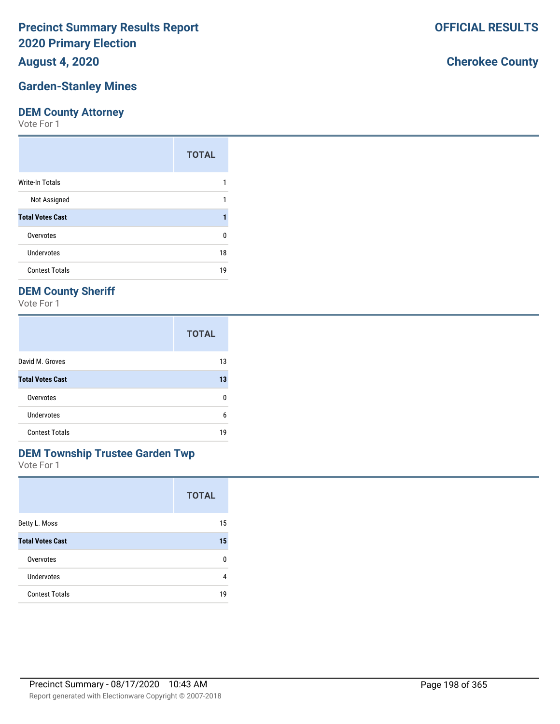**August 4, 2020**

#### **Garden-Stanley Mines**

#### **DEM County Attorney**

Vote For 1

|                         | <b>TOTAL</b> |
|-------------------------|--------------|
| Write-In Totals         |              |
| Not Assigned            |              |
| <b>Total Votes Cast</b> |              |
| Overvotes               | 0            |
| Undervotes              | 18           |
| <b>Contest Totals</b>   | 19           |

#### **DEM County Sheriff**

Vote For 1

|                         | <b>TOTAL</b> |
|-------------------------|--------------|
| David M. Groves         | 13           |
| <b>Total Votes Cast</b> | 13           |
| Overvotes               | n            |
| Undervotes              | 6            |
| <b>Contest Totals</b>   | 19           |

#### **DEM Township Trustee Garden Twp**

Vote For 1

|                         | <b>TOTAL</b> |
|-------------------------|--------------|
| Betty L. Moss           | 15           |
| <b>Total Votes Cast</b> | 15           |
| Overvotes               | 0            |
| <b>Undervotes</b>       | 4            |
| <b>Contest Totals</b>   | 19           |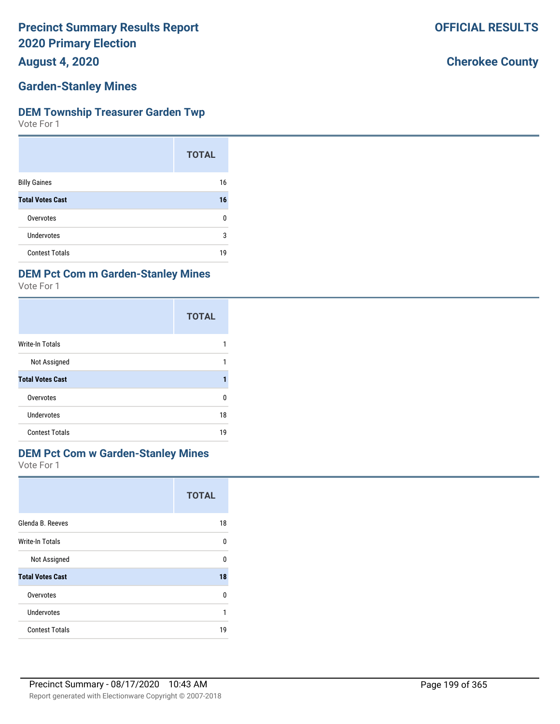**August 4, 2020**

#### **Garden-Stanley Mines**

#### **DEM Township Treasurer Garden Twp**

Vote For 1

|                         | <b>TOTAL</b> |
|-------------------------|--------------|
| <b>Billy Gaines</b>     | 16           |
| <b>Total Votes Cast</b> | 16           |
| Overvotes               | n            |
| Undervotes              | 3            |
| <b>Contest Totals</b>   | 19           |

#### **DEM Pct Com m Garden-Stanley Mines**

Vote For 1

|                         | <b>TOTAL</b> |
|-------------------------|--------------|
| Write-In Totals         |              |
| Not Assigned            |              |
| <b>Total Votes Cast</b> |              |
| Overvotes               | 0            |
| Undervotes              | 18           |
| <b>Contest Totals</b>   | 19           |

#### **DEM Pct Com w Garden-Stanley Mines**

Vote For 1

|                         | <b>TOTAL</b> |
|-------------------------|--------------|
| Glenda B. Reeves        | 18           |
| <b>Write-In Totals</b>  | U            |
| Not Assigned            | U            |
| <b>Total Votes Cast</b> | 18           |
| Overvotes               | U            |
| Undervotes              | 1            |
| <b>Contest Totals</b>   | 19           |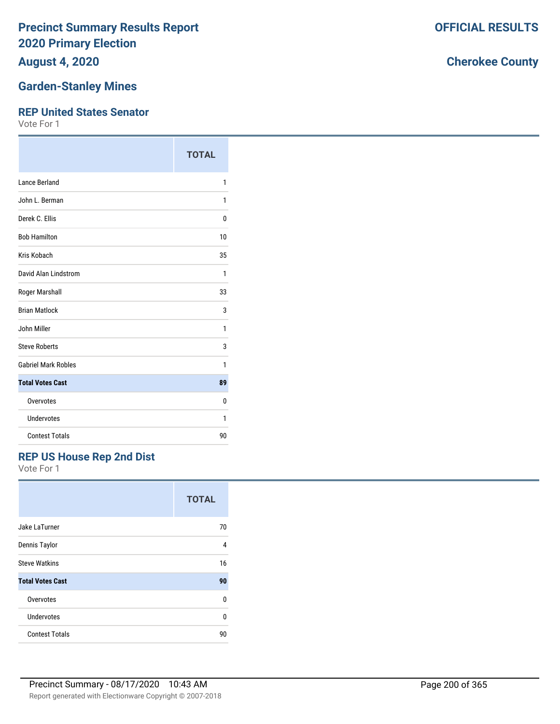**August 4, 2020**

#### **Garden-Stanley Mines**

#### **REP United States Senator**

Vote For 1

|                            | <b>TOTAL</b> |
|----------------------------|--------------|
| Lance Berland              | 1            |
| John L. Berman             | 1            |
| Derek C. Ellis             | 0            |
| <b>Bob Hamilton</b>        | 10           |
| Kris Kobach                | 35           |
| David Alan Lindstrom       | 1            |
| Roger Marshall             | 33           |
| <b>Brian Matlock</b>       | 3            |
| John Miller                | 1            |
| <b>Steve Roberts</b>       | 3            |
| <b>Gabriel Mark Robles</b> | 1            |
| <b>Total Votes Cast</b>    | 89           |
| Overvotes                  | 0            |
| Undervotes                 | 1            |
| <b>Contest Totals</b>      | 90           |

#### **REP US House Rep 2nd Dist**

Vote For 1

|                         | <b>TOTAL</b> |
|-------------------------|--------------|
| Jake LaTurner           | 70           |
| Dennis Taylor           | 4            |
| <b>Steve Watkins</b>    | 16           |
| <b>Total Votes Cast</b> | 90           |
| Overvotes               | U            |
| Undervotes              | U            |
| <b>Contest Totals</b>   | 90           |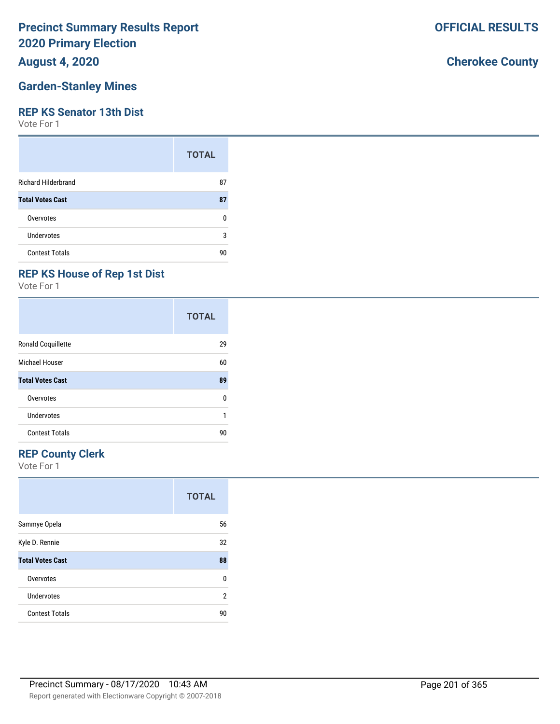#### **August 4, 2020**

#### **Garden-Stanley Mines**

#### **REP KS Senator 13th Dist**

Vote For 1

|                            | <b>TOTAL</b> |
|----------------------------|--------------|
| <b>Richard Hilderbrand</b> | 87           |
| <b>Total Votes Cast</b>    | 87           |
| Overvotes                  | n            |
| <b>Undervotes</b>          | 3            |
| <b>Contest Totals</b>      | 90           |

## **REP KS House of Rep 1st Dist**

Vote For 1

|                         | <b>TOTAL</b> |
|-------------------------|--------------|
| Ronald Coquillette      | 29           |
| Michael Houser          | 60           |
| <b>Total Votes Cast</b> | 89           |
| Overvotes               | 0            |
| Undervotes              | 1            |
| <b>Contest Totals</b>   | 90           |

#### **REP County Clerk**

Vote For 1

|                         | <b>TOTAL</b> |
|-------------------------|--------------|
| Sammye Opela            | 56           |
| Kyle D. Rennie          | 32           |
| <b>Total Votes Cast</b> | 88           |
| Overvotes               | U            |
| Undervotes              | 2            |
| <b>Contest Totals</b>   | 90           |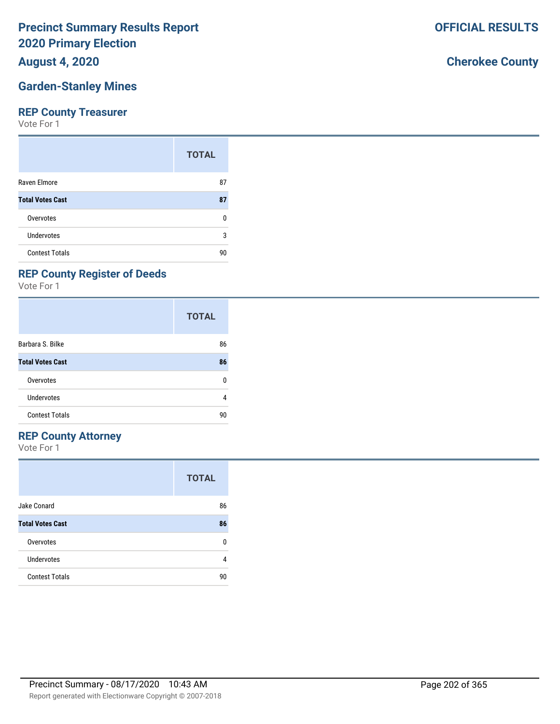**August 4, 2020**

## **Garden-Stanley Mines**

#### **REP County Treasurer**

Vote For 1

|                         | <b>TOTAL</b> |
|-------------------------|--------------|
| Raven Elmore            | 87           |
| <b>Total Votes Cast</b> | 87           |
| Overvotes               | n            |
| Undervotes              | 3            |
| <b>Contest Totals</b>   | 90           |

# **REP County Register of Deeds**

Vote For 1

|                         | <b>TOTAL</b> |
|-------------------------|--------------|
| Barbara S. Bilke        | 86           |
| <b>Total Votes Cast</b> | 86           |
| Overvotes               | U            |
| Undervotes              | 4            |
| <b>Contest Totals</b>   | 90           |

#### **REP County Attorney**

Vote For 1

|                         | <b>TOTAL</b> |
|-------------------------|--------------|
| Jake Conard             | 86           |
| <b>Total Votes Cast</b> | 86           |
| Overvotes               | ŋ            |
| Undervotes              | 4            |
| <b>Contest Totals</b>   | 90           |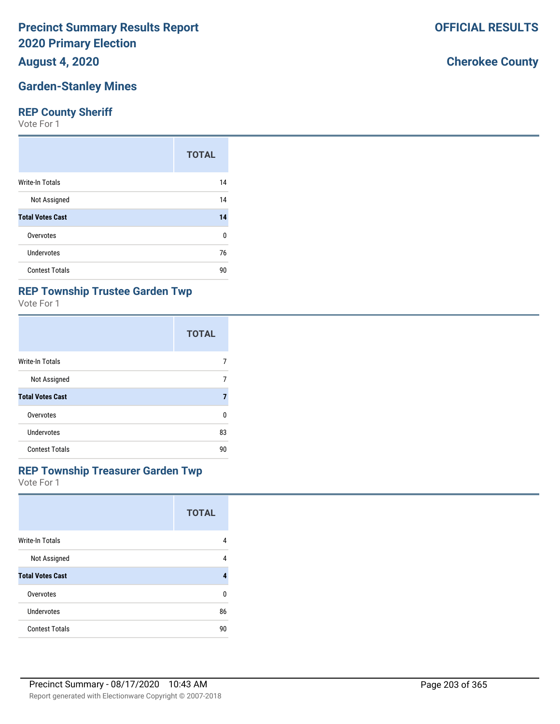**August 4, 2020**

## **Garden-Stanley Mines**

#### **REP County Sheriff**

Vote For 1

|                         | <b>TOTAL</b> |
|-------------------------|--------------|
| Write-In Totals         | 14           |
| Not Assigned            | 14           |
| <b>Total Votes Cast</b> | 14           |
| Overvotes               | 0            |
| <b>Undervotes</b>       | 76           |
| <b>Contest Totals</b>   | 90           |

## **REP Township Trustee Garden Twp**

Vote For 1

|                         | <b>TOTAL</b> |
|-------------------------|--------------|
| <b>Write-In Totals</b>  |              |
| Not Assigned            | 7            |
| <b>Total Votes Cast</b> | 7            |
| Overvotes               | ŋ            |
| Undervotes              | 83           |
| <b>Contest Totals</b>   | 90           |

#### **REP Township Treasurer Garden Twp**

Vote For 1

|                         | <b>TOTAL</b> |
|-------------------------|--------------|
| <b>Write-In Totals</b>  | 4            |
| Not Assigned            | 4            |
| <b>Total Votes Cast</b> | 4            |
| Overvotes               | ŋ            |
| Undervotes              | 86           |
| <b>Contest Totals</b>   | 90           |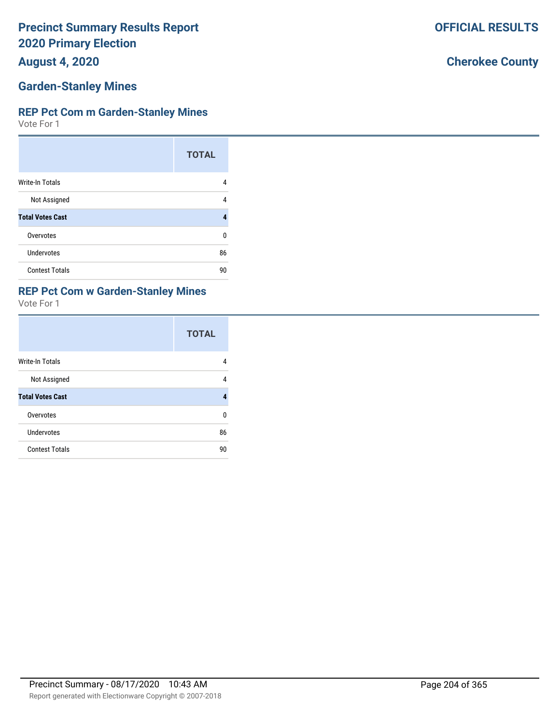**August 4, 2020**

## **Garden-Stanley Mines**

#### **REP Pct Com m Garden-Stanley Mines**

Vote For 1

|                         | <b>TOTAL</b> |
|-------------------------|--------------|
| Write-In Totals         | 4            |
| Not Assigned            | 4            |
| <b>Total Votes Cast</b> |              |
| Overvotes               | n            |
| Undervotes              | 86           |
| <b>Contest Totals</b>   | 90           |

#### **REP Pct Com w Garden-Stanley Mines**

Vote For 1

|                         | <b>TOTAL</b> |
|-------------------------|--------------|
| Write-In Totals         | 4            |
| Not Assigned            | 4            |
| <b>Total Votes Cast</b> | 4            |
| Overvotes               | 0            |
| <b>Undervotes</b>       | 86           |
| <b>Contest Totals</b>   | 90           |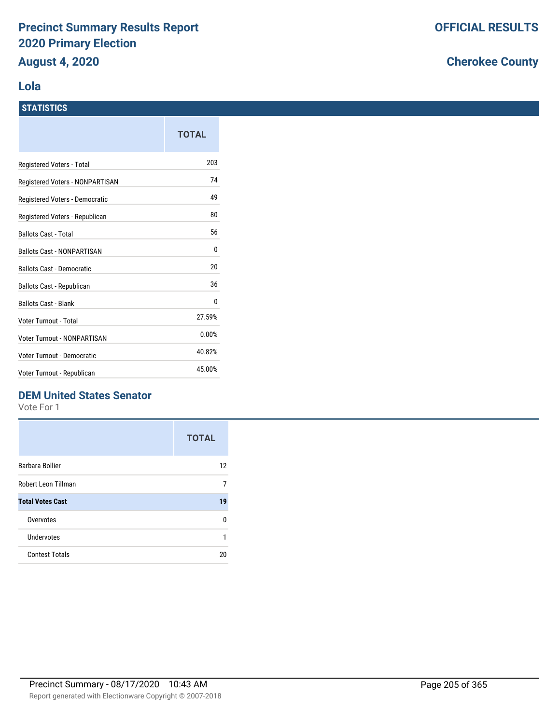#### **Lola**

|                                    | TOTAL  |
|------------------------------------|--------|
| Registered Voters - Total          | 203    |
| Registered Voters - NONPARTISAN    | 74     |
| Registered Voters - Democratic     | 49     |
| Registered Voters - Republican     | 80     |
| <b>Ballots Cast - Total</b>        | 56     |
| <b>Ballots Cast - NONPARTISAN</b>  | 0      |
| <b>Ballots Cast - Democratic</b>   | 20     |
| Ballots Cast - Republican          | 36     |
| <b>Ballots Cast - Blank</b>        | 0      |
| Voter Turnout - Total              | 27.59% |
| <b>Voter Turnout - NONPARTISAN</b> | 0.00%  |
| <b>Voter Turnout - Democratic</b>  | 40.82% |
| Voter Turnout - Republican         | 45.00% |

#### **DEM United States Senator**

Vote For 1

|                         | <b>TOTAL</b> |
|-------------------------|--------------|
| Barbara Bollier         | 12           |
| Robert Leon Tillman     | 7            |
| <b>Total Votes Cast</b> | 19           |
| Overvotes               | U            |
| Undervotes              |              |
| <b>Contest Totals</b>   | 20           |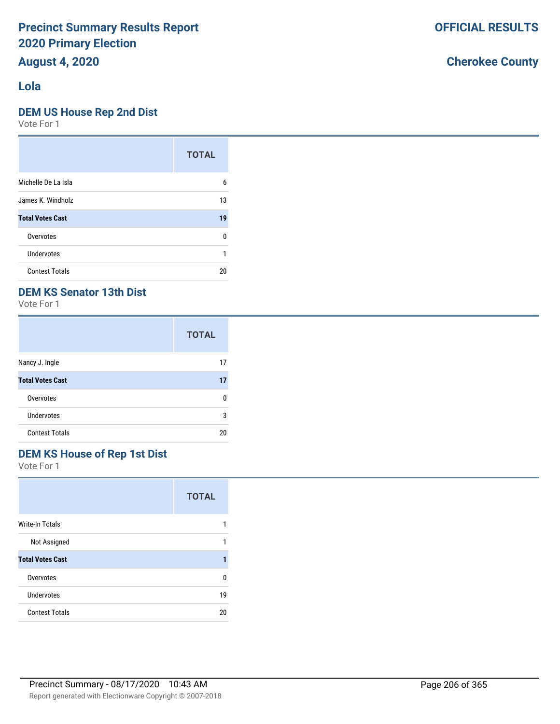# **August 4, 2020**

## **Lola**

#### **DEM US House Rep 2nd Dist**

Vote For 1

|                         | <b>TOTAL</b> |
|-------------------------|--------------|
| Michelle De La Isla     | 6            |
| James K. Windholz       | 13           |
| <b>Total Votes Cast</b> | 19           |
| Overvotes               | n            |
| Undervotes              |              |
| <b>Contest Totals</b>   | 20           |

# **DEM KS Senator 13th Dist**

Vote For 1

|                         | <b>TOTAL</b> |
|-------------------------|--------------|
| Nancy J. Ingle          | 17           |
| <b>Total Votes Cast</b> | 17           |
| Overvotes               | n            |
| <b>Undervotes</b>       | 3            |
| <b>Contest Totals</b>   | 20           |

# **DEM KS House of Rep 1st Dist**

Vote For 1

|                         | <b>TOTAL</b> |
|-------------------------|--------------|
| <b>Write-In Totals</b>  |              |
| Not Assigned            |              |
| <b>Total Votes Cast</b> |              |
| Overvotes               | n            |
| <b>Undervotes</b>       | 19           |
| <b>Contest Totals</b>   | 20           |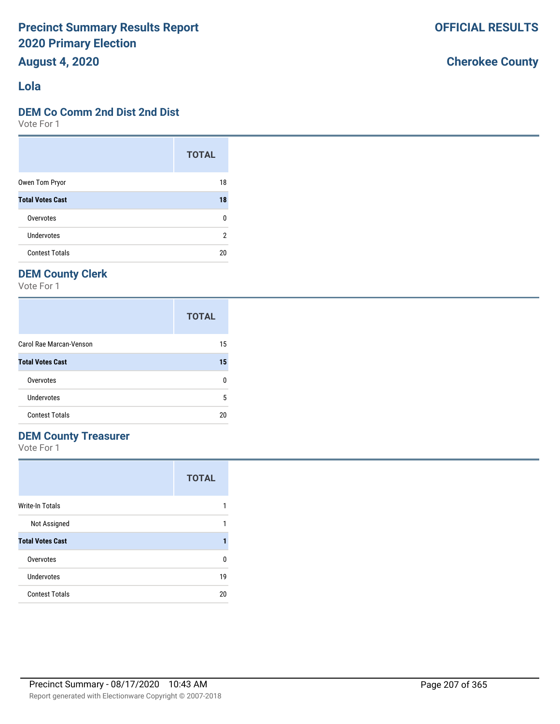## **August 4, 2020**

#### **Lola**

#### **DEM Co Comm 2nd Dist 2nd Dist**

Vote For 1

|                         | <b>TOTAL</b> |
|-------------------------|--------------|
| Owen Tom Pryor          | 18           |
| <b>Total Votes Cast</b> | 18           |
| Overvotes               | U            |
| <b>Undervotes</b>       | 2            |
| <b>Contest Totals</b>   | 20           |

## **DEM County Clerk**

Vote For 1

|                         | <b>TOTAL</b> |
|-------------------------|--------------|
| Carol Rae Marcan-Venson | 15           |
| <b>Total Votes Cast</b> | 15           |
| Overvotes               | n            |
| Undervotes              | 5            |
| <b>Contest Totals</b>   | 20           |

### **DEM County Treasurer**

Vote For 1

|                         | <b>TOTAL</b> |
|-------------------------|--------------|
| Write-In Totals         |              |
| Not Assigned            |              |
| <b>Total Votes Cast</b> |              |
| Overvotes               | n            |
| Undervotes              | 19           |
| <b>Contest Totals</b>   | 20           |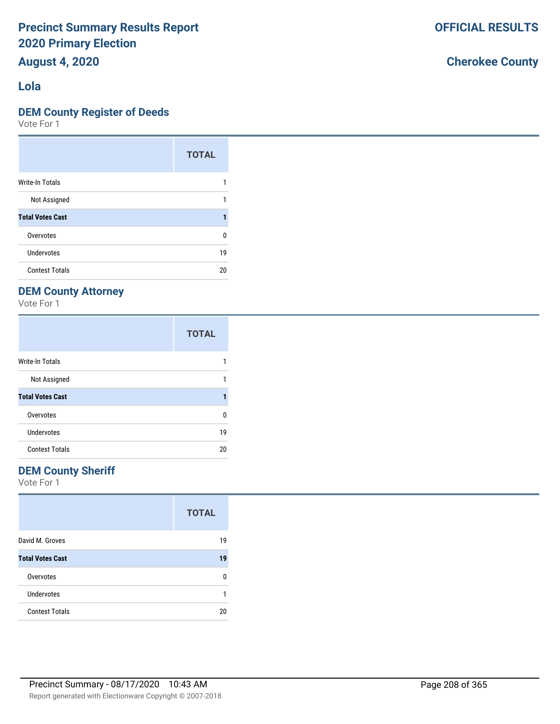## **August 4, 2020**

#### **Lola**

#### **DEM County Register of Deeds**

Vote For 1

|                         | <b>TOTAL</b> |
|-------------------------|--------------|
| Write-In Totals         |              |
| Not Assigned            |              |
| <b>Total Votes Cast</b> |              |
| Overvotes               | 0            |
| Undervotes              | 19           |
| <b>Contest Totals</b>   | 20           |

## **DEM County Attorney**

Vote For 1

|                         | <b>TOTAL</b> |
|-------------------------|--------------|
| <b>Write-In Totals</b>  |              |
| Not Assigned            |              |
| <b>Total Votes Cast</b> |              |
| Overvotes               | U            |
| Undervotes              | 19           |
| <b>Contest Totals</b>   | 20           |

#### **DEM County Sheriff**

Vote For 1

|                         | <b>TOTAL</b> |
|-------------------------|--------------|
| David M. Groves         | 19           |
| <b>Total Votes Cast</b> | 19           |
| Overvotes               | n            |
| <b>Undervotes</b>       |              |
| <b>Contest Totals</b>   | 20           |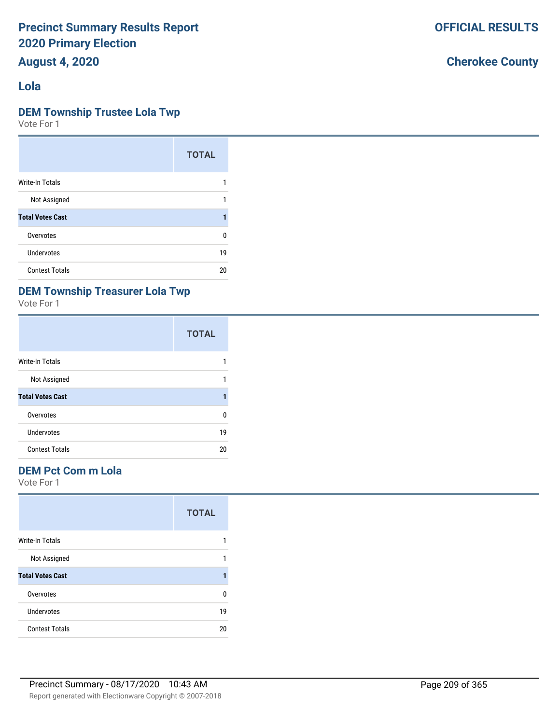**August 4, 2020**

#### **Lola**

#### **DEM Township Trustee Lola Twp**

Vote For 1

|                         | <b>TOTAL</b> |
|-------------------------|--------------|
| <b>Write-In Totals</b>  |              |
| Not Assigned            | 1            |
| <b>Total Votes Cast</b> |              |
| Overvotes               | 0            |
| <b>Undervotes</b>       | 19           |
| <b>Contest Totals</b>   | 20           |

## **DEM Township Treasurer Lola Twp**

Vote For 1

|                         | <b>TOTAL</b> |
|-------------------------|--------------|
| Write-In Totals         |              |
| Not Assigned            |              |
| <b>Total Votes Cast</b> |              |
| Overvotes               | U            |
| Undervotes              | 19           |
| <b>Contest Totals</b>   | 20           |

#### **DEM Pct Com m Lola**

Vote For 1

|                         | <b>TOTAL</b> |
|-------------------------|--------------|
| Write-In Totals         |              |
| Not Assigned            |              |
| <b>Total Votes Cast</b> |              |
| Overvotes               | U            |
| Undervotes              | 19           |
| <b>Contest Totals</b>   | 20           |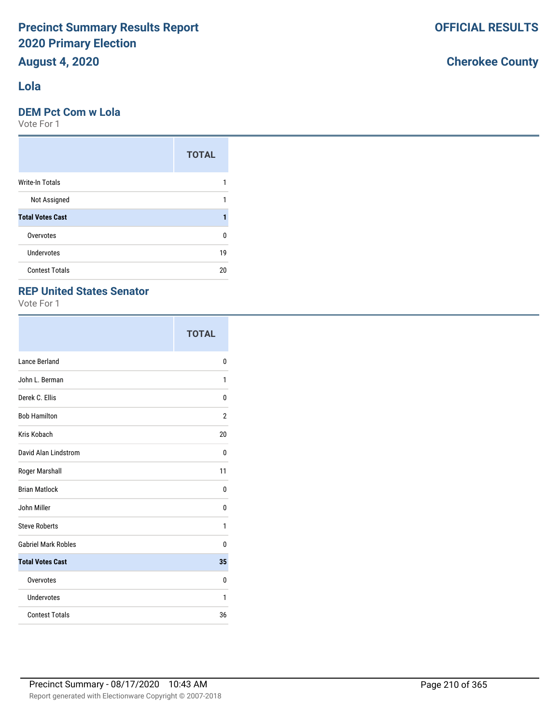# **August 4, 2020**

#### **Lola**

#### **DEM Pct Com w Lola**

Vote For 1

|                         | <b>TOTAL</b> |
|-------------------------|--------------|
| Write-In Totals         |              |
| Not Assigned            |              |
| <b>Total Votes Cast</b> |              |
| Overvotes               | n            |
| <b>Undervotes</b>       | 19           |
| <b>Contest Totals</b>   | 20           |

#### **REP United States Senator**

Vote For 1

|                            | <b>TOTAL</b>   |
|----------------------------|----------------|
| Lance Berland              | 0              |
| John L. Berman             | 1              |
| Derek C. Ellis             | 0              |
| <b>Bob Hamilton</b>        | $\overline{2}$ |
| Kris Kobach                | 20             |
| David Alan Lindstrom       | 0              |
| Roger Marshall             | 11             |
| <b>Brian Matlock</b>       | 0              |
| John Miller                | 0              |
| <b>Steve Roberts</b>       | 1              |
| <b>Gabriel Mark Robles</b> | 0              |
| <b>Total Votes Cast</b>    | 35             |
| Overvotes                  | 0              |
| Undervotes                 | 1              |
| <b>Contest Totals</b>      | 36             |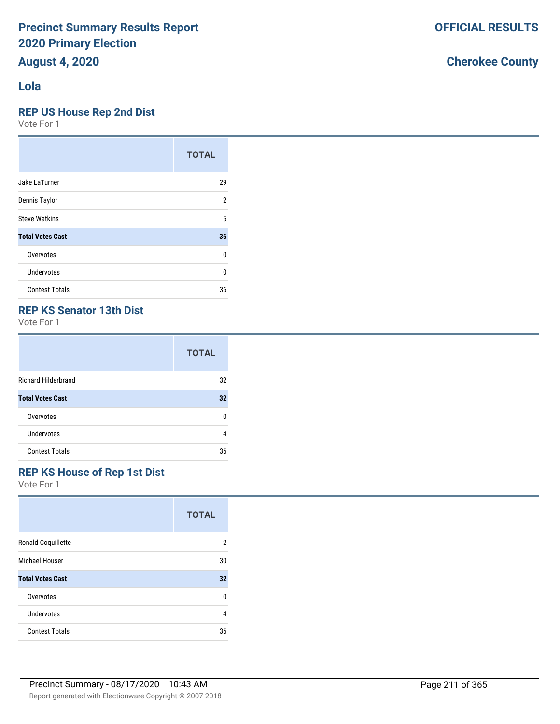#### **Lola**

#### **REP US House Rep 2nd Dist**

Vote For 1

|                         | <b>TOTAL</b> |
|-------------------------|--------------|
| Jake LaTurner           | 29           |
| Dennis Taylor           | 2            |
| <b>Steve Watkins</b>    | 5            |
| <b>Total Votes Cast</b> | 36           |
| Overvotes               | 0            |
| Undervotes              | $\Omega$     |
| <b>Contest Totals</b>   | 36           |

#### **REP KS Senator 13th Dist**

Vote For 1

|                            | <b>TOTAL</b> |
|----------------------------|--------------|
| <b>Richard Hilderbrand</b> | 32           |
| <b>Total Votes Cast</b>    | 32           |
| Overvotes                  | n            |
| Undervotes                 | 4            |
| <b>Contest Totals</b>      | 36           |

#### **REP KS House of Rep 1st Dist**

Vote For 1

|                           | <b>TOTAL</b> |
|---------------------------|--------------|
| <b>Ronald Coquillette</b> | 2            |
| Michael Houser            | 30           |
| <b>Total Votes Cast</b>   | 32           |
| Overvotes                 | U            |
| Undervotes                | 4            |
| <b>Contest Totals</b>     | 36           |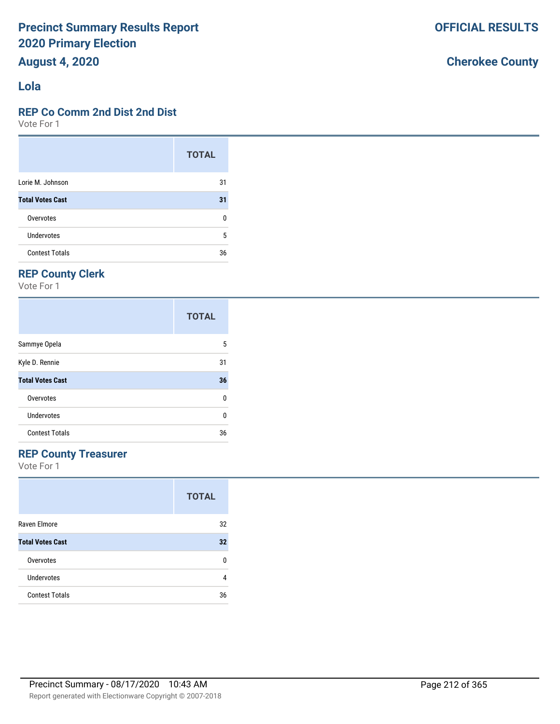# **August 4, 2020**

#### **Lola**

#### **REP Co Comm 2nd Dist 2nd Dist**

Vote For 1

|                         | <b>TOTAL</b> |
|-------------------------|--------------|
| Lorie M. Johnson        | 31           |
| <b>Total Votes Cast</b> | 31           |
| Overvotes               | 0            |
| Undervotes              | 5            |
| <b>Contest Totals</b>   | 36           |

# **REP County Clerk**

Vote For 1

|                         | <b>TOTAL</b> |
|-------------------------|--------------|
| Sammye Opela            | 5            |
| Kyle D. Rennie          | 31           |
| <b>Total Votes Cast</b> | 36           |
| Overvotes               | 0            |
| Undervotes              | ŋ            |
| <b>Contest Totals</b>   | 36           |

#### **REP County Treasurer**

Vote For 1

|                         | <b>TOTAL</b> |
|-------------------------|--------------|
| Raven Elmore            | 32           |
| <b>Total Votes Cast</b> | 32           |
| Overvotes               | n            |
| Undervotes              | 4            |
| <b>Contest Totals</b>   | 36           |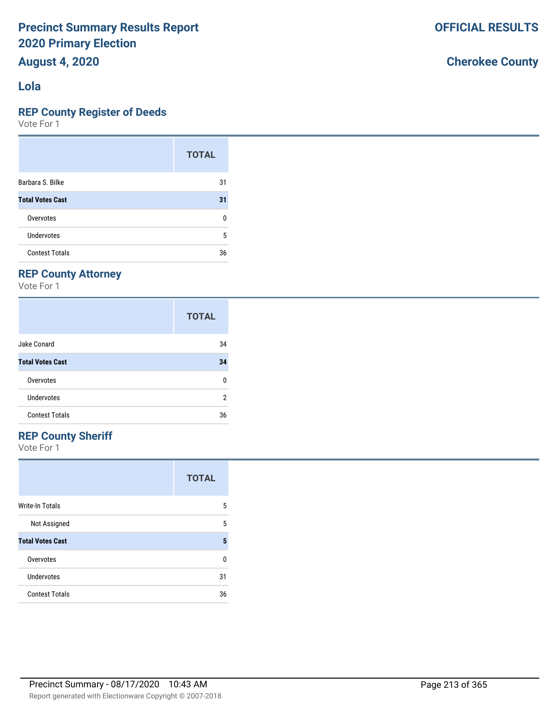## **August 4, 2020**

#### **Lola**

#### **REP County Register of Deeds**

Vote For 1

|                         | <b>TOTAL</b> |
|-------------------------|--------------|
| Barbara S. Bilke        | 31           |
| <b>Total Votes Cast</b> | 31           |
| Overvotes               | 0            |
| <b>Undervotes</b>       | 5            |
| <b>Contest Totals</b>   | 36           |

#### **REP County Attorney**

Vote For 1

|                         | <b>TOTAL</b> |
|-------------------------|--------------|
| Jake Conard             | 34           |
| <b>Total Votes Cast</b> | 34           |
| Overvotes               | 0            |
| Undervotes              | 2            |
| <b>Contest Totals</b>   | 36           |

#### **REP County Sheriff**

Vote For 1

|                         | <b>TOTAL</b> |
|-------------------------|--------------|
| <b>Write-In Totals</b>  | 5            |
| Not Assigned            | 5            |
| <b>Total Votes Cast</b> | 5            |
| Overvotes               | U            |
| Undervotes              | 31           |
| <b>Contest Totals</b>   | 36           |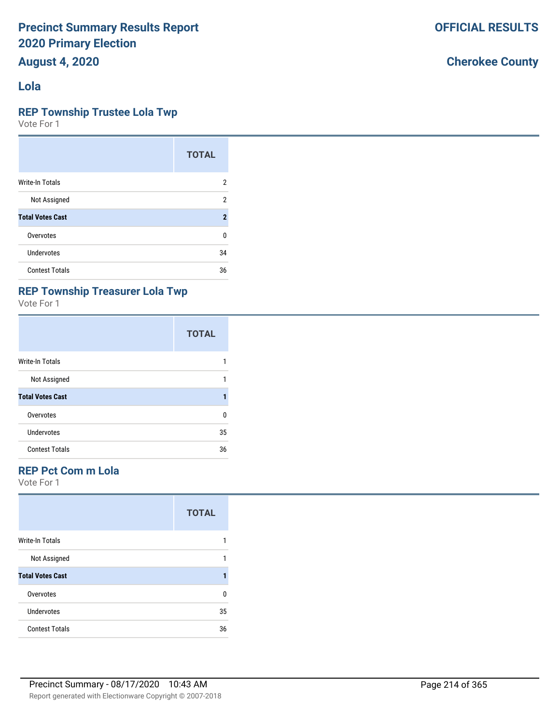**August 4, 2020**

#### **Lola**

#### **REP Township Trustee Lola Twp**

Vote For 1

|                         | <b>TOTAL</b>        |
|-------------------------|---------------------|
| <b>Write-In Totals</b>  | 2                   |
| Not Assigned            | 2                   |
| <b>Total Votes Cast</b> | $\boldsymbol{\eta}$ |
| Overvotes               | 0                   |
| <b>Undervotes</b>       | 34                  |
| <b>Contest Totals</b>   | 36                  |

#### **REP Township Treasurer Lola Twp**

Vote For 1

|                         | <b>TOTAL</b> |
|-------------------------|--------------|
| Write-In Totals         |              |
| Not Assigned            |              |
| <b>Total Votes Cast</b> |              |
| Overvotes               | U            |
| Undervotes              | 35           |
| <b>Contest Totals</b>   | 36           |

#### **REP Pct Com m Lola**

Vote For 1

|                         | <b>TOTAL</b> |
|-------------------------|--------------|
| <b>Write-In Totals</b>  |              |
| Not Assigned            |              |
| <b>Total Votes Cast</b> |              |
| Overvotes               | n            |
| Undervotes              | 35           |
| <b>Contest Totals</b>   | 36           |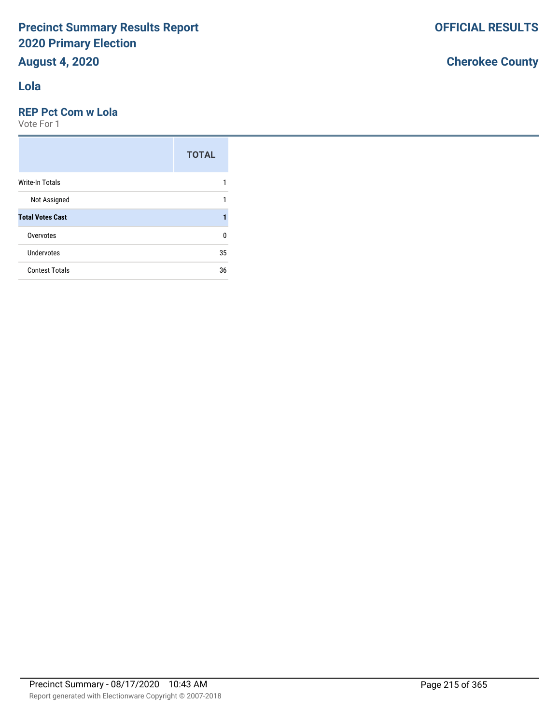## **Lola**

#### **REP Pct Com w Lola**

Vote For 1

|                         | <b>TOTAL</b> |
|-------------------------|--------------|
| <b>Write-In Totals</b>  |              |
| Not Assigned            |              |
| <b>Total Votes Cast</b> |              |
| Overvotes               | U            |
| Undervotes              | 35           |
| <b>Contest Totals</b>   | 36           |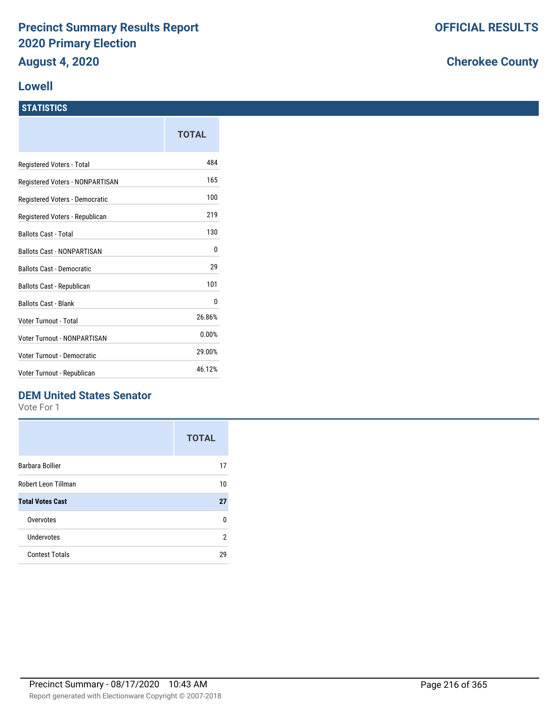#### **Lowell**

#### **STATISTICS**

|                                   | TOTAL  |
|-----------------------------------|--------|
| Registered Voters - Total         | 484    |
| Registered Voters - NONPARTISAN   | 165    |
| Registered Voters - Democratic    | 100    |
| Registered Voters - Republican    | 219    |
| <b>Ballots Cast - Total</b>       | 130    |
| <b>Ballots Cast - NONPARTISAN</b> | 0      |
| <b>Ballots Cast - Democratic</b>  | 29     |
| Ballots Cast - Republican         | 101    |
| <b>Ballots Cast - Blank</b>       | 0      |
| Voter Turnout - Total             | 26.86% |
| Voter Turnout - NONPARTISAN       | 0.00%  |
| Voter Turnout - Democratic        | 29.00% |
| Voter Turnout - Republican        | 46.12% |

#### **DEM United States Senator**

Vote For 1

|                         | <b>TOTAL</b> |
|-------------------------|--------------|
| Barbara Bollier         | 17           |
| Robert Leon Tillman     | 10           |
| <b>Total Votes Cast</b> | 27           |
| Overvotes               | n            |
| Undervotes              | 2            |
| <b>Contest Totals</b>   | 29           |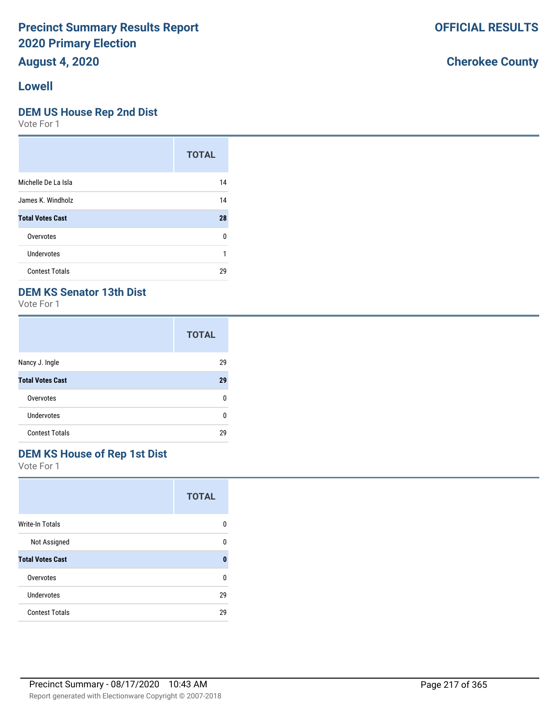## **August 4, 2020**

#### **Lowell**

#### **DEM US House Rep 2nd Dist**

Vote For 1

|                         | <b>TOTAL</b> |
|-------------------------|--------------|
| Michelle De La Isla     | 14           |
| James K. Windholz       | 14           |
| <b>Total Votes Cast</b> | 28           |
| Overvotes               | 0            |
| Undervotes              | 1            |
| <b>Contest Totals</b>   | 29           |

## **DEM KS Senator 13th Dist**

Vote For 1

|                         | <b>TOTAL</b> |
|-------------------------|--------------|
| Nancy J. Ingle          | 29           |
| <b>Total Votes Cast</b> | 29           |
| Overvotes               | n            |
| Undervotes              | n            |
| <b>Contest Totals</b>   | 29           |

## **DEM KS House of Rep 1st Dist**

Vote For 1

|                         | <b>TOTAL</b> |
|-------------------------|--------------|
| <b>Write-In Totals</b>  | n            |
| Not Assigned            | n            |
| <b>Total Votes Cast</b> | O            |
| Overvotes               | n            |
| Undervotes              | 29           |
| <b>Contest Totals</b>   | 29           |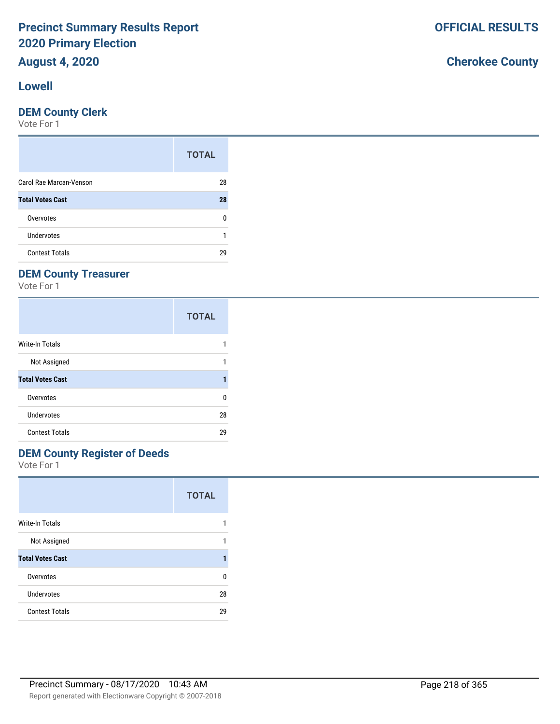# **August 4, 2020**

### **Lowell**

#### **DEM County Clerk**

Vote For 1

|                         | <b>TOTAL</b> |
|-------------------------|--------------|
| Carol Rae Marcan-Venson | 28           |
| <b>Total Votes Cast</b> | 28           |
| Overvotes               | n            |
| Undervotes              |              |
| <b>Contest Totals</b>   | 29           |

## **DEM County Treasurer**

Vote For 1

|                         | <b>TOTAL</b> |
|-------------------------|--------------|
| Write-In Totals         |              |
| Not Assigned            |              |
| <b>Total Votes Cast</b> |              |
| Overvotes               | n            |
| Undervotes              | 28           |
| <b>Contest Totals</b>   | 29           |

## **DEM County Register of Deeds**

Vote For 1

|                         | <b>TOTAL</b> |
|-------------------------|--------------|
| <b>Write-In Totals</b>  | 1            |
| Not Assigned            | 1            |
| <b>Total Votes Cast</b> |              |
| Overvotes               | n            |
| Undervotes              | 28           |
| <b>Contest Totals</b>   | 29           |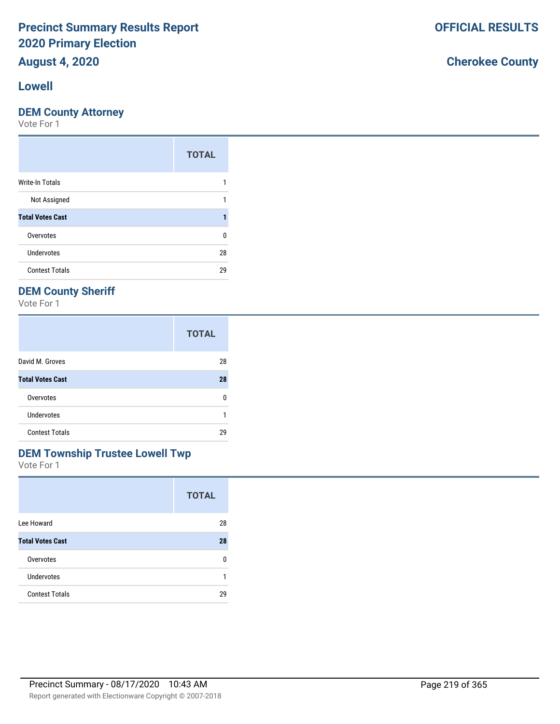# **August 4, 2020**

#### **Lowell**

### **DEM County Attorney**

Vote For 1

|                         | <b>TOTAL</b> |
|-------------------------|--------------|
| <b>Write-In Totals</b>  |              |
| Not Assigned            |              |
| <b>Total Votes Cast</b> |              |
| Overvotes               | ŋ            |
| <b>Undervotes</b>       | 28           |
| <b>Contest Totals</b>   | 29           |

## **DEM County Sheriff**

Vote For 1

|                         | <b>TOTAL</b> |
|-------------------------|--------------|
| David M. Groves         | 28           |
| <b>Total Votes Cast</b> | 28           |
| Overvotes               | n            |
| Undervotes              |              |
| <b>Contest Totals</b>   | 29           |

### **DEM Township Trustee Lowell Twp**

Vote For 1

|                         | <b>TOTAL</b> |
|-------------------------|--------------|
| Lee Howard              | 28           |
| <b>Total Votes Cast</b> | 28           |
| Overvotes               | n            |
| Undervotes              |              |
| <b>Contest Totals</b>   | 29           |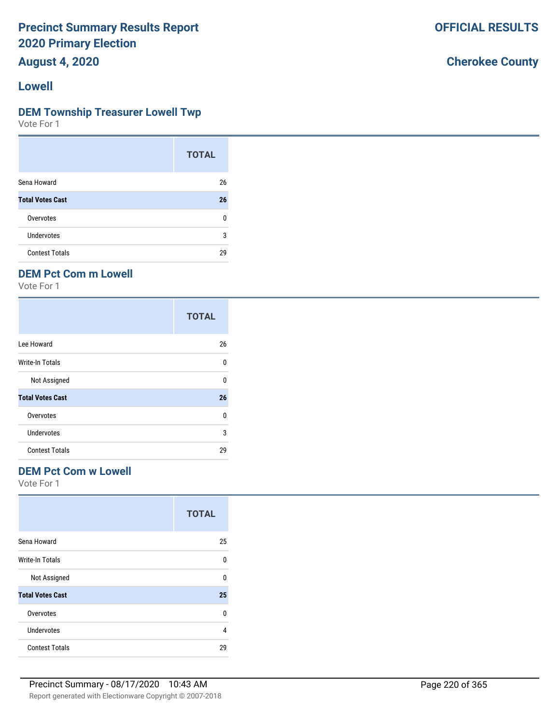**August 4, 2020**

#### **Lowell**

#### **DEM Township Treasurer Lowell Twp**

Vote For 1

|                         | <b>TOTAL</b> |
|-------------------------|--------------|
| Sena Howard             | 26           |
| <b>Total Votes Cast</b> | 26           |
| Overvotes               | n            |
| Undervotes              | 3            |
| <b>Contest Totals</b>   | 29           |

### **DEM Pct Com m Lowell**

Vote For 1

|                         | <b>TOTAL</b> |
|-------------------------|--------------|
| Lee Howard              | 26           |
| Write-In Totals         | U            |
| Not Assigned            | U            |
| <b>Total Votes Cast</b> | 26           |
| Overvotes               | U            |
| Undervotes              | 3            |
| <b>Contest Totals</b>   | 29           |

## **DEM Pct Com w Lowell**

Vote For 1

|                         | <b>TOTAL</b> |
|-------------------------|--------------|
| Sena Howard             | 25           |
| Write-In Totals         | U            |
| Not Assigned            | U            |
| <b>Total Votes Cast</b> | 25           |
| Overvotes               | 0            |
| Undervotes              | 4            |
| <b>Contest Totals</b>   | 29           |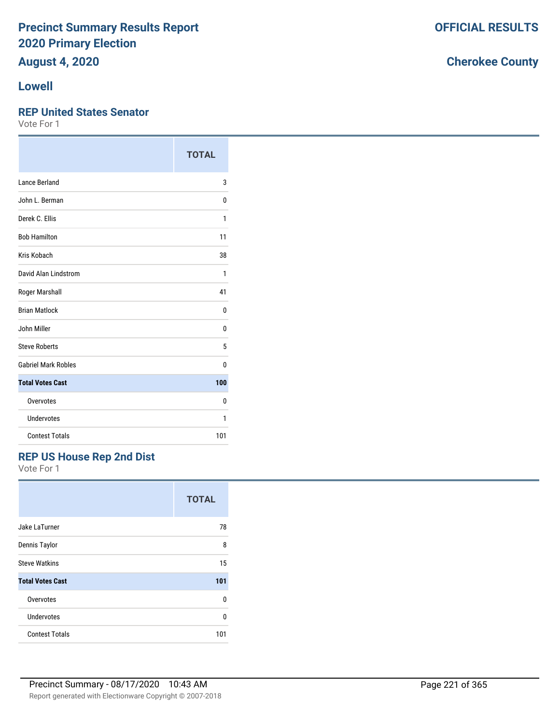# **August 4, 2020**

### **Lowell**

#### **REP United States Senator**

Vote For 1

|                            | <b>TOTAL</b> |
|----------------------------|--------------|
| Lance Berland              | 3            |
| John L. Berman             | 0            |
| Derek C. Ellis             | 1            |
| <b>Bob Hamilton</b>        | 11           |
| Kris Kobach                | 38           |
| David Alan Lindstrom       | 1            |
| Roger Marshall             | 41           |
| <b>Brian Matlock</b>       | 0            |
| John Miller                | 0            |
| <b>Steve Roberts</b>       | 5            |
| <b>Gabriel Mark Robles</b> | 0            |
| <b>Total Votes Cast</b>    | 100          |
| Overvotes                  | 0            |
| Undervotes                 | 1            |
| <b>Contest Totals</b>      | 101          |

## **REP US House Rep 2nd Dist**

Vote For 1

|                         | <b>TOTAL</b> |
|-------------------------|--------------|
| Jake LaTurner           | 78           |
| Dennis Taylor           | 8            |
| <b>Steve Watkins</b>    | 15           |
| <b>Total Votes Cast</b> | 101          |
| Overvotes               | U            |
| <b>Undervotes</b>       | U            |
| <b>Contest Totals</b>   | 101          |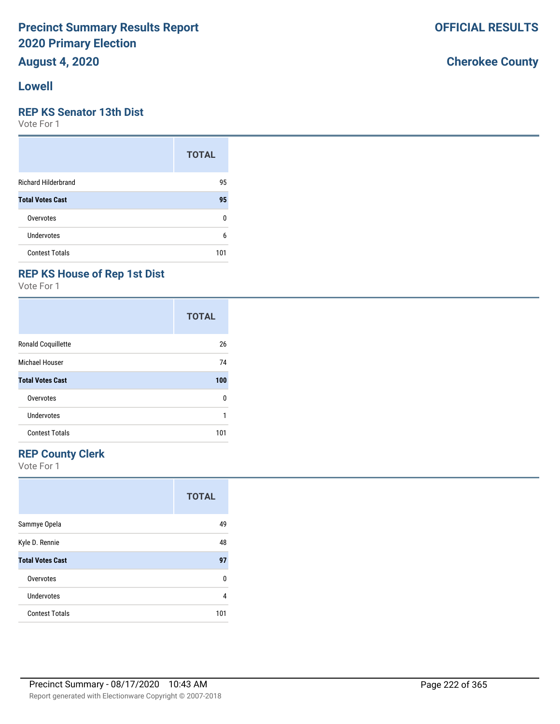## **August 4, 2020**

#### **Lowell**

#### **REP KS Senator 13th Dist**

Vote For 1

|                            | <b>TOTAL</b> |
|----------------------------|--------------|
| <b>Richard Hilderbrand</b> | 95           |
| <b>Total Votes Cast</b>    | 95           |
| Overvotes                  | 0            |
| Undervotes                 | 6            |
| <b>Contest Totals</b>      | 101          |

## **REP KS House of Rep 1st Dist**

Vote For 1

|                         | <b>TOTAL</b> |
|-------------------------|--------------|
| Ronald Coquillette      | 26           |
| Michael Houser          | 74           |
| <b>Total Votes Cast</b> | 100          |
| Overvotes               | 0            |
| Undervotes              |              |
| <b>Contest Totals</b>   | 101          |

## **REP County Clerk**

Vote For 1

|                         | <b>TOTAL</b> |
|-------------------------|--------------|
| Sammye Opela            | 49           |
| Kyle D. Rennie          | 48           |
| <b>Total Votes Cast</b> | 97           |
| Overvotes               | U            |
| Undervotes              | 4            |
| <b>Contest Totals</b>   | 101          |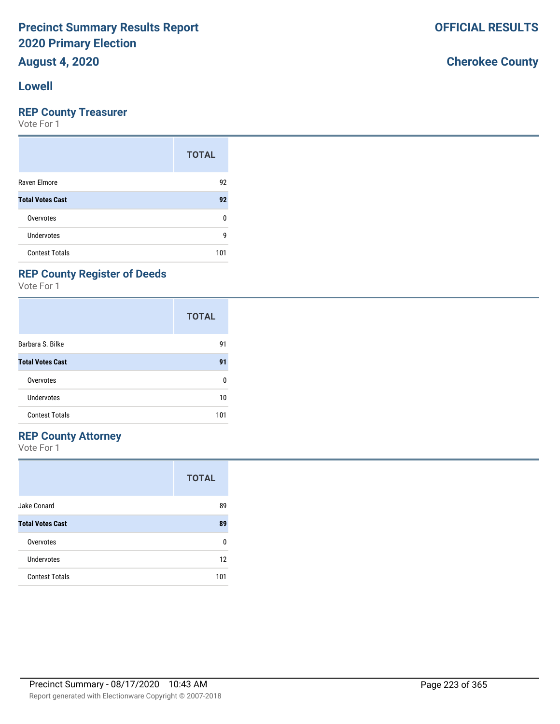## **August 4, 2020**

#### **Lowell**

#### **REP County Treasurer**

Vote For 1

|                         | <b>TOTAL</b> |
|-------------------------|--------------|
| Raven Elmore            | 92           |
| <b>Total Votes Cast</b> | 92           |
| Overvotes               | 0            |
| <b>Undervotes</b>       | g            |
| <b>Contest Totals</b>   | 101          |

## **REP County Register of Deeds**

Vote For 1

|                         | <b>TOTAL</b> |
|-------------------------|--------------|
| Barbara S. Bilke        | 91           |
| <b>Total Votes Cast</b> | 91           |
| Overvotes               | ŋ            |
| Undervotes              | 10           |
| <b>Contest Totals</b>   | 101          |

#### **REP County Attorney**

Vote For 1

|                         | <b>TOTAL</b> |
|-------------------------|--------------|
| Jake Conard             | 89           |
| <b>Total Votes Cast</b> | 89           |
| Overvotes               | n            |
| Undervotes              | 12           |
| <b>Contest Totals</b>   | 101          |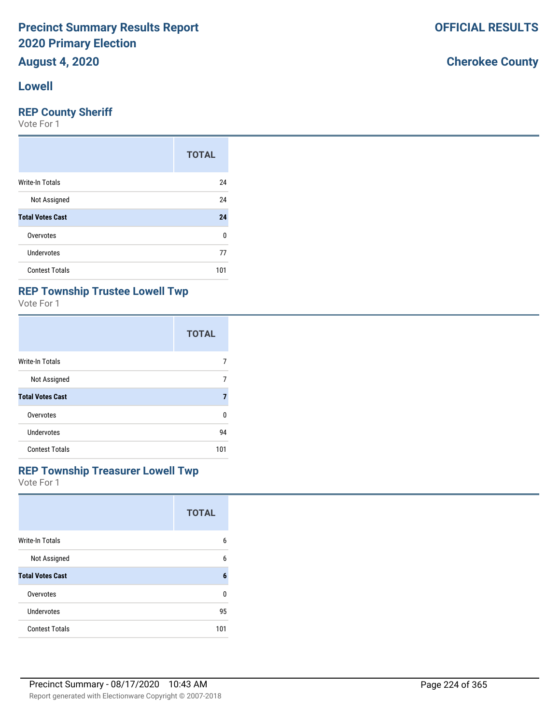# **Lowell**

#### **REP County Sheriff**

Vote For 1

|                         | <b>TOTAL</b> |
|-------------------------|--------------|
| <b>Write-In Totals</b>  | 24           |
| Not Assigned            | 24           |
| <b>Total Votes Cast</b> | 24           |
| Overvotes               | 0            |
| Undervotes              | 77           |
| <b>Contest Totals</b>   | 101          |

## **REP Township Trustee Lowell Twp**

Vote For 1

|                         | <b>TOTAL</b> |
|-------------------------|--------------|
| Write-In Totals         |              |
| Not Assigned            | 7            |
| <b>Total Votes Cast</b> | 7            |
| Overvotes               | U            |
| Undervotes              | 94           |
| <b>Contest Totals</b>   | 101          |

#### **REP Township Treasurer Lowell Twp**

Vote For 1

|                         | <b>TOTAL</b> |
|-------------------------|--------------|
| <b>Write-In Totals</b>  | 6            |
| Not Assigned            | 6            |
| <b>Total Votes Cast</b> | 6            |
| Overvotes               | 0            |
| <b>Undervotes</b>       | 95           |
| <b>Contest Totals</b>   | 101          |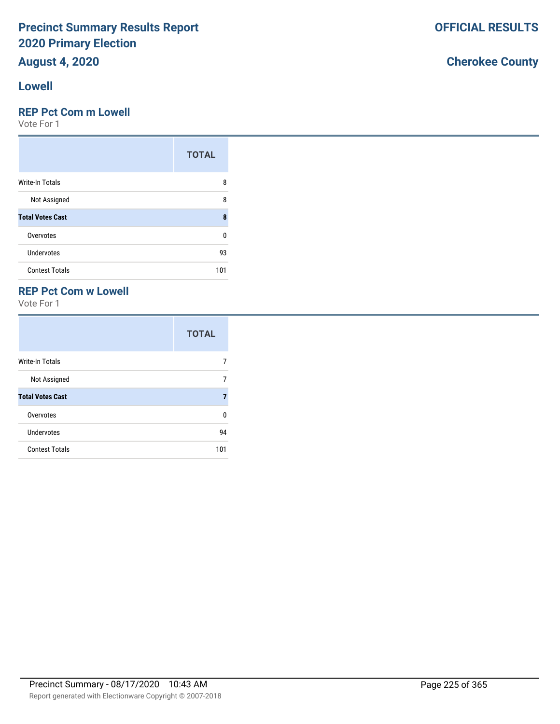# **August 4, 2020**

#### **Lowell**

### **REP Pct Com m Lowell**

Vote For 1

|                         | <b>TOTAL</b> |
|-------------------------|--------------|
| Write-In Totals         | 8            |
| Not Assigned            | 8            |
| <b>Total Votes Cast</b> | 8            |
| Overvotes               | n            |
| <b>Undervotes</b>       | 93           |
| <b>Contest Totals</b>   | 101          |

### **REP Pct Com w Lowell**

Vote For 1

|                         | <b>TOTAL</b> |
|-------------------------|--------------|
| Write-In Totals         |              |
| Not Assigned            | 7            |
| <b>Total Votes Cast</b> |              |
| Overvotes               | U            |
| <b>Undervotes</b>       | 94           |
| <b>Contest Totals</b>   | 101          |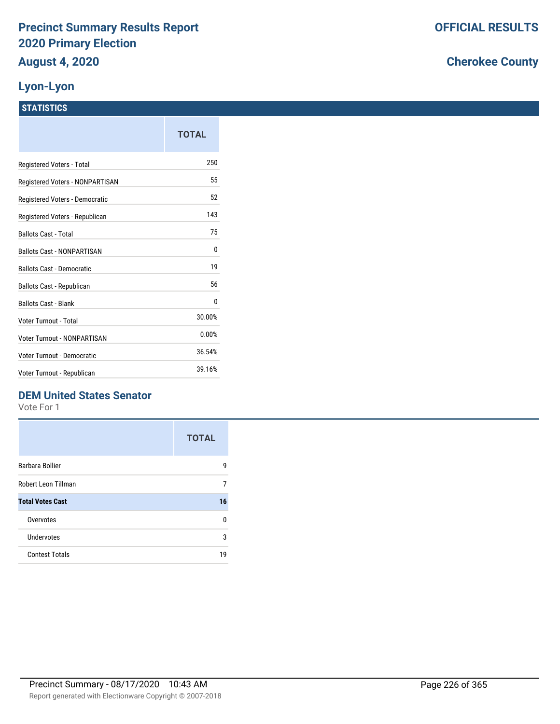### **Lyon-Lyon**

### **STATISTICS**

|                                    | <b>TOTAL</b> |
|------------------------------------|--------------|
| Registered Voters - Total          | 250          |
| Registered Voters - NONPARTISAN    | 55           |
| Registered Voters - Democratic     | 52           |
| Registered Voters - Republican     | 143          |
| <b>Ballots Cast - Total</b>        | 75           |
| <b>Ballots Cast - NONPARTISAN</b>  | 0            |
| <b>Ballots Cast - Democratic</b>   | 19           |
| Ballots Cast - Republican          | 56           |
| <b>Ballots Cast - Blank</b>        | 0            |
| Voter Turnout - Total              | 30.00%       |
| <b>Voter Turnout - NONPARTISAN</b> | 0.00%        |
| Voter Turnout - Democratic         | 36.54%       |
| Voter Turnout - Republican         | 39.16%       |

## **DEM United States Senator**

Vote For 1

|                         | <b>TOTAL</b> |
|-------------------------|--------------|
| Barbara Bollier         | g            |
| Robert Leon Tillman     | 7            |
| <b>Total Votes Cast</b> | 16           |
| Overvotes               | n            |
| Undervotes              | 3            |
| <b>Contest Totals</b>   | 19           |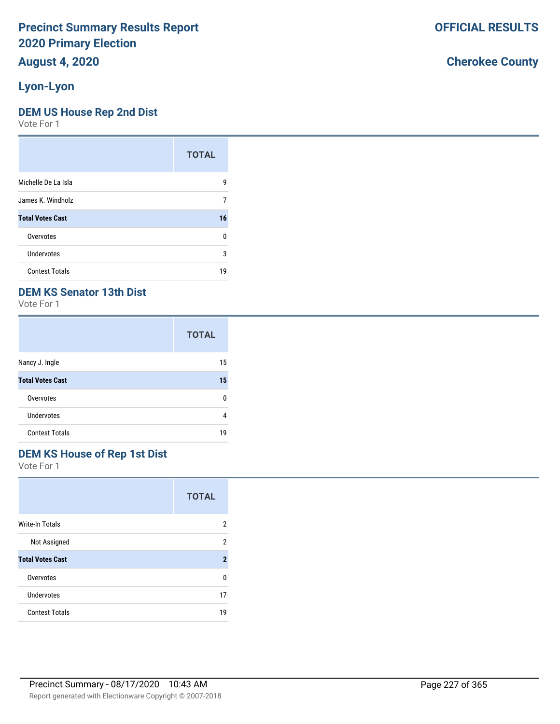# **August 4, 2020**

## **Lyon-Lyon**

#### **DEM US House Rep 2nd Dist**

Vote For 1

|                         | <b>TOTAL</b> |
|-------------------------|--------------|
| Michelle De La Isla     | 9            |
| James K. Windholz       | 7            |
| <b>Total Votes Cast</b> | 16           |
| Overvotes               | U            |
| Undervotes              | 3            |
| <b>Contest Totals</b>   | 19           |

### **DEM KS Senator 13th Dist**

Vote For 1

|                         | <b>TOTAL</b> |
|-------------------------|--------------|
| Nancy J. Ingle          | 15           |
| <b>Total Votes Cast</b> | 15           |
| Overvotes               | n            |
| <b>Undervotes</b>       | 4            |
| <b>Contest Totals</b>   | 19           |

## **DEM KS House of Rep 1st Dist**

Vote For 1

|                         | <b>TOTAL</b>   |
|-------------------------|----------------|
| <b>Write-In Totals</b>  | 2              |
| Not Assigned            | 2              |
| <b>Total Votes Cast</b> | $\overline{2}$ |
| Overvotes               | n              |
| <b>Undervotes</b>       | 17             |
| <b>Contest Totals</b>   | 19             |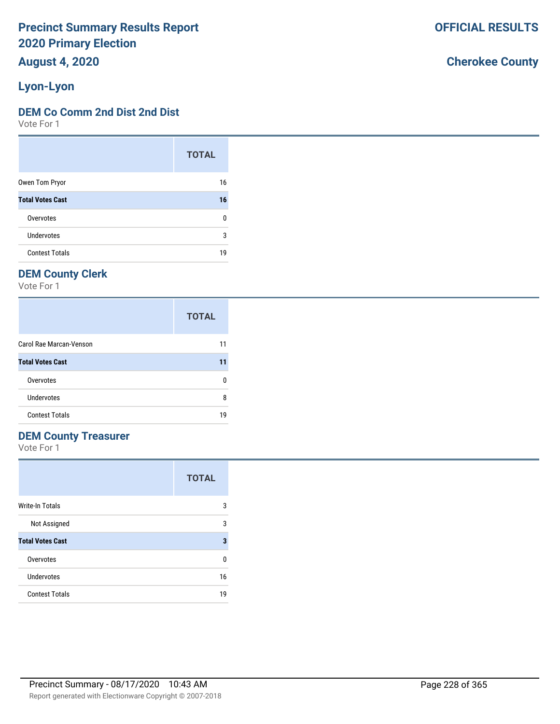**August 4, 2020**

## **Lyon-Lyon**

#### **DEM Co Comm 2nd Dist 2nd Dist**

Vote For 1

|                         | <b>TOTAL</b> |
|-------------------------|--------------|
| Owen Tom Pryor          | 16           |
| <b>Total Votes Cast</b> | 16           |
| Overvotes               | U            |
| <b>Undervotes</b>       | 3            |
| <b>Contest Totals</b>   | 19           |

## **DEM County Clerk**

Vote For 1

|                         | <b>TOTAL</b> |
|-------------------------|--------------|
| Carol Rae Marcan-Venson | 11           |
| <b>Total Votes Cast</b> | 11           |
| Overvotes               | O            |
| Undervotes              | 8            |
| <b>Contest Totals</b>   | 19           |

## **DEM County Treasurer**

Vote For 1

|                         | <b>TOTAL</b> |
|-------------------------|--------------|
| <b>Write-In Totals</b>  | 3            |
| Not Assigned            | 3            |
| <b>Total Votes Cast</b> | 3            |
| Overvotes               | 0            |
| Undervotes              | 16           |
| <b>Contest Totals</b>   | 19           |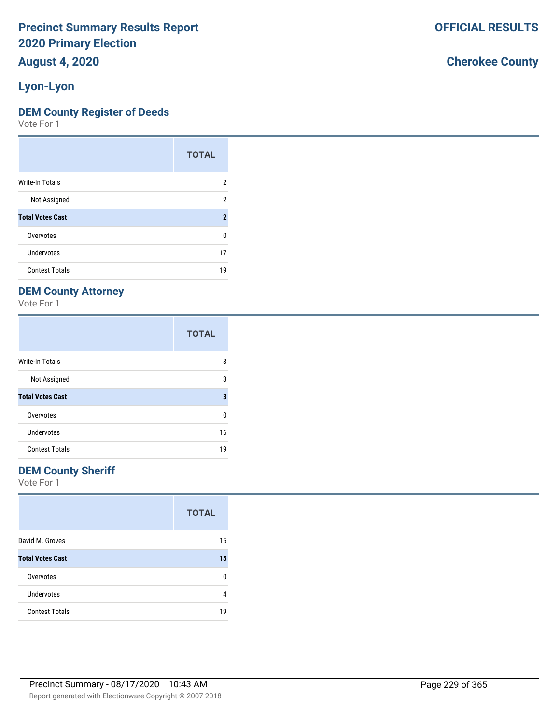# **August 4, 2020**

## **Lyon-Lyon**

#### **DEM County Register of Deeds**

Vote For 1

|                         | <b>TOTAL</b>        |
|-------------------------|---------------------|
| Write-In Totals         | 2                   |
| Not Assigned            | 2                   |
| <b>Total Votes Cast</b> | $\boldsymbol{\eta}$ |
| Overvotes               | U                   |
| Undervotes              | 17                  |
| <b>Contest Totals</b>   | 19                  |

## **DEM County Attorney**

Vote For 1

|                         | <b>TOTAL</b> |
|-------------------------|--------------|
| Write-In Totals         | 3            |
| Not Assigned            | 3            |
| <b>Total Votes Cast</b> | 3            |
| Overvotes               | 0            |
| Undervotes              | 16           |
| <b>Contest Totals</b>   | 19           |

### **DEM County Sheriff**

Vote For 1

|                         | <b>TOTAL</b> |
|-------------------------|--------------|
| David M. Groves         | 15           |
| <b>Total Votes Cast</b> | 15           |
| Overvotes               | n            |
| <b>Undervotes</b>       | 4            |
| <b>Contest Totals</b>   | 19           |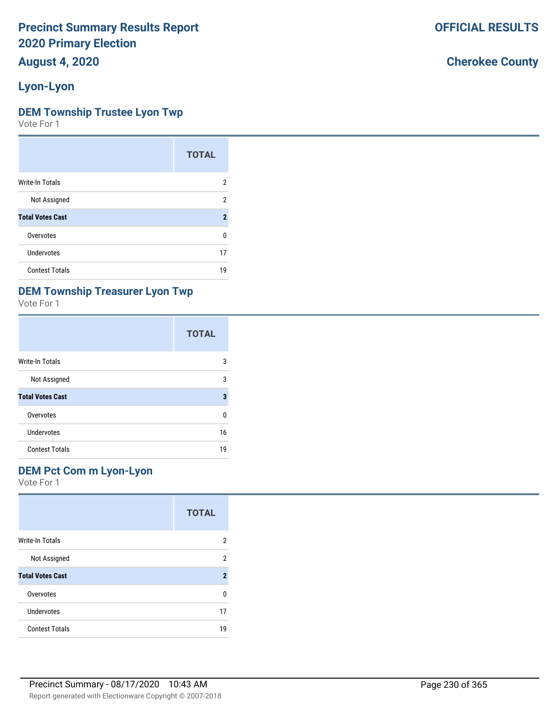# **August 4, 2020**

## **Lyon-Lyon**

#### **DEM Township Trustee Lyon Twp**

Vote For 1

|                         | <b>TOTAL</b>   |
|-------------------------|----------------|
| Write-In Totals         | 2              |
| Not Assigned            | 2              |
| <b>Total Votes Cast</b> | $\overline{2}$ |
| Overvotes               | U              |
| Undervotes              | 17             |
| <b>Contest Totals</b>   | 19             |

## **DEM Township Treasurer Lyon Twp**

Vote For 1

|                         | <b>TOTAL</b> |
|-------------------------|--------------|
| Write-In Totals         | 3            |
| Not Assigned            | 3            |
| <b>Total Votes Cast</b> | 3            |
| Overvotes               | ŋ            |
| Undervotes              | 16           |
| <b>Contest Totals</b>   | 19           |

#### **DEM Pct Com m Lyon-Lyon**

Vote For 1

|                         | <b>TOTAL</b>            |
|-------------------------|-------------------------|
| <b>Write-In Totals</b>  | 2                       |
| Not Assigned            | 2                       |
| <b>Total Votes Cast</b> | $\overline{\mathbf{2}}$ |
| Overvotes               | 0                       |
| Undervotes              | 17                      |
| <b>Contest Totals</b>   | 19                      |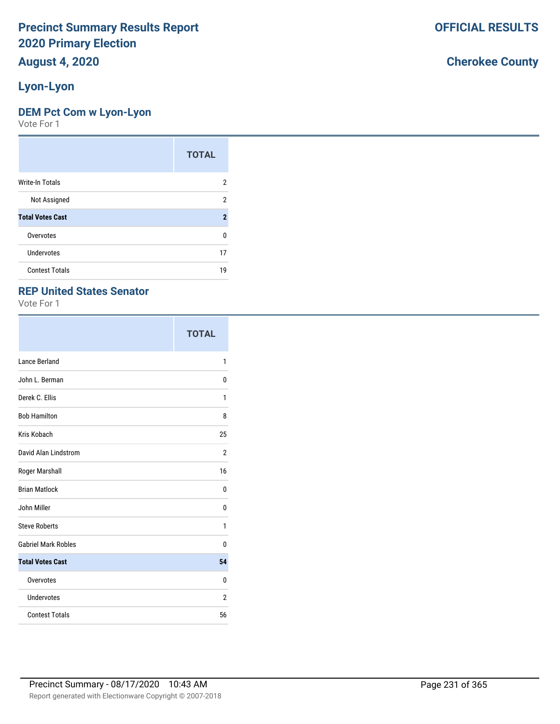# **August 4, 2020**

## **Lyon-Lyon**

#### **DEM Pct Com w Lyon-Lyon**

Vote For 1

|                         | <b>TOTAL</b>   |
|-------------------------|----------------|
| <b>Write-In Totals</b>  | 2              |
| Not Assigned            | 2              |
| <b>Total Votes Cast</b> | $\overline{2}$ |
| Overvotes               | U              |
| <b>Undervotes</b>       | 17             |
| <b>Contest Totals</b>   | 19             |

#### **REP United States Senator**

Vote For 1

|                            | <b>TOTAL</b> |
|----------------------------|--------------|
| Lance Berland              | 1            |
| John L. Berman             | 0            |
| Derek C. Ellis             | 1            |
| <b>Bob Hamilton</b>        | 8            |
| Kris Kobach                | 25           |
| David Alan Lindstrom       | 2            |
| Roger Marshall             | 16           |
| <b>Brian Matlock</b>       | 0            |
| John Miller                | 0            |
| <b>Steve Roberts</b>       | 1            |
| <b>Gabriel Mark Robles</b> | 0            |
| <b>Total Votes Cast</b>    | 54           |
| Overvotes                  | 0            |
| Undervotes                 | 2            |
| <b>Contest Totals</b>      | 56           |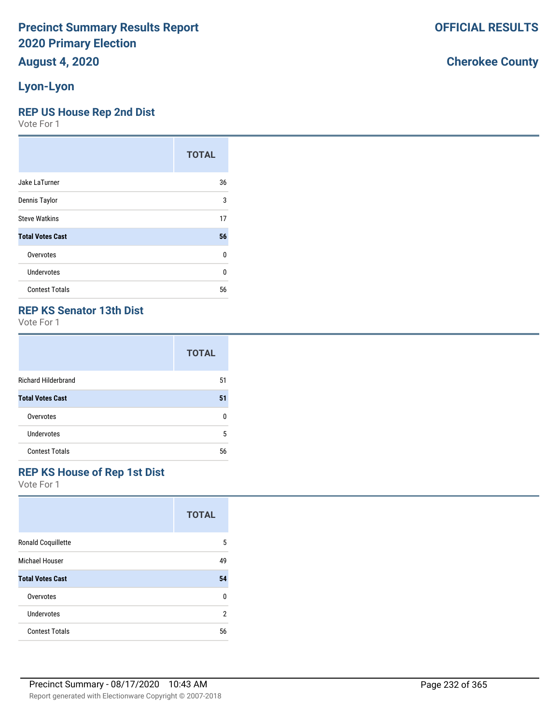### **Lyon-Lyon**

#### **REP US House Rep 2nd Dist**

Vote For 1

|                         | <b>TOTAL</b> |
|-------------------------|--------------|
| Jake LaTurner           | 36           |
| Dennis Taylor           | 3            |
| <b>Steve Watkins</b>    | 17           |
| <b>Total Votes Cast</b> | 56           |
| Overvotes               | 0            |
| Undervotes              | $\Omega$     |
| <b>Contest Totals</b>   | 56           |

#### **REP KS Senator 13th Dist**

Vote For 1

|                            | <b>TOTAL</b> |
|----------------------------|--------------|
| <b>Richard Hilderbrand</b> | 51           |
| <b>Total Votes Cast</b>    | 51           |
| Overvotes                  | n            |
| Undervotes                 | 5            |
| <b>Contest Totals</b>      | 56           |

## **REP KS House of Rep 1st Dist**

Vote For 1

|                           | <b>TOTAL</b> |
|---------------------------|--------------|
| <b>Ronald Coquillette</b> | 5            |
| <b>Michael Houser</b>     | 49           |
| <b>Total Votes Cast</b>   | 54           |
| Overvotes                 | 0            |
| Undervotes                | 2            |
| <b>Contest Totals</b>     | 56           |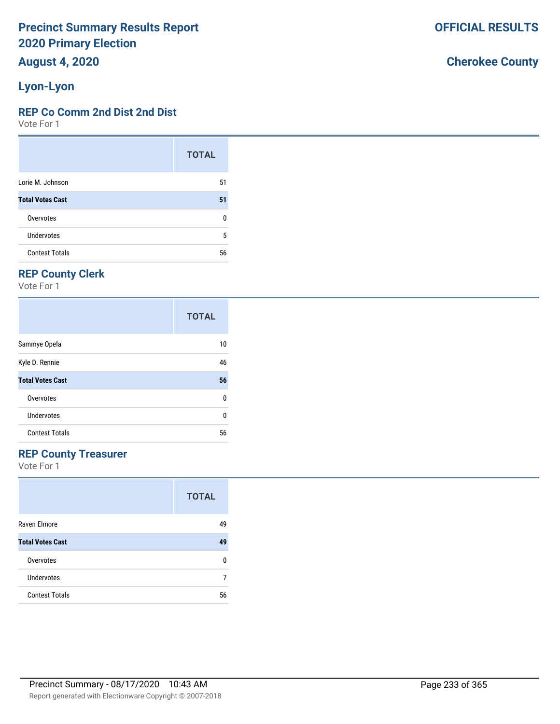# **August 4, 2020**

## **Lyon-Lyon**

#### **REP Co Comm 2nd Dist 2nd Dist**

Vote For 1

|                         | <b>TOTAL</b> |
|-------------------------|--------------|
| Lorie M. Johnson        | 51           |
| <b>Total Votes Cast</b> | 51           |
| Overvotes               | 0            |
| Undervotes              | 5            |
| <b>Contest Totals</b>   | 56           |

## **REP County Clerk**

Vote For 1

|                         | <b>TOTAL</b> |
|-------------------------|--------------|
| Sammye Opela            | 10           |
| Kyle D. Rennie          | 46           |
| <b>Total Votes Cast</b> | 56           |
| Overvotes               | 0            |
| <b>Undervotes</b>       | U            |
| <b>Contest Totals</b>   | 56           |

### **REP County Treasurer**

Vote For 1

|                         | <b>TOTAL</b> |
|-------------------------|--------------|
| Raven Elmore            | 49           |
| <b>Total Votes Cast</b> | 49           |
| Overvotes               | n            |
| Undervotes              |              |
| <b>Contest Totals</b>   | 56           |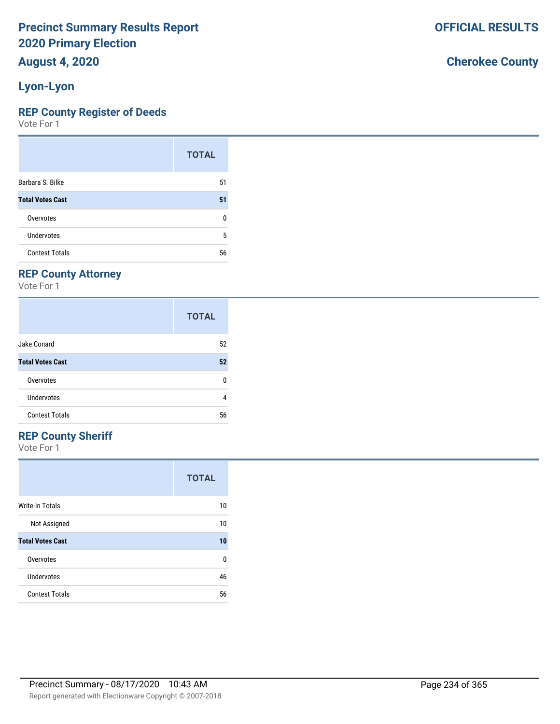# **August 4, 2020**

## **Lyon-Lyon**

#### **REP County Register of Deeds**

Vote For 1

|                         | <b>TOTAL</b> |
|-------------------------|--------------|
| Barbara S. Bilke        | 51           |
| <b>Total Votes Cast</b> | 51           |
| Overvotes               | 0            |
| Undervotes              | 5            |
| <b>Contest Totals</b>   | 56           |

## **REP County Attorney**

Vote For 1

|                         | <b>TOTAL</b> |
|-------------------------|--------------|
| Jake Conard             | 52           |
| <b>Total Votes Cast</b> | 52           |
| Overvotes               | 0            |
| Undervotes              | 4            |
| <b>Contest Totals</b>   | 56           |

## **REP County Sheriff**

Vote For 1

|                         | <b>TOTAL</b> |
|-------------------------|--------------|
| Write-In Totals         | 10           |
| Not Assigned            | 10           |
| <b>Total Votes Cast</b> | 10           |
| Overvotes               | 0            |
| Undervotes              | 46           |
| <b>Contest Totals</b>   | 56           |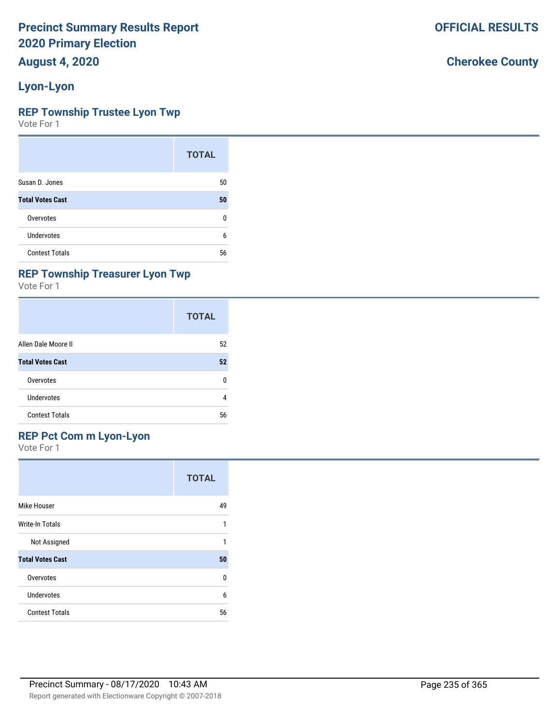**August 4, 2020**

## **Lyon-Lyon**

#### **REP Township Trustee Lyon Twp**

Vote For 1

|                         | <b>TOTAL</b> |
|-------------------------|--------------|
| Susan D. Jones          | 50           |
| <b>Total Votes Cast</b> | 50           |
| Overvotes               | n            |
| Undervotes              | 6            |
| <b>Contest Totals</b>   | 56           |

### **REP Township Treasurer Lyon Twp**

Vote For 1

|                         | <b>TOTAL</b> |
|-------------------------|--------------|
| Allen Dale Moore II     | 52           |
| <b>Total Votes Cast</b> | 52           |
| Overvotes               | n            |
| Undervotes              | 4            |
| <b>Contest Totals</b>   | 56           |

### **REP Pct Com m Lyon-Lyon**

Vote For 1

|                         | <b>TOTAL</b> |
|-------------------------|--------------|
| Mike Houser             | 49           |
| Write-In Totals         | 1            |
| Not Assigned            |              |
| <b>Total Votes Cast</b> | 50           |
| Overvotes               | U            |
| <b>Undervotes</b>       | 6            |
| <b>Contest Totals</b>   | 56           |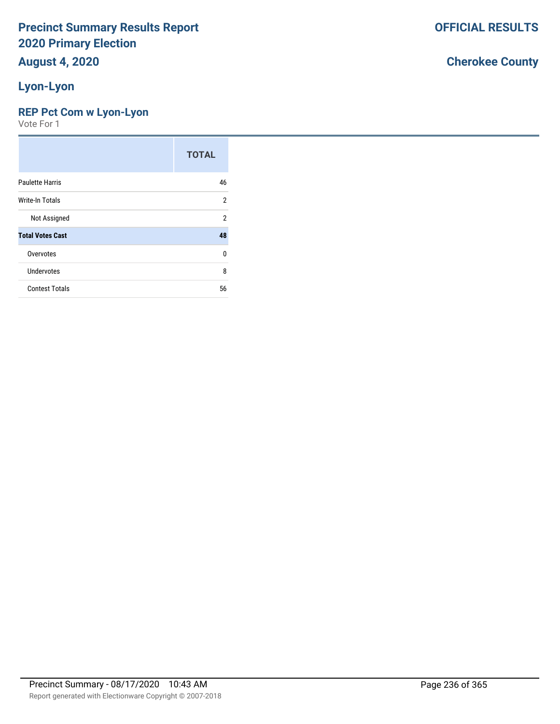### **Lyon-Lyon**

#### **REP Pct Com w Lyon-Lyon**

Vote For 1

|                         | <b>TOTAL</b>   |
|-------------------------|----------------|
| <b>Paulette Harris</b>  | 46             |
| Write-In Totals         | $\overline{2}$ |
| Not Assigned            | $\overline{2}$ |
| <b>Total Votes Cast</b> | 48             |
| Overvotes               | $\Omega$       |
| Undervotes              | 8              |
| <b>Contest Totals</b>   | 56             |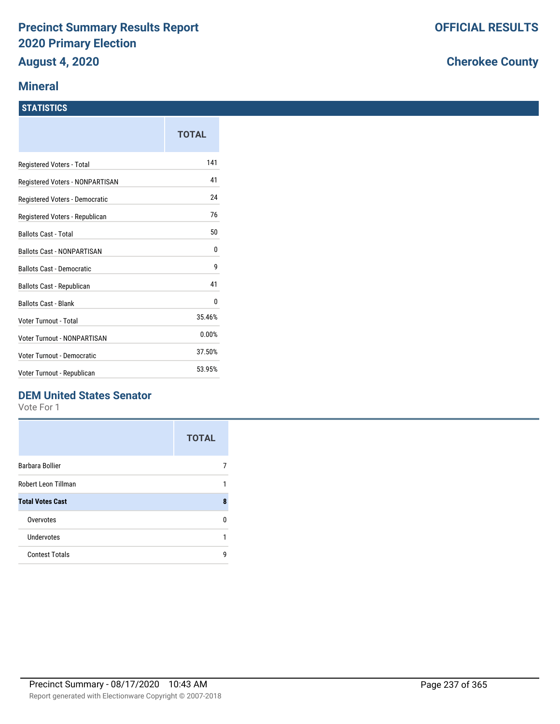#### **Mineral**

#### **STATISTICS**

|                                    | TOTAL  |
|------------------------------------|--------|
| Registered Voters - Total          | 141    |
| Registered Voters - NONPARTISAN    | 41     |
| Registered Voters - Democratic     | 24     |
| Registered Voters - Republican     | 76     |
| <b>Ballots Cast - Total</b>        | 50     |
| <b>Ballots Cast - NONPARTISAN</b>  | 0      |
| <b>Ballots Cast - Democratic</b>   | 9      |
| Ballots Cast - Republican          | 41     |
| <b>Ballots Cast - Blank</b>        | 0      |
| Voter Turnout - Total              | 35.46% |
| <b>Voter Turnout - NONPARTISAN</b> | 0.00%  |
| Voter Turnout - Democratic         | 37.50% |
| Voter Turnout - Republican         | 53.95% |

## **DEM United States Senator**

Vote For 1

|                         | <b>TOTAL</b> |
|-------------------------|--------------|
| Barbara Bollier         |              |
| Robert Leon Tillman     |              |
| <b>Total Votes Cast</b> | 8            |
| Overvotes               | n            |
| Undervotes              | 1            |
| <b>Contest Totals</b>   | q            |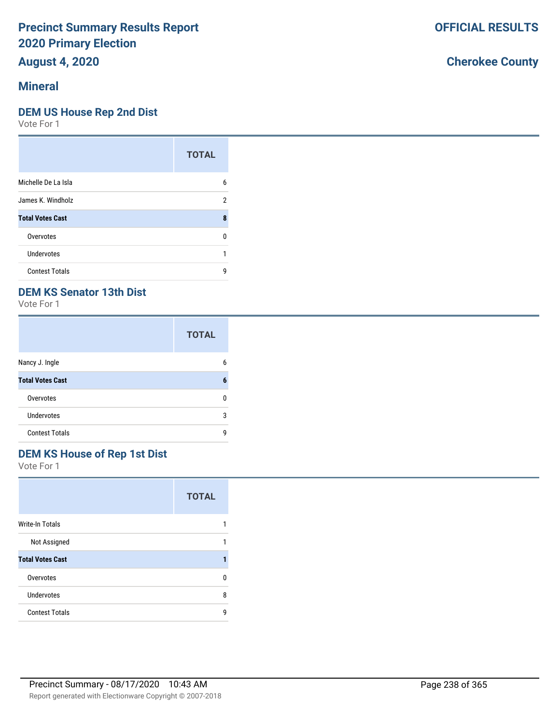## **August 4, 2020**

### **Mineral**

#### **DEM US House Rep 2nd Dist**

Vote For 1

|                         | <b>TOTAL</b> |
|-------------------------|--------------|
| Michelle De La Isla     | 6            |
| James K. Windholz       | 2            |
| <b>Total Votes Cast</b> | 8            |
| Overvotes               | U            |
| Undervotes              |              |
| <b>Contest Totals</b>   | q            |

## **DEM KS Senator 13th Dist**

Vote For 1

|                         | <b>TOTAL</b> |
|-------------------------|--------------|
| Nancy J. Ingle          | 6            |
| <b>Total Votes Cast</b> | 6            |
| Overvotes               | n            |
| <b>Undervotes</b>       | 3            |
| <b>Contest Totals</b>   | q            |

## **DEM KS House of Rep 1st Dist**

Vote For 1

|                         | <b>TOTAL</b> |
|-------------------------|--------------|
| Write-In Totals         |              |
| Not Assigned            | 1            |
| <b>Total Votes Cast</b> |              |
| Overvotes               | n            |
| Undervotes              | 8            |
| <b>Contest Totals</b>   | q            |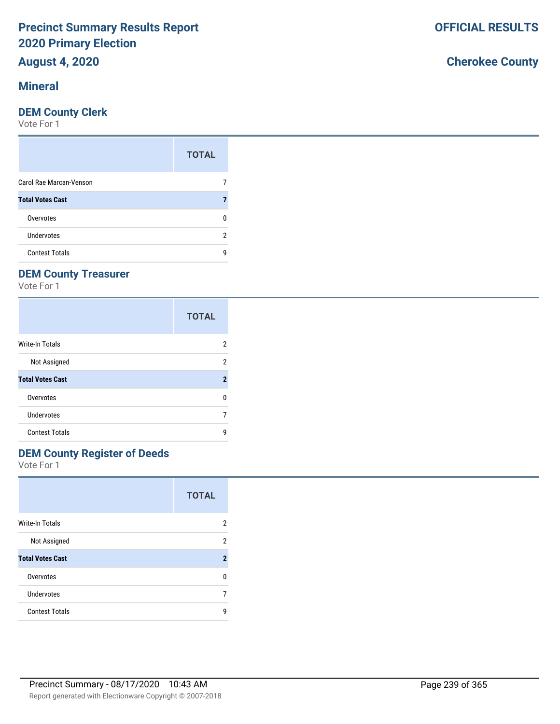## **August 4, 2020**

#### **Mineral**

#### **DEM County Clerk**

Vote For 1

|                         | <b>TOTAL</b> |
|-------------------------|--------------|
| Carol Rae Marcan-Venson |              |
| <b>Total Votes Cast</b> |              |
| Overvotes               |              |
| Undervotes              | 2            |
| <b>Contest Totals</b>   | q            |

## **DEM County Treasurer**

Vote For 1

|                         | <b>TOTAL</b>            |
|-------------------------|-------------------------|
| Write-In Totals         | 2                       |
| Not Assigned            | 2                       |
| <b>Total Votes Cast</b> | $\overline{\mathbf{2}}$ |
| Overvotes               | n                       |
| <b>Undervotes</b>       |                         |
| <b>Contest Totals</b>   | q                       |

## **DEM County Register of Deeds**

Vote For 1

|                         | <b>TOTAL</b> |
|-------------------------|--------------|
| <b>Write-In Totals</b>  | 2            |
| Not Assigned            | 2            |
| <b>Total Votes Cast</b> | 2            |
| Overvotes               | U            |
| Undervotes              | 7            |
| <b>Contest Totals</b>   | q            |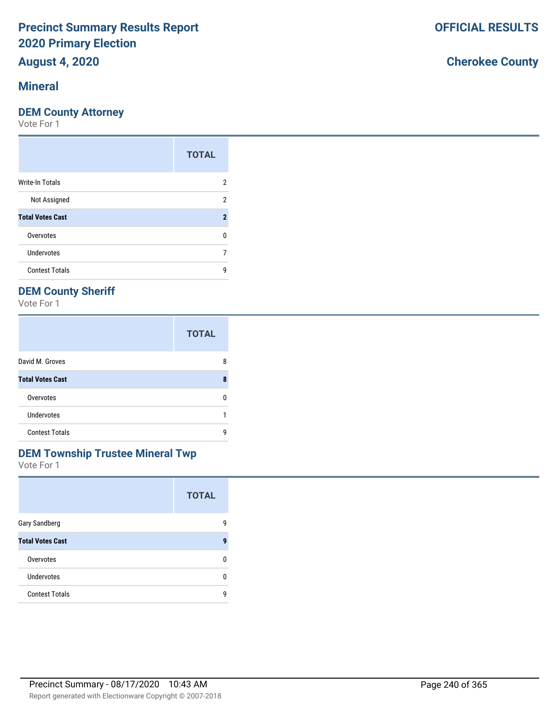## **August 4, 2020**

### **Mineral**

#### **DEM County Attorney**

Vote For 1

|                         | <b>TOTAL</b> |
|-------------------------|--------------|
| <b>Write-In Totals</b>  | 2            |
| Not Assigned            | 2            |
| <b>Total Votes Cast</b> | 2            |
| Overvotes               | 0            |
| Undervotes              |              |
| <b>Contest Totals</b>   | g            |

## **DEM County Sheriff**

Vote For 1

|                         | <b>TOTAL</b> |
|-------------------------|--------------|
| David M. Groves         | 8            |
| <b>Total Votes Cast</b> | 8            |
| Overvotes               | n            |
| Undervotes              |              |
| <b>Contest Totals</b>   | q            |

### **DEM Township Trustee Mineral Twp**

Vote For 1

|                         | <b>TOTAL</b> |
|-------------------------|--------------|
| <b>Gary Sandberg</b>    | g            |
| <b>Total Votes Cast</b> | q            |
| Overvotes               | n            |
| <b>Undervotes</b>       | n            |
| <b>Contest Totals</b>   | q            |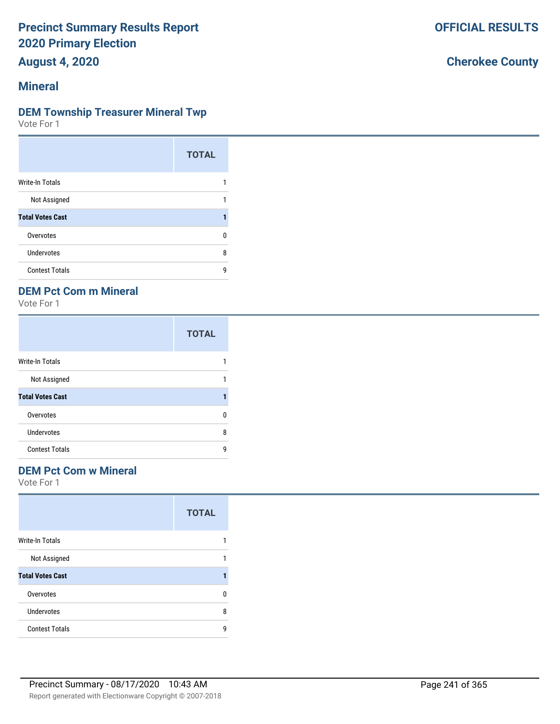**August 4, 2020**

### **Mineral**

#### **DEM Township Treasurer Mineral Twp**

Vote For 1

|                         | <b>TOTAL</b> |
|-------------------------|--------------|
| <b>Write-In Totals</b>  |              |
| Not Assigned            | 1            |
| <b>Total Votes Cast</b> |              |
| Overvotes               | n            |
| <b>Undervotes</b>       | 8            |
| <b>Contest Totals</b>   | q            |

### **DEM Pct Com m Mineral**

Vote For 1

|                         | <b>TOTAL</b> |
|-------------------------|--------------|
| <b>Write-In Totals</b>  |              |
| Not Assigned            |              |
| <b>Total Votes Cast</b> |              |
| Overvotes               | n            |
| Undervotes              | 8            |
| <b>Contest Totals</b>   | q            |

#### **DEM Pct Com w Mineral**

Vote For 1

|                         | <b>TOTAL</b> |
|-------------------------|--------------|
| <b>Write-In Totals</b>  |              |
| Not Assigned            |              |
| <b>Total Votes Cast</b> |              |
| Overvotes               | n            |
| Undervotes              | 8            |
| <b>Contest Totals</b>   | q            |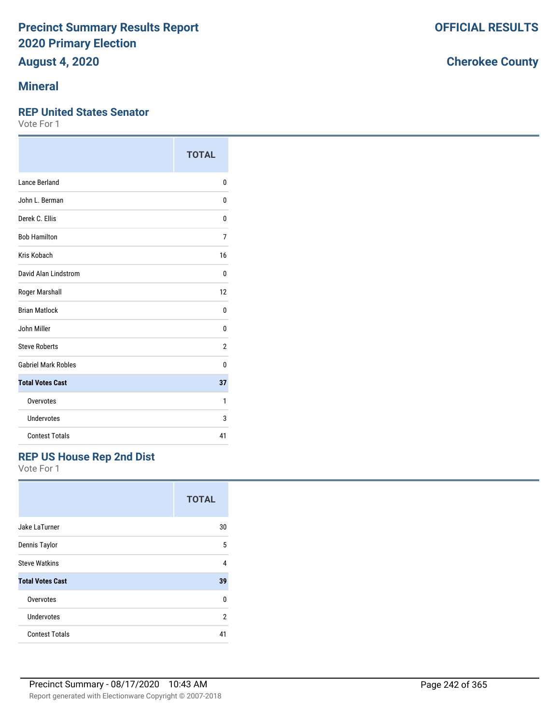# **August 4, 2020**

### **Mineral**

#### **REP United States Senator**

Vote For 1

|                            | <b>TOTAL</b> |
|----------------------------|--------------|
| Lance Berland              | 0            |
| John L. Berman             | 0            |
| Derek C. Ellis             | 0            |
| <b>Bob Hamilton</b>        | 7            |
| Kris Kobach                | 16           |
| David Alan Lindstrom       | 0            |
| Roger Marshall             | 12           |
| <b>Brian Matlock</b>       | 0            |
| John Miller                | 0            |
| <b>Steve Roberts</b>       | 2            |
| <b>Gabriel Mark Robles</b> | U            |
| <b>Total Votes Cast</b>    | 37           |
| Overvotes                  | 1            |
| Undervotes                 | 3            |
| <b>Contest Totals</b>      | 41           |

### **REP US House Rep 2nd Dist**

Vote For 1

|                         | <b>TOTAL</b> |
|-------------------------|--------------|
| Jake LaTurner           | 30           |
| Dennis Taylor           | 5            |
| <b>Steve Watkins</b>    | 4            |
| <b>Total Votes Cast</b> | 39           |
| Overvotes               | U            |
| Undervotes              | 2            |
| <b>Contest Totals</b>   | 41           |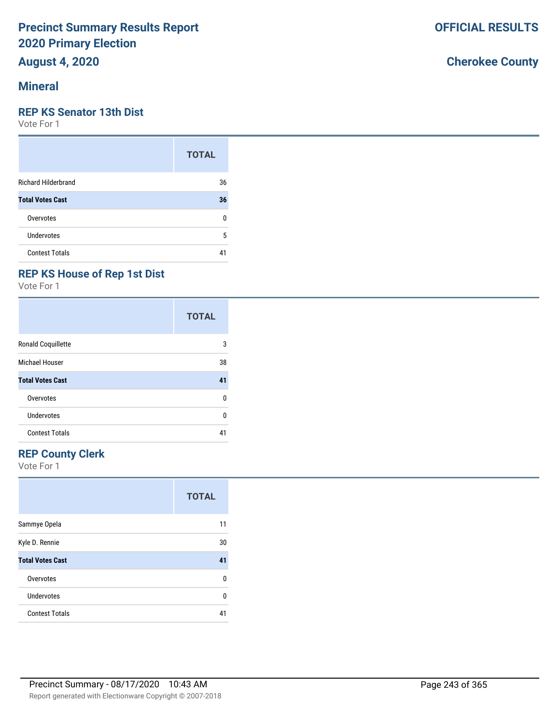## **August 4, 2020**

#### **Mineral**

#### **REP KS Senator 13th Dist**

Vote For 1

|                            | <b>TOTAL</b> |
|----------------------------|--------------|
| <b>Richard Hilderbrand</b> | 36           |
| <b>Total Votes Cast</b>    | 36           |
| Overvotes                  | ŋ            |
| Undervotes                 | 5            |
| <b>Contest Totals</b>      |              |

## **REP KS House of Rep 1st Dist**

Vote For 1

|                         | <b>TOTAL</b> |
|-------------------------|--------------|
| Ronald Coquillette      | 3            |
| Michael Houser          | 38           |
| <b>Total Votes Cast</b> | 41           |
| Overvotes               | 0            |
| Undervotes              | U            |
| <b>Contest Totals</b>   | 41           |

## **REP County Clerk**

Vote For 1

|                         | <b>TOTAL</b> |
|-------------------------|--------------|
| Sammye Opela            | 11           |
| Kyle D. Rennie          | 30           |
| <b>Total Votes Cast</b> | 41           |
| Overvotes               | U            |
| Undervotes              | U            |
| <b>Contest Totals</b>   | 41           |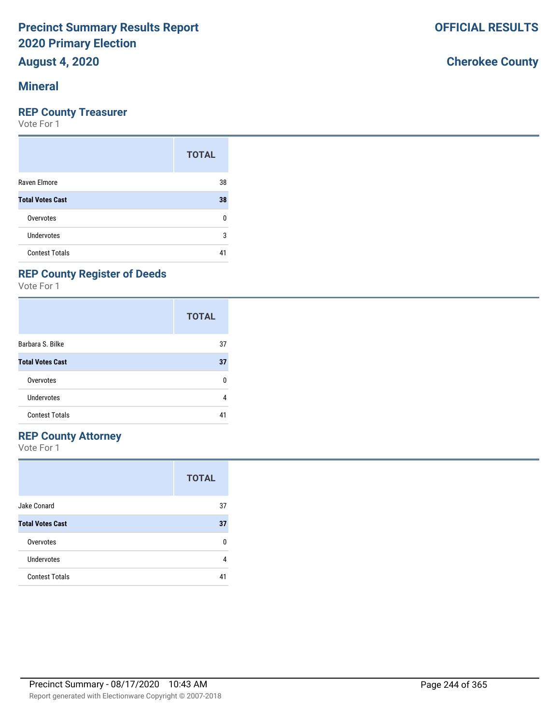## **August 4, 2020**

#### **Mineral**

#### **REP County Treasurer**

Vote For 1

|                         | <b>TOTAL</b> |
|-------------------------|--------------|
| Raven Elmore            | 38           |
| <b>Total Votes Cast</b> | 38           |
| Overvotes               | ŋ            |
| <b>Undervotes</b>       | 3            |
| <b>Contest Totals</b>   | 41           |

## **REP County Register of Deeds**

Vote For 1

|                         | <b>TOTAL</b> |
|-------------------------|--------------|
| Barbara S. Bilke        | 37           |
| <b>Total Votes Cast</b> | 37           |
| Overvotes               | ŋ            |
| Undervotes              | 4            |
| <b>Contest Totals</b>   | 41           |

#### **REP County Attorney**

Vote For 1

|                         | <b>TOTAL</b> |
|-------------------------|--------------|
| Jake Conard             | 37           |
| <b>Total Votes Cast</b> | 37           |
| Overvotes               | n            |
| Undervotes              |              |
| <b>Contest Totals</b>   |              |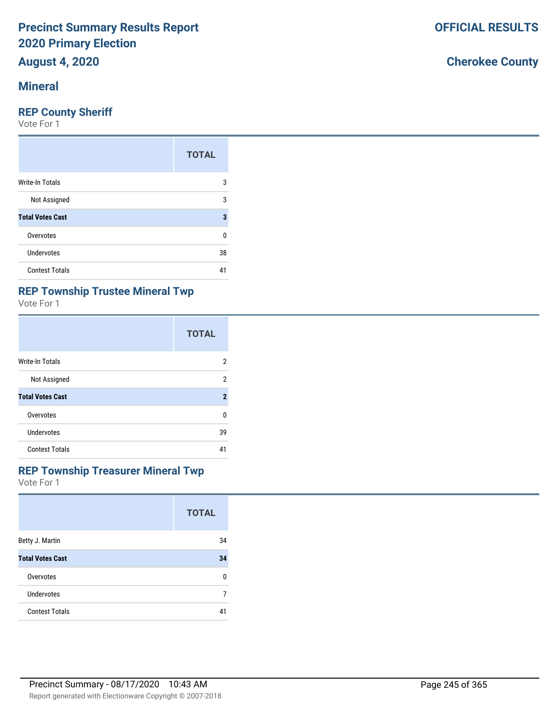# **August 4, 2020**

### **Mineral**

#### **REP County Sheriff**

Vote For 1

|                         | <b>TOTAL</b> |
|-------------------------|--------------|
| Write-In Totals         | 3            |
| Not Assigned            | 3            |
| <b>Total Votes Cast</b> | 3            |
| Overvotes               | 0            |
| <b>Undervotes</b>       | 38           |
| <b>Contest Totals</b>   | 41           |

## **REP Township Trustee Mineral Twp**

Vote For 1

|                         | <b>TOTAL</b>              |
|-------------------------|---------------------------|
| Write-In Totals         | 2                         |
| Not Assigned            | 2                         |
| <b>Total Votes Cast</b> | $\boldsymbol{\mathsf{2}}$ |
| Overvotes               | U                         |
| Undervotes              | 39                        |
| <b>Contest Totals</b>   | 41                        |

#### **REP Township Treasurer Mineral Twp**

Vote For 1

|                         | <b>TOTAL</b> |
|-------------------------|--------------|
| Betty J. Martin         | 34           |
| <b>Total Votes Cast</b> | 34           |
| Overvotes               | n            |
| Undervotes              |              |
| <b>Contest Totals</b>   | 41           |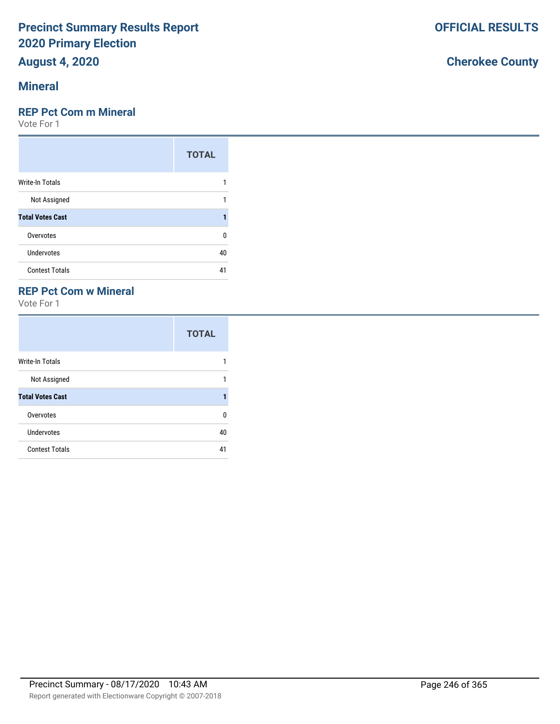## **August 4, 2020**

### **Mineral**

#### **REP Pct Com m Mineral**

Vote For 1

|                         | <b>TOTAL</b> |
|-------------------------|--------------|
| <b>Write-In Totals</b>  |              |
| Not Assigned            |              |
| <b>Total Votes Cast</b> | 1            |
| Overvotes               | ŋ            |
| Undervotes              | 40           |
| <b>Contest Totals</b>   | 41           |

### **REP Pct Com w Mineral**

Vote For 1

|                         | <b>TOTAL</b> |
|-------------------------|--------------|
| <b>Write-In Totals</b>  |              |
| Not Assigned            | 1            |
| <b>Total Votes Cast</b> |              |
| Overvotes               | n            |
| <b>Undervotes</b>       | 40           |
| <b>Contest Totals</b>   | 41           |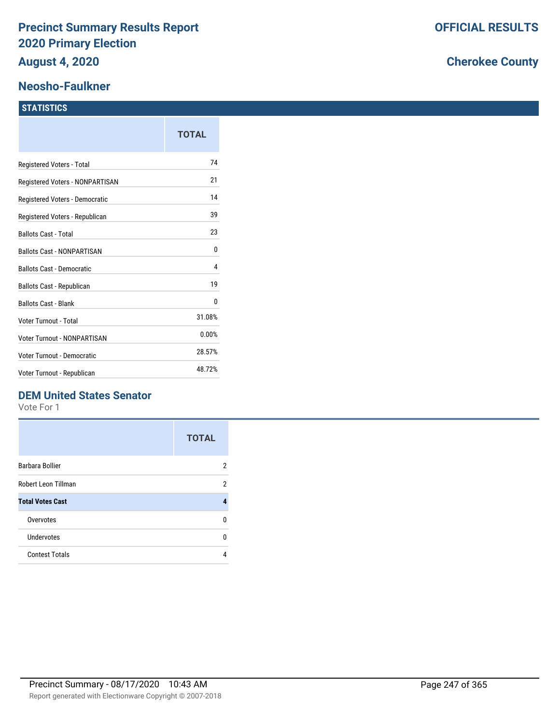### **Neosho-Faulkner**

#### **STATISTICS**

|                                    | <b>TOTAL</b> |
|------------------------------------|--------------|
| Registered Voters - Total          | 74           |
| Registered Voters - NONPARTISAN    | 21           |
| Registered Voters - Democratic     | 14           |
| Registered Voters - Republican     | 39           |
| <b>Ballots Cast - Total</b>        | 23           |
| <b>Ballots Cast - NONPARTISAN</b>  | 0            |
| <b>Ballots Cast - Democratic</b>   | 4            |
| Ballots Cast - Republican          | 19           |
| <b>Ballots Cast - Blank</b>        | 0            |
| Voter Turnout - Total              | 31.08%       |
| <b>Voter Turnout - NONPARTISAN</b> | 0.00%        |
| <b>Voter Turnout - Democratic</b>  | 28.57%       |
| Voter Turnout - Republican         | 48.72%       |

## **DEM United States Senator**

Vote For 1

|                         | <b>TOTAL</b> |
|-------------------------|--------------|
| Barbara Bollier         | 2            |
| Robert Leon Tillman     | 2            |
| <b>Total Votes Cast</b> | 4            |
| Overvotes               | n            |
| Undervotes              | n            |
| <b>Contest Totals</b>   |              |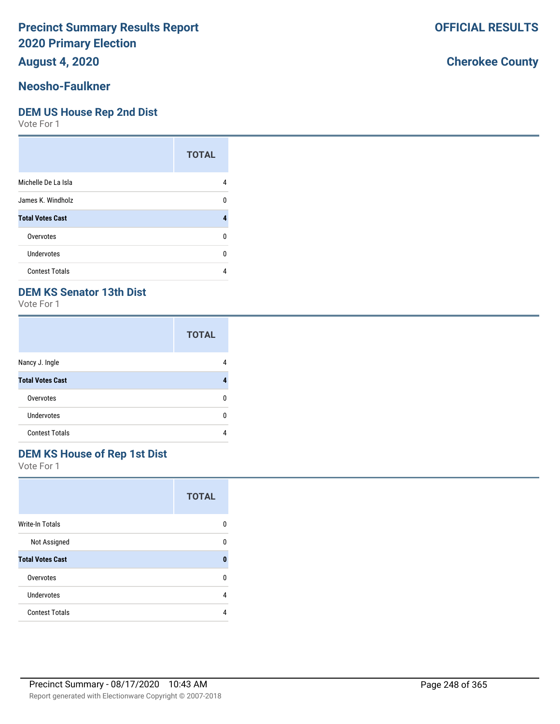**August 4, 2020**

## **Neosho-Faulkner**

#### **DEM US House Rep 2nd Dist**

Vote For 1

|                         | <b>TOTAL</b> |
|-------------------------|--------------|
| Michelle De La Isla     |              |
| James K. Windholz       | n            |
| <b>Total Votes Cast</b> |              |
| Overvotes               | n            |
| Undervotes              | n            |
| <b>Contest Totals</b>   |              |

## **DEM KS Senator 13th Dist**

Vote For 1

|                         | <b>TOTAL</b> |
|-------------------------|--------------|
| Nancy J. Ingle          |              |
| <b>Total Votes Cast</b> |              |
| Overvotes               | n            |
| Undervotes              | n            |
| <b>Contest Totals</b>   |              |

## **DEM KS House of Rep 1st Dist**

Vote For 1

|                         | <b>TOTAL</b> |
|-------------------------|--------------|
| <b>Write-In Totals</b>  | n            |
| Not Assigned            | n            |
| <b>Total Votes Cast</b> | O            |
| Overvotes               | n            |
| Undervotes              | 4            |
| <b>Contest Totals</b>   |              |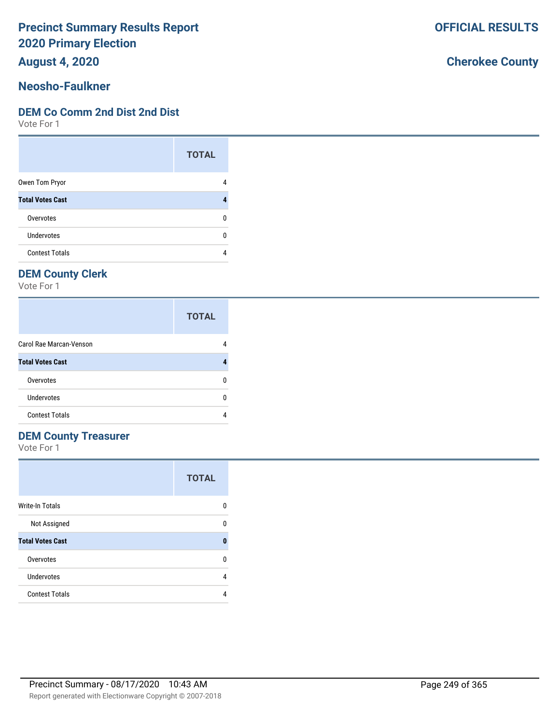**August 4, 2020**

## **Neosho-Faulkner**

#### **DEM Co Comm 2nd Dist 2nd Dist**

Vote For 1

|                         | <b>TOTAL</b> |
|-------------------------|--------------|
| Owen Tom Pryor          |              |
| <b>Total Votes Cast</b> |              |
| Overvotes               | n            |
| Undervotes              | n            |
| <b>Contest Totals</b>   |              |

## **DEM County Clerk**

Vote For 1

|                         | <b>TOTAL</b> |
|-------------------------|--------------|
| Carol Rae Marcan-Venson |              |
| <b>Total Votes Cast</b> |              |
| Overvotes               |              |
| Undervotes              |              |
| <b>Contest Totals</b>   |              |

## **DEM County Treasurer**

Vote For 1

|                         | <b>TOTAL</b> |
|-------------------------|--------------|
| Write-In Totals         | 0            |
| Not Assigned            | n            |
| <b>Total Votes Cast</b> | Ω            |
| Overvotes               | n            |
| Undervotes              | 4            |
| <b>Contest Totals</b>   |              |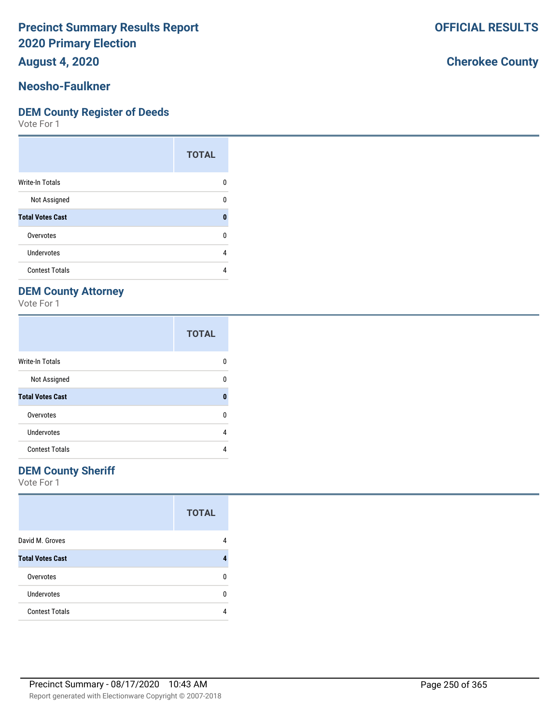**August 4, 2020**

#### **Neosho-Faulkner**

#### **DEM County Register of Deeds**

Vote For 1

|                         | <b>TOTAL</b> |
|-------------------------|--------------|
| <b>Write-In Totals</b>  | n            |
| Not Assigned            | n            |
| <b>Total Votes Cast</b> | ſ            |
| Overvotes               | n            |
| Undervotes              | 4            |
| <b>Contest Totals</b>   |              |

## **DEM County Attorney**

Vote For 1

|                         | <b>TOTAL</b> |
|-------------------------|--------------|
| <b>Write-In Totals</b>  |              |
| Not Assigned            | n            |
| <b>Total Votes Cast</b> | 0            |
| Overvotes               | n            |
| Undervotes              | 4            |
| <b>Contest Totals</b>   |              |

### **DEM County Sheriff**

Vote For 1

|                         | <b>TOTAL</b> |
|-------------------------|--------------|
| David M. Groves         |              |
| <b>Total Votes Cast</b> |              |
| Overvotes               | n            |
| <b>Undervotes</b>       | n            |
| <b>Contest Totals</b>   |              |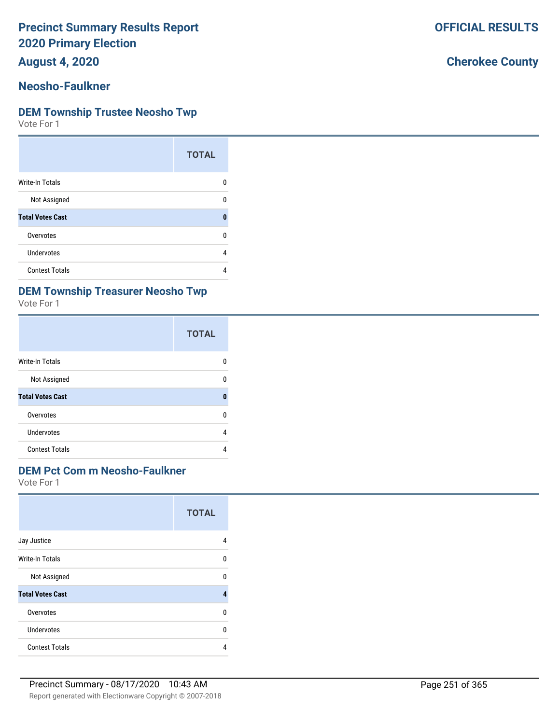**August 4, 2020**

#### **Neosho-Faulkner**

#### **DEM Township Trustee Neosho Twp**

Vote For 1

|                         | <b>TOTAL</b> |
|-------------------------|--------------|
| <b>Write-In Totals</b>  | n            |
| Not Assigned            | n            |
| <b>Total Votes Cast</b> | n            |
| Overvotes               | n            |
| Undervotes              | 4            |
| <b>Contest Totals</b>   |              |

### **DEM Township Treasurer Neosho Twp**

Vote For 1

|                         | <b>TOTAL</b> |
|-------------------------|--------------|
| Write-In Totals         | n            |
| Not Assigned            | n            |
| <b>Total Votes Cast</b> | O            |
| Overvotes               | n            |
| Undervotes              | 4            |
| <b>Contest Totals</b>   |              |

### **DEM Pct Com m Neosho-Faulkner**

Vote For 1

|                         | <b>TOTAL</b> |
|-------------------------|--------------|
| Jay Justice             | 4            |
| <b>Write-In Totals</b>  | U            |
| Not Assigned            | n            |
| <b>Total Votes Cast</b> | 4            |
| Overvotes               | U            |
| Undervotes              | U            |
| <b>Contest Totals</b>   | 4            |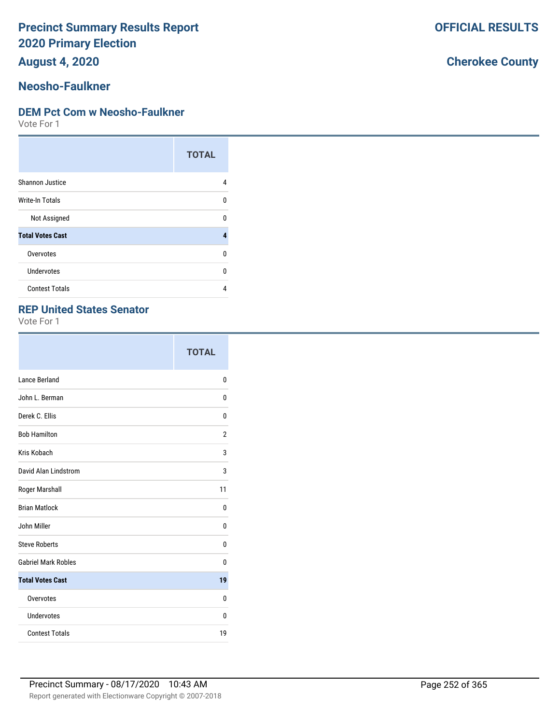**August 4, 2020**

## **Neosho-Faulkner**

#### **DEM Pct Com w Neosho-Faulkner**

Vote For 1

|                         | <b>TOTAL</b> |
|-------------------------|--------------|
| Shannon Justice         | 4            |
| <b>Write-In Totals</b>  | U            |
| Not Assigned            | n            |
| <b>Total Votes Cast</b> | 4            |
| Overvotes               | U            |
| Undervotes              | U            |
| <b>Contest Totals</b>   | 4            |

#### **REP United States Senator**

Vote For 1

|                            | <b>TOTAL</b>   |
|----------------------------|----------------|
| Lance Berland              | 0              |
| John L. Berman             | 0              |
| Derek C. Ellis             | 0              |
| <b>Bob Hamilton</b>        | $\overline{2}$ |
| Kris Kobach                | 3              |
| David Alan Lindstrom       | 3              |
| Roger Marshall             | 11             |
| <b>Brian Matlock</b>       | 0              |
| John Miller                | 0              |
| <b>Steve Roberts</b>       | 0              |
| <b>Gabriel Mark Robles</b> | 0              |
| <b>Total Votes Cast</b>    | 19             |
| Overvotes                  | 0              |
| Undervotes                 | 0              |
| <b>Contest Totals</b>      | 19             |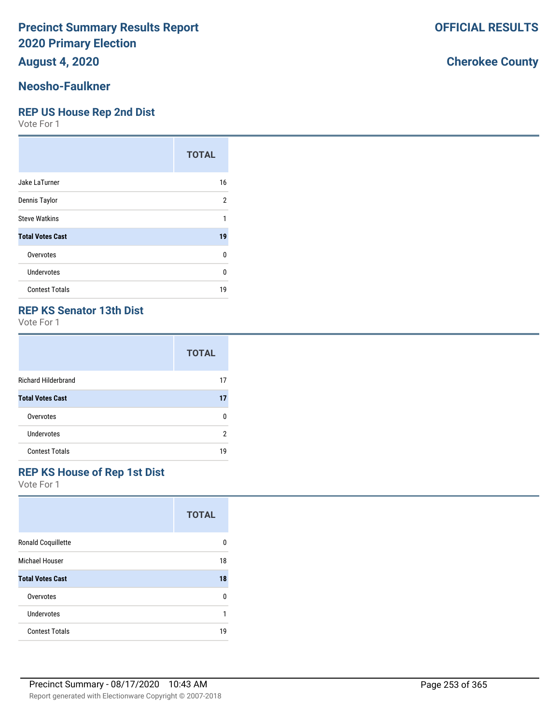**August 4, 2020**

# **Neosho-Faulkner**

#### **REP US House Rep 2nd Dist**

Vote For 1

|                         | <b>TOTAL</b>   |
|-------------------------|----------------|
| Jake LaTurner           | 16             |
| Dennis Taylor           | $\overline{2}$ |
| <b>Steve Watkins</b>    | 1              |
| <b>Total Votes Cast</b> | 19             |
| Overvotes               | U              |
| Undervotes              | U              |
| <b>Contest Totals</b>   | 19             |

### **REP KS Senator 13th Dist**

Vote For 1

|                            | <b>TOTAL</b> |
|----------------------------|--------------|
| <b>Richard Hilderbrand</b> | 17           |
| <b>Total Votes Cast</b>    | 17           |
| Overvotes                  | ŋ            |
| Undervotes                 | 2            |
| <b>Contest Totals</b>      | 19           |

#### **REP KS House of Rep 1st Dist**

Vote For 1

|                         | <b>TOTAL</b> |
|-------------------------|--------------|
| Ronald Coquillette      | 0            |
| Michael Houser          | 18           |
| <b>Total Votes Cast</b> | 18           |
| Overvotes               | 0            |
| Undervotes              | 1            |
| <b>Contest Totals</b>   | 19           |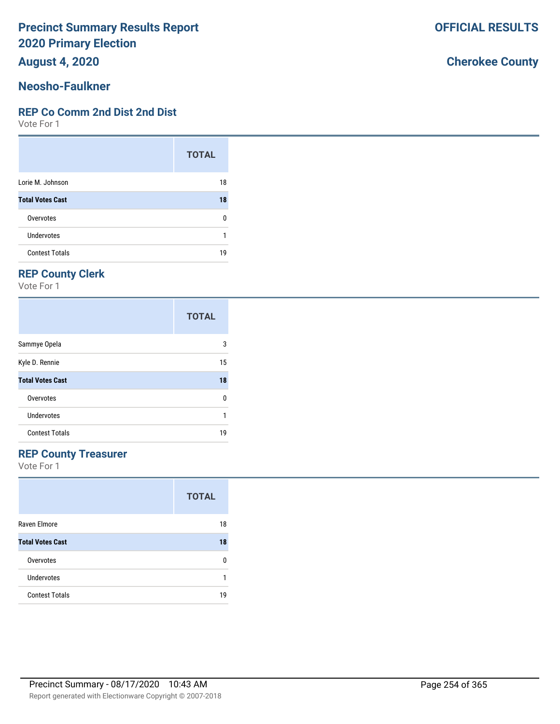**August 4, 2020**

# **Neosho-Faulkner**

#### **REP Co Comm 2nd Dist 2nd Dist**

Vote For 1

|                         | <b>TOTAL</b> |
|-------------------------|--------------|
| Lorie M. Johnson        | 18           |
| <b>Total Votes Cast</b> | 18           |
| Overvotes               | U            |
| Undervotes              |              |
| <b>Contest Totals</b>   | 19           |

# **REP County Clerk**

Vote For 1

|                         | <b>TOTAL</b> |
|-------------------------|--------------|
| Sammye Opela            | 3            |
| Kyle D. Rennie          | 15           |
| <b>Total Votes Cast</b> | 18           |
| Overvotes               | 0            |
| Undervotes              | 1            |
| <b>Contest Totals</b>   | 19           |

## **REP County Treasurer**

Vote For 1

|                         | <b>TOTAL</b> |
|-------------------------|--------------|
| Raven Elmore            | 18           |
| <b>Total Votes Cast</b> | 18           |
| Overvotes               | n            |
| <b>Undervotes</b>       | 1            |
| <b>Contest Totals</b>   | 19           |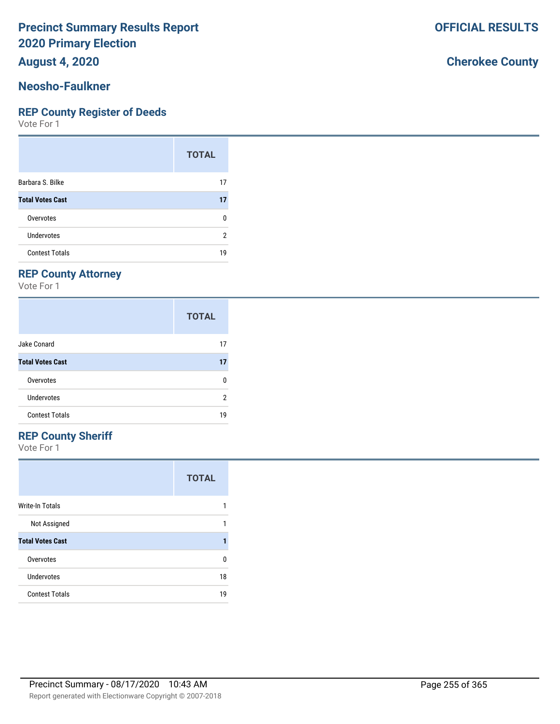**August 4, 2020**

#### **Neosho-Faulkner**

#### **REP County Register of Deeds**

Vote For 1

|                         | <b>TOTAL</b> |
|-------------------------|--------------|
| Barbara S. Bilke        | 17           |
| <b>Total Votes Cast</b> | 17           |
| Overvotes               | ŋ            |
| <b>Undervotes</b>       | 2            |
| <b>Contest Totals</b>   | 19           |

## **REP County Attorney**

Vote For 1

|                         | <b>TOTAL</b> |
|-------------------------|--------------|
| Jake Conard             | 17           |
| <b>Total Votes Cast</b> | 17           |
| Overvotes               | n            |
| Undervotes              | 2            |
| <b>Contest Totals</b>   | 19           |

## **REP County Sheriff**

Vote For 1

|                         | <b>TOTAL</b> |
|-------------------------|--------------|
| <b>Write-In Totals</b>  |              |
| Not Assigned            |              |
| <b>Total Votes Cast</b> |              |
| Overvotes               | n            |
| Undervotes              | 18           |
| <b>Contest Totals</b>   | 19           |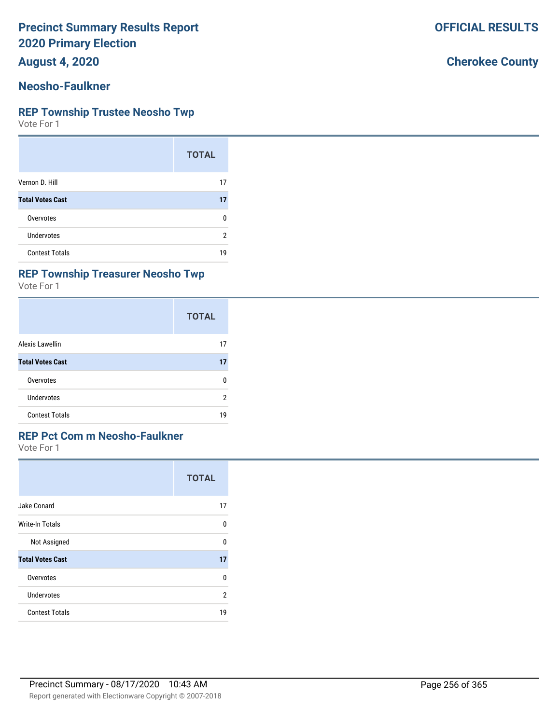**August 4, 2020**

#### **Neosho-Faulkner**

#### **REP Township Trustee Neosho Twp**

Vote For 1

|                         | <b>TOTAL</b> |
|-------------------------|--------------|
| Vernon D. Hill          | 17           |
| <b>Total Votes Cast</b> | 17           |
| Overvotes               | n            |
| Undervotes              | 2            |
| <b>Contest Totals</b>   | 19           |

#### **REP Township Treasurer Neosho Twp**

Vote For 1

|                         | <b>TOTAL</b> |
|-------------------------|--------------|
| <b>Alexis Lawellin</b>  | 17           |
| <b>Total Votes Cast</b> | 17           |
| Overvotes               | 0            |
| Undervotes              | 2            |
| <b>Contest Totals</b>   | 19           |

### **REP Pct Com m Neosho-Faulkner**

Vote For 1

|                         | <b>TOTAL</b>   |
|-------------------------|----------------|
| Jake Conard             | 17             |
| <b>Write-In Totals</b>  | U              |
| Not Assigned            | U              |
| <b>Total Votes Cast</b> | 17             |
| Overvotes               | U              |
| Undervotes              | $\mathfrak{p}$ |
| <b>Contest Totals</b>   | 19             |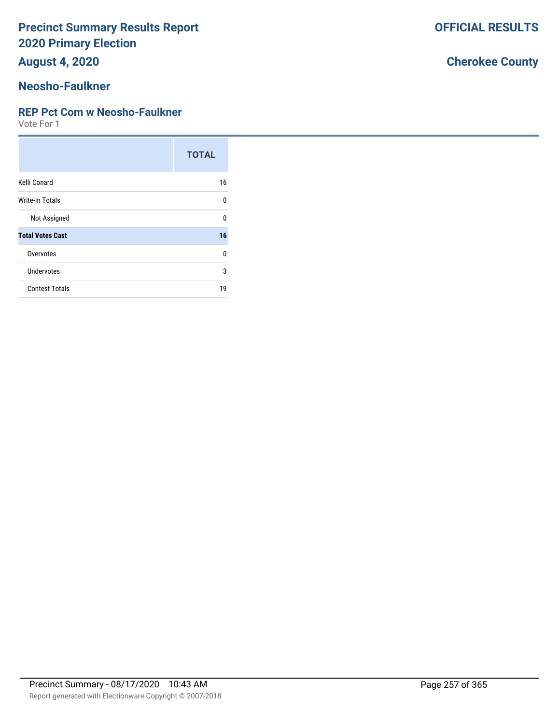**August 4, 2020**

# **Neosho-Faulkner**

#### **REP Pct Com w Neosho-Faulkner**

Vote For 1

|                         | <b>TOTAL</b> |
|-------------------------|--------------|
| Kelli Conard            | 16           |
| Write-In Totals         | $\Omega$     |
| Not Assigned            | $\Omega$     |
| <b>Total Votes Cast</b> | 16           |
| Overvotes               | $\Omega$     |
| <b>Undervotes</b>       | 3            |
| <b>Contest Totals</b>   | 19           |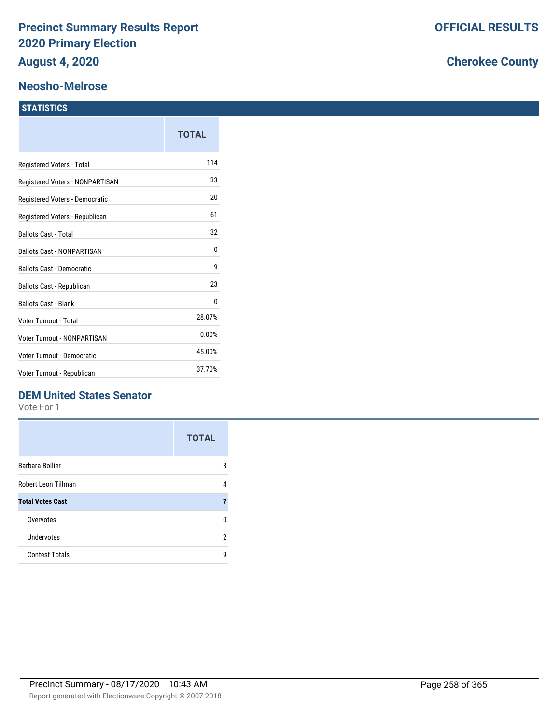#### **Neosho-Melrose**

#### **STATISTICS**

|                                  | TOTAL  |
|----------------------------------|--------|
| Registered Voters - Total        | 114    |
| Registered Voters - NONPARTISAN  | 33     |
| Registered Voters - Democratic   | 20     |
| Registered Voters - Republican   | 61     |
| <b>Ballots Cast - Total</b>      | 32     |
| Ballots Cast - NONPARTISAN       | 0      |
| <b>Ballots Cast - Democratic</b> | 9      |
| Ballots Cast - Republican        | 23     |
| <b>Ballots Cast - Blank</b>      | 0      |
| Voter Turnout - Total            | 28.07% |
| Voter Turnout - NONPARTISAN      | 0.00%  |
| Voter Turnout - Democratic       | 45.00% |
| Voter Turnout - Republican       | 37.70% |

## **DEM United States Senator**

Vote For 1

|                         | <b>TOTAL</b> |
|-------------------------|--------------|
| Barbara Bollier         | 3            |
| Robert Leon Tillman     | 4            |
| <b>Total Votes Cast</b> | 7            |
| Overvotes               | n            |
| Undervotes              | 2            |
| <b>Contest Totals</b>   | q            |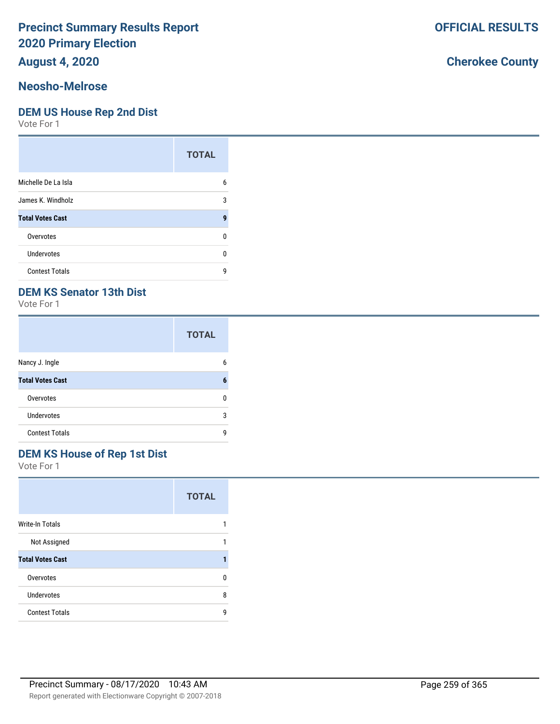## **August 4, 2020**

#### **Neosho-Melrose**

#### **DEM US House Rep 2nd Dist**

Vote For 1

|                         | <b>TOTAL</b> |
|-------------------------|--------------|
| Michelle De La Isla     | 6            |
| James K. Windholz       | 3            |
| <b>Total Votes Cast</b> | g            |
| Overvotes               | n            |
| Undervotes              | n            |
| <b>Contest Totals</b>   | g            |

## **DEM KS Senator 13th Dist**

Vote For 1

|                         | <b>TOTAL</b> |
|-------------------------|--------------|
| Nancy J. Ingle          | 6            |
| <b>Total Votes Cast</b> | 6            |
| Overvotes               | ŋ            |
| <b>Undervotes</b>       | 3            |
| <b>Contest Totals</b>   | g            |

# **DEM KS House of Rep 1st Dist**

Vote For 1

|                         | <b>TOTAL</b> |
|-------------------------|--------------|
| Write-In Totals         |              |
| Not Assigned            | 1            |
| <b>Total Votes Cast</b> |              |
| Overvotes               | n            |
| Undervotes              | 8            |
| <b>Contest Totals</b>   | q            |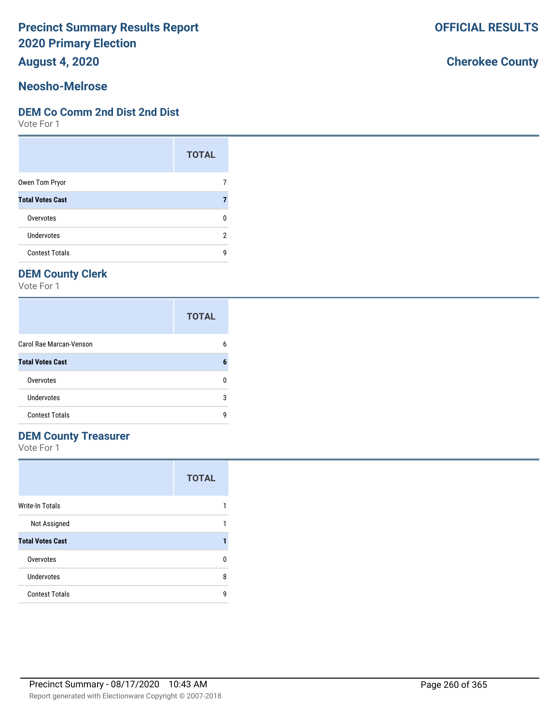**August 4, 2020**

#### **Neosho-Melrose**

#### **DEM Co Comm 2nd Dist 2nd Dist**

Vote For 1

|                         | <b>TOTAL</b> |
|-------------------------|--------------|
| Owen Tom Pryor          |              |
| <b>Total Votes Cast</b> |              |
| Overvotes               | n            |
| Undervotes              | 2            |
| <b>Contest Totals</b>   | q            |

# **DEM County Clerk**

Vote For 1

|                         | <b>TOTAL</b> |
|-------------------------|--------------|
| Carol Rae Marcan-Venson | 6            |
| <b>Total Votes Cast</b> | 6            |
| Overvotes               | n            |
| Undervotes              | 3            |
| <b>Contest Totals</b>   | q            |

# **DEM County Treasurer**

Vote For 1

|                         | <b>TOTAL</b> |
|-------------------------|--------------|
| <b>Write-In Totals</b>  |              |
| Not Assigned            |              |
| <b>Total Votes Cast</b> |              |
| Overvotes               | n            |
| Undervotes              | 8            |
| <b>Contest Totals</b>   | g            |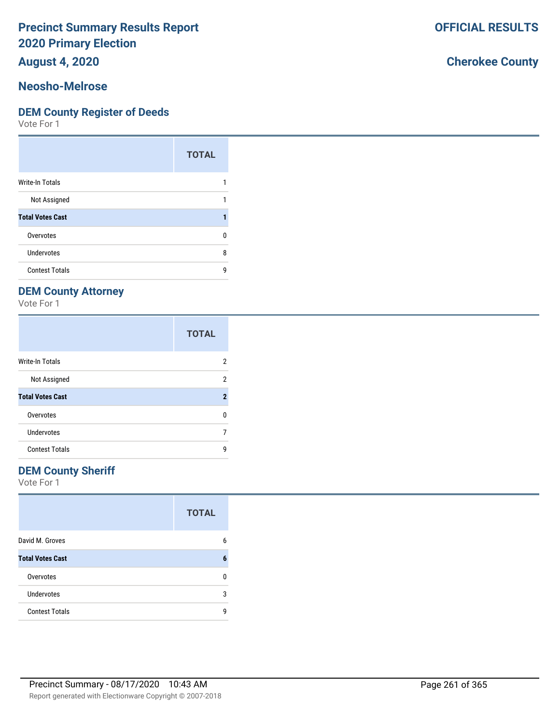**August 4, 2020**

#### **Neosho-Melrose**

#### **DEM County Register of Deeds**

Vote For 1

|                         | <b>TOTAL</b> |
|-------------------------|--------------|
| Write-In Totals         |              |
| Not Assigned            |              |
| <b>Total Votes Cast</b> |              |
| Overvotes               | n            |
| Undervotes              | 8            |
| <b>Contest Totals</b>   | q            |

## **DEM County Attorney**

Vote For 1

|                         | <b>TOTAL</b>        |
|-------------------------|---------------------|
| <b>Write-In Totals</b>  | 2                   |
| Not Assigned            | 2                   |
| <b>Total Votes Cast</b> | $\boldsymbol{\eta}$ |
| Overvotes               | n                   |
| Undervotes              |                     |
| <b>Contest Totals</b>   | q                   |

### **DEM County Sheriff**

Vote For 1

|                         | <b>TOTAL</b> |
|-------------------------|--------------|
| David M. Groves         | 6            |
| <b>Total Votes Cast</b> | 6            |
| Overvotes               | n            |
| <b>Undervotes</b>       | 3            |
| <b>Contest Totals</b>   | q            |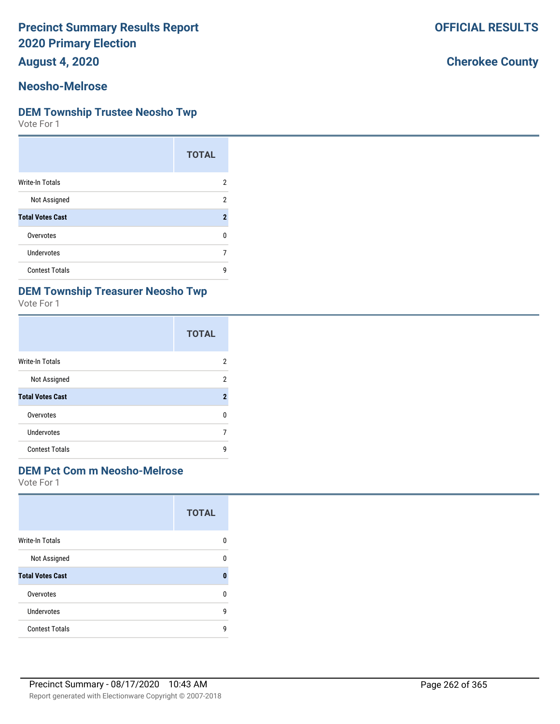**August 4, 2020**

#### **Neosho-Melrose**

#### **DEM Township Trustee Neosho Twp**

Vote For 1

|                         | <b>TOTAL</b>   |
|-------------------------|----------------|
| Write-In Totals         | 2              |
| Not Assigned            | 2              |
| <b>Total Votes Cast</b> | $\overline{2}$ |
| Overvotes               | n              |
| Undervotes              |                |
| <b>Contest Totals</b>   | g              |

### **DEM Township Treasurer Neosho Twp**

Vote For 1

|                         | <b>TOTAL</b>     |
|-------------------------|------------------|
| Write-In Totals         | 2                |
| Not Assigned            | 2                |
| <b>Total Votes Cast</b> | $\boldsymbol{2}$ |
| Overvotes               | n                |
| Undervotes              |                  |
| <b>Contest Totals</b>   | q                |

### **DEM Pct Com m Neosho-Melrose**

Vote For 1

|                         | <b>TOTAL</b> |
|-------------------------|--------------|
| <b>Write-In Totals</b>  | n            |
| Not Assigned            | n            |
| <b>Total Votes Cast</b> | O            |
| Overvotes               | U            |
| Undervotes              | 9            |
| <b>Contest Totals</b>   | q            |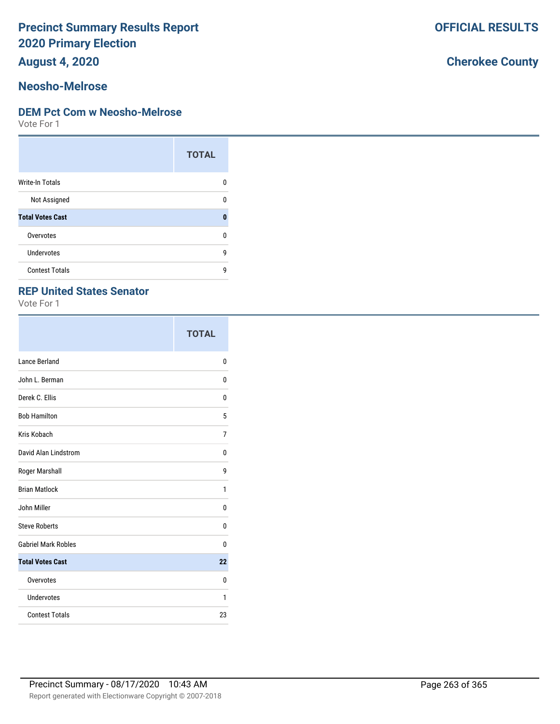**August 4, 2020**

#### **Neosho-Melrose**

#### **DEM Pct Com w Neosho-Melrose**

Vote For 1

|                         | <b>TOTAL</b> |
|-------------------------|--------------|
| <b>Write-In Totals</b>  | n            |
| Not Assigned            | n            |
| <b>Total Votes Cast</b> | O            |
| Overvotes               | U            |
| Undervotes              | g            |
| <b>Contest Totals</b>   | q            |

### **REP United States Senator**

Vote For 1

|                             | <b>TOTAL</b> |
|-----------------------------|--------------|
| Lance Berland               | 0            |
| John L. Berman              | 0            |
| Derek C. Ellis              | 0            |
| <b>Bob Hamilton</b>         | 5            |
| Kris Kobach                 | 7            |
| <b>David Alan Lindstrom</b> | 0            |
| Roger Marshall              | 9            |
| <b>Brian Matlock</b>        | 1            |
| John Miller                 | 0            |
| <b>Steve Roberts</b>        | 0            |
| <b>Gabriel Mark Robles</b>  | 0            |
| <b>Total Votes Cast</b>     | 22           |
| Overvotes                   | 0            |
| Undervotes                  | 1            |
| <b>Contest Totals</b>       | 23           |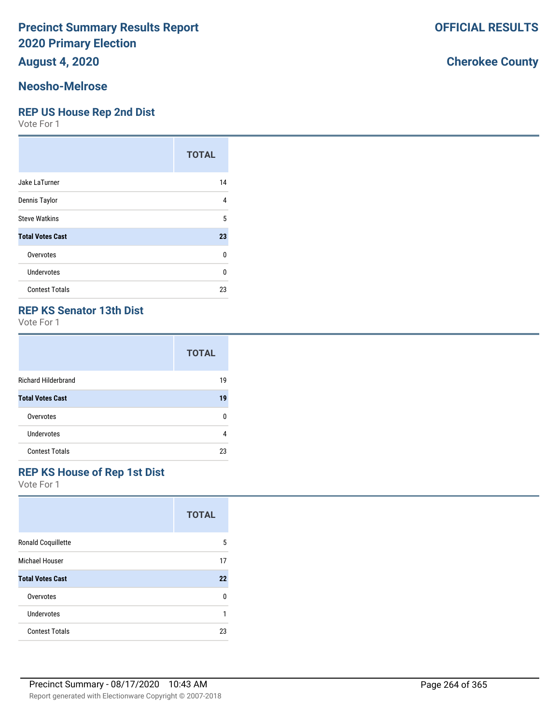**August 4, 2020**

#### **Neosho-Melrose**

#### **REP US House Rep 2nd Dist**

Vote For 1

|                         | <b>TOTAL</b> |
|-------------------------|--------------|
| Jake LaTurner           | 14           |
| Dennis Taylor           | 4            |
| <b>Steve Watkins</b>    | 5            |
| <b>Total Votes Cast</b> | 23           |
| Overvotes               | 0            |
| Undervotes              | 0            |
| <b>Contest Totals</b>   | 23           |

### **REP KS Senator 13th Dist**

Vote For 1

|                            | <b>TOTAL</b> |
|----------------------------|--------------|
| <b>Richard Hilderbrand</b> | 19           |
| <b>Total Votes Cast</b>    | 19           |
| Overvotes                  | ŋ            |
| Undervotes                 | 4            |
| <b>Contest Totals</b>      | 23           |

#### **REP KS House of Rep 1st Dist**

Vote For 1

|                         | <b>TOTAL</b> |
|-------------------------|--------------|
| Ronald Coquillette      | 5            |
| Michael Houser          | 17           |
| <b>Total Votes Cast</b> | 22           |
| Overvotes               | 0            |
| Undervotes              | 1            |
| <b>Contest Totals</b>   | 23           |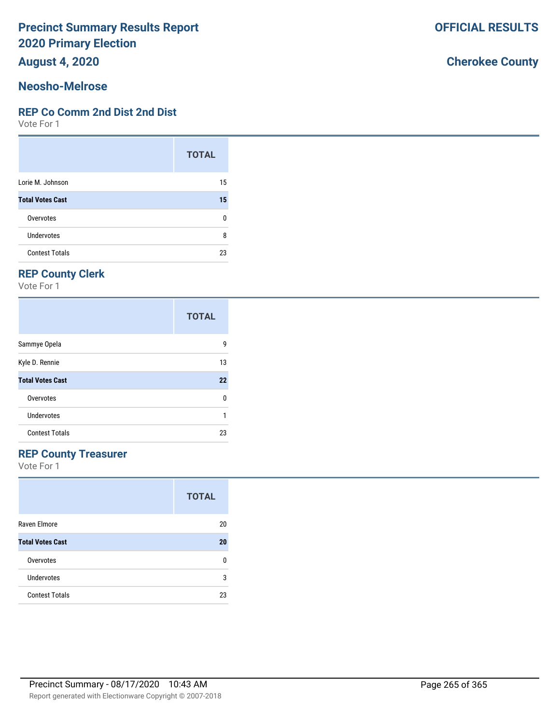**August 4, 2020**

#### **Neosho-Melrose**

#### **REP Co Comm 2nd Dist 2nd Dist**

Vote For 1

|                         | <b>TOTAL</b> |
|-------------------------|--------------|
| Lorie M. Johnson        | 15           |
| <b>Total Votes Cast</b> | 15           |
| Overvotes               | ŋ            |
| Undervotes              | 8            |
| <b>Contest Totals</b>   | 23           |

# **REP County Clerk**

Vote For 1

|                         | <b>TOTAL</b> |
|-------------------------|--------------|
| Sammye Opela            | 9            |
| Kyle D. Rennie          | 13           |
| <b>Total Votes Cast</b> | 22           |
| Overvotes               | 0            |
| Undervotes              |              |
| <b>Contest Totals</b>   | 23           |

### **REP County Treasurer**

Vote For 1

|                         | <b>TOTAL</b> |
|-------------------------|--------------|
| Raven Elmore            | 20           |
| <b>Total Votes Cast</b> | 20           |
| Overvotes               | n            |
| Undervotes              | 3            |
| <b>Contest Totals</b>   | 23           |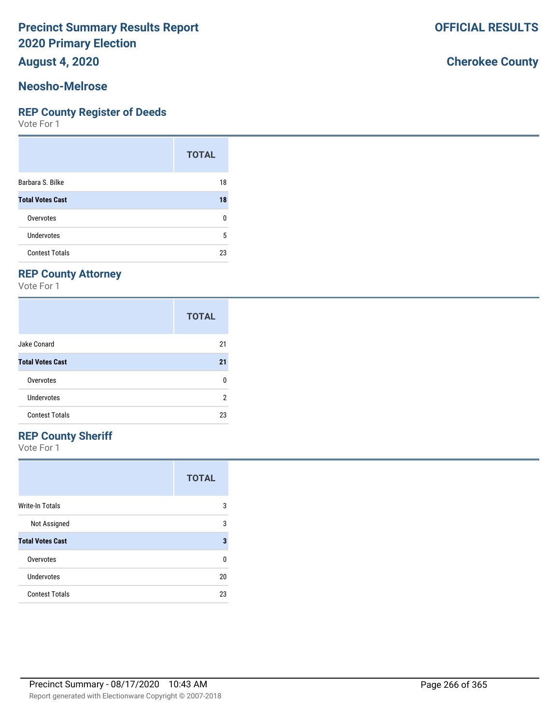**August 4, 2020**

#### **Neosho-Melrose**

#### **REP County Register of Deeds**

Vote For 1

|                         | <b>TOTAL</b> |
|-------------------------|--------------|
| Barbara S. Bilke        | 18           |
| <b>Total Votes Cast</b> | 18           |
| Overvotes               | 0            |
| <b>Undervotes</b>       | 5            |
| <b>Contest Totals</b>   | 23           |

## **REP County Attorney**

Vote For 1

|                         | <b>TOTAL</b> |
|-------------------------|--------------|
| Jake Conard             | 21           |
| <b>Total Votes Cast</b> | 21           |
| Overvotes               | n            |
| Undervotes              | 2            |
| <b>Contest Totals</b>   | 23           |

# **REP County Sheriff**

Vote For 1

|                         | <b>TOTAL</b> |
|-------------------------|--------------|
| Write-In Totals         | 3            |
| Not Assigned            | 3            |
| <b>Total Votes Cast</b> | 3            |
| Overvotes               | ŋ            |
| Undervotes              | 20           |
| <b>Contest Totals</b>   | 23           |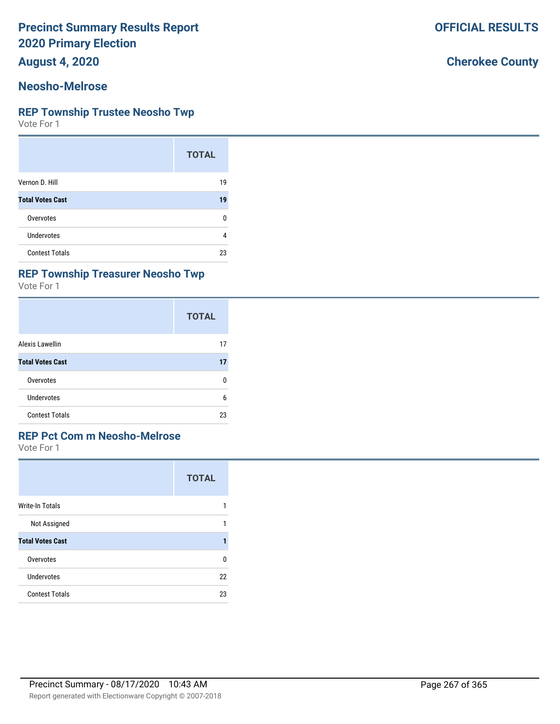**August 4, 2020**

#### **Neosho-Melrose**

#### **REP Township Trustee Neosho Twp**

Vote For 1

|                         | <b>TOTAL</b> |
|-------------------------|--------------|
| Vernon D. Hill          | 19           |
| <b>Total Votes Cast</b> | 19           |
| Overvotes               | O            |
| Undervotes              | 4            |
| <b>Contest Totals</b>   | 23           |

#### **REP Township Treasurer Neosho Twp**

Vote For 1

|                         | <b>TOTAL</b> |
|-------------------------|--------------|
| Alexis Lawellin         | 17           |
| <b>Total Votes Cast</b> | 17           |
| Overvotes               | 0            |
| Undervotes              | 6            |
| <b>Contest Totals</b>   | 23           |

## **REP Pct Com m Neosho-Melrose**

Vote For 1

|                         | <b>TOTAL</b> |
|-------------------------|--------------|
| <b>Write-In Totals</b>  |              |
| Not Assigned            |              |
| <b>Total Votes Cast</b> |              |
| Overvotes               | n            |
| Undervotes              | 22           |
| <b>Contest Totals</b>   | 23           |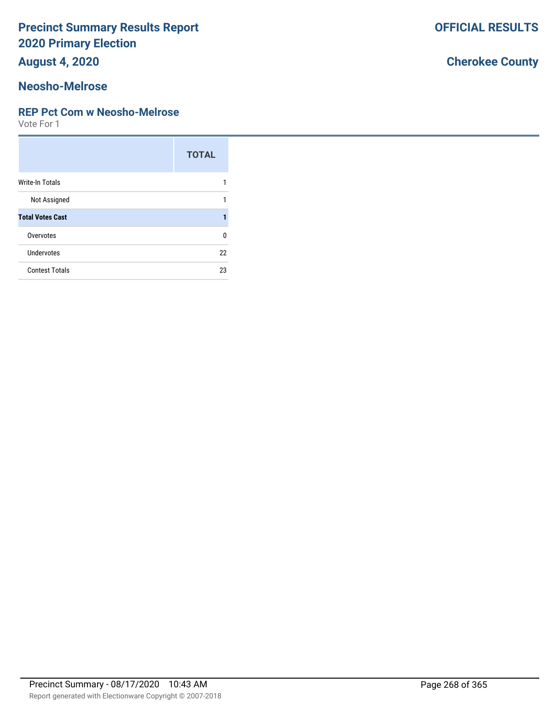**August 4, 2020**

### **Neosho-Melrose**

#### **REP Pct Com w Neosho-Melrose**

Vote For 1

|                         | <b>TOTAL</b> |
|-------------------------|--------------|
| Write-In Totals         |              |
| Not Assigned            |              |
| <b>Total Votes Cast</b> |              |
| Overvotes               | U            |
| Undervotes              | 22           |
| <b>Contest Totals</b>   | 23           |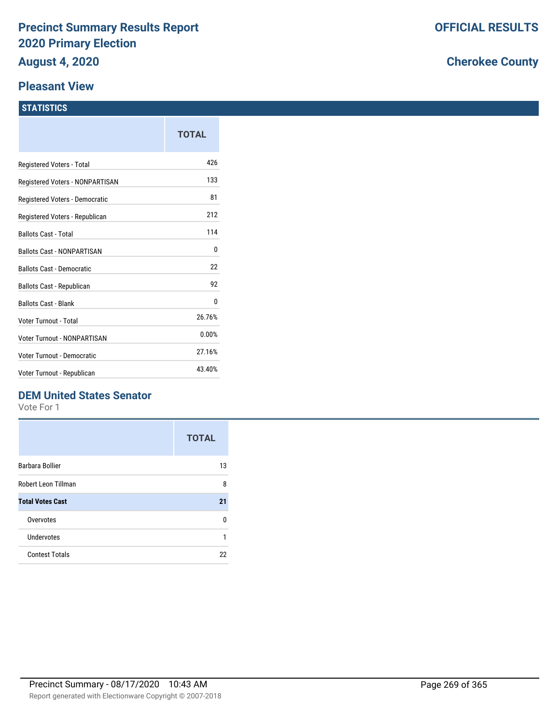#### **Pleasant View**

#### **STATISTICS**

|                                   | TOTAL  |
|-----------------------------------|--------|
| Registered Voters - Total         | 426    |
| Registered Voters - NONPARTISAN   | 133    |
| Registered Voters - Democratic    | 81     |
| Registered Voters - Republican    | 212    |
| <b>Ballots Cast - Total</b>       | 114    |
| <b>Ballots Cast - NONPARTISAN</b> | 0      |
| <b>Ballots Cast - Democratic</b>  | 22     |
| Ballots Cast - Republican         | 92     |
| <b>Ballots Cast - Blank</b>       | 0      |
| Voter Turnout - Total             | 26.76% |
| Voter Turnout - NONPARTISAN       | 0.00%  |
| Voter Turnout - Democratic        | 27.16% |
| Voter Turnout - Republican        | 43.40% |

## **DEM United States Senator**

Vote For 1

|                         | <b>TOTAL</b> |
|-------------------------|--------------|
| <b>Barbara Bollier</b>  | 13           |
| Robert Leon Tillman     | 8            |
| <b>Total Votes Cast</b> | 21           |
| Overvotes               | n            |
| Undervotes              | 1            |
| <b>Contest Totals</b>   | 22           |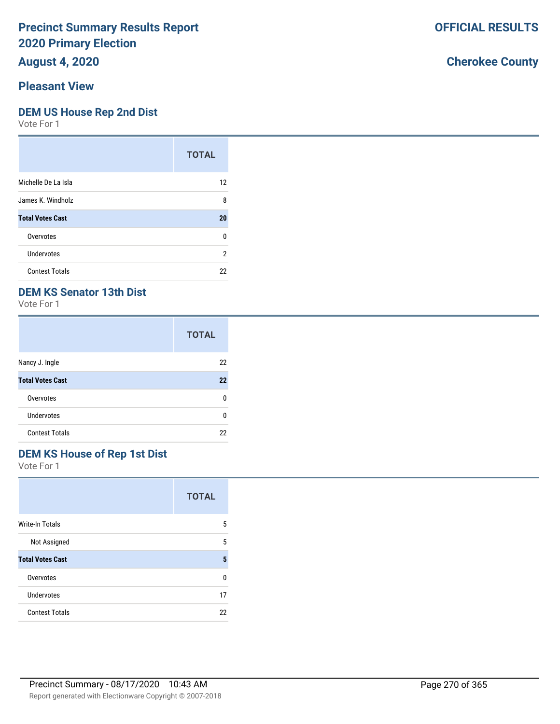**August 4, 2020**

# **Pleasant View**

#### **DEM US House Rep 2nd Dist**

Vote For 1

|                         | <b>TOTAL</b> |
|-------------------------|--------------|
| Michelle De La Isla     | 12           |
| James K. Windholz       | 8            |
| <b>Total Votes Cast</b> | 20           |
| Overvotes               | 0            |
| Undervotes              | 2            |
| <b>Contest Totals</b>   | 22           |

## **DEM KS Senator 13th Dist**

Vote For 1

|                         | <b>TOTAL</b> |
|-------------------------|--------------|
| Nancy J. Ingle          | 22           |
| <b>Total Votes Cast</b> | 22           |
| Overvotes               | n            |
| Undervotes              | U            |
| <b>Contest Totals</b>   | 22           |

## **DEM KS House of Rep 1st Dist**

Vote For 1

|                         | <b>TOTAL</b> |
|-------------------------|--------------|
| <b>Write-In Totals</b>  | 5            |
| Not Assigned            | 5            |
| <b>Total Votes Cast</b> | 5            |
| Overvotes               | U            |
| <b>Undervotes</b>       | 17           |
| <b>Contest Totals</b>   | 22           |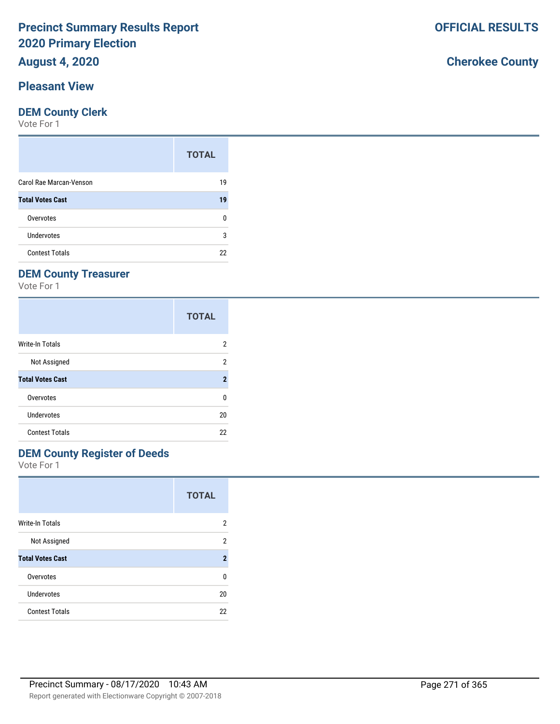# **August 4, 2020**

### **Pleasant View**

#### **DEM County Clerk**

Vote For 1

|                         | <b>TOTAL</b> |
|-------------------------|--------------|
| Carol Rae Marcan-Venson | 19           |
| <b>Total Votes Cast</b> | 19           |
| Overvotes               | n            |
| Undervotes              | 3            |
| <b>Contest Totals</b>   | 22           |

# **DEM County Treasurer**

Vote For 1

|                         | <b>TOTAL</b>   |
|-------------------------|----------------|
| Write-In Totals         | 2              |
| Not Assigned            | 2              |
| <b>Total Votes Cast</b> | $\overline{2}$ |
| Overvotes               | 0              |
| Undervotes              | 20             |
| <b>Contest Totals</b>   | 22             |

## **DEM County Register of Deeds**

Vote For 1

|                         | <b>TOTAL</b>   |
|-------------------------|----------------|
| Write-In Totals         | 2              |
| Not Assigned            | 2              |
| <b>Total Votes Cast</b> | $\overline{2}$ |
| Overvotes               | U              |
| Undervotes              | 20             |
| <b>Contest Totals</b>   | 22             |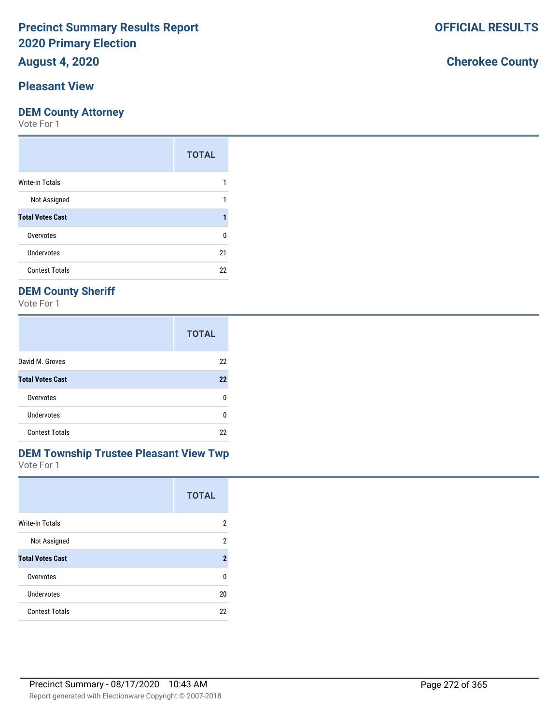# **August 4, 2020**

# **Pleasant View**

#### **DEM County Attorney**

Vote For 1

|                         | <b>TOTAL</b> |
|-------------------------|--------------|
| Write-In Totals         |              |
| Not Assigned            |              |
| <b>Total Votes Cast</b> |              |
| Overvotes               | 0            |
| <b>Undervotes</b>       | 21           |
| <b>Contest Totals</b>   | 22           |

# **DEM County Sheriff**

Vote For 1

|                         | <b>TOTAL</b> |
|-------------------------|--------------|
| David M. Groves         | 22           |
| <b>Total Votes Cast</b> | 22           |
| Overvotes               | n            |
| <b>Undervotes</b>       | U            |
| <b>Contest Totals</b>   | 22           |

#### Vote For 1 **DEM Township Trustee Pleasant View Twp**

|                         | <b>TOTAL</b>   |
|-------------------------|----------------|
| Write-In Totals         | 2              |
| Not Assigned            | 2              |
| <b>Total Votes Cast</b> | $\overline{2}$ |
| Overvotes               | ŋ              |
| Undervotes              | 20             |
| <b>Contest Totals</b>   | 22             |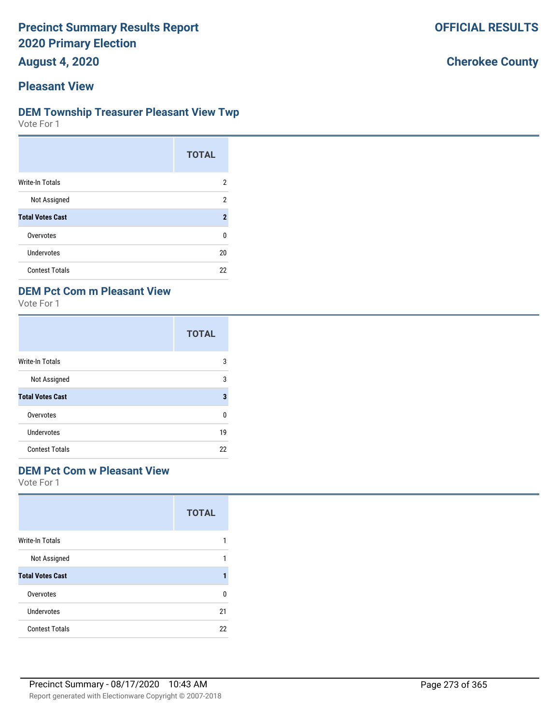**August 4, 2020**

# **Pleasant View**

#### **DEM Township Treasurer Pleasant View Twp**

Vote For 1

|                         | <b>TOTAL</b>   |
|-------------------------|----------------|
| Write-In Totals         | 2              |
| Not Assigned            | 2              |
| <b>Total Votes Cast</b> | $\overline{2}$ |
| Overvotes               | 0              |
| <b>Undervotes</b>       | 20             |
| <b>Contest Totals</b>   | 22             |

### **DEM Pct Com m Pleasant View**

Vote For 1

|                         | <b>TOTAL</b> |
|-------------------------|--------------|
| Write-In Totals         | 3            |
| Not Assigned            | 3            |
| <b>Total Votes Cast</b> | 3            |
| Overvotes               | ŋ            |
| Undervotes              | 19           |
| <b>Contest Totals</b>   | 22           |

#### **DEM Pct Com w Pleasant View**

Vote For 1

|                         | <b>TOTAL</b> |
|-------------------------|--------------|
| <b>Write-In Totals</b>  |              |
| Not Assigned            |              |
| <b>Total Votes Cast</b> | 1            |
| Overvotes               | ŋ            |
| Undervotes              | 21           |
| <b>Contest Totals</b>   | 22           |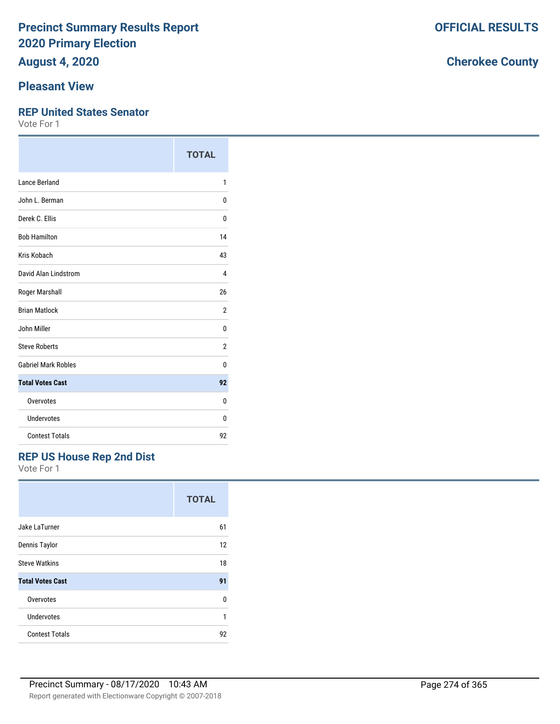**August 4, 2020**

# **Pleasant View**

#### **REP United States Senator**

Vote For 1

|                            | <b>TOTAL</b>   |
|----------------------------|----------------|
| Lance Berland              | 1              |
| John L. Berman             | 0              |
| Derek C. Ellis             | 0              |
| <b>Bob Hamilton</b>        | 14             |
| Kris Kobach                | 43             |
| David Alan Lindstrom       | 4              |
| Roger Marshall             | 26             |
| <b>Brian Matlock</b>       | $\overline{2}$ |
| John Miller                | 0              |
| <b>Steve Roberts</b>       | 2              |
| <b>Gabriel Mark Robles</b> | 0              |
| <b>Total Votes Cast</b>    | 92             |
| Overvotes                  | 0              |
| Undervotes                 | 0              |
| <b>Contest Totals</b>      | 92             |

# **REP US House Rep 2nd Dist**

Vote For 1

|                         | <b>TOTAL</b> |
|-------------------------|--------------|
| Jake LaTurner           | 61           |
| Dennis Taylor           | 12           |
| <b>Steve Watkins</b>    | 18           |
| <b>Total Votes Cast</b> | 91           |
| Overvotes               | U            |
| Undervotes              | 1            |
| <b>Contest Totals</b>   | 92           |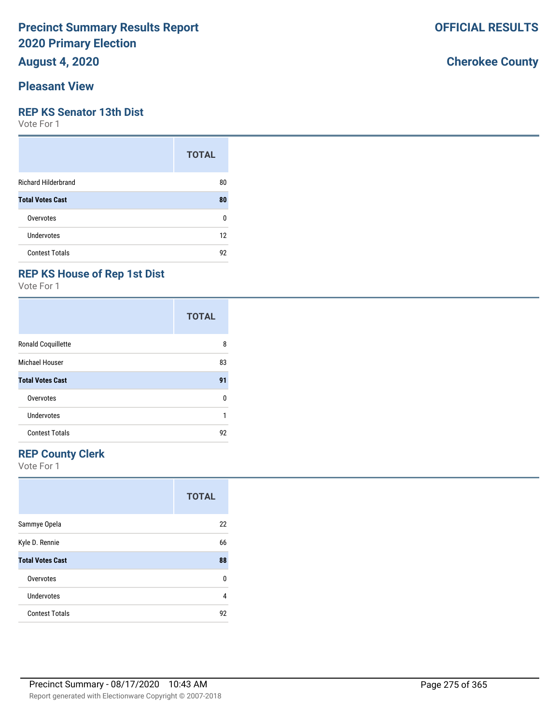**August 4, 2020**

### **Pleasant View**

#### **REP KS Senator 13th Dist**

Vote For 1

|                            | <b>TOTAL</b> |
|----------------------------|--------------|
| <b>Richard Hilderbrand</b> | 80           |
| <b>Total Votes Cast</b>    | 80           |
| Overvotes                  | 0            |
| Undervotes                 | 12           |
| <b>Contest Totals</b>      | 92           |

# **REP KS House of Rep 1st Dist**

Vote For 1

|                           | <b>TOTAL</b> |
|---------------------------|--------------|
| <b>Ronald Coquillette</b> | 8            |
| Michael Houser            | 83           |
| <b>Total Votes Cast</b>   | 91           |
| Overvotes                 | n            |
| <b>Undervotes</b>         | 1            |
| <b>Contest Totals</b>     | 92           |

# **REP County Clerk**

Vote For 1

|                         | <b>TOTAL</b> |
|-------------------------|--------------|
| Sammye Opela            | 22           |
| Kyle D. Rennie          | 66           |
| <b>Total Votes Cast</b> | 88           |
| Overvotes               | 0            |
| Undervotes              | 4            |
| <b>Contest Totals</b>   | 92           |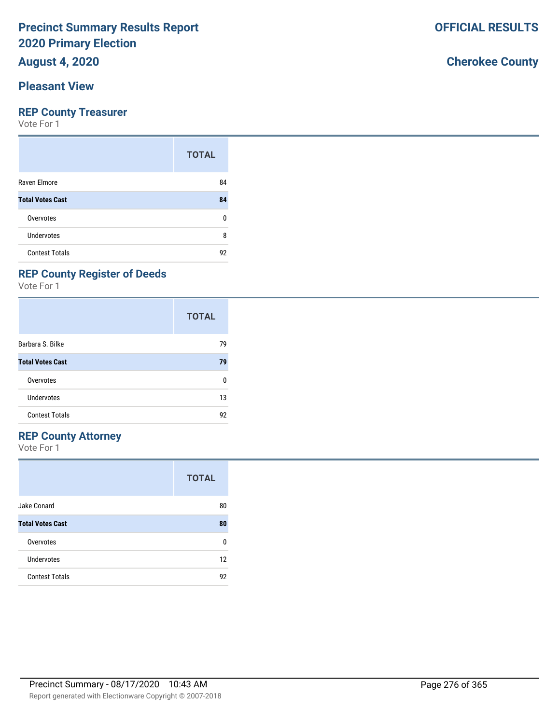# **August 4, 2020**

### **Pleasant View**

#### **REP County Treasurer**

Vote For 1

|                         | <b>TOTAL</b> |
|-------------------------|--------------|
| Raven Elmore            | 84           |
| <b>Total Votes Cast</b> | 84           |
| Overvotes               | ŋ            |
| Undervotes              | 8            |
| <b>Contest Totals</b>   | 92           |

# **REP County Register of Deeds**

Vote For 1

|                         | <b>TOTAL</b> |
|-------------------------|--------------|
| Barbara S. Bilke        | 79           |
| <b>Total Votes Cast</b> | 79           |
| Overvotes               | ŋ            |
| Undervotes              | 13           |
| <b>Contest Totals</b>   | 92           |

### **REP County Attorney**

Vote For 1

|                         | <b>TOTAL</b> |
|-------------------------|--------------|
| Jake Conard             | 80           |
| <b>Total Votes Cast</b> | 80           |
| Overvotes               | n            |
| Undervotes              | 12           |
| <b>Contest Totals</b>   | 92           |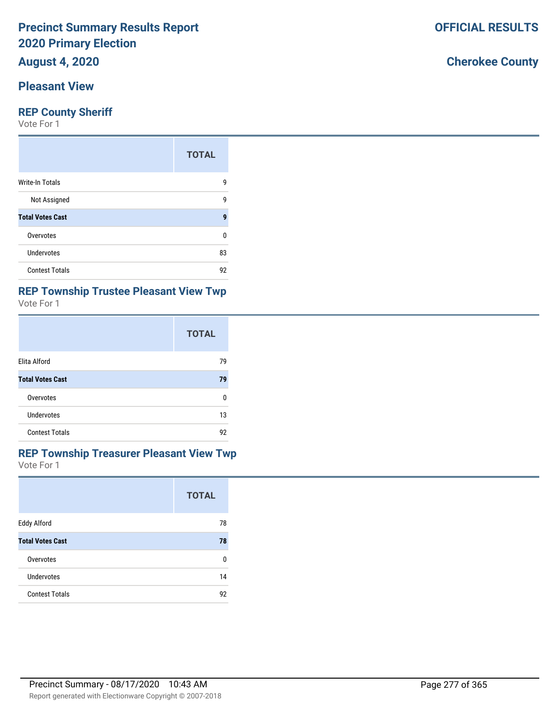# **August 4, 2020**

# **Pleasant View**

#### **REP County Sheriff**

Vote For 1

|                         | <b>TOTAL</b> |
|-------------------------|--------------|
| <b>Write-In Totals</b>  | 9            |
| Not Assigned            | 9            |
| <b>Total Votes Cast</b> | 9            |
| Overvotes               | 0            |
| Undervotes              | 83           |
| <b>Contest Totals</b>   | 92           |

# **REP Township Trustee Pleasant View Twp**

| Vote For 1 |
|------------|
|            |

|                         | <b>TOTAL</b> |
|-------------------------|--------------|
| Elita Alford            | 79           |
| <b>Total Votes Cast</b> | 79           |
| Overvotes               | n            |
| Undervotes              | 13           |
| <b>Contest Totals</b>   | 92           |

#### Vote For 1 **REP Township Treasurer Pleasant View Twp**

|                         | <b>TOTAL</b> |
|-------------------------|--------------|
| Eddy Alford             | 78           |
| <b>Total Votes Cast</b> | 78           |
| Overvotes               | n            |
| Undervotes              | 14           |
| <b>Contest Totals</b>   | 92           |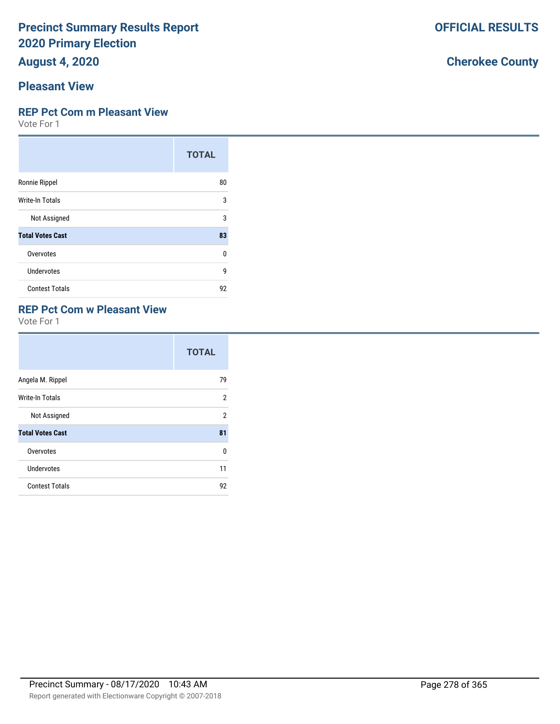**August 4, 2020**

# **Pleasant View**

# **REP Pct Com m Pleasant View**

Vote For 1

|                         | <b>TOTAL</b> |
|-------------------------|--------------|
| Ronnie Rippel           | 80           |
| Write-In Totals         | 3            |
| Not Assigned            | 3            |
| <b>Total Votes Cast</b> | 83           |
| Overvotes               | U            |
| Undervotes              | 9            |
| <b>Contest Totals</b>   | 92           |

### **REP Pct Com w Pleasant View**

Vote For 1

|                         | <b>TOTAL</b> |
|-------------------------|--------------|
| Angela M. Rippel        | 79           |
| Write-In Totals         | 2            |
| Not Assigned            | 2            |
| <b>Total Votes Cast</b> | 81           |
| Overvotes               | 0            |
| Undervotes              | 11           |
| <b>Contest Totals</b>   | 92           |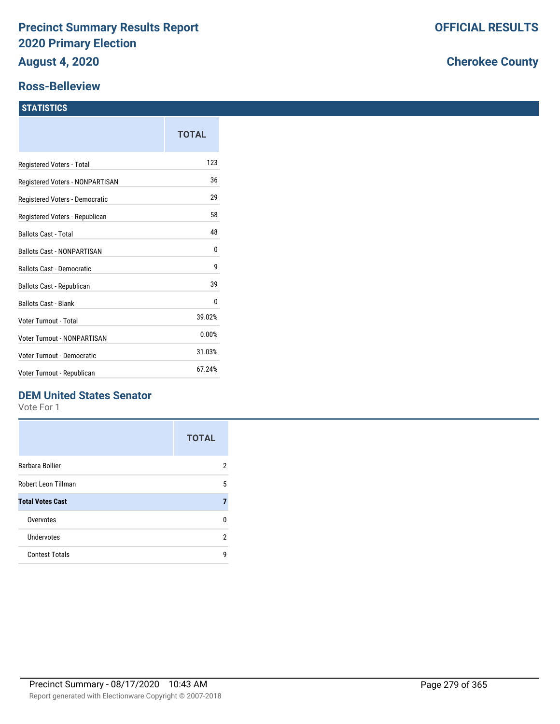#### **Ross-Belleview**

#### **STATISTICS**

|                                    | TOTAL  |
|------------------------------------|--------|
| Registered Voters - Total          | 123    |
| Registered Voters - NONPARTISAN    | 36     |
| Registered Voters - Democratic     | 29     |
| Registered Voters - Republican     | 58     |
| Ballots Cast - Total               | 48     |
| <b>Ballots Cast - NONPARTISAN</b>  | 0      |
| <b>Ballots Cast - Democratic</b>   | 9      |
| Ballots Cast - Republican          | 39     |
| <b>Ballots Cast - Blank</b>        | 0      |
| Voter Turnout - Total              | 39.02% |
| <b>Voter Turnout - NONPARTISAN</b> | 0.00%  |
| Voter Turnout - Democratic         | 31.03% |
| Voter Turnout - Republican         | 67.24% |

## **DEM United States Senator**

Vote For 1

|                         | <b>TOTAL</b> |
|-------------------------|--------------|
| Barbara Bollier         | 2            |
| Robert Leon Tillman     | 5            |
| <b>Total Votes Cast</b> | 7            |
| Overvotes               | n            |
| Undervotes              | 2            |
| <b>Contest Totals</b>   | q            |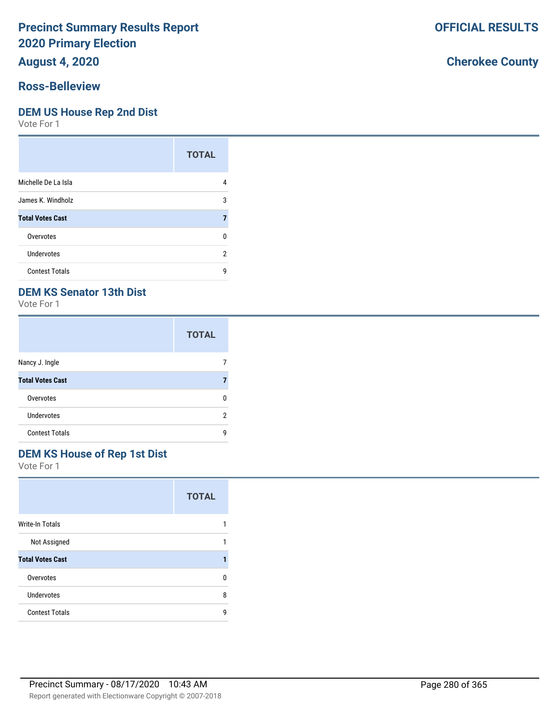## **August 4, 2020**

#### **Ross-Belleview**

#### **DEM US House Rep 2nd Dist**

Vote For 1

|                         | <b>TOTAL</b> |
|-------------------------|--------------|
| Michelle De La Isla     | 4            |
| James K. Windholz       | 3            |
| <b>Total Votes Cast</b> |              |
| Overvotes               | n            |
| Undervotes              | 2            |
| <b>Contest Totals</b>   | g            |

### **DEM KS Senator 13th Dist**

Vote For 1

|                         | <b>TOTAL</b> |
|-------------------------|--------------|
| Nancy J. Ingle          |              |
| <b>Total Votes Cast</b> |              |
| Overvotes               |              |
| Undervotes              | 2            |
| <b>Contest Totals</b>   | q            |

# **DEM KS House of Rep 1st Dist**

Vote For 1

|                         | <b>TOTAL</b> |
|-------------------------|--------------|
| Write-In Totals         |              |
| Not Assigned            | 1            |
| <b>Total Votes Cast</b> |              |
| Overvotes               | n            |
| Undervotes              | 8            |
| <b>Contest Totals</b>   | q            |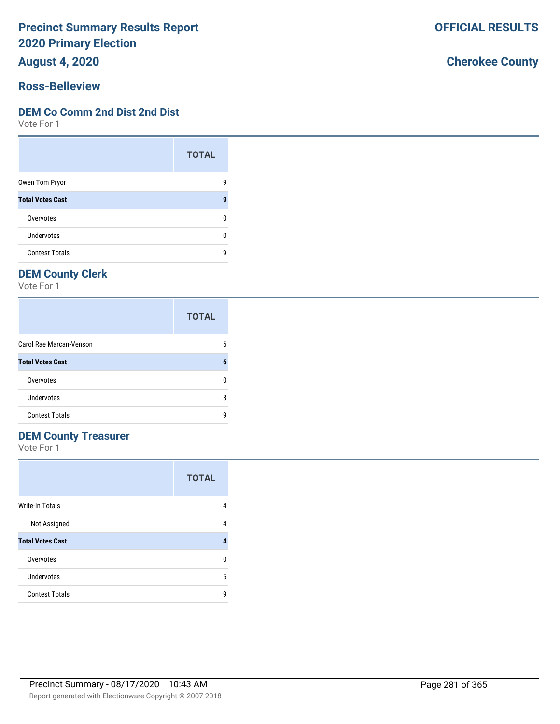**August 4, 2020**

### **Ross-Belleview**

#### **DEM Co Comm 2nd Dist 2nd Dist**

Vote For 1

|                         | <b>TOTAL</b> |
|-------------------------|--------------|
| Owen Tom Pryor          | g            |
| <b>Total Votes Cast</b> | q            |
| Overvotes               | n            |
| Undervotes              | n            |
| <b>Contest Totals</b>   | q            |

# **DEM County Clerk**

Vote For 1

|                         | <b>TOTAL</b> |
|-------------------------|--------------|
| Carol Rae Marcan-Venson | 6            |
| <b>Total Votes Cast</b> | 6            |
| Overvotes               | n            |
| Undervotes              | 3            |
| <b>Contest Totals</b>   | q            |

# **DEM County Treasurer**

Vote For 1

|                         | <b>TOTAL</b> |
|-------------------------|--------------|
| <b>Write-In Totals</b>  | 4            |
| Not Assigned            | 4            |
| <b>Total Votes Cast</b> |              |
| Overvotes               | n            |
| Undervotes              | 5            |
| <b>Contest Totals</b>   | g            |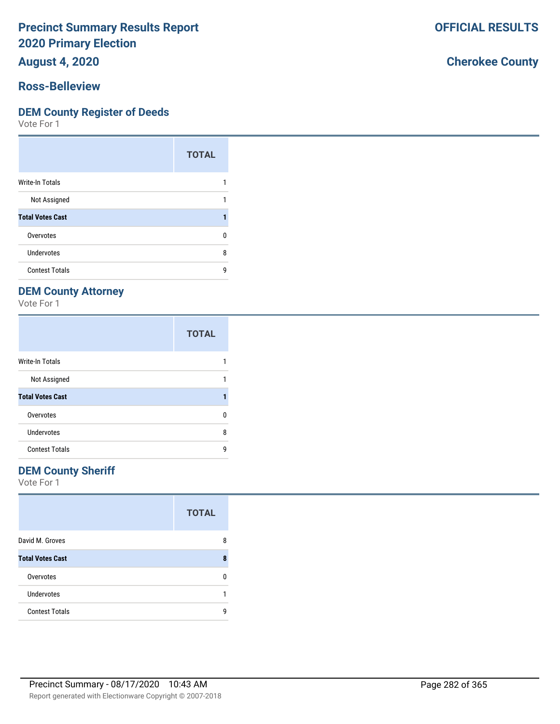**August 4, 2020**

#### **Ross-Belleview**

#### **DEM County Register of Deeds**

Vote For 1

|                         | <b>TOTAL</b> |
|-------------------------|--------------|
| Write-In Totals         |              |
| Not Assigned            |              |
| <b>Total Votes Cast</b> |              |
| Overvotes               | n            |
| Undervotes              | 8            |
| <b>Contest Totals</b>   | q            |

# **DEM County Attorney**

Vote For 1

|                         | <b>TOTAL</b> |
|-------------------------|--------------|
| <b>Write-In Totals</b>  |              |
| Not Assigned            |              |
| <b>Total Votes Cast</b> |              |
| Overvotes               | n            |
| Undervotes              | 8            |
| <b>Contest Totals</b>   | q            |

### **DEM County Sheriff**

Vote For 1

|                         | <b>TOTAL</b> |
|-------------------------|--------------|
| David M. Groves         | 8            |
| <b>Total Votes Cast</b> | 8            |
| Overvotes               | n            |
| <b>Undervotes</b>       |              |
| <b>Contest Totals</b>   | q            |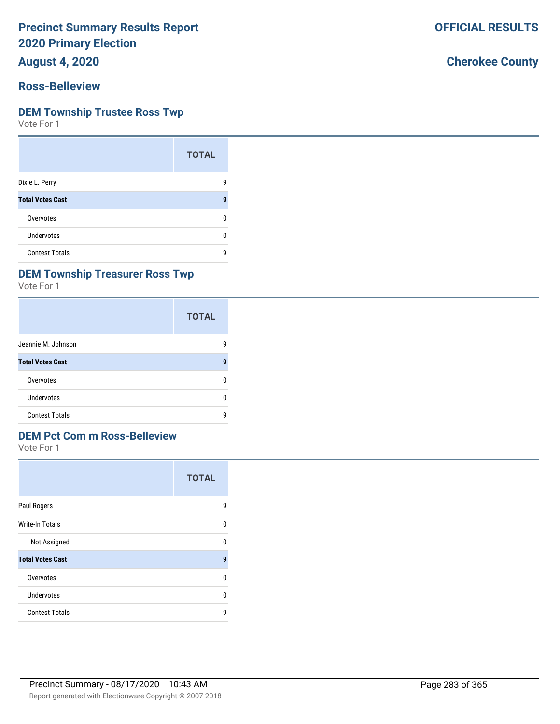**August 4, 2020**

#### **Ross-Belleview**

#### **DEM Township Trustee Ross Twp**

Vote For 1

|                         | <b>TOTAL</b> |
|-------------------------|--------------|
| Dixie L. Perry          | g            |
| <b>Total Votes Cast</b> | 9            |
| Overvotes               | n            |
| <b>Undervotes</b>       | n            |
| <b>Contest Totals</b>   | g            |

### **DEM Township Treasurer Ross Twp**

Vote For 1

|                         | <b>TOTAL</b> |
|-------------------------|--------------|
| Jeannie M. Johnson      | g            |
| <b>Total Votes Cast</b> | g            |
| Overvotes               | n            |
| Undervotes              | n            |
| <b>Contest Totals</b>   | q            |

# **DEM Pct Com m Ross-Belleview**

Vote For 1

|                         | <b>TOTAL</b> |
|-------------------------|--------------|
| Paul Rogers             | g            |
| <b>Write-In Totals</b>  | n            |
| Not Assigned            | ŋ            |
| <b>Total Votes Cast</b> | 9            |
| Overvotes               | n            |
| Undervotes              | n            |
| <b>Contest Totals</b>   | q            |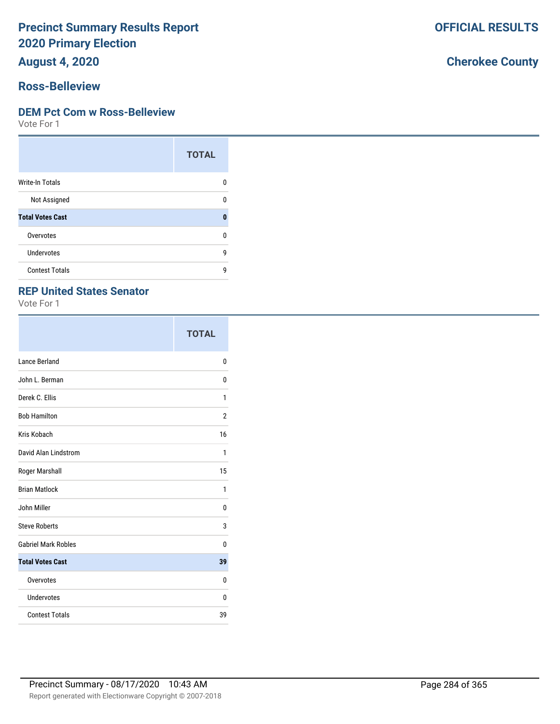**August 4, 2020**

#### **Ross-Belleview**

#### **DEM Pct Com w Ross-Belleview**

Vote For 1

|                         | <b>TOTAL</b> |
|-------------------------|--------------|
| <b>Write-In Totals</b>  | n            |
| Not Assigned            | ŋ            |
| <b>Total Votes Cast</b> | $\mathbf{0}$ |
| Overvotes               | ŋ            |
| Undervotes              | g            |
| <b>Contest Totals</b>   | q            |

### **REP United States Senator**

Vote For 1

|                            | <b>TOTAL</b>   |
|----------------------------|----------------|
| Lance Berland              | 0              |
| John L. Berman             | 0              |
| Derek C. Ellis             | 1              |
| <b>Bob Hamilton</b>        | $\overline{2}$ |
| Kris Kobach                | 16             |
| David Alan Lindstrom       | 1              |
| Roger Marshall             | 15             |
| <b>Brian Matlock</b>       | 1              |
| John Miller                | 0              |
| <b>Steve Roberts</b>       | 3              |
| <b>Gabriel Mark Robles</b> | 0              |
| <b>Total Votes Cast</b>    | 39             |
| Overvotes                  | 0              |
| Undervotes                 | 0              |
| <b>Contest Totals</b>      | 39             |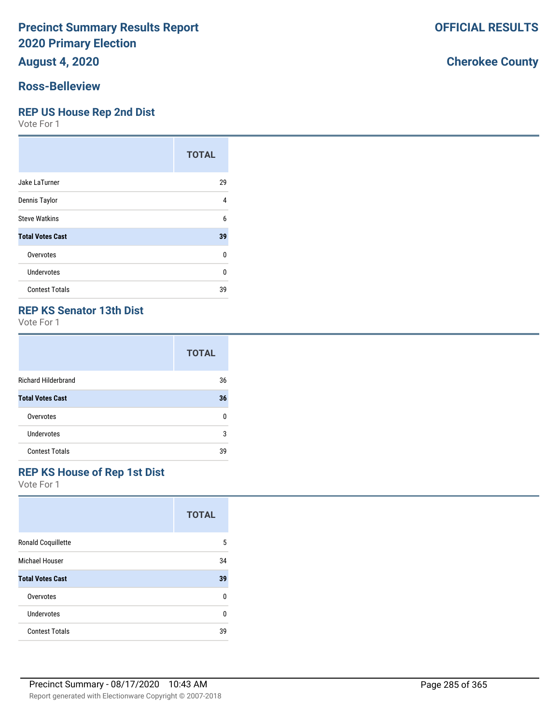# **August 4, 2020**

#### **Ross-Belleview**

#### **REP US House Rep 2nd Dist**

Vote For 1

|                         | <b>TOTAL</b> |
|-------------------------|--------------|
| Jake LaTurner           | 29           |
| Dennis Taylor           | 4            |
| <b>Steve Watkins</b>    | 6            |
| <b>Total Votes Cast</b> | 39           |
| Overvotes               | 0            |
| Undervotes              | 0            |
| <b>Contest Totals</b>   | 39           |

### **REP KS Senator 13th Dist**

Vote For 1

|                            | <b>TOTAL</b> |
|----------------------------|--------------|
| <b>Richard Hilderbrand</b> | 36           |
| <b>Total Votes Cast</b>    | 36           |
| Overvotes                  | n            |
| Undervotes                 | 3            |
| <b>Contest Totals</b>      | 39           |

### **REP KS House of Rep 1st Dist**

Vote For 1

|                           | <b>TOTAL</b> |
|---------------------------|--------------|
| <b>Ronald Coquillette</b> | 5            |
| Michael Houser            | 34           |
| <b>Total Votes Cast</b>   | 39           |
| Overvotes                 | 0            |
| Undervotes                | U            |
| <b>Contest Totals</b>     | 39           |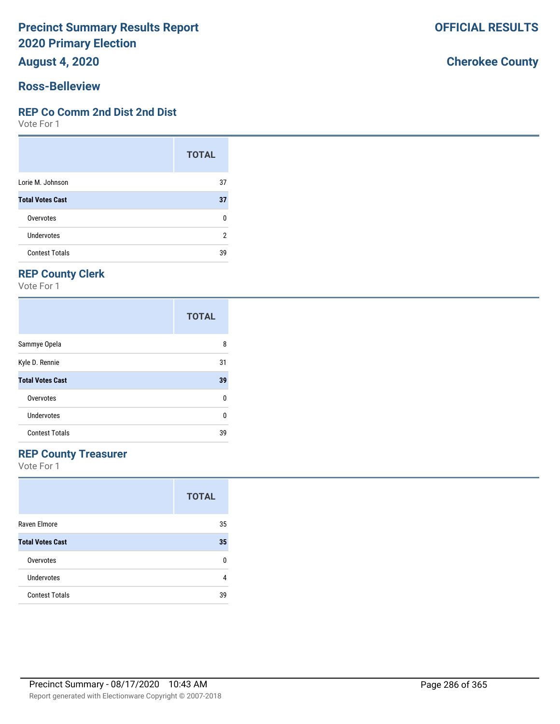**August 4, 2020**

#### **Ross-Belleview**

#### **REP Co Comm 2nd Dist 2nd Dist**

Vote For 1

|                         | <b>TOTAL</b> |
|-------------------------|--------------|
| Lorie M. Johnson        | 37           |
| <b>Total Votes Cast</b> | 37           |
| Overvotes               | ŋ            |
| Undervotes              | 2            |
| <b>Contest Totals</b>   | 39           |

# **REP County Clerk**

Vote For 1

|                         | <b>TOTAL</b> |
|-------------------------|--------------|
| Sammye Opela            | 8            |
| Kyle D. Rennie          | 31           |
| <b>Total Votes Cast</b> | 39           |
| Overvotes               | 0            |
| Undervotes              | 0            |
| <b>Contest Totals</b>   | 39           |

## **REP County Treasurer**

Vote For 1

|                         | <b>TOTAL</b> |
|-------------------------|--------------|
| Raven Elmore            | 35           |
| <b>Total Votes Cast</b> | 35           |
| Overvotes               | n            |
| Undervotes              | 4            |
| <b>Contest Totals</b>   | 39           |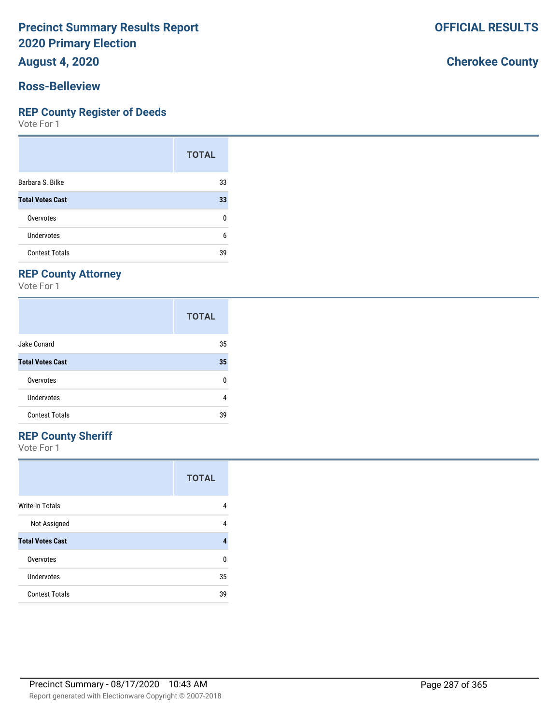**August 4, 2020**

#### **Ross-Belleview**

#### **REP County Register of Deeds**

Vote For 1

|                         | <b>TOTAL</b> |
|-------------------------|--------------|
| Barbara S. Bilke        | 33           |
| <b>Total Votes Cast</b> | 33           |
| Overvotes               | 0            |
| Undervotes              | 6            |
| <b>Contest Totals</b>   | 39           |

## **REP County Attorney**

Vote For 1

|                         | <b>TOTAL</b> |
|-------------------------|--------------|
| Jake Conard             | 35           |
| <b>Total Votes Cast</b> | 35           |
| Overvotes               | n            |
| Undervotes              | 4            |
| <b>Contest Totals</b>   | 39           |

## **REP County Sheriff**

Vote For 1

|                         | <b>TOTAL</b> |
|-------------------------|--------------|
| Write-In Totals         | 4            |
| Not Assigned            | 4            |
| <b>Total Votes Cast</b> |              |
| Overvotes               | n            |
| Undervotes              | 35           |
| <b>Contest Totals</b>   | 39           |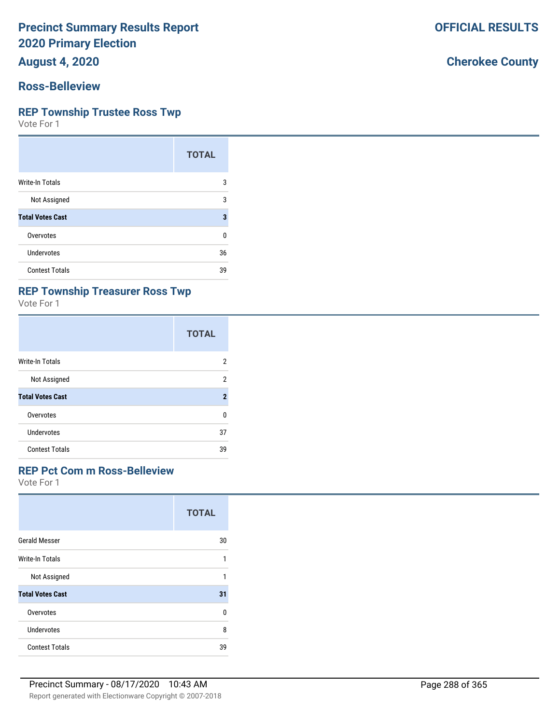**August 4, 2020**

#### **Ross-Belleview**

#### **REP Township Trustee Ross Twp**

Vote For 1

|                         | <b>TOTAL</b> |
|-------------------------|--------------|
| Write-In Totals         | 3            |
| Not Assigned            | 3            |
| <b>Total Votes Cast</b> | 3            |
| Overvotes               | 0            |
| <b>Undervotes</b>       | 36           |
| <b>Contest Totals</b>   | 39           |

## **REP Township Treasurer Ross Twp**

Vote For 1

|                         | <b>TOTAL</b>   |
|-------------------------|----------------|
| Write-In Totals         | 2              |
| Not Assigned            | 2              |
| <b>Total Votes Cast</b> | $\overline{2}$ |
| Overvotes               | U              |
| Undervotes              | 37             |
| <b>Contest Totals</b>   | 39             |

#### **REP Pct Com m Ross-Belleview**

Vote For 1

|                         | <b>TOTAL</b> |
|-------------------------|--------------|
| <b>Gerald Messer</b>    | 30           |
| Write-In Totals         | 1            |
| Not Assigned            | 1            |
| <b>Total Votes Cast</b> | 31           |
| Overvotes               | 0            |
| Undervotes              | 8            |
| <b>Contest Totals</b>   | 39           |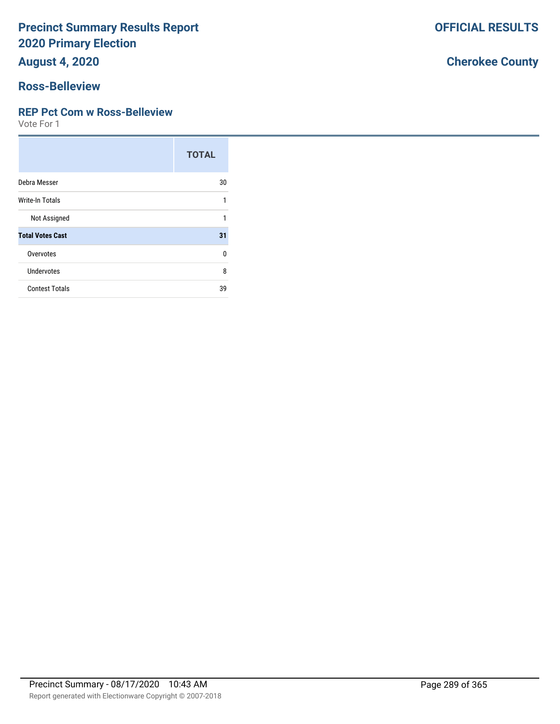**August 4, 2020**

#### **Ross-Belleview**

#### **REP Pct Com w Ross-Belleview**

Vote For 1

|                         | <b>TOTAL</b> |
|-------------------------|--------------|
| Debra Messer            | 30           |
| Write-In Totals         | 1            |
| Not Assigned            | 1            |
| <b>Total Votes Cast</b> | 31           |
| Overvotes               | $\Omega$     |
| <b>Undervotes</b>       | 8            |
| <b>Contest Totals</b>   | 39           |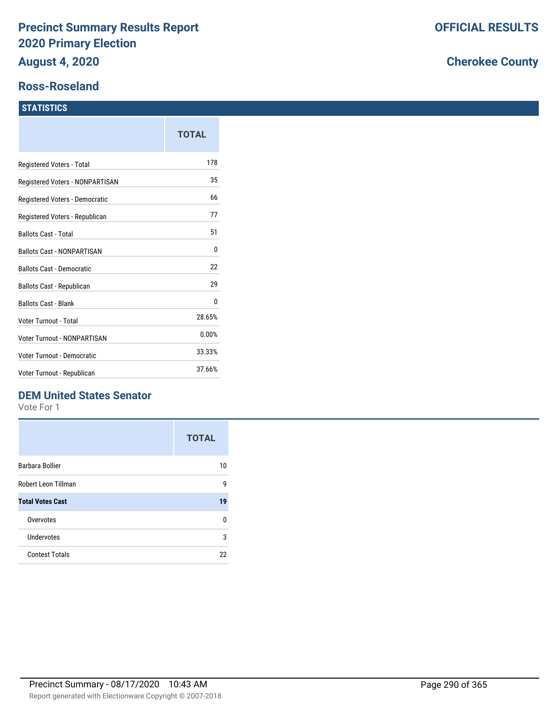#### **Ross-Roseland**

#### **STATISTICS**

|                                   | TOTAL  |
|-----------------------------------|--------|
| Registered Voters - Total         | 178    |
| Registered Voters - NONPARTISAN   | 35     |
| Registered Voters - Democratic    | 66     |
| Registered Voters - Republican    | 77     |
| <b>Ballots Cast - Total</b>       | 51     |
| <b>Ballots Cast - NONPARTISAN</b> | 0      |
| <b>Ballots Cast - Democratic</b>  | 22     |
| Ballots Cast - Republican         | 29     |
| <b>Ballots Cast - Blank</b>       | 0      |
| Voter Turnout - Total             | 28.65% |
| Voter Turnout - NONPARTISAN       | 0.00%  |
| Voter Turnout - Democratic        | 33.33% |
| Voter Turnout - Republican        | 37.66% |

## **DEM United States Senator**

Vote For 1

|                         | <b>TOTAL</b> |
|-------------------------|--------------|
| Barbara Bollier         | 10           |
| Robert Leon Tillman     | g            |
| <b>Total Votes Cast</b> | 19           |
| Overvotes               | n            |
| Undervotes              | 3            |
| <b>Contest Totals</b>   | 22           |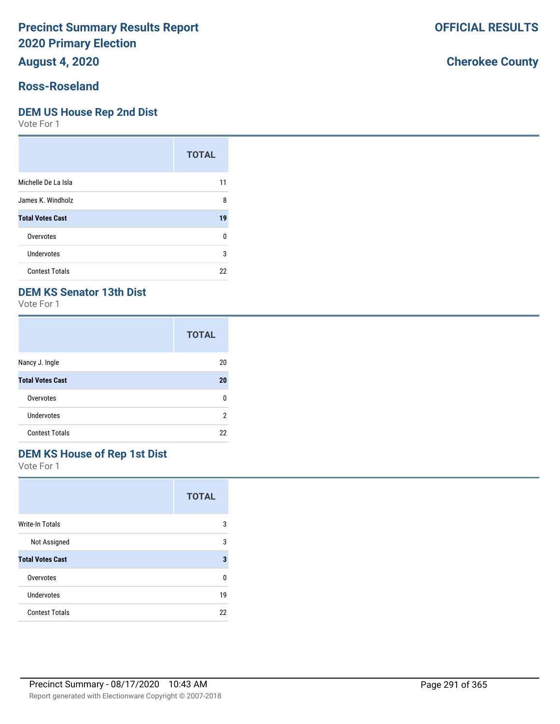## **August 4, 2020**

## **Ross-Roseland**

#### **DEM US House Rep 2nd Dist**

Vote For 1

|                         | <b>TOTAL</b> |
|-------------------------|--------------|
| Michelle De La Isla     | 11           |
| James K. Windholz       | 8            |
| <b>Total Votes Cast</b> | 19           |
| Overvotes               | ŋ            |
| Undervotes              | 3            |
| <b>Contest Totals</b>   | 22           |

## **DEM KS Senator 13th Dist**

Vote For 1

|                         | <b>TOTAL</b> |
|-------------------------|--------------|
| Nancy J. Ingle          | 20           |
| <b>Total Votes Cast</b> | 20           |
| Overvotes               | n            |
| Undervotes              | 2            |
| <b>Contest Totals</b>   | 22           |

## **DEM KS House of Rep 1st Dist**

Vote For 1

|                         | <b>TOTAL</b> |
|-------------------------|--------------|
| <b>Write-In Totals</b>  | 3            |
| Not Assigned            | 3            |
| <b>Total Votes Cast</b> | 3            |
| Overvotes               | U            |
| Undervotes              | 19           |
| <b>Contest Totals</b>   | 22           |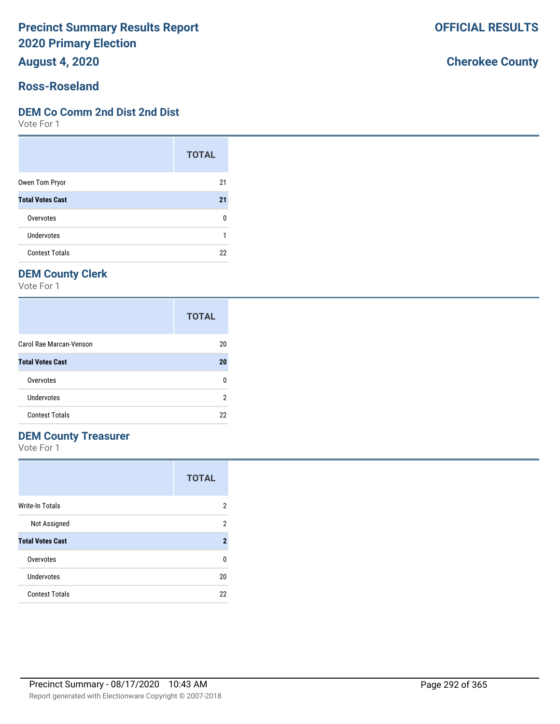**August 4, 2020**

#### **Ross-Roseland**

#### **DEM Co Comm 2nd Dist 2nd Dist**

Vote For 1

|                         | <b>TOTAL</b> |
|-------------------------|--------------|
| Owen Tom Pryor          | 21           |
| <b>Total Votes Cast</b> | 21           |
| Overvotes               | ŋ            |
| <b>Undervotes</b>       |              |
| <b>Contest Totals</b>   | 22           |

## **DEM County Clerk**

Vote For 1

|                         | <b>TOTAL</b> |
|-------------------------|--------------|
| Carol Rae Marcan-Venson | 20           |
| <b>Total Votes Cast</b> | 20           |
| Overvotes               | n            |
| Undervotes              | 2            |
| <b>Contest Totals</b>   | 22           |

### **DEM County Treasurer**

Vote For 1

|                         | <b>TOTAL</b> |
|-------------------------|--------------|
| <b>Write-In Totals</b>  | 2            |
| Not Assigned            | 2            |
| <b>Total Votes Cast</b> | 2            |
| Overvotes               | U            |
| Undervotes              | 20           |
| <b>Contest Totals</b>   | 22           |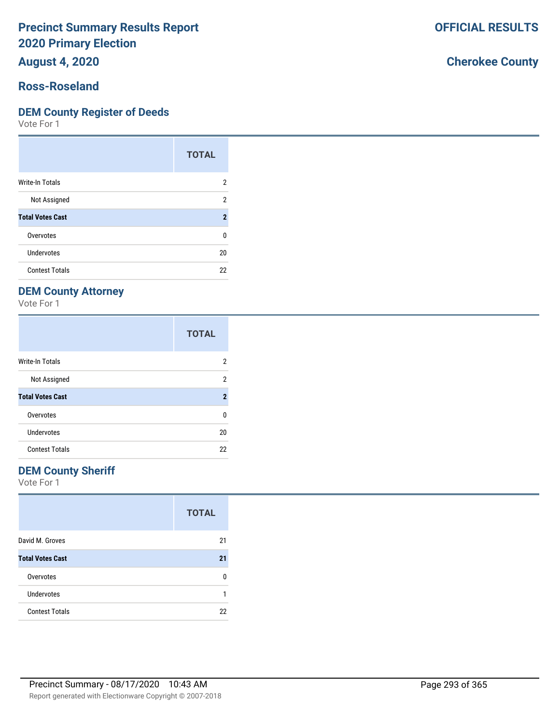**August 4, 2020**

#### **Ross-Roseland**

#### **DEM County Register of Deeds**

Vote For 1

|                         | <b>TOTAL</b>        |
|-------------------------|---------------------|
| Write-In Totals         | 2                   |
| Not Assigned            | 2                   |
| <b>Total Votes Cast</b> | $\boldsymbol{\eta}$ |
| Overvotes               | ŋ                   |
| Undervotes              | 20                  |
| <b>Contest Totals</b>   | 22                  |

## **DEM County Attorney**

Vote For 1

|                         | <b>TOTAL</b>        |
|-------------------------|---------------------|
| <b>Write-In Totals</b>  | 2                   |
| Not Assigned            | 2                   |
| <b>Total Votes Cast</b> | $\boldsymbol{\eta}$ |
| Overvotes               | U                   |
| Undervotes              | 20                  |
| <b>Contest Totals</b>   | 22                  |

#### **DEM County Sheriff**

Vote For 1

|                         | <b>TOTAL</b> |
|-------------------------|--------------|
| David M. Groves         | 21           |
| <b>Total Votes Cast</b> | 21           |
| Overvotes               | n            |
| <b>Undervotes</b>       |              |
| <b>Contest Totals</b>   | 22           |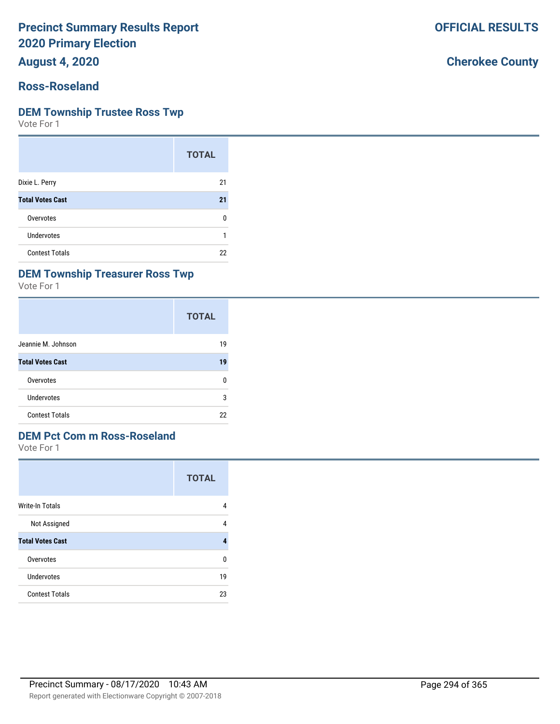**August 4, 2020**

## **Ross-Roseland**

#### **DEM Township Trustee Ross Twp**

Vote For 1

|                         | <b>TOTAL</b> |
|-------------------------|--------------|
| Dixie L. Perry          | 21           |
| <b>Total Votes Cast</b> | 21           |
| Overvotes               | n            |
| Undervotes              |              |
| <b>Contest Totals</b>   | 22           |

#### **DEM Township Treasurer Ross Twp**

Vote For 1

|                         | <b>TOTAL</b> |
|-------------------------|--------------|
| Jeannie M. Johnson      | 19           |
| <b>Total Votes Cast</b> | 19           |
| Overvotes               | 0            |
| Undervotes              | 3            |
| <b>Contest Totals</b>   | 22           |

#### **DEM Pct Com m Ross-Roseland**

Vote For 1

|                         | <b>TOTAL</b> |
|-------------------------|--------------|
| Write-In Totals         | 4            |
| Not Assigned            | 4            |
| <b>Total Votes Cast</b> |              |
| Overvotes               | ŋ            |
| Undervotes              | 19           |
| <b>Contest Totals</b>   | 23           |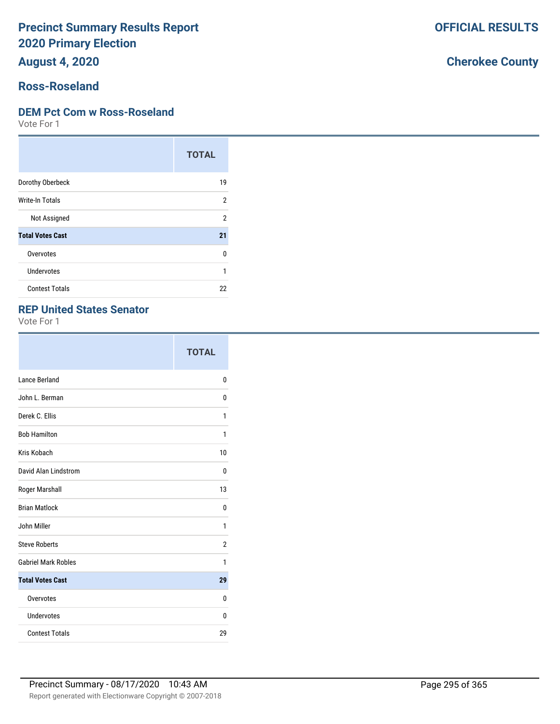**August 4, 2020**

## **Ross-Roseland**

#### **DEM Pct Com w Ross-Roseland**

Vote For 1

|                         | <b>TOTAL</b> |
|-------------------------|--------------|
| Dorothy Oberbeck        | 19           |
| Write-In Totals         | 2            |
| Not Assigned            | 2            |
| <b>Total Votes Cast</b> | 21           |
| Overvotes               | 0            |
| Undervotes              | 1            |
| <b>Contest Totals</b>   | 22           |

#### **REP United States Senator**

Vote For 1

|                            | <b>TOTAL</b> |
|----------------------------|--------------|
| Lance Berland              | 0            |
| John L. Berman             | 0            |
| Derek C. Ellis             | 1            |
| <b>Bob Hamilton</b>        | 1            |
| Kris Kobach                | 10           |
| David Alan Lindstrom       | 0            |
| Roger Marshall             | 13           |
| <b>Brian Matlock</b>       | 0            |
| John Miller                | 1            |
| <b>Steve Roberts</b>       | 2            |
| <b>Gabriel Mark Robles</b> | 1            |
| <b>Total Votes Cast</b>    | 29           |
| Overvotes                  | 0            |
| Undervotes                 | 0            |
| <b>Contest Totals</b>      | 29           |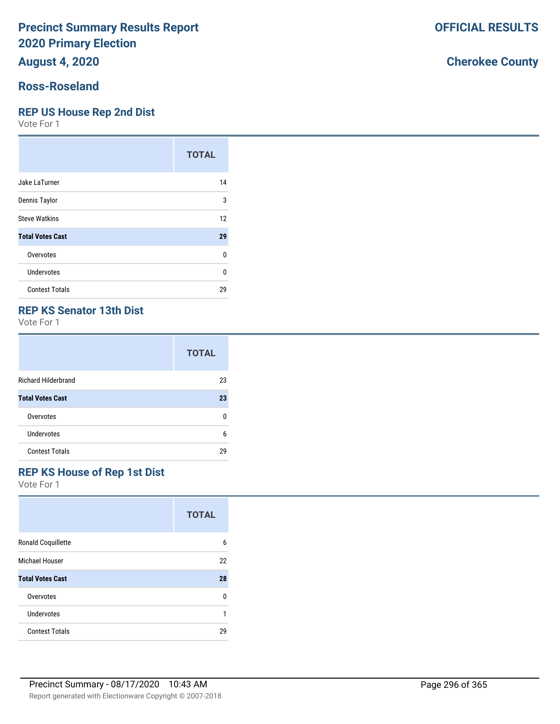**August 4, 2020**

#### **Ross-Roseland**

#### **REP US House Rep 2nd Dist**

Vote For 1

|                         | <b>TOTAL</b> |
|-------------------------|--------------|
| Jake LaTurner           | 14           |
| Dennis Taylor           | 3            |
| <b>Steve Watkins</b>    | 12           |
| <b>Total Votes Cast</b> | 29           |
| Overvotes               | 0            |
| Undervotes              | 0            |
| <b>Contest Totals</b>   | 29           |

#### **REP KS Senator 13th Dist**

Vote For 1

|                            | <b>TOTAL</b> |
|----------------------------|--------------|
| <b>Richard Hilderbrand</b> | 23           |
| <b>Total Votes Cast</b>    | 23           |
| Overvotes                  | n            |
| Undervotes                 | 6            |
| <b>Contest Totals</b>      | 29           |

## **REP KS House of Rep 1st Dist**

Vote For 1

|                         | <b>TOTAL</b> |
|-------------------------|--------------|
| Ronald Coquillette      | 6            |
| <b>Michael Houser</b>   | 22           |
| <b>Total Votes Cast</b> | 28           |
| Overvotes               | 0            |
| <b>Undervotes</b>       |              |
| <b>Contest Totals</b>   | 29           |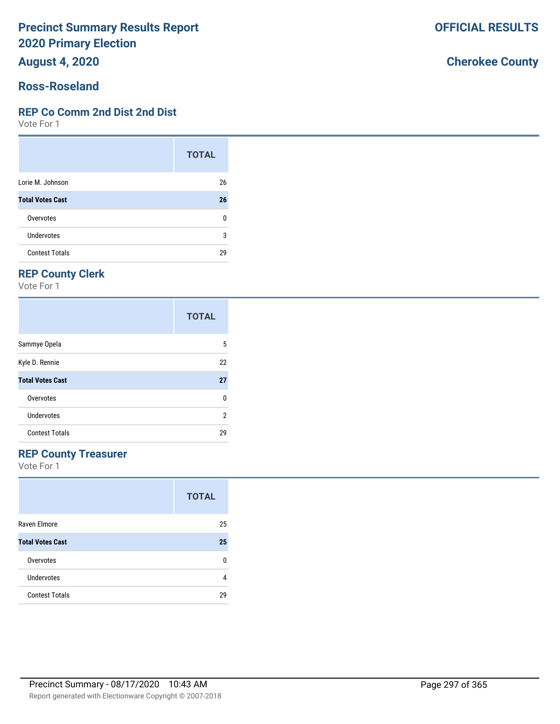**August 4, 2020**

#### **Ross-Roseland**

#### **REP Co Comm 2nd Dist 2nd Dist**

Vote For 1

|                         | <b>TOTAL</b> |
|-------------------------|--------------|
| Lorie M. Johnson        | 26           |
| <b>Total Votes Cast</b> | 26           |
| Overvotes               | 0            |
| Undervotes              | 3            |
| <b>Contest Totals</b>   | 29           |

## **REP County Clerk**

Vote For 1

|                         | <b>TOTAL</b> |
|-------------------------|--------------|
| Sammye Opela            | 5            |
| Kyle D. Rennie          | 22           |
| <b>Total Votes Cast</b> | 27           |
| Overvotes               | 0            |
| Undervotes              | 2            |
| <b>Contest Totals</b>   | 29           |

#### **REP County Treasurer**

Vote For 1

|                         | <b>TOTAL</b> |
|-------------------------|--------------|
| Raven Elmore            | 25           |
| <b>Total Votes Cast</b> | 25           |
| Overvotes               | n            |
| Undervotes              | 4            |
| <b>Contest Totals</b>   | 29           |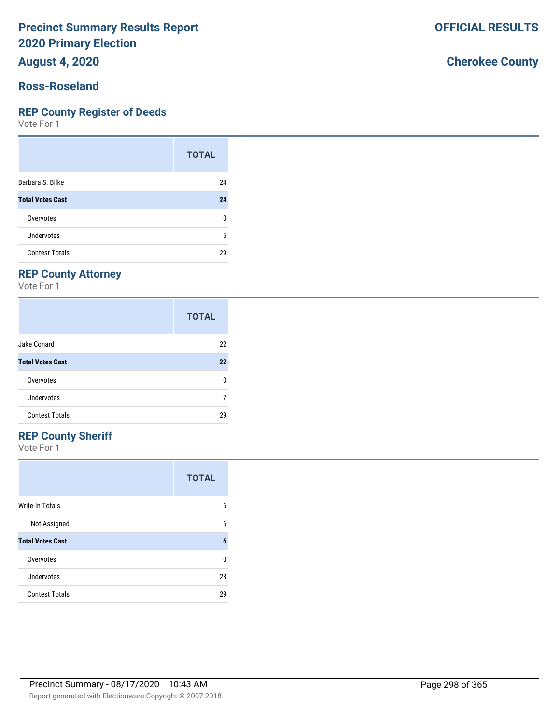**August 4, 2020**

#### **Ross-Roseland**

#### **REP County Register of Deeds**

Vote For 1

|                         | <b>TOTAL</b> |
|-------------------------|--------------|
| Barbara S. Bilke        | 24           |
| <b>Total Votes Cast</b> | 24           |
| Overvotes               | 0            |
| Undervotes              | 5            |
| <b>Contest Totals</b>   | 29           |

## **REP County Attorney**

Vote For 1

|                         | <b>TOTAL</b> |
|-------------------------|--------------|
| Jake Conard             | 22           |
| <b>Total Votes Cast</b> | 22           |
| Overvotes               | n            |
| Undervotes              |              |
| <b>Contest Totals</b>   | 29           |

### **REP County Sheriff**

Vote For 1

|                         | <b>TOTAL</b> |
|-------------------------|--------------|
| <b>Write-In Totals</b>  | 6            |
| Not Assigned            | 6            |
| <b>Total Votes Cast</b> | 6            |
| Overvotes               | ŋ            |
| Undervotes              | 23           |
| <b>Contest Totals</b>   | 29           |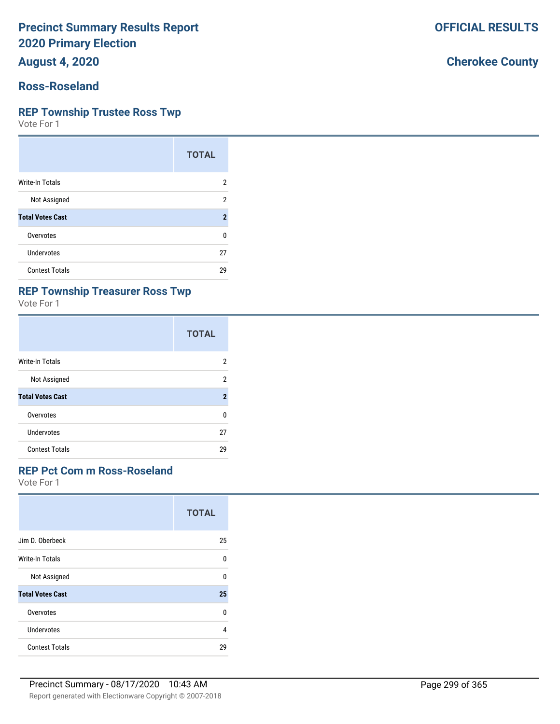**August 4, 2020**

## **Ross-Roseland**

#### **REP Township Trustee Ross Twp**

Vote For 1

|                         | <b>TOTAL</b>        |
|-------------------------|---------------------|
| Write-In Totals         | 2                   |
| Not Assigned            | 2                   |
| <b>Total Votes Cast</b> | $\boldsymbol{\eta}$ |
| Overvotes               | 0                   |
| Undervotes              | 27                  |
| <b>Contest Totals</b>   | 29                  |

## **REP Township Treasurer Ross Twp**

Vote For 1

|                         | <b>TOTAL</b>   |
|-------------------------|----------------|
| Write-In Totals         | 2              |
| Not Assigned            | 2              |
| <b>Total Votes Cast</b> | $\overline{2}$ |
| Overvotes               | U              |
| Undervotes              | 27             |
| <b>Contest Totals</b>   | 29             |

#### **REP Pct Com m Ross-Roseland**

Vote For 1

|                         | <b>TOTAL</b> |
|-------------------------|--------------|
| Jim D. Oberbeck         | 25           |
| <b>Write-In Totals</b>  | U            |
| Not Assigned            | U            |
| <b>Total Votes Cast</b> | 25           |
| Overvotes               | $\Omega$     |
| Undervotes              | 4            |
| <b>Contest Totals</b>   | 29           |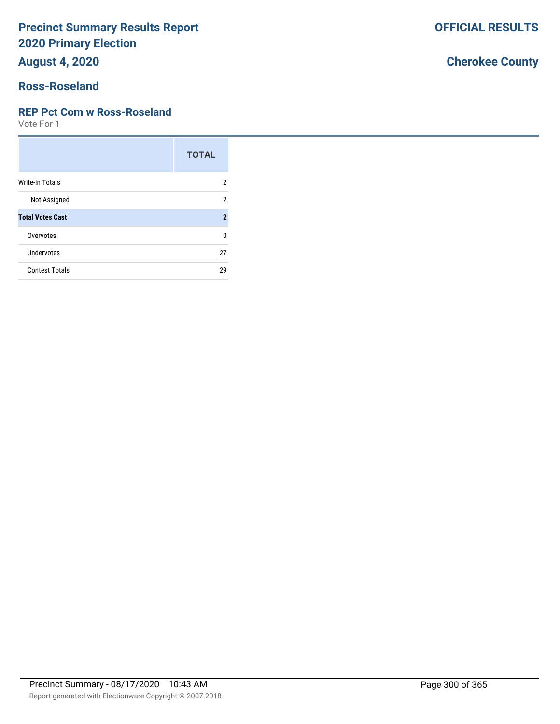**August 4, 2020**

## **Ross-Roseland**

#### **REP Pct Com w Ross-Roseland**

Vote For 1

|                         | <b>TOTAL</b>   |
|-------------------------|----------------|
| <b>Write-In Totals</b>  | 2              |
| Not Assigned            | 2              |
| <b>Total Votes Cast</b> | $\overline{2}$ |
| Overvotes               | U              |
| Undervotes              | 27             |
| <b>Contest Totals</b>   | 29             |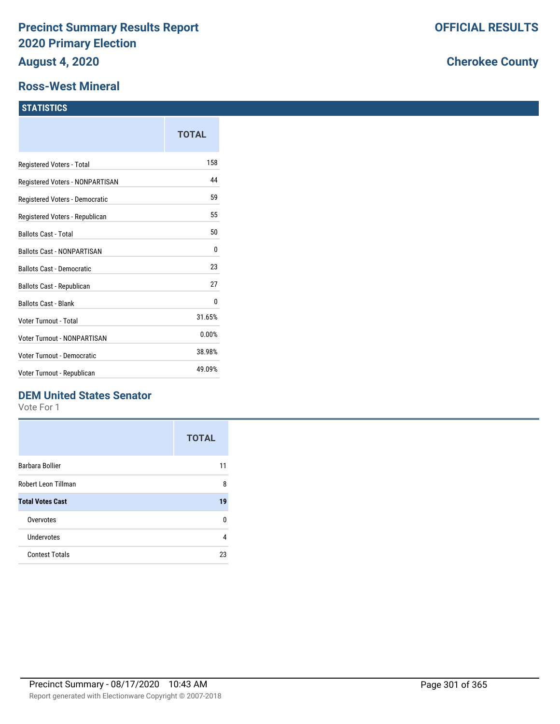#### **Ross-West Mineral**

#### **STATISTICS**

| TOTAL  |
|--------|
| 158    |
| 44     |
| 59     |
| 55     |
| 50     |
| 0      |
| 23     |
| 27     |
| 0      |
| 31.65% |
| 0.00%  |
| 38.98% |
| 49.09% |
|        |

#### **DEM United States Senator**

Vote For 1

|                         | <b>TOTAL</b> |
|-------------------------|--------------|
| Barbara Bollier         | 11           |
| Robert Leon Tillman     | 8            |
| <b>Total Votes Cast</b> | 19           |
| Overvotes               | U            |
| Undervotes              | 4            |
| <b>Contest Totals</b>   | 23           |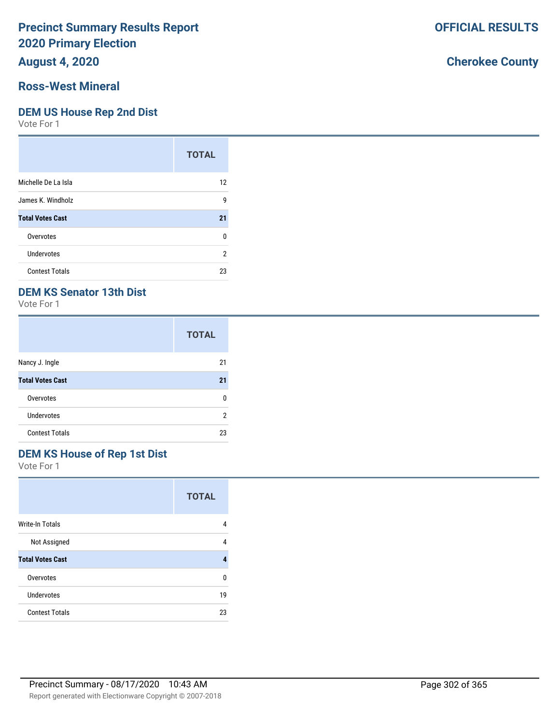## **August 4, 2020**

#### **Ross-West Mineral**

#### **DEM US House Rep 2nd Dist**

Vote For 1

|                         | <b>TOTAL</b>   |
|-------------------------|----------------|
| Michelle De La Isla     | 12             |
| James K. Windholz       | 9              |
| <b>Total Votes Cast</b> | 21             |
| Overvotes               | 0              |
| Undervotes              | $\overline{2}$ |
| <b>Contest Totals</b>   | 23             |

## **DEM KS Senator 13th Dist**

Vote For 1

|                         | <b>TOTAL</b> |
|-------------------------|--------------|
| Nancy J. Ingle          | 21           |
| <b>Total Votes Cast</b> | 21           |
| Overvotes               | n            |
| Undervotes              | 2            |
| <b>Contest Totals</b>   | 23           |

## **DEM KS House of Rep 1st Dist**

Vote For 1

|                         | <b>TOTAL</b> |
|-------------------------|--------------|
| Write-In Totals         | 4            |
| Not Assigned            | 4            |
| <b>Total Votes Cast</b> | 4            |
| Overvotes               | n            |
| Undervotes              | 19           |
| <b>Contest Totals</b>   | 23           |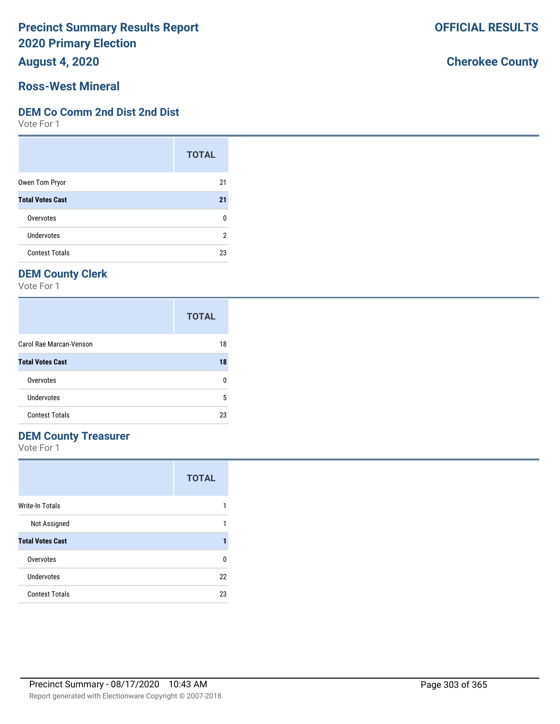**August 4, 2020**

#### **Ross-West Mineral**

#### **DEM Co Comm 2nd Dist 2nd Dist**

Vote For 1

|                         | <b>TOTAL</b> |
|-------------------------|--------------|
| Owen Tom Pryor          | 21           |
| <b>Total Votes Cast</b> | 21           |
| Overvotes               | ŋ            |
| Undervotes              | 2            |
| <b>Contest Totals</b>   | 23           |

## **DEM County Clerk**

Vote For 1

|                         | <b>TOTAL</b> |
|-------------------------|--------------|
| Carol Rae Marcan-Venson | 18           |
| <b>Total Votes Cast</b> | 18           |
| Overvotes               | n            |
| Undervotes              | 5            |
| <b>Contest Totals</b>   | 23           |

#### **DEM County Treasurer**

Vote For 1

|                         | <b>TOTAL</b> |
|-------------------------|--------------|
| Write-In Totals         |              |
| Not Assigned            |              |
| <b>Total Votes Cast</b> |              |
| Overvotes               | n            |
| Undervotes              | 22           |
| <b>Contest Totals</b>   | 23           |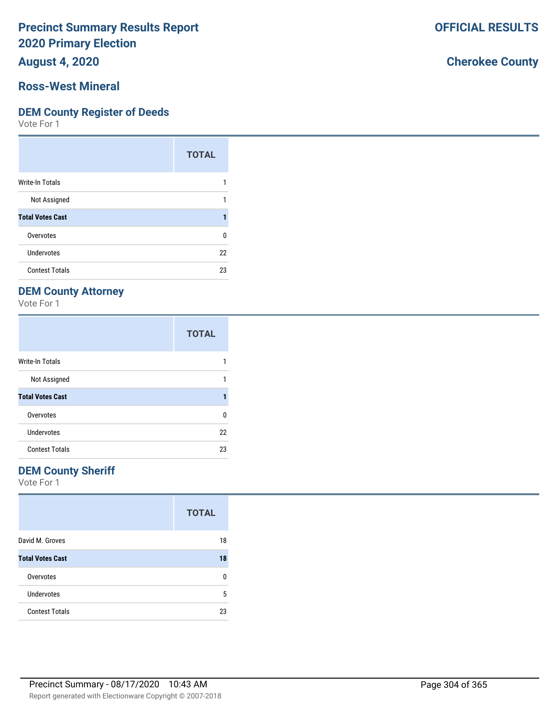**August 4, 2020**

#### **Ross-West Mineral**

#### **DEM County Register of Deeds**

Vote For 1

|                         | <b>TOTAL</b> |
|-------------------------|--------------|
| Write-In Totals         |              |
| Not Assigned            |              |
| <b>Total Votes Cast</b> |              |
| Overvotes               | n            |
| Undervotes              | 22           |
| <b>Contest Totals</b>   | 23           |

## **DEM County Attorney**

Vote For 1

|                         | <b>TOTAL</b> |
|-------------------------|--------------|
| <b>Write-In Totals</b>  |              |
| Not Assigned            |              |
| <b>Total Votes Cast</b> |              |
| Overvotes               | U            |
| Undervotes              | 22           |
| <b>Contest Totals</b>   | 23           |

#### **DEM County Sheriff**

Vote For 1

|                         | <b>TOTAL</b> |
|-------------------------|--------------|
| David M. Groves         | 18           |
| <b>Total Votes Cast</b> | 18           |
| Overvotes               | n            |
| <b>Undervotes</b>       | 5            |
| <b>Contest Totals</b>   | 23           |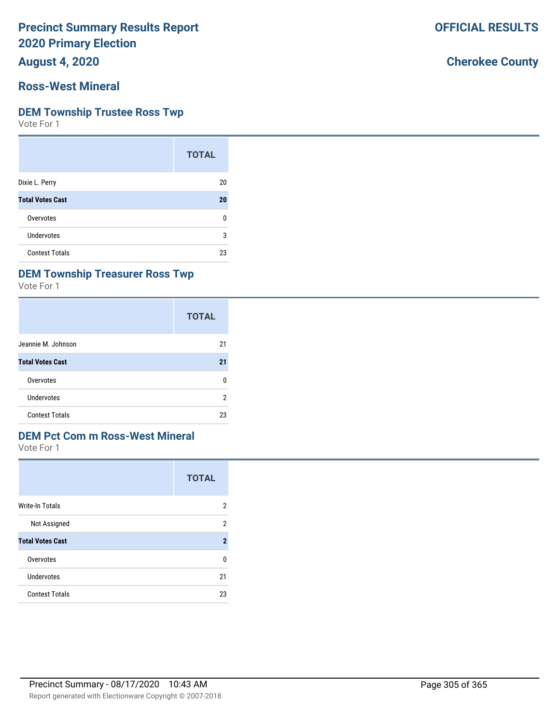**August 4, 2020**

#### **Ross-West Mineral**

#### **DEM Township Trustee Ross Twp**

Vote For 1

|                         | <b>TOTAL</b> |
|-------------------------|--------------|
| Dixie L. Perry          | 20           |
| <b>Total Votes Cast</b> | 20           |
| Overvotes               | n            |
| Undervotes              | 3            |
| <b>Contest Totals</b>   | 23           |

#### **DEM Township Treasurer Ross Twp**

Vote For 1

|                         | <b>TOTAL</b> |
|-------------------------|--------------|
| Jeannie M. Johnson      | 21           |
| <b>Total Votes Cast</b> | 21           |
| Overvotes               | 0            |
| Undervotes              | 2            |
| <b>Contest Totals</b>   | 23           |

### **DEM Pct Com m Ross-West Mineral**

Vote For 1

|                         | <b>TOTAL</b>   |
|-------------------------|----------------|
| Write-In Totals         | 2              |
| Not Assigned            | 2              |
| <b>Total Votes Cast</b> | $\overline{2}$ |
| Overvotes               | ŋ              |
| Undervotes              | 21             |
| <b>Contest Totals</b>   | 23             |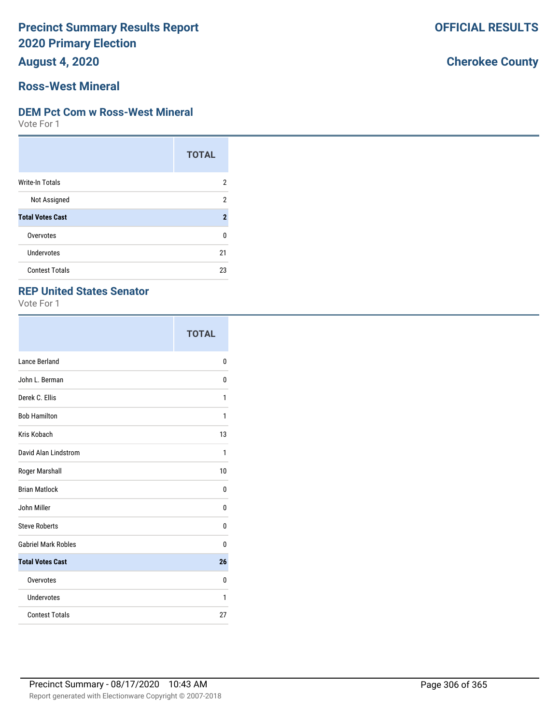**August 4, 2020**

#### **Ross-West Mineral**

#### **DEM Pct Com w Ross-West Mineral**

Vote For 1

|                         | <b>TOTAL</b>   |
|-------------------------|----------------|
| <b>Write-In Totals</b>  | 2              |
| Not Assigned            | 2              |
| <b>Total Votes Cast</b> | $\overline{2}$ |
| Overvotes               | 0              |
| Undervotes              | 21             |
| <b>Contest Totals</b>   | 23             |

#### **REP United States Senator**

Vote For 1

|                            | <b>TOTAL</b> |
|----------------------------|--------------|
| Lance Berland              | 0            |
| John L. Berman             | 0            |
| Derek C. Ellis             | 1            |
| <b>Bob Hamilton</b>        | 1            |
| Kris Kobach                | 13           |
| David Alan Lindstrom       | 1            |
| Roger Marshall             | 10           |
| <b>Brian Matlock</b>       | 0            |
| John Miller                | 0            |
| <b>Steve Roberts</b>       | 0            |
| <b>Gabriel Mark Robles</b> | 0            |
| <b>Total Votes Cast</b>    | 26           |
| Overvotes                  | 0            |
| Undervotes                 | 1            |
| <b>Contest Totals</b>      | 27           |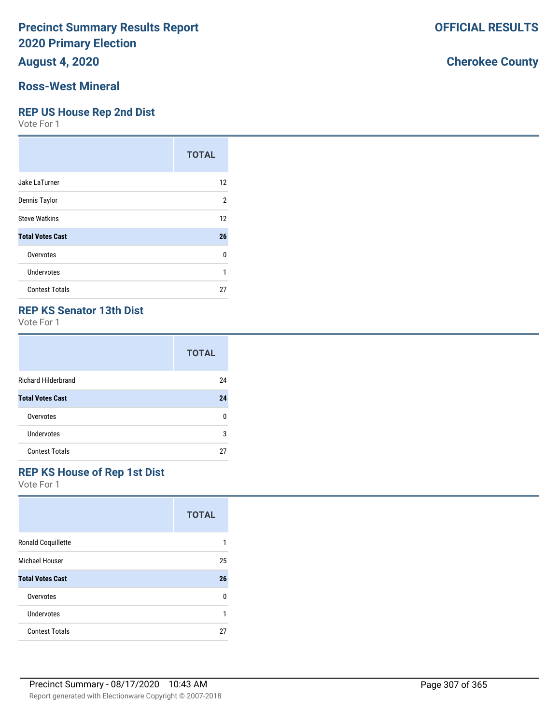**August 4, 2020**

#### **Ross-West Mineral**

#### **REP US House Rep 2nd Dist**

Vote For 1

|                         | <b>TOTAL</b> |
|-------------------------|--------------|
| Jake LaTurner           | 12           |
| Dennis Taylor           | 2            |
| <b>Steve Watkins</b>    | 12           |
| <b>Total Votes Cast</b> | 26           |
| Overvotes               | U            |
| Undervotes              | 1            |
| <b>Contest Totals</b>   | 27           |

#### **REP KS Senator 13th Dist**

Vote For 1

|                            | <b>TOTAL</b> |
|----------------------------|--------------|
| <b>Richard Hilderbrand</b> | 24           |
| <b>Total Votes Cast</b>    | 24           |
| Overvotes                  | ŋ            |
| Undervotes                 | 3            |
| <b>Contest Totals</b>      | 27           |

#### **REP KS House of Rep 1st Dist**

Vote For 1

|                         | <b>TOTAL</b> |
|-------------------------|--------------|
| Ronald Coquillette      |              |
| Michael Houser          | 25           |
| <b>Total Votes Cast</b> | 26           |
| Overvotes               | 0            |
| Undervotes              |              |
| <b>Contest Totals</b>   | 27           |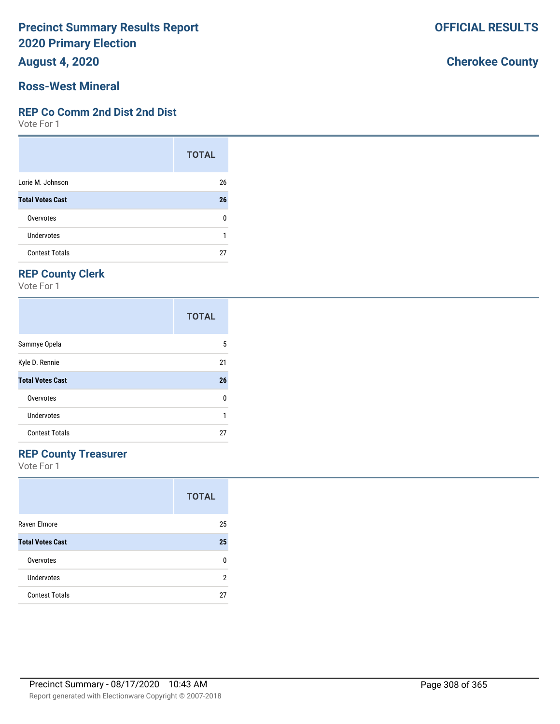**August 4, 2020**

#### **Ross-West Mineral**

#### **REP Co Comm 2nd Dist 2nd Dist**

Vote For 1

|                         | <b>TOTAL</b> |
|-------------------------|--------------|
| Lorie M. Johnson        | 26           |
| <b>Total Votes Cast</b> | 26           |
| Overvotes               | ŋ            |
| Undervotes              |              |
| <b>Contest Totals</b>   | 27           |

## **REP County Clerk**

Vote For 1

|                         | <b>TOTAL</b> |
|-------------------------|--------------|
| Sammye Opela            | 5            |
| Kyle D. Rennie          | 21           |
| <b>Total Votes Cast</b> | 26           |
| Overvotes               | 0            |
| Undervotes              |              |
| <b>Contest Totals</b>   | 27           |

#### **REP County Treasurer**

Vote For 1

|                         | <b>TOTAL</b> |
|-------------------------|--------------|
| Raven Elmore            | 25           |
| <b>Total Votes Cast</b> | 25           |
| Overvotes               | n            |
| Undervotes              | 2            |
| <b>Contest Totals</b>   | 27           |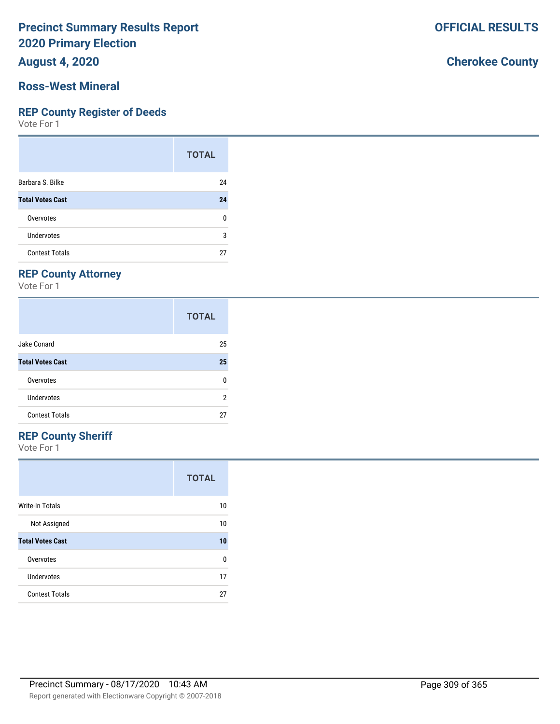**August 4, 2020**

#### **Ross-West Mineral**

#### **REP County Register of Deeds**

Vote For 1

|                         | <b>TOTAL</b> |
|-------------------------|--------------|
| Barbara S. Bilke        | 24           |
| <b>Total Votes Cast</b> | 24           |
| Overvotes               | ŋ            |
| Undervotes              | 3            |
| <b>Contest Totals</b>   |              |

## **REP County Attorney**

Vote For 1

|                         | <b>TOTAL</b> |
|-------------------------|--------------|
| Jake Conard             | 25           |
| <b>Total Votes Cast</b> | 25           |
| Overvotes               | n            |
| Undervotes              | 2            |
| <b>Contest Totals</b>   | 27           |

## **REP County Sheriff**

Vote For 1

|                         | <b>TOTAL</b> |
|-------------------------|--------------|
| Write-In Totals         | 10           |
| Not Assigned            | 10           |
| <b>Total Votes Cast</b> | 10           |
| Overvotes               | U            |
| Undervotes              | 17           |
| <b>Contest Totals</b>   | 27           |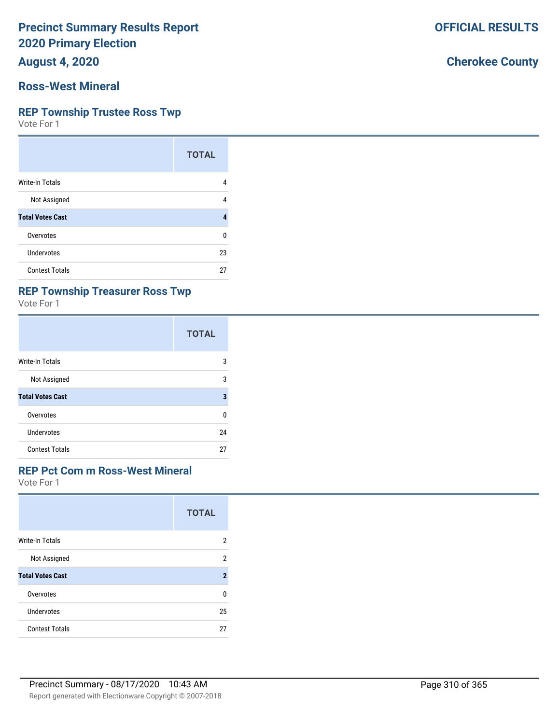**August 4, 2020**

#### **Ross-West Mineral**

#### **REP Township Trustee Ross Twp**

Vote For 1

|                         | <b>TOTAL</b> |
|-------------------------|--------------|
| Write-In Totals         | 4            |
| Not Assigned            | 4            |
| <b>Total Votes Cast</b> |              |
| Overvotes               | ŋ            |
| Undervotes              | 23           |
| <b>Contest Totals</b>   | 27           |

## **REP Township Treasurer Ross Twp**

Vote For 1

|                         | <b>TOTAL</b> |
|-------------------------|--------------|
| Write-In Totals         | 3            |
| Not Assigned            | 3            |
| <b>Total Votes Cast</b> | 3            |
| Overvotes               | U            |
| Undervotes              | 24           |
| <b>Contest Totals</b>   | 27           |

#### **REP Pct Com m Ross-West Mineral**

Vote For 1

|                         | <b>TOTAL</b>   |
|-------------------------|----------------|
| <b>Write-In Totals</b>  | 2              |
| Not Assigned            | 2              |
| <b>Total Votes Cast</b> | $\overline{2}$ |
| Overvotes               | U              |
| Undervotes              | 25             |
| <b>Contest Totals</b>   | 27             |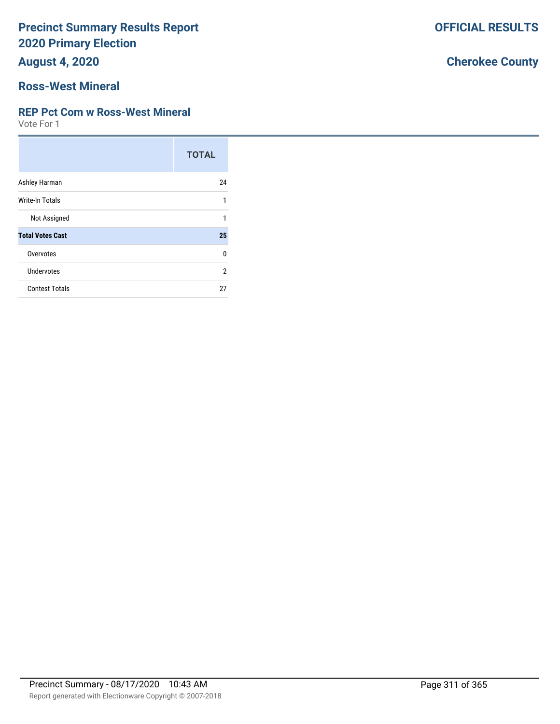**August 4, 2020**

## **Ross-West Mineral**

#### **REP Pct Com w Ross-West Mineral**

Vote For 1

|                         | <b>TOTAL</b> |
|-------------------------|--------------|
| Ashley Harman           | 24           |
| <b>Write-In Totals</b>  | 1            |
| Not Assigned            | 1            |
| <b>Total Votes Cast</b> | 25           |
| Overvotes               | $\Omega$     |
| Undervotes              | 2            |
| <b>Contest Totals</b>   | 27           |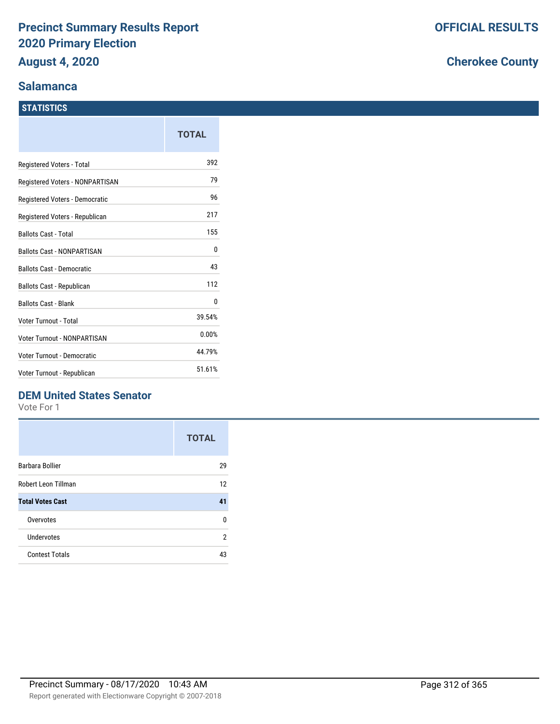#### **Salamanca**

#### **STATISTICS**

|                                    | TOTAL  |
|------------------------------------|--------|
| Registered Voters - Total          | 392    |
| Registered Voters - NONPARTISAN    | 79     |
| Registered Voters - Democratic     | 96     |
| Registered Voters - Republican     | 217    |
| <b>Ballots Cast - Total</b>        | 155    |
| <b>Ballots Cast - NONPARTISAN</b>  | 0      |
| <b>Ballots Cast - Democratic</b>   | 43     |
| Ballots Cast - Republican          | 112    |
| <b>Ballots Cast - Blank</b>        | 0      |
| Voter Turnout - Total              | 39.54% |
| <b>Voter Turnout - NONPARTISAN</b> | 0.00%  |
| <b>Voter Turnout - Democratic</b>  | 44.79% |
| Voter Turnout - Republican         | 51.61% |

## **DEM United States Senator**

Vote For 1

|                         | <b>TOTAL</b> |
|-------------------------|--------------|
| Barbara Bollier         | 29           |
| Robert Leon Tillman     | 12           |
| <b>Total Votes Cast</b> | 41           |
| Overvotes               | U            |
| Undervotes              | 2            |
| <b>Contest Totals</b>   | 43           |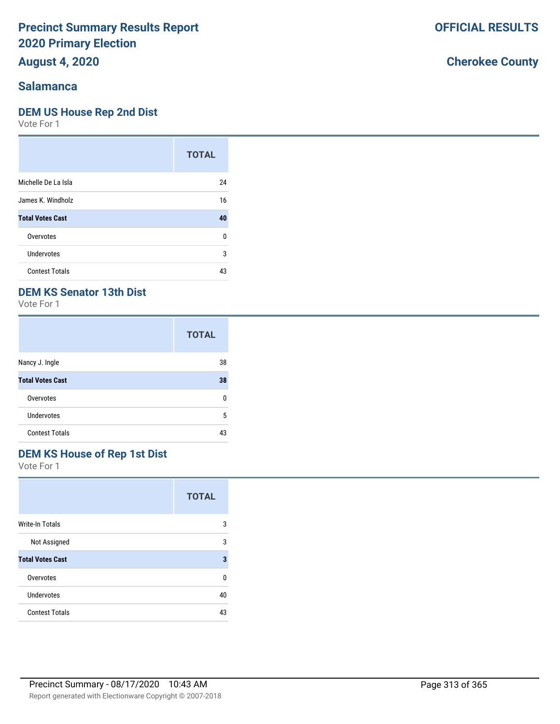**August 4, 2020**

### **Salamanca**

#### **DEM US House Rep 2nd Dist**

Vote For 1

|                         | <b>TOTAL</b> |
|-------------------------|--------------|
| Michelle De La Isla     | 24           |
| James K. Windholz       | 16           |
| <b>Total Votes Cast</b> | 40           |
| Overvotes               | 0            |
| Undervotes              | 3            |
| <b>Contest Totals</b>   | 43           |

## **DEM KS Senator 13th Dist**

Vote For 1

|                         | <b>TOTAL</b> |
|-------------------------|--------------|
| Nancy J. Ingle          | 38           |
| <b>Total Votes Cast</b> | 38           |
| Overvotes               | n            |
| Undervotes              | 5            |
| <b>Contest Totals</b>   | 43           |

## **DEM KS House of Rep 1st Dist**

Vote For 1

|                         | <b>TOTAL</b> |
|-------------------------|--------------|
| <b>Write-In Totals</b>  | 3            |
| Not Assigned            | 3            |
| <b>Total Votes Cast</b> | 3            |
| Overvotes               | n            |
| <b>Undervotes</b>       | 40           |
| <b>Contest Totals</b>   | 43           |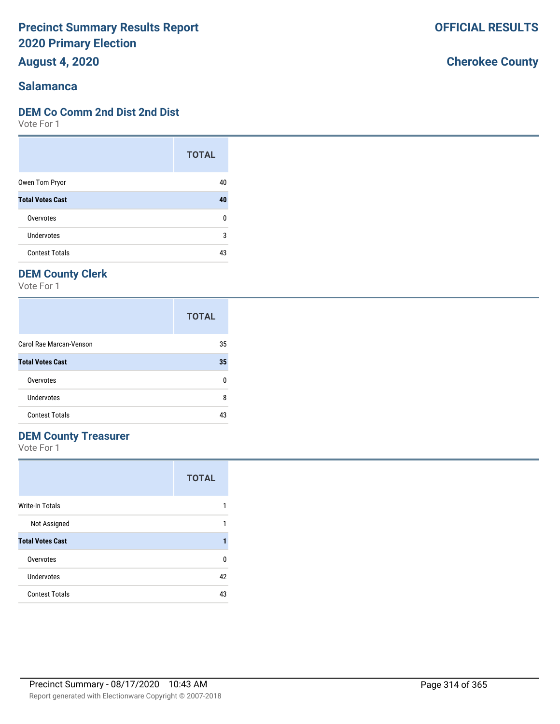**August 4, 2020**

#### **Salamanca**

#### **DEM Co Comm 2nd Dist 2nd Dist**

Vote For 1

|                         | <b>TOTAL</b> |
|-------------------------|--------------|
| Owen Tom Pryor          | 40           |
| <b>Total Votes Cast</b> | 40           |
| Overvotes               | 0            |
| Undervotes              | 3            |
| <b>Contest Totals</b>   | 43           |

## **DEM County Clerk**

Vote For 1

|                         | <b>TOTAL</b> |
|-------------------------|--------------|
| Carol Rae Marcan-Venson | 35           |
| <b>Total Votes Cast</b> | 35           |
| Overvotes               | n            |
| Undervotes              | 8            |
| <b>Contest Totals</b>   | 43           |

### **DEM County Treasurer**

Vote For 1

|                         | <b>TOTAL</b> |
|-------------------------|--------------|
| <b>Write-In Totals</b>  |              |
| Not Assigned            |              |
| <b>Total Votes Cast</b> |              |
| Overvotes               | n            |
| Undervotes              | 42           |
| <b>Contest Totals</b>   | 43           |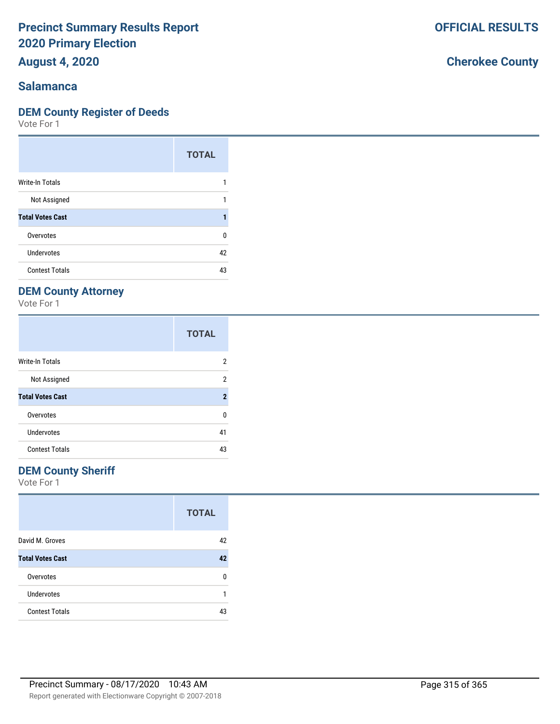**August 4, 2020**

#### **Salamanca**

#### **DEM County Register of Deeds**

Vote For 1

|                         | <b>TOTAL</b> |
|-------------------------|--------------|
| Write-In Totals         |              |
| Not Assigned            |              |
| <b>Total Votes Cast</b> |              |
| Overvotes               | U            |
| Undervotes              | 42           |
| <b>Contest Totals</b>   | 43           |

## **DEM County Attorney**

Vote For 1

|                         | <b>TOTAL</b>        |
|-------------------------|---------------------|
| <b>Write-In Totals</b>  | 2                   |
| Not Assigned            | 2                   |
| <b>Total Votes Cast</b> | $\boldsymbol{\eta}$ |
| Overvotes               | U                   |
| Undervotes              | 41                  |
| <b>Contest Totals</b>   | 43                  |

#### **DEM County Sheriff**

Vote For 1

|                         | <b>TOTAL</b> |
|-------------------------|--------------|
| David M. Groves         | 42           |
| <b>Total Votes Cast</b> | 42           |
| Overvotes               | n            |
| <b>Undervotes</b>       |              |
| <b>Contest Totals</b>   | 43           |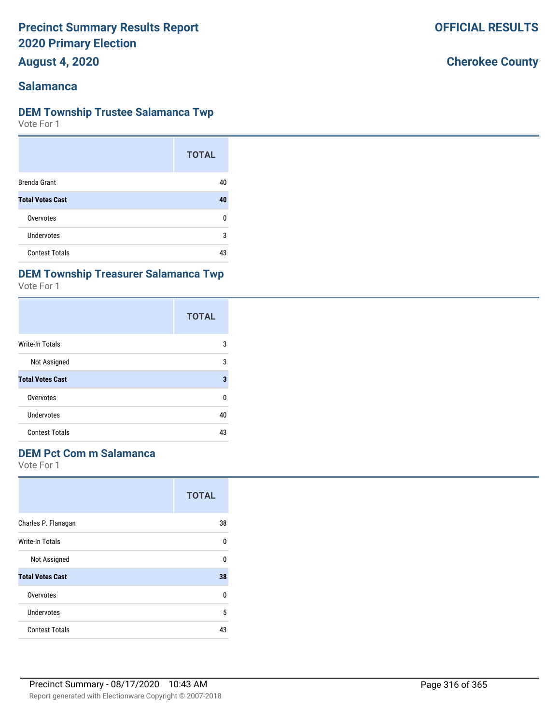**August 4, 2020**

#### **Salamanca**

#### **DEM Township Trustee Salamanca Twp**

Vote For 1

|                         | <b>TOTAL</b> |
|-------------------------|--------------|
| <b>Brenda Grant</b>     | 40           |
| <b>Total Votes Cast</b> | 40           |
| Overvotes               | n            |
| Undervotes              | 3            |
| <b>Contest Totals</b>   | 43           |

#### **DEM Township Treasurer Salamanca Twp**

Vote For 1

|                         | <b>TOTAL</b> |
|-------------------------|--------------|
| Write-In Totals         | 3            |
| Not Assigned            | 3            |
| <b>Total Votes Cast</b> | 3            |
| Overvotes               | U            |
| <b>Undervotes</b>       | 40           |
| <b>Contest Totals</b>   | 43           |

#### **DEM Pct Com m Salamanca**

Vote For 1

|                         | <b>TOTAL</b> |
|-------------------------|--------------|
| Charles P. Flanagan     | 38           |
| Write-In Totals         | U            |
| Not Assigned            | U            |
| <b>Total Votes Cast</b> | 38           |
| Overvotes               | U            |
| Undervotes              | 5            |
| <b>Contest Totals</b>   | 43           |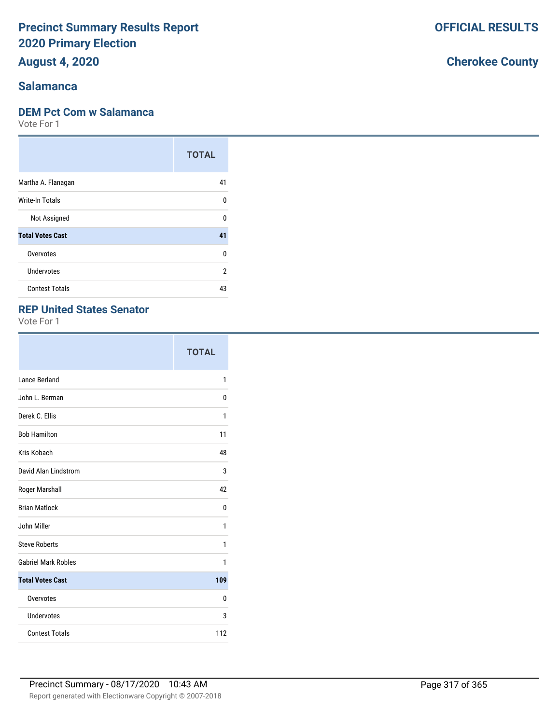**August 4, 2020**

### **Salamanca**

#### **DEM Pct Com w Salamanca**

Vote For 1

|                         | <b>TOTAL</b> |
|-------------------------|--------------|
| Martha A. Flanagan      | 41           |
| Write-In Totals         | U            |
| Not Assigned            | U            |
| <b>Total Votes Cast</b> | 41           |
| Overvotes               | $\Omega$     |
| <b>Undervotes</b>       | 2            |
| <b>Contest Totals</b>   | 43           |

#### **REP United States Senator**

Vote For 1

|                            | <b>TOTAL</b> |
|----------------------------|--------------|
| Lance Berland              | 1            |
| John L. Berman             | 0            |
| Derek C. Ellis             | 1            |
| <b>Bob Hamilton</b>        | 11           |
| Kris Kobach                | 48           |
| David Alan Lindstrom       | 3            |
| Roger Marshall             | 42           |
| <b>Brian Matlock</b>       | 0            |
| John Miller                | 1            |
| <b>Steve Roberts</b>       | 1            |
| <b>Gabriel Mark Robles</b> | 1            |
| <b>Total Votes Cast</b>    | 109          |
| Overvotes                  | 0            |
| <b>Undervotes</b>          | 3            |
| <b>Contest Totals</b>      | 112          |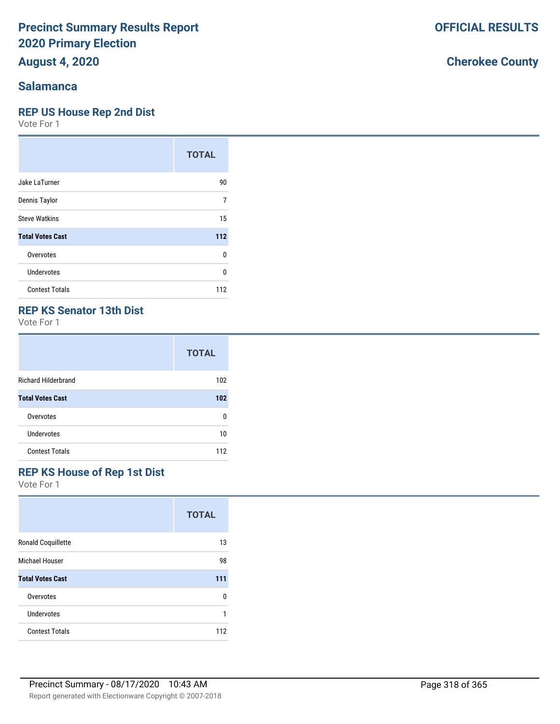**August 4, 2020**

#### **Salamanca**

#### **REP US House Rep 2nd Dist**

Vote For 1

|                         | <b>TOTAL</b> |
|-------------------------|--------------|
| Jake LaTurner           | 90           |
| Dennis Taylor           | 7            |
| <b>Steve Watkins</b>    | 15           |
| <b>Total Votes Cast</b> | 112          |
| Overvotes               | 0            |
| Undervotes              | U            |
| <b>Contest Totals</b>   | 112          |

#### **REP KS Senator 13th Dist**

Vote For 1

|                            | <b>TOTAL</b> |
|----------------------------|--------------|
| <b>Richard Hilderbrand</b> | 102          |
| <b>Total Votes Cast</b>    | 102          |
| Overvotes                  | n            |
| <b>Undervotes</b>          | 10           |
| <b>Contest Totals</b>      | 112          |

## **REP KS House of Rep 1st Dist**

Vote For 1

|                           | <b>TOTAL</b> |
|---------------------------|--------------|
| <b>Ronald Coquillette</b> | 13           |
| Michael Houser            | 98           |
| <b>Total Votes Cast</b>   | 111          |
| Overvotes                 | 0            |
| Undervotes                | 1            |
| <b>Contest Totals</b>     | 112          |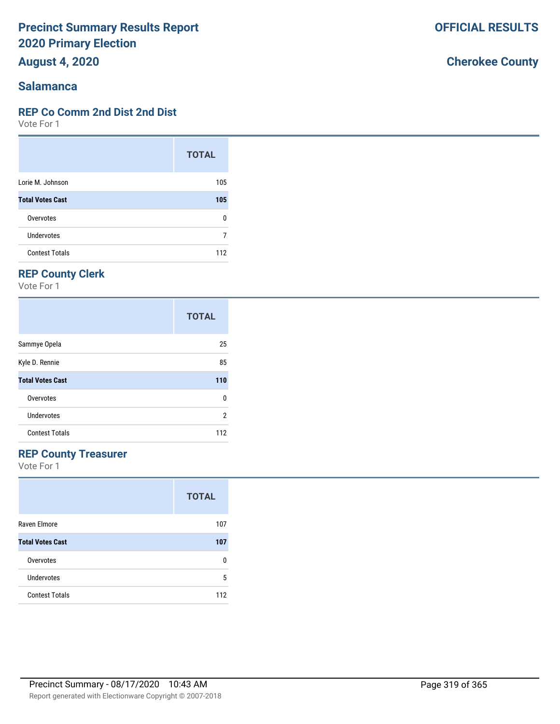**August 4, 2020**

#### **Salamanca**

#### **REP Co Comm 2nd Dist 2nd Dist**

Vote For 1

|                         | <b>TOTAL</b> |
|-------------------------|--------------|
| Lorie M. Johnson        | 105          |
| <b>Total Votes Cast</b> | 105          |
| Overvotes               | ŋ            |
| Undervotes              |              |
| <b>Contest Totals</b>   | 112          |

## **REP County Clerk**

Vote For 1

|                         | <b>TOTAL</b> |
|-------------------------|--------------|
| Sammye Opela            | 25           |
| Kyle D. Rennie          | 85           |
| <b>Total Votes Cast</b> | 110          |
| Overvotes               | 0            |
| Undervotes              | 2            |
| <b>Contest Totals</b>   | 112          |

## **REP County Treasurer**

Vote For 1

|                         | <b>TOTAL</b> |
|-------------------------|--------------|
| Raven Elmore            | 107          |
| <b>Total Votes Cast</b> | 107          |
| Overvotes               | n            |
| Undervotes              | 5            |
| <b>Contest Totals</b>   | 112          |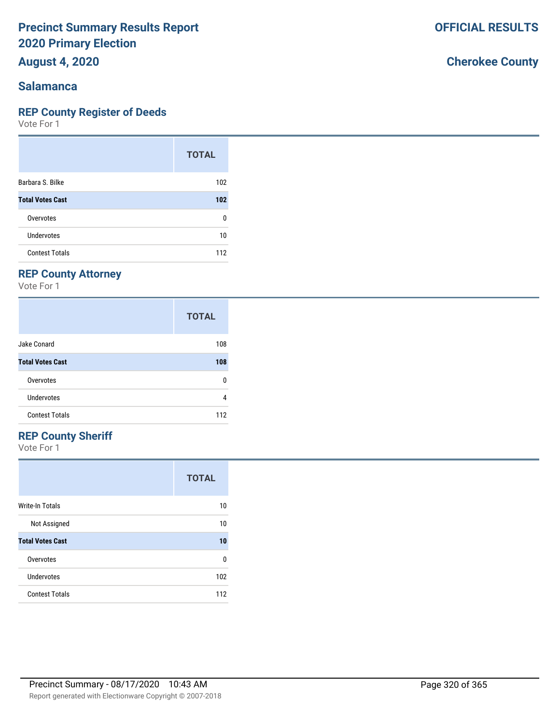**August 4, 2020**

#### **Salamanca**

#### **REP County Register of Deeds**

Vote For 1

|                         | <b>TOTAL</b> |
|-------------------------|--------------|
| Barbara S. Bilke        | 102          |
| <b>Total Votes Cast</b> | 102          |
| Overvotes               | 0            |
| Undervotes              | 10           |
| <b>Contest Totals</b>   | 112          |

## **REP County Attorney**

Vote For 1

|                         | <b>TOTAL</b> |
|-------------------------|--------------|
| Jake Conard             | 108          |
| <b>Total Votes Cast</b> | 108          |
| Overvotes               | 0            |
| Undervotes              | 4            |
| <b>Contest Totals</b>   | 112          |

#### **REP County Sheriff**

Vote For 1

|                         | <b>TOTAL</b> |
|-------------------------|--------------|
| Write-In Totals         | 10           |
| Not Assigned            | 10           |
| <b>Total Votes Cast</b> | 10           |
| Overvotes               | 0            |
| Undervotes              | 102          |
| <b>Contest Totals</b>   | 112          |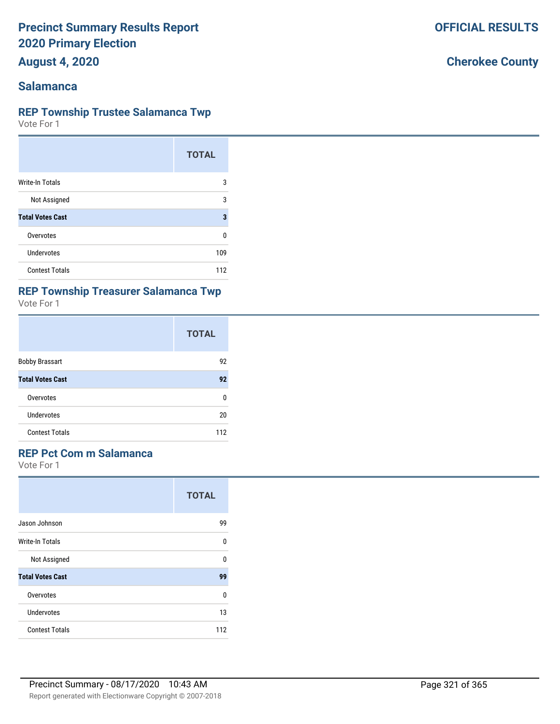**August 4, 2020**

#### **Salamanca**

#### **REP Township Trustee Salamanca Twp**

Vote For 1

|                         | <b>TOTAL</b> |
|-------------------------|--------------|
| Write-In Totals         | 3            |
| Not Assigned            | 3            |
| <b>Total Votes Cast</b> | 3            |
| Overvotes               | n            |
| Undervotes              | 109          |
| <b>Contest Totals</b>   | 112          |

# **REP Township Treasurer Salamanca Twp**

Vote For 1

|                         | <b>TOTAL</b> |
|-------------------------|--------------|
| <b>Bobby Brassart</b>   | 92           |
| <b>Total Votes Cast</b> | 92           |
| Overvotes               | 0            |
| Undervotes              | 20           |
| <b>Contest Totals</b>   | 112          |

#### **REP Pct Com m Salamanca**

Vote For 1

|                         | <b>TOTAL</b> |
|-------------------------|--------------|
| Jason Johnson           | 99           |
| Write-In Totals         | U            |
| Not Assigned            | U            |
| <b>Total Votes Cast</b> | 99           |
| Overvotes               | 0            |
| Undervotes              | 13           |
| <b>Contest Totals</b>   | 112          |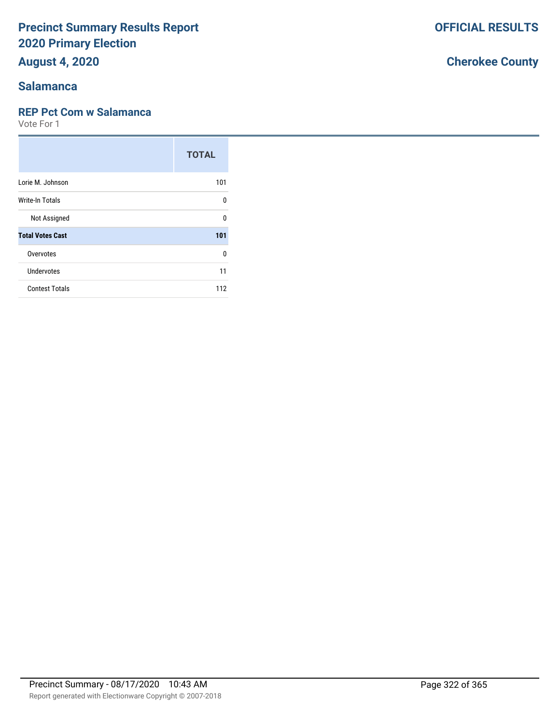**August 4, 2020**

### **Salamanca**

#### **REP Pct Com w Salamanca**

Vote For 1

|                         | <b>TOTAL</b> |
|-------------------------|--------------|
| Lorie M. Johnson        | 101          |
| Write-In Totals         | U            |
| Not Assigned            | ŋ            |
| <b>Total Votes Cast</b> | 101          |
| Overvotes               | ŋ            |
| Undervotes              | 11           |
| <b>Contest Totals</b>   | 112          |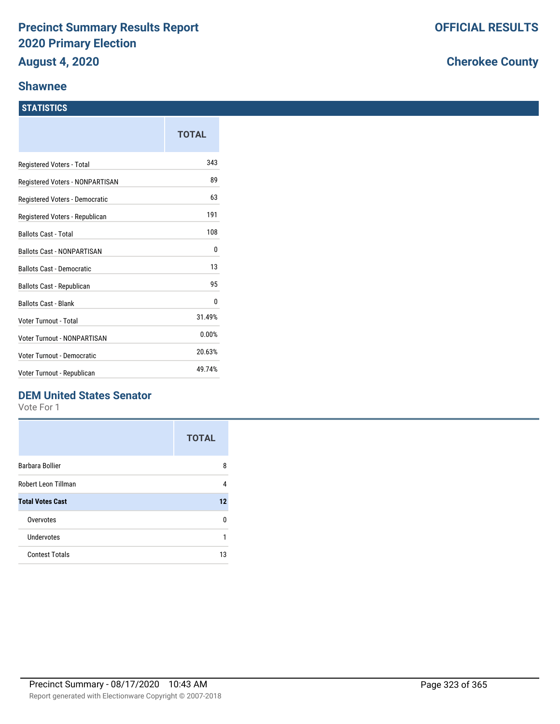#### **Shawnee**

#### **STATISTICS**

|                                    | TOTAL  |
|------------------------------------|--------|
| Registered Voters - Total          | 343    |
| Registered Voters - NONPARTISAN    | 89     |
| Registered Voters - Democratic     | 63     |
| Registered Voters - Republican     | 191    |
| <b>Ballots Cast - Total</b>        | 108    |
| <b>Ballots Cast - NONPARTISAN</b>  | 0      |
| <b>Ballots Cast - Democratic</b>   | 13     |
| <b>Ballots Cast - Republican</b>   | 95     |
| <b>Ballots Cast - Blank</b>        | 0      |
| Voter Turnout - Total              | 31.49% |
| <b>Voter Turnout - NONPARTISAN</b> | 0.00%  |
| Voter Turnout - Democratic         | 20.63% |
| Voter Turnout - Republican         | 49.74% |

## **DEM United States Senator**

Vote For 1

|                         | <b>TOTAL</b> |
|-------------------------|--------------|
| Barbara Bollier         | 8            |
| Robert Leon Tillman     | 4            |
| <b>Total Votes Cast</b> | 12           |
| Overvotes               | n            |
| Undervotes              | 1            |
| <b>Contest Totals</b>   | 13           |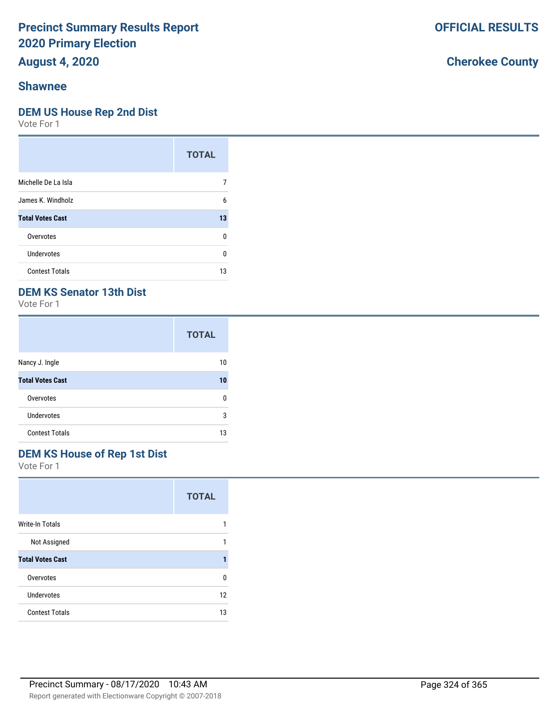**August 4, 2020**

#### **Shawnee**

#### **DEM US House Rep 2nd Dist**

Vote For 1

|                         | <b>TOTAL</b> |
|-------------------------|--------------|
| Michelle De La Isla     |              |
| James K. Windholz       | 6            |
| <b>Total Votes Cast</b> | 13           |
| Overvotes               | ŋ            |
| Undervotes              | ŋ            |
| <b>Contest Totals</b>   | 13           |

## **DEM KS Senator 13th Dist**

Vote For 1

|                         | <b>TOTAL</b> |
|-------------------------|--------------|
| Nancy J. Ingle          | 10           |
| <b>Total Votes Cast</b> | 10           |
| Overvotes               | n            |
| <b>Undervotes</b>       | 3            |
| <b>Contest Totals</b>   | 13           |

## **DEM KS House of Rep 1st Dist**

Vote For 1

|                         | <b>TOTAL</b> |
|-------------------------|--------------|
| Write-In Totals         |              |
| Not Assigned            |              |
| <b>Total Votes Cast</b> |              |
| Overvotes               | n            |
| Undervotes              | 12           |
| <b>Contest Totals</b>   | 13           |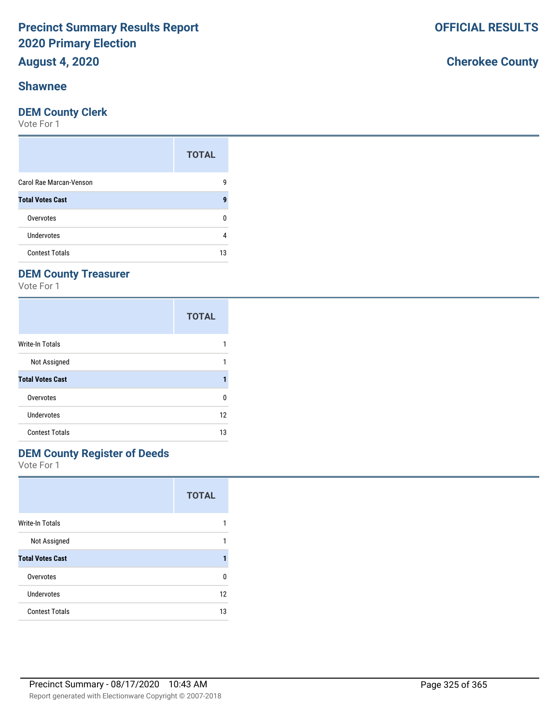## **August 4, 2020**

### **Shawnee**

#### **DEM County Clerk**

Vote For 1

|                         | <b>TOTAL</b> |
|-------------------------|--------------|
| Carol Rae Marcan-Venson | g            |
| <b>Total Votes Cast</b> | 9            |
| Overvotes               |              |
| Undervotes              | 4            |
| <b>Contest Totals</b>   | 13           |

### **DEM County Treasurer**

Vote For 1

|                         | <b>TOTAL</b> |
|-------------------------|--------------|
| Write-In Totals         |              |
| Not Assigned            |              |
| <b>Total Votes Cast</b> |              |
| Overvotes               | ŋ            |
| Undervotes              | 12           |
| <b>Contest Totals</b>   | 13           |

### **DEM County Register of Deeds**

Vote For 1

|                         | <b>TOTAL</b> |
|-------------------------|--------------|
| <b>Write-In Totals</b>  |              |
| Not Assigned            | 1            |
| <b>Total Votes Cast</b> |              |
| Overvotes               | U            |
| Undervotes              | 12           |
| <b>Contest Totals</b>   | 13           |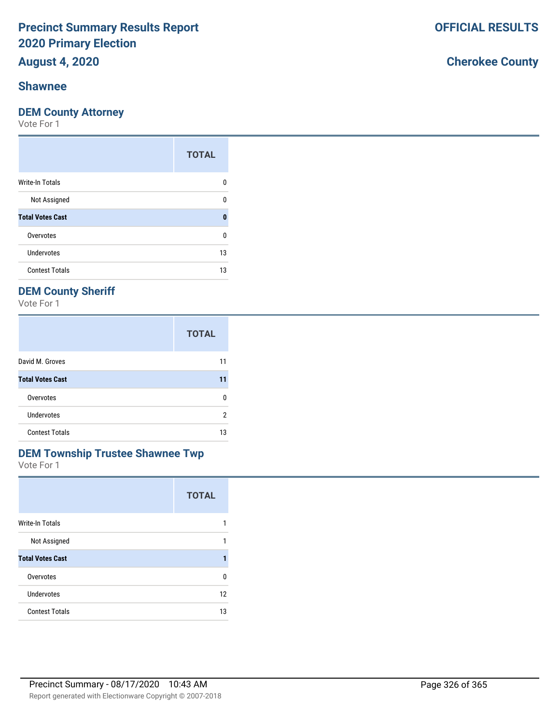## **August 4, 2020**

### **Shawnee**

#### **DEM County Attorney**

Vote For 1

|                         | <b>TOTAL</b> |
|-------------------------|--------------|
| <b>Write-In Totals</b>  | n            |
| Not Assigned            | n            |
| <b>Total Votes Cast</b> | O            |
| Overvotes               | ŋ            |
| <b>Undervotes</b>       | 13           |
| <b>Contest Totals</b>   | 13           |

### **DEM County Sheriff**

Vote For 1

|                         | <b>TOTAL</b> |
|-------------------------|--------------|
| David M. Groves         | 11           |
| <b>Total Votes Cast</b> | 11           |
| Overvotes               | n            |
| <b>Undervotes</b>       | 2            |
| <b>Contest Totals</b>   | 13           |

## **DEM Township Trustee Shawnee Twp**

Vote For 1

|                         | <b>TOTAL</b> |
|-------------------------|--------------|
| <b>Write-In Totals</b>  |              |
| Not Assigned            | 1            |
| <b>Total Votes Cast</b> |              |
| Overvotes               | U            |
| Undervotes              | 12           |
| <b>Contest Totals</b>   | 13           |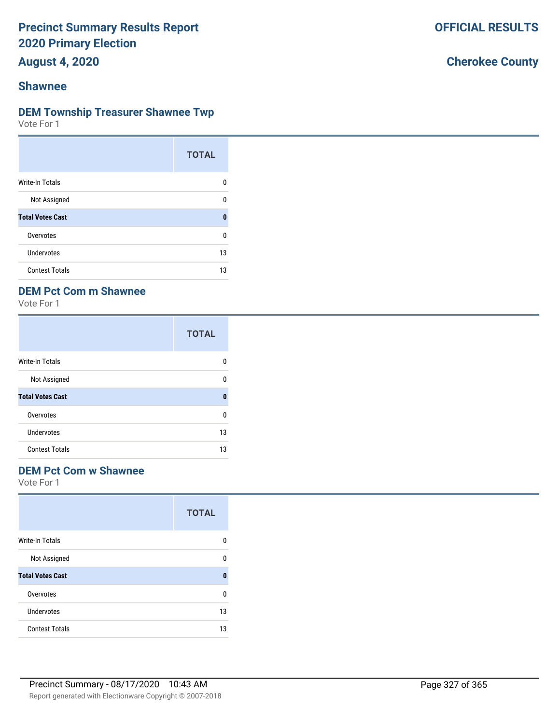**August 4, 2020**

### **Shawnee**

#### **DEM Township Treasurer Shawnee Twp**

Vote For 1

|                         | <b>TOTAL</b> |
|-------------------------|--------------|
| Write-In Totals         | n            |
| Not Assigned            | U            |
| <b>Total Votes Cast</b> | 0            |
| Overvotes               | U            |
| Undervotes              | 13           |
| <b>Contest Totals</b>   | 13           |

### **DEM Pct Com m Shawnee**

Vote For 1

|                         | <b>TOTAL</b> |
|-------------------------|--------------|
| <b>Write-In Totals</b>  | O            |
| Not Assigned            | U            |
| <b>Total Votes Cast</b> | O            |
| Overvotes               | U            |
| Undervotes              | 13           |
| <b>Contest Totals</b>   | 13           |

#### **DEM Pct Com w Shawnee**

Vote For 1

|                         | <b>TOTAL</b> |
|-------------------------|--------------|
| Write-In Totals         | n            |
| Not Assigned            | U            |
| <b>Total Votes Cast</b> | O            |
| Overvotes               | U            |
| Undervotes              | 13           |
| <b>Contest Totals</b>   | 13           |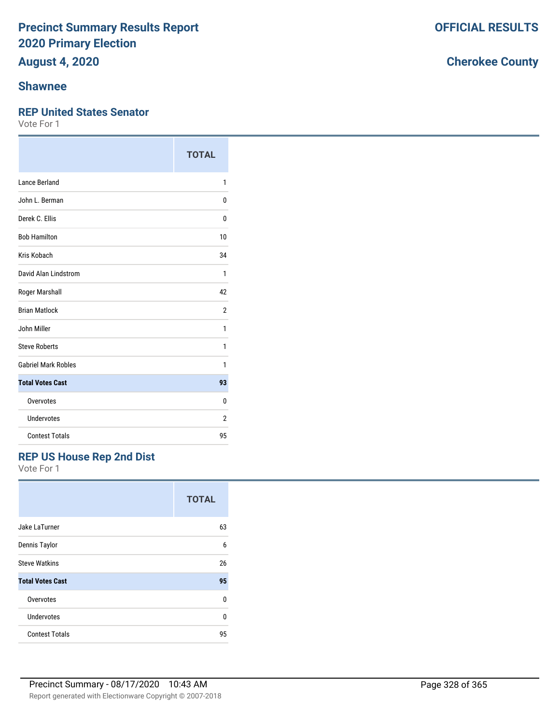# **August 4, 2020**

### **Shawnee**

#### **REP United States Senator**

Vote For 1

|                            | <b>TOTAL</b>   |
|----------------------------|----------------|
| Lance Berland              | 1              |
| John L. Berman             | 0              |
| Derek C. Ellis             | 0              |
| <b>Bob Hamilton</b>        | 10             |
| Kris Kobach                | 34             |
| David Alan Lindstrom       | 1              |
| Roger Marshall             | 42             |
| <b>Brian Matlock</b>       | $\overline{2}$ |
| John Miller                | 1              |
| <b>Steve Roberts</b>       | 1              |
| <b>Gabriel Mark Robles</b> | 1              |
| <b>Total Votes Cast</b>    | 93             |
| Overvotes                  | 0              |
| <b>Undervotes</b>          | 2              |
| <b>Contest Totals</b>      | 95             |

### **REP US House Rep 2nd Dist**

Vote For 1

|                         | <b>TOTAL</b> |
|-------------------------|--------------|
| Jake LaTurner           | 63           |
| Dennis Taylor           | 6            |
| <b>Steve Watkins</b>    | 26           |
| <b>Total Votes Cast</b> | 95           |
| Overvotes               | U            |
| Undervotes              | 0            |
| <b>Contest Totals</b>   | 95           |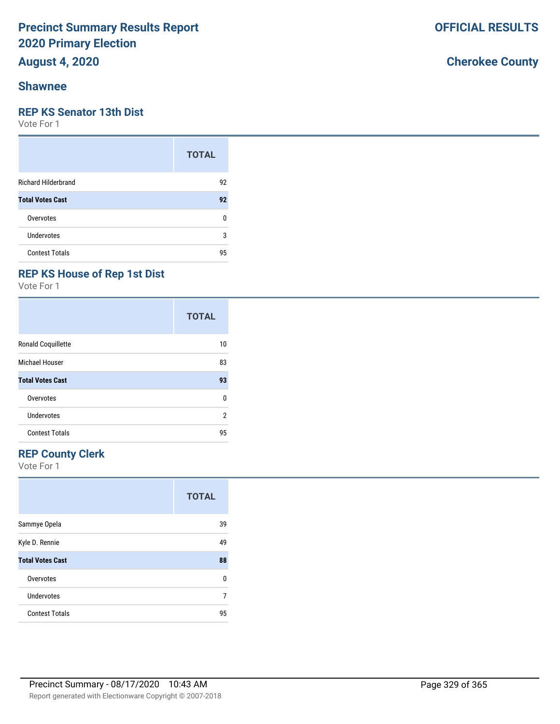## **August 4, 2020**

### **Shawnee**

#### **REP KS Senator 13th Dist**

Vote For 1

|                            | <b>TOTAL</b> |
|----------------------------|--------------|
| <b>Richard Hilderbrand</b> | 92           |
| <b>Total Votes Cast</b>    | 92           |
| Overvotes                  | 0            |
| Undervotes                 | 3            |
| <b>Contest Totals</b>      | 95           |

### **REP KS House of Rep 1st Dist**

Vote For 1

|                           | <b>TOTAL</b> |
|---------------------------|--------------|
| <b>Ronald Coquillette</b> | 10           |
| Michael Houser            | 83           |
| <b>Total Votes Cast</b>   | 93           |
| Overvotes                 | 0            |
| <b>Undervotes</b>         | 2            |
| <b>Contest Totals</b>     | 95           |

### **REP County Clerk**

Vote For 1

|                         | <b>TOTAL</b> |
|-------------------------|--------------|
| Sammye Opela            | 39           |
| Kyle D. Rennie          | 49           |
| <b>Total Votes Cast</b> | 88           |
| Overvotes               | U            |
| Undervotes              | 7            |
| <b>Contest Totals</b>   | 95           |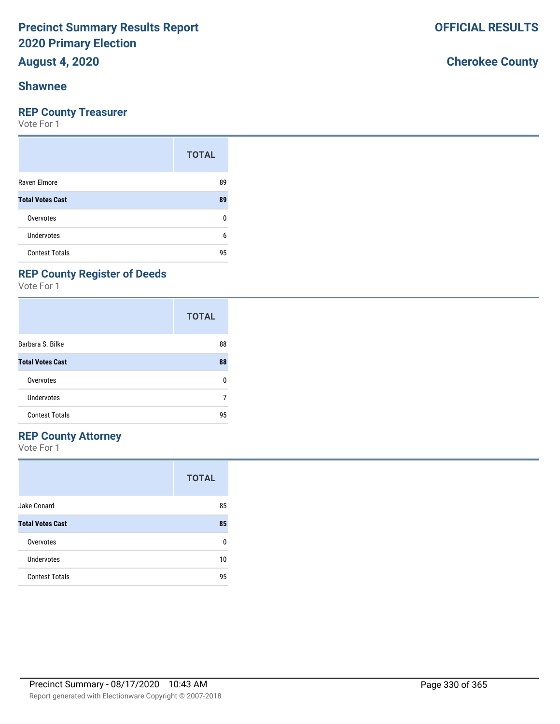## **August 4, 2020**

#### **Shawnee**

### **REP County Treasurer**

Vote For 1

|                         | <b>TOTAL</b> |
|-------------------------|--------------|
| Raven Elmore            | 89           |
| <b>Total Votes Cast</b> | 89           |
| Overvotes               | ŋ            |
| <b>Undervotes</b>       | 6            |
| <b>Contest Totals</b>   | 95           |

### **REP County Register of Deeds**

Vote For 1

|                         | <b>TOTAL</b> |
|-------------------------|--------------|
| Barbara S. Bilke        | 88           |
| <b>Total Votes Cast</b> | 88           |
| Overvotes               | 0            |
| Undervotes              |              |
| <b>Contest Totals</b>   | 95           |

#### **REP County Attorney**

Vote For 1

|                         | <b>TOTAL</b> |
|-------------------------|--------------|
| Jake Conard             | 85           |
| <b>Total Votes Cast</b> | 85           |
| Overvotes               | ŋ            |
| Undervotes              | 10           |
| <b>Contest Totals</b>   | 95           |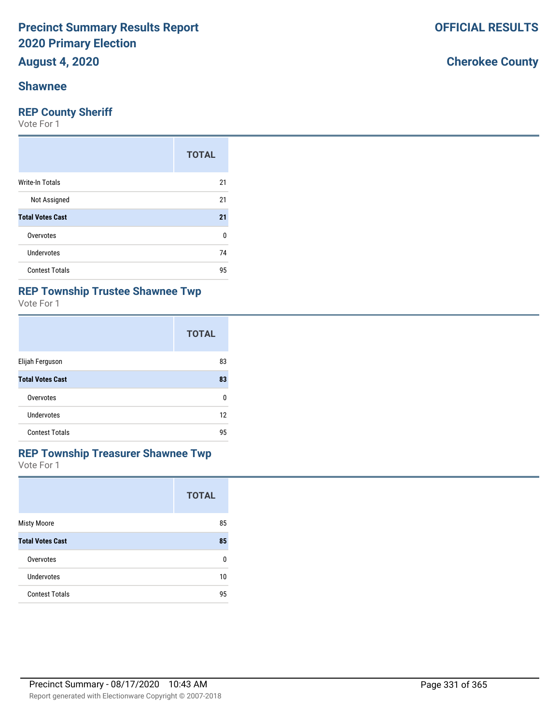# **August 4, 2020**

#### **Shawnee**

#### **REP County Sheriff**

Vote For 1

|                         | <b>TOTAL</b> |
|-------------------------|--------------|
| <b>Write-In Totals</b>  | 21           |
| Not Assigned            | 21           |
| <b>Total Votes Cast</b> | 21           |
| Overvotes               | 0            |
| Undervotes              | 74           |
| <b>Contest Totals</b>   | 95           |

### **REP Township Trustee Shawnee Twp**

Vote For 1

|                         | <b>TOTAL</b> |
|-------------------------|--------------|
| Elijah Ferguson         | 83           |
| <b>Total Votes Cast</b> | 83           |
| Overvotes               | U            |
| Undervotes              | 12           |
| <b>Contest Totals</b>   | 95           |

#### Vote For 1 **REP Township Treasurer Shawnee Twp**

|                         | <b>TOTAL</b> |
|-------------------------|--------------|
| <b>Misty Moore</b>      | 85           |
| <b>Total Votes Cast</b> | 85           |
| Overvotes               | 0            |
| Undervotes              | 10           |
| <b>Contest Totals</b>   | 95           |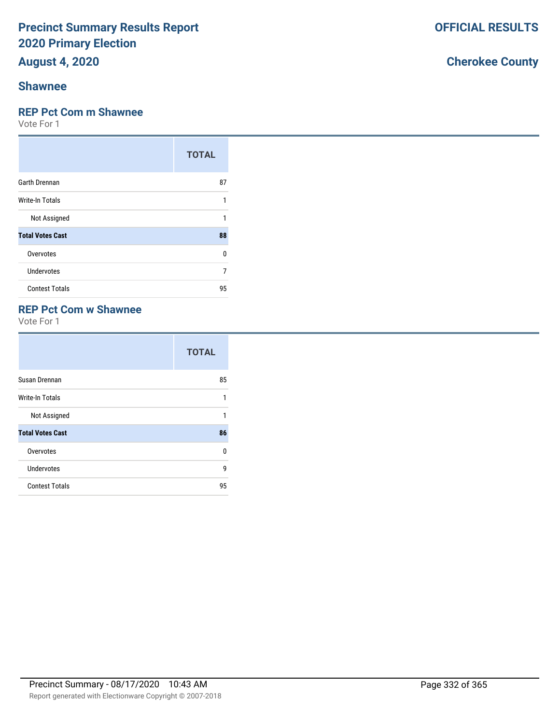## **August 4, 2020**

### **Shawnee**

#### **REP Pct Com m Shawnee**

Vote For 1

|                         | <b>TOTAL</b> |
|-------------------------|--------------|
| <b>Garth Drennan</b>    | 87           |
| <b>Write-In Totals</b>  | 1            |
| Not Assigned            | 1            |
| <b>Total Votes Cast</b> | 88           |
| Overvotes               | 0            |
| Undervotes              | 7            |
| <b>Contest Totals</b>   | 95           |

### **REP Pct Com w Shawnee**

Vote For 1

|                         | <b>TOTAL</b> |
|-------------------------|--------------|
| Susan Drennan           | 85           |
| Write-In Totals         | 1            |
| Not Assigned            | 1            |
| <b>Total Votes Cast</b> | 86           |
| Overvotes               | U            |
| Undervotes              | 9            |
| <b>Contest Totals</b>   | 95           |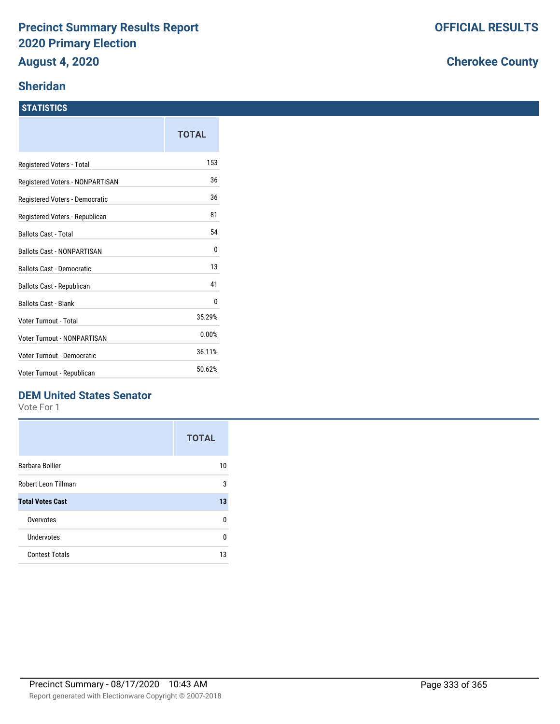### **Sheridan**

#### **STATISTICS**

|                                    | TOTAL  |
|------------------------------------|--------|
| Registered Voters - Total          | 153    |
| Registered Voters - NONPARTISAN    | 36     |
| Registered Voters - Democratic     | 36     |
| Registered Voters - Republican     | 81     |
| <b>Ballots Cast - Total</b>        | 54     |
| <b>Ballots Cast - NONPARTISAN</b>  | 0      |
| <b>Ballots Cast - Democratic</b>   | 13     |
| Ballots Cast - Republican          | 41     |
| <b>Ballots Cast - Blank</b>        | 0      |
| Voter Turnout - Total              | 35.29% |
| <b>Voter Turnout - NONPARTISAN</b> | 0.00%  |
| Voter Turnout - Democratic         | 36.11% |
| Voter Turnout - Republican         | 50.62% |

### **DEM United States Senator**

Vote For 1

|                         | <b>TOTAL</b> |
|-------------------------|--------------|
| Barbara Bollier         | 10           |
| Robert Leon Tillman     | 3            |
| <b>Total Votes Cast</b> | 13           |
| Overvotes               | n            |
| Undervotes              | U            |
| <b>Contest Totals</b>   | 13           |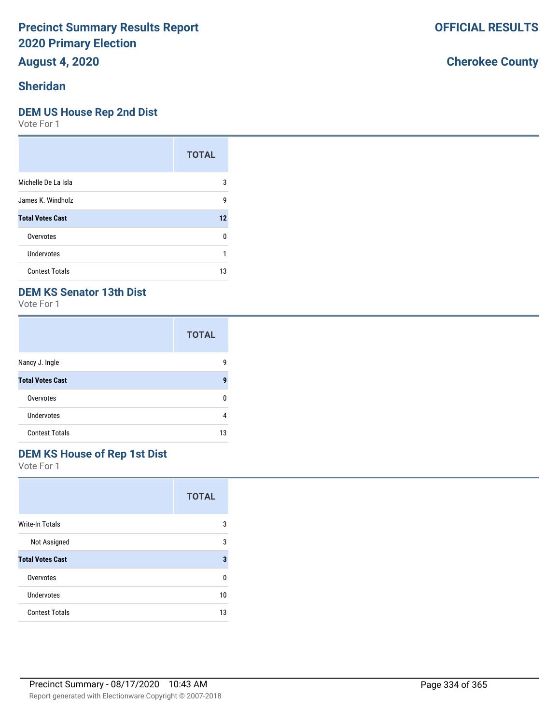**August 4, 2020**

### **Sheridan**

#### **DEM US House Rep 2nd Dist**

Vote For 1

|                         | <b>TOTAL</b> |
|-------------------------|--------------|
| Michelle De La Isla     | 3            |
| James K. Windholz       | g            |
| <b>Total Votes Cast</b> | 12           |
| Overvotes               | ŋ            |
| Undervotes              |              |
| <b>Contest Totals</b>   | 13           |

### **DEM KS Senator 13th Dist**

Vote For 1

|                         | <b>TOTAL</b> |
|-------------------------|--------------|
| Nancy J. Ingle          | g            |
| <b>Total Votes Cast</b> | 9            |
| Overvotes               | n            |
| <b>Undervotes</b>       | 4            |
| <b>Contest Totals</b>   | 13           |

## **DEM KS House of Rep 1st Dist**

Vote For 1

|                         | <b>TOTAL</b> |
|-------------------------|--------------|
| <b>Write-In Totals</b>  | 3            |
| Not Assigned            | 3            |
| <b>Total Votes Cast</b> | 3            |
| Overvotes               | U            |
| Undervotes              | 10           |
| <b>Contest Totals</b>   | 13           |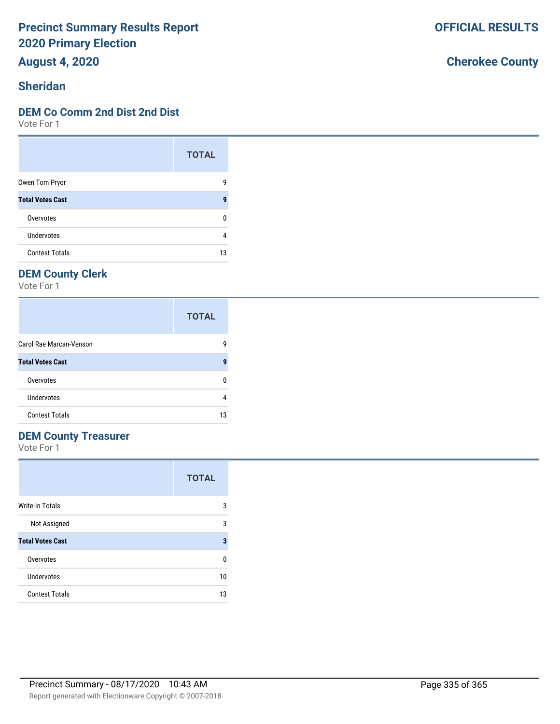**August 4, 2020**

### **Sheridan**

#### **DEM Co Comm 2nd Dist 2nd Dist**

Vote For 1

|                         | <b>TOTAL</b> |
|-------------------------|--------------|
| Owen Tom Pryor          | g            |
| <b>Total Votes Cast</b> | q            |
| Overvotes               | ŋ            |
| Undervotes              |              |
| <b>Contest Totals</b>   | 13           |

### **DEM County Clerk**

Vote For 1

|                         | <b>TOTAL</b> |
|-------------------------|--------------|
| Carol Rae Marcan-Venson | g            |
| <b>Total Votes Cast</b> | g            |
| Overvotes               |              |
| Undervotes              |              |
| <b>Contest Totals</b>   | 13           |

### **DEM County Treasurer**

Vote For 1

|                         | <b>TOTAL</b> |
|-------------------------|--------------|
| Write-In Totals         | 3            |
| Not Assigned            | 3            |
| <b>Total Votes Cast</b> | 3            |
| Overvotes               | 0            |
| Undervotes              | 10           |
| <b>Contest Totals</b>   | 13           |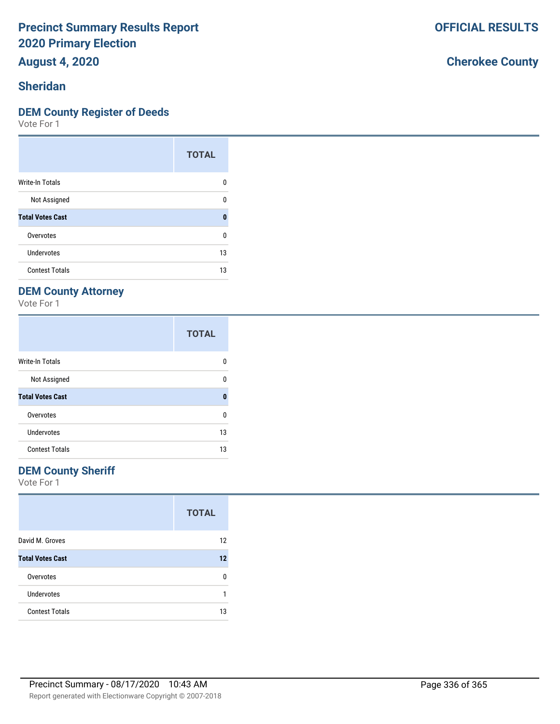**August 4, 2020**

### **Sheridan**

#### **DEM County Register of Deeds**

Vote For 1

|                         | <b>TOTAL</b> |
|-------------------------|--------------|
| Write-In Totals         | n            |
| Not Assigned            | U            |
| <b>Total Votes Cast</b> | O            |
| Overvotes               | 0            |
| Undervotes              | 13           |
| <b>Contest Totals</b>   | 13           |

### **DEM County Attorney**

Vote For 1

|                         | <b>TOTAL</b> |
|-------------------------|--------------|
| <b>Write-In Totals</b>  | n            |
| Not Assigned            | ŋ            |
| <b>Total Votes Cast</b> | 0            |
| Overvotes               | 0            |
| Undervotes              | 13           |
| <b>Contest Totals</b>   | 13           |

### **DEM County Sheriff**

Vote For 1

|                         | <b>TOTAL</b> |
|-------------------------|--------------|
| David M. Groves         | 12           |
| <b>Total Votes Cast</b> | 12           |
| Overvotes               | n            |
| <b>Undervotes</b>       |              |
| <b>Contest Totals</b>   | 13           |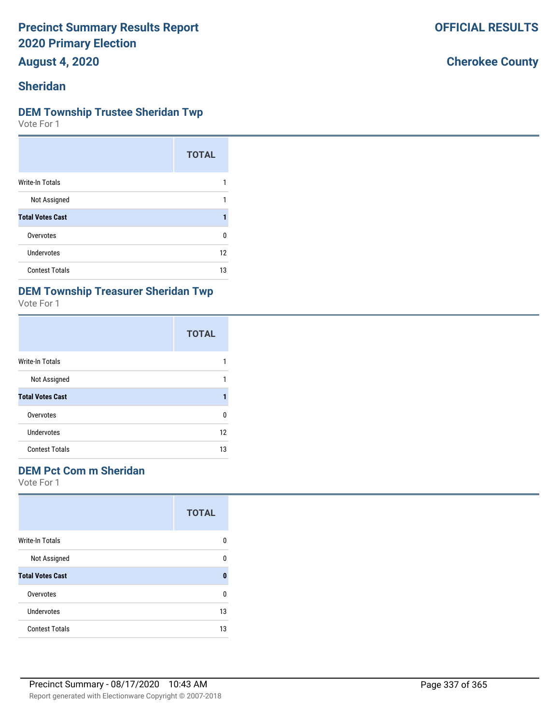**August 4, 2020**

### **Sheridan**

#### **DEM Township Trustee Sheridan Twp**

Vote For 1

|                         | <b>TOTAL</b> |
|-------------------------|--------------|
| Write-In Totals         |              |
| Not Assigned            |              |
| <b>Total Votes Cast</b> |              |
| Overvotes               | U            |
| Undervotes              | 12           |
| <b>Contest Totals</b>   | 13           |

### **DEM Township Treasurer Sheridan Twp**

Vote For 1

|                         | <b>TOTAL</b> |
|-------------------------|--------------|
| Write-In Totals         |              |
| Not Assigned            |              |
| <b>Total Votes Cast</b> |              |
| Overvotes               | ŋ            |
| <b>Undervotes</b>       | 12           |
| <b>Contest Totals</b>   | 13           |

#### **DEM Pct Com m Sheridan**

Vote For 1

|                         | <b>TOTAL</b> |
|-------------------------|--------------|
| <b>Write-In Totals</b>  | n            |
| Not Assigned            | n            |
| <b>Total Votes Cast</b> | 0            |
| Overvotes               | n            |
| Undervotes              | 13           |
| <b>Contest Totals</b>   | 13           |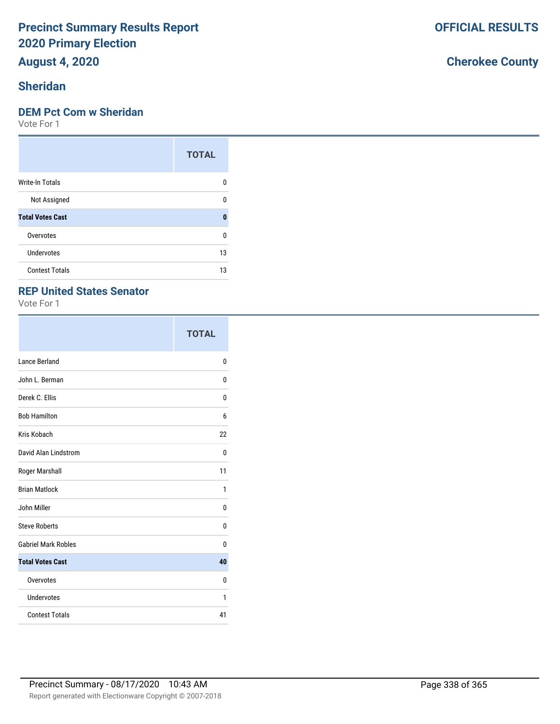## **August 4, 2020**

## **Sheridan**

#### **DEM Pct Com w Sheridan**

Vote For 1

|                         | <b>TOTAL</b> |
|-------------------------|--------------|
| <b>Write-In Totals</b>  | n            |
| Not Assigned            | n            |
| <b>Total Votes Cast</b> | O            |
| Overvotes               | ŋ            |
| <b>Undervotes</b>       | 13           |
| <b>Contest Totals</b>   | 13           |

### **REP United States Senator**

Vote For 1

|                            | <b>TOTAL</b> |
|----------------------------|--------------|
| Lance Berland              | 0            |
| John L. Berman             | 0            |
| Derek C. Ellis             | 0            |
| <b>Bob Hamilton</b>        | 6            |
| Kris Kobach                | 22           |
| David Alan Lindstrom       | 0            |
| Roger Marshall             | 11           |
| <b>Brian Matlock</b>       | 1            |
| John Miller                | 0            |
| <b>Steve Roberts</b>       | 0            |
| <b>Gabriel Mark Robles</b> | 0            |
| <b>Total Votes Cast</b>    | 40           |
| Overvotes                  | 0            |
| Undervotes                 | 1            |
| <b>Contest Totals</b>      | 41           |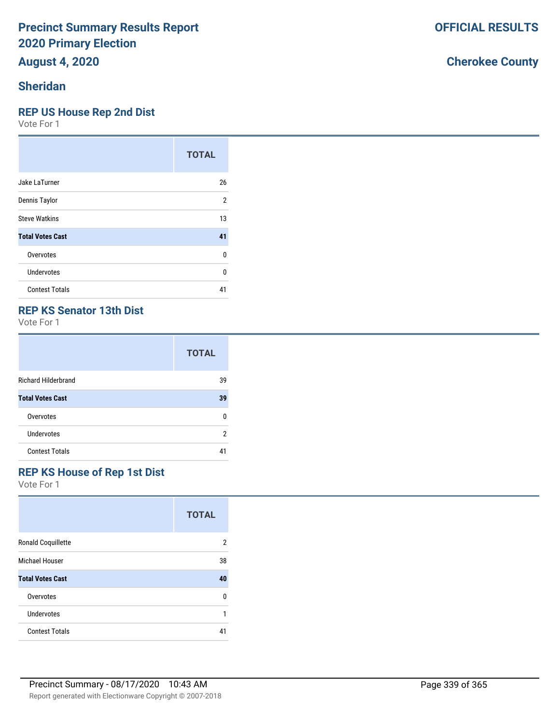# **August 4, 2020**

### **Sheridan**

#### **REP US House Rep 2nd Dist**

Vote For 1

|                         | <b>TOTAL</b> |
|-------------------------|--------------|
| Jake LaTurner           | 26           |
| Dennis Taylor           | 2            |
| <b>Steve Watkins</b>    | 13           |
| <b>Total Votes Cast</b> | 41           |
| Overvotes               | U            |
| Undervotes              | U            |
| <b>Contest Totals</b>   | 41           |

### **REP KS Senator 13th Dist**

Vote For 1

|                            | <b>TOTAL</b> |
|----------------------------|--------------|
| <b>Richard Hilderbrand</b> | 39           |
| <b>Total Votes Cast</b>    | 39           |
| Overvotes                  | n            |
| Undervotes                 | 2            |
| <b>Contest Totals</b>      | 41           |

### **REP KS House of Rep 1st Dist**

Vote For 1

|                           | <b>TOTAL</b>   |
|---------------------------|----------------|
| <b>Ronald Coquillette</b> | $\overline{2}$ |
| Michael Houser            | 38             |
| <b>Total Votes Cast</b>   | 40             |
| Overvotes                 | 0              |
| Undervotes                | 1              |
| <b>Contest Totals</b>     | 41             |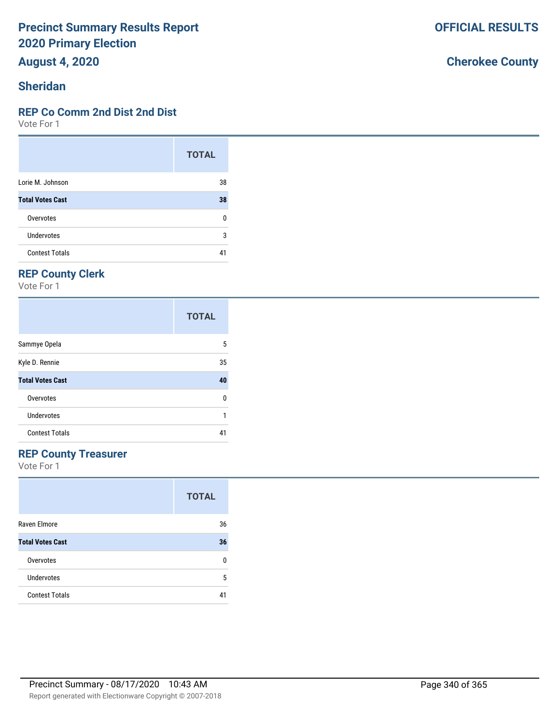**August 4, 2020**

### **Sheridan**

#### **REP Co Comm 2nd Dist 2nd Dist**

Vote For 1

|                         | <b>TOTAL</b> |
|-------------------------|--------------|
| Lorie M. Johnson        | 38           |
| <b>Total Votes Cast</b> | 38           |
| Overvotes               | 0            |
| Undervotes              | 3            |
| <b>Contest Totals</b>   | 4            |

### **REP County Clerk**

Vote For 1

|                         | <b>TOTAL</b> |
|-------------------------|--------------|
| Sammye Opela            | 5            |
| Kyle D. Rennie          | 35           |
| <b>Total Votes Cast</b> | 40           |
| Overvotes               | 0            |
| Undervotes              |              |
| <b>Contest Totals</b>   | 41           |

### **REP County Treasurer**

Vote For 1

|                         | <b>TOTAL</b> |
|-------------------------|--------------|
| Raven Elmore            | 36           |
| <b>Total Votes Cast</b> | 36           |
| Overvotes               | n            |
| Undervotes              | 5            |
| <b>Contest Totals</b>   | 41           |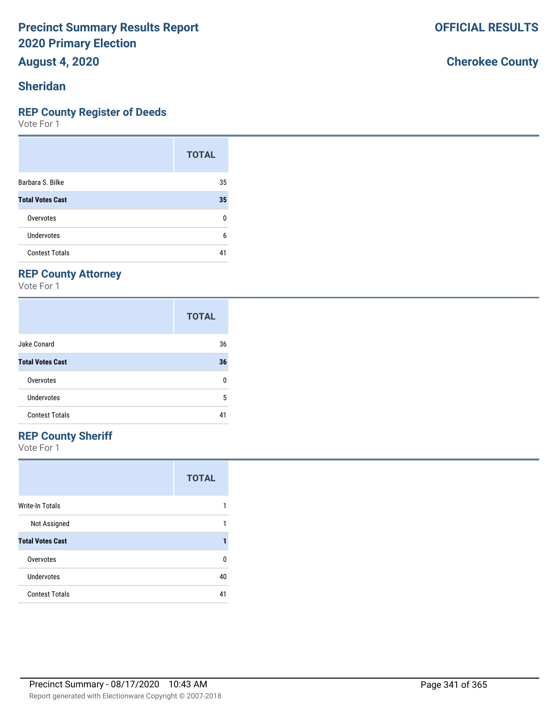**August 4, 2020**

### **Sheridan**

#### **REP County Register of Deeds**

Vote For 1

|                         | <b>TOTAL</b> |
|-------------------------|--------------|
| Barbara S. Bilke        | 35           |
| <b>Total Votes Cast</b> | 35           |
| Overvotes               | 0            |
| Undervotes              | 6            |
| <b>Contest Totals</b>   |              |

### **REP County Attorney**

Vote For 1

|                         | <b>TOTAL</b> |
|-------------------------|--------------|
| Jake Conard             | 36           |
| <b>Total Votes Cast</b> | 36           |
| Overvotes               | 0            |
| Undervotes              | 5            |
| <b>Contest Totals</b>   | 41           |

### **REP County Sheriff**

Vote For 1

|                         | <b>TOTAL</b> |
|-------------------------|--------------|
| <b>Write-In Totals</b>  |              |
| Not Assigned            |              |
| <b>Total Votes Cast</b> |              |
| Overvotes               | n            |
| Undervotes              | 40           |
| <b>Contest Totals</b>   |              |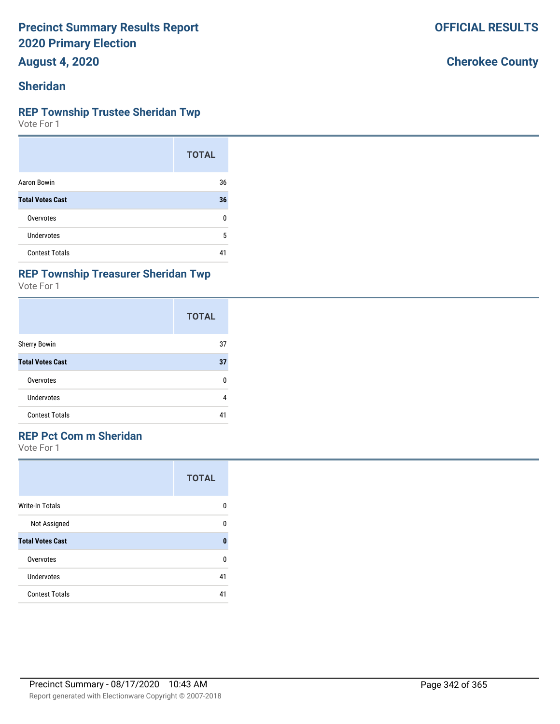**August 4, 2020**

### **Sheridan**

#### **REP Township Trustee Sheridan Twp**

Vote For 1

|                         | <b>TOTAL</b> |
|-------------------------|--------------|
| Aaron Bowin             | 36           |
| <b>Total Votes Cast</b> | 36           |
| Overvotes               | n            |
| Undervotes              | 5            |
| <b>Contest Totals</b>   | 41           |

#### **REP Township Treasurer Sheridan Twp**

Vote For 1

|                         | <b>TOTAL</b> |
|-------------------------|--------------|
| <b>Sherry Bowin</b>     | 37           |
| <b>Total Votes Cast</b> | 37           |
| Overvotes               | n            |
| Undervotes              | 4            |
| <b>Contest Totals</b>   | 41           |

### **REP Pct Com m Sheridan**

Vote For 1

|                         | <b>TOTAL</b> |
|-------------------------|--------------|
| Write-In Totals         | n            |
| Not Assigned            | ŋ            |
| <b>Total Votes Cast</b> | O            |
| Overvotes               | n            |
| Undervotes              | 41           |
| <b>Contest Totals</b>   | 41           |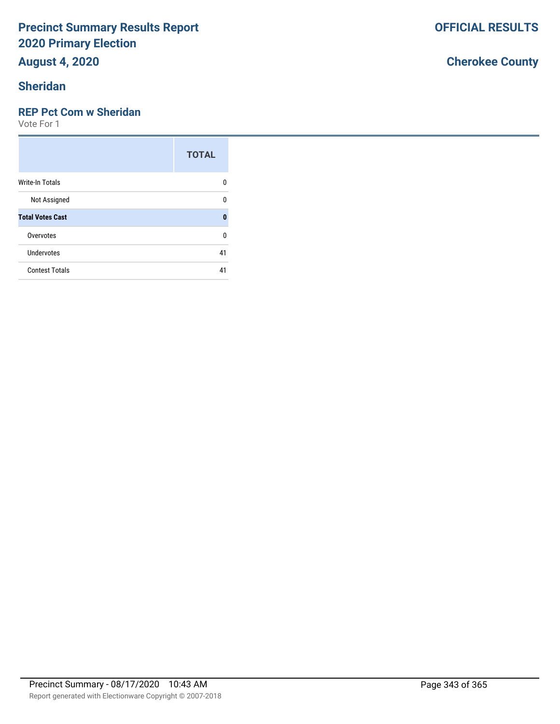## **August 4, 2020**

## **Sheridan**

### **REP Pct Com w Sheridan**

Vote For 1

|                         | <b>TOTAL</b> |
|-------------------------|--------------|
| Write-In Totals         | 0            |
| Not Assigned            | U            |
| <b>Total Votes Cast</b> | O            |
| Overvotes               | U            |
| Undervotes              | 41           |
| <b>Contest Totals</b>   | 41           |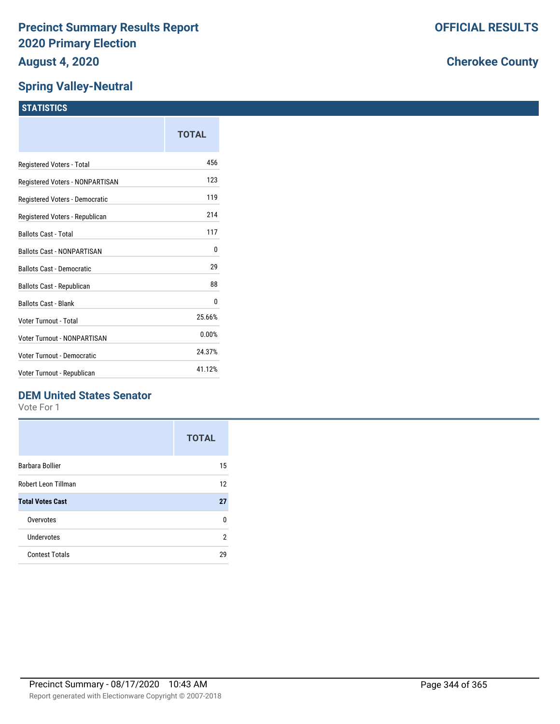### **Spring Valley-Neutral**

### **STATISTICS**

|                                   | TOTAL  |
|-----------------------------------|--------|
| Registered Voters - Total         | 456    |
| Registered Voters - NONPARTISAN   | 123    |
| Registered Voters - Democratic    | 119    |
| Registered Voters - Republican    | 214    |
| <b>Ballots Cast - Total</b>       | 117    |
| <b>Ballots Cast - NONPARTISAN</b> | 0      |
| <b>Ballots Cast - Democratic</b>  | 29     |
| Ballots Cast - Republican         | 88     |
| <b>Ballots Cast - Blank</b>       | 0      |
| Voter Turnout - Total             | 25.66% |
| Voter Turnout - NONPARTISAN       | 0.00%  |
| Voter Turnout - Democratic        | 24.37% |
| Voter Turnout - Republican        | 41.12% |

### **DEM United States Senator**

Vote For 1

|                         | <b>TOTAL</b> |
|-------------------------|--------------|
| Barbara Bollier         | 15           |
| Robert Leon Tillman     | 12           |
| <b>Total Votes Cast</b> | 27           |
| Overvotes               | n            |
| Undervotes              | 2            |
| <b>Contest Totals</b>   | 29           |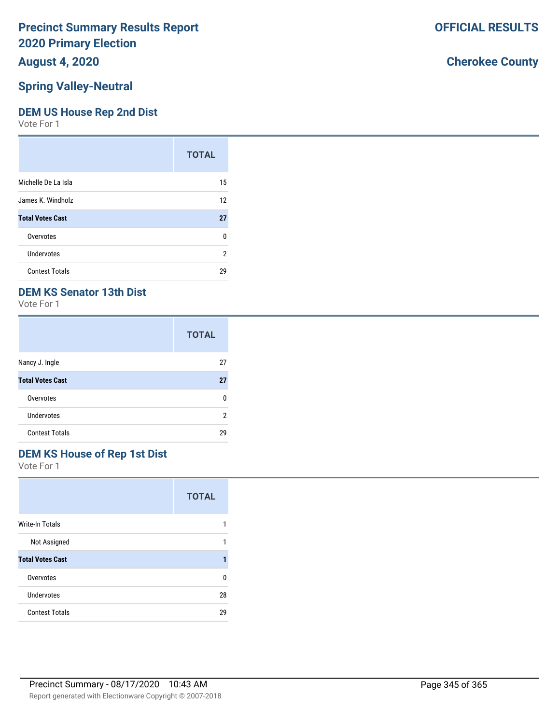### **August 4, 2020**

### **Spring Valley-Neutral**

#### **DEM US House Rep 2nd Dist**

Vote For 1

|                         | <b>TOTAL</b> |
|-------------------------|--------------|
| Michelle De La Isla     | 15           |
| James K. Windholz       | 12           |
| <b>Total Votes Cast</b> | 27           |
| Overvotes               | 0            |
| Undervotes              | 2            |
| <b>Contest Totals</b>   | 29           |

### **DEM KS Senator 13th Dist**

Vote For 1

|                         | <b>TOTAL</b> |
|-------------------------|--------------|
| Nancy J. Ingle          | 27           |
| <b>Total Votes Cast</b> | 27           |
| Overvotes               | n            |
| Undervotes              | 2            |
| <b>Contest Totals</b>   | 29           |

### **DEM KS House of Rep 1st Dist**

Vote For 1

|                         | <b>TOTAL</b> |
|-------------------------|--------------|
| <b>Write-In Totals</b>  |              |
| Not Assigned            |              |
| <b>Total Votes Cast</b> |              |
| Overvotes               | n            |
| <b>Undervotes</b>       | 28           |
| <b>Contest Totals</b>   | 29           |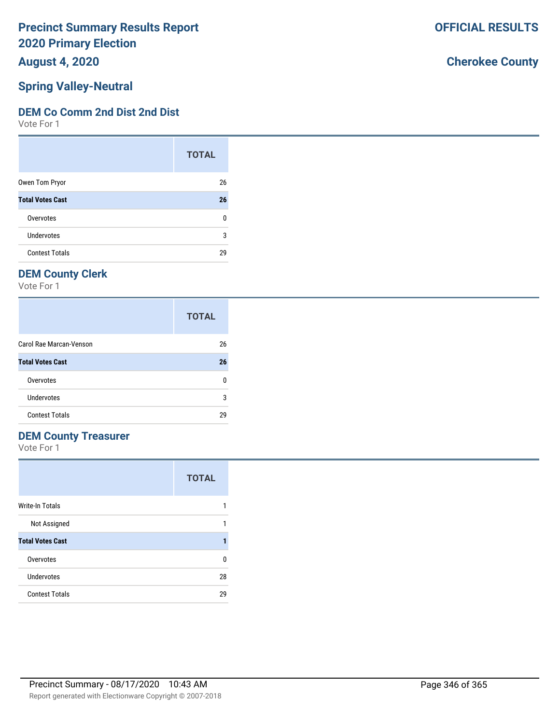**August 4, 2020**

### **Spring Valley-Neutral**

#### **DEM Co Comm 2nd Dist 2nd Dist**

Vote For 1

|                         | <b>TOTAL</b> |
|-------------------------|--------------|
| Owen Tom Pryor          | 26           |
| <b>Total Votes Cast</b> | 26           |
| Overvotes               | U            |
| Undervotes              | 3            |
| <b>Contest Totals</b>   | 29           |

### **DEM County Clerk**

Vote For 1

|                         | <b>TOTAL</b> |
|-------------------------|--------------|
| Carol Rae Marcan-Venson | 26           |
| <b>Total Votes Cast</b> | 26           |
| Overvotes               | n            |
| Undervotes              | 3            |
| <b>Contest Totals</b>   | 29           |

### **DEM County Treasurer**

Vote For 1

|                         | <b>TOTAL</b> |
|-------------------------|--------------|
| Write-In Totals         |              |
| Not Assigned            |              |
| <b>Total Votes Cast</b> |              |
| Overvotes               | n            |
| Undervotes              | 28           |
| <b>Contest Totals</b>   | 29           |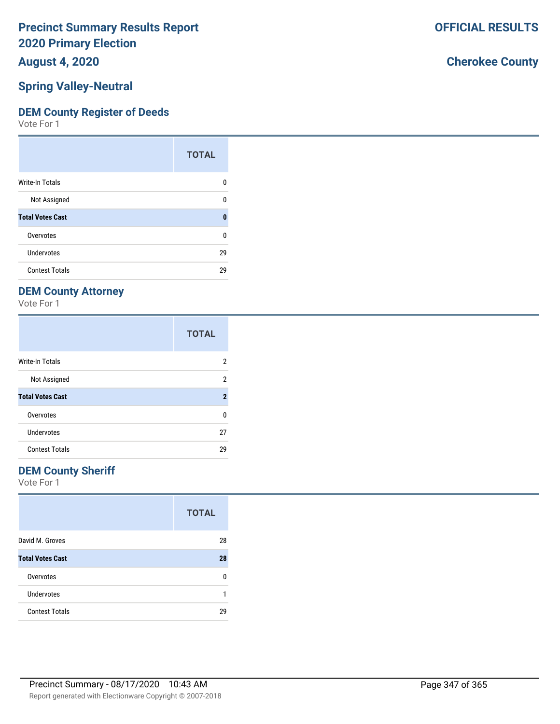**August 4, 2020**

### **Spring Valley-Neutral**

#### **DEM County Register of Deeds**

Vote For 1

|                         | <b>TOTAL</b> |
|-------------------------|--------------|
| Write-In Totals         | n            |
| Not Assigned            | n            |
| <b>Total Votes Cast</b> | n            |
| Overvotes               | ŋ            |
| Undervotes              | 29           |
| <b>Contest Totals</b>   | 29           |

### **DEM County Attorney**

Vote For 1

|                         | <b>TOTAL</b>        |
|-------------------------|---------------------|
| <b>Write-In Totals</b>  | 2                   |
| Not Assigned            | 2                   |
| <b>Total Votes Cast</b> | $\boldsymbol{\eta}$ |
| Overvotes               | U                   |
| Undervotes              | 27                  |
| <b>Contest Totals</b>   | 29                  |

### **DEM County Sheriff**

Vote For 1

|                         | <b>TOTAL</b> |
|-------------------------|--------------|
| David M. Groves         | 28           |
| <b>Total Votes Cast</b> | 28           |
| Overvotes               | n            |
| <b>Undervotes</b>       |              |
| <b>Contest Totals</b>   | 29           |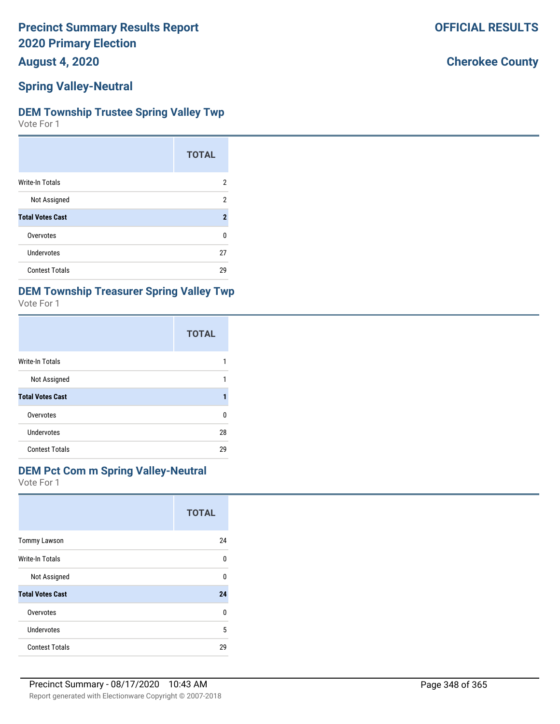**August 4, 2020**

#### **Spring Valley-Neutral**

#### **DEM Township Trustee Spring Valley Twp**

Vote For 1

|                         | <b>TOTAL</b>   |
|-------------------------|----------------|
| <b>Write-In Totals</b>  | 2              |
| Not Assigned            | 2              |
| <b>Total Votes Cast</b> | $\overline{2}$ |
| Overvotes               | n              |
| Undervotes              | 27             |
| <b>Contest Totals</b>   | 29             |

# **DEM Township Treasurer Spring Valley Twp**

| Vote For |  |  |
|----------|--|--|
|----------|--|--|

|                         | <b>TOTAL</b> |
|-------------------------|--------------|
| <b>Write-In Totals</b>  |              |
| Not Assigned            |              |
| <b>Total Votes Cast</b> |              |
| Overvotes               | n            |
| Undervotes              | 28           |
| <b>Contest Totals</b>   | 29           |

#### **DEM Pct Com m Spring Valley-Neutral**

Vote For 1

|                         | <b>TOTAL</b> |
|-------------------------|--------------|
| <b>Tommy Lawson</b>     | 24           |
| Write-In Totals         | 0            |
| Not Assigned            | 0            |
| <b>Total Votes Cast</b> | 24           |
| Overvotes               | $\Omega$     |
| Undervotes              | 5            |
| <b>Contest Totals</b>   | 29           |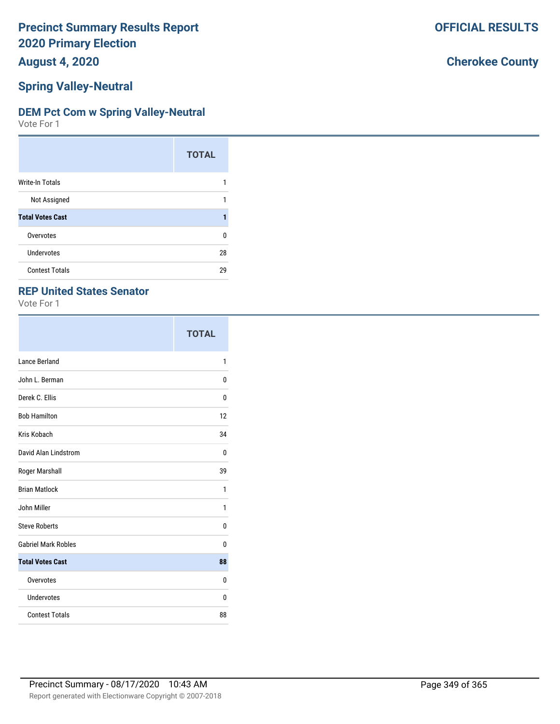**August 4, 2020**

### **Spring Valley-Neutral**

#### **DEM Pct Com w Spring Valley-Neutral**

Vote For 1

|                         | <b>TOTAL</b> |
|-------------------------|--------------|
| <b>Write-In Totals</b>  |              |
| Not Assigned            |              |
| <b>Total Votes Cast</b> |              |
| Overvotes               | U            |
| <b>Undervotes</b>       | 28           |
| <b>Contest Totals</b>   | 29           |

### **REP United States Senator**

Vote For 1

|                            | <b>TOTAL</b> |
|----------------------------|--------------|
| Lance Berland              | 1            |
| John L. Berman             | 0            |
| Derek C. Ellis             | 0            |
| <b>Bob Hamilton</b>        | 12           |
| Kris Kobach                | 34           |
| David Alan Lindstrom       | 0            |
| Roger Marshall             | 39           |
| <b>Brian Matlock</b>       | 1            |
| John Miller                | 1            |
| <b>Steve Roberts</b>       | 0            |
| <b>Gabriel Mark Robles</b> | 0            |
| <b>Total Votes Cast</b>    | 88           |
| Overvotes                  | 0            |
| <b>Undervotes</b>          | 0            |
| <b>Contest Totals</b>      | 88           |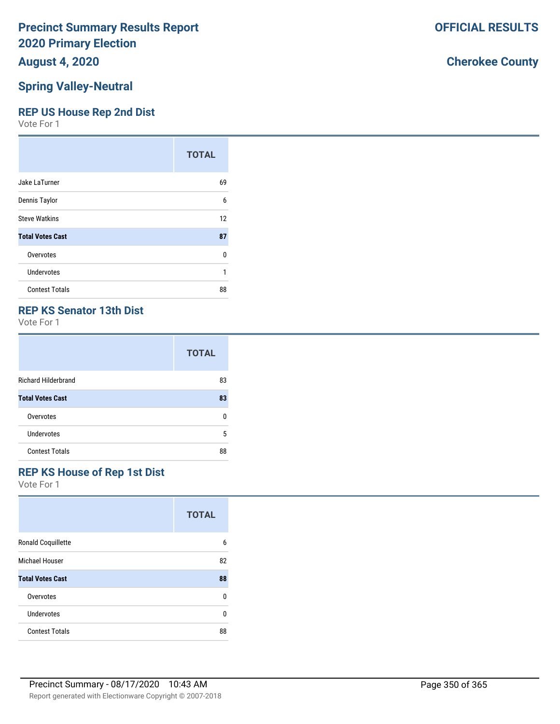### **August 4, 2020**

#### **Spring Valley-Neutral**

### **REP US House Rep 2nd Dist**

Vote For 1

|                         | <b>TOTAL</b> |
|-------------------------|--------------|
| Jake LaTurner           | 69           |
| Dennis Taylor           | 6            |
| <b>Steve Watkins</b>    | 12           |
| <b>Total Votes Cast</b> | 87           |
| Overvotes               | 0            |
| Undervotes              | 1            |
| <b>Contest Totals</b>   | 88           |

### **REP KS Senator 13th Dist**

Vote For 1

|                            | <b>TOTAL</b> |
|----------------------------|--------------|
| <b>Richard Hilderbrand</b> | 83           |
| <b>Total Votes Cast</b>    | 83           |
| Overvotes                  | n            |
| Undervotes                 | 5            |
| <b>Contest Totals</b>      | 88           |

## **REP KS House of Rep 1st Dist**

Vote For 1

|                         | <b>TOTAL</b> |
|-------------------------|--------------|
| Ronald Coquillette      | 6            |
| Michael Houser          | 82           |
| <b>Total Votes Cast</b> | 88           |
| Overvotes               | 0            |
| Undervotes              | U            |
| <b>Contest Totals</b>   | 88           |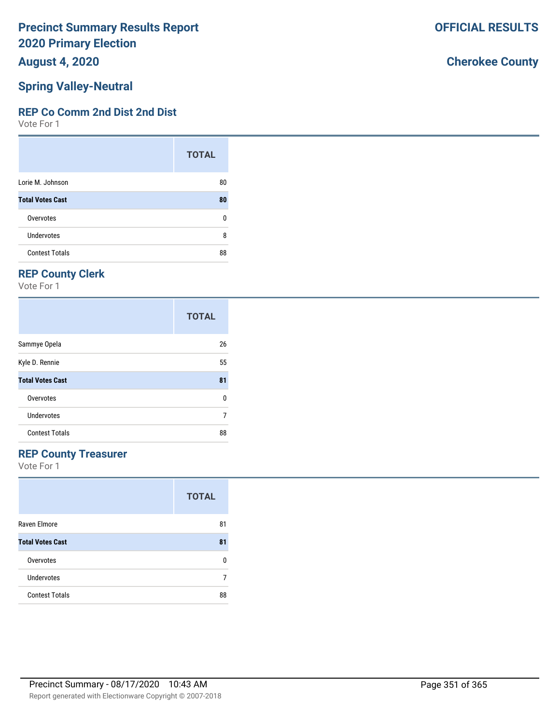**August 4, 2020**

## **Spring Valley-Neutral**

### **REP Co Comm 2nd Dist 2nd Dist**

Vote For 1

|                         | <b>TOTAL</b> |
|-------------------------|--------------|
| Lorie M. Johnson        | 80           |
| <b>Total Votes Cast</b> | 80           |
| Overvotes               | 0            |
| Undervotes              | 8            |
| <b>Contest Totals</b>   | 88           |

# **REP County Clerk**

Vote For 1

|                         | <b>TOTAL</b> |
|-------------------------|--------------|
| Sammye Opela            | 26           |
| Kyle D. Rennie          | 55           |
| <b>Total Votes Cast</b> | 81           |
| Overvotes               | 0            |
| Undervotes              | 7            |
| <b>Contest Totals</b>   | 88           |

### **REP County Treasurer**

Vote For 1

|                         | <b>TOTAL</b> |
|-------------------------|--------------|
| Raven Elmore            | 81           |
| <b>Total Votes Cast</b> | 81           |
| Overvotes               | n            |
| Undervotes              |              |
| <b>Contest Totals</b>   | 88           |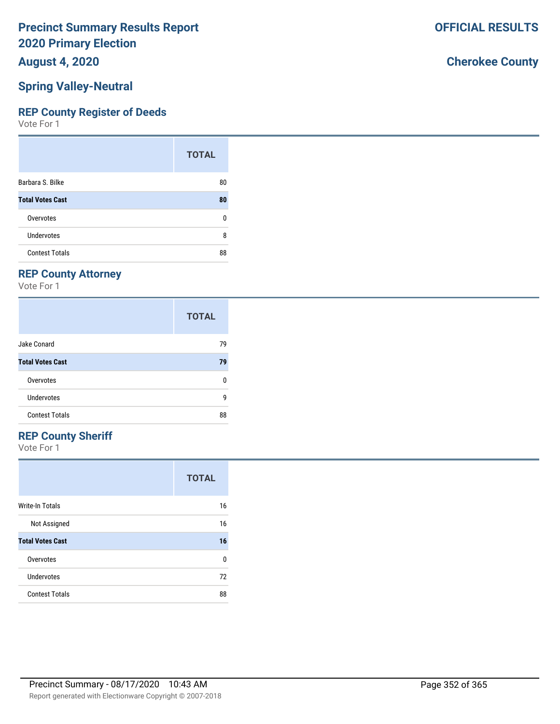**August 4, 2020**

## **Spring Valley-Neutral**

### **REP County Register of Deeds**

Vote For 1

|                         | <b>TOTAL</b> |
|-------------------------|--------------|
| Barbara S. Bilke        | 80           |
| <b>Total Votes Cast</b> | 80           |
| Overvotes               | ŋ            |
| Undervotes              | 8            |
| <b>Contest Totals</b>   | 88           |

## **REP County Attorney**

Vote For 1

|                         | <b>TOTAL</b> |
|-------------------------|--------------|
| Jake Conard             | 79           |
| <b>Total Votes Cast</b> | 79           |
| Overvotes               | ŋ            |
| Undervotes              | g            |
| <b>Contest Totals</b>   | 88           |

### **REP County Sheriff**

Vote For 1

|                         | <b>TOTAL</b> |
|-------------------------|--------------|
| Write-In Totals         | 16           |
| Not Assigned            | 16           |
| <b>Total Votes Cast</b> | 16           |
| Overvotes               | U            |
| Undervotes              | 72           |
| <b>Contest Totals</b>   | 88           |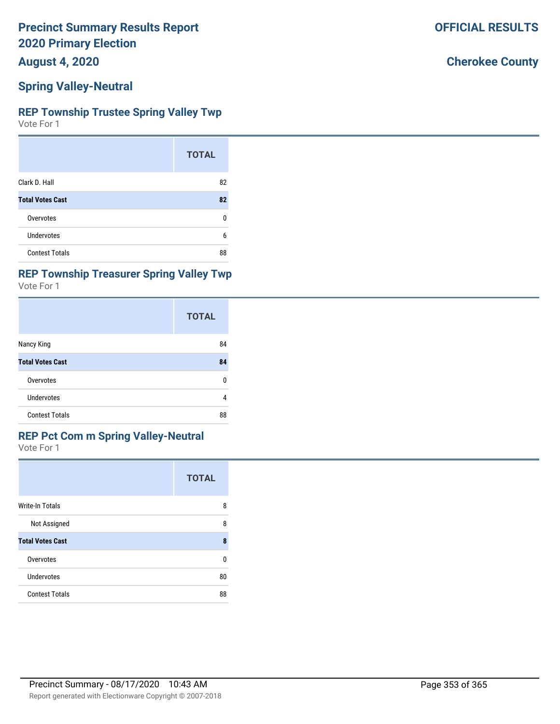**August 4, 2020**

### **Spring Valley-Neutral**

#### **REP Township Trustee Spring Valley Twp**

Vote For 1

|                         | <b>TOTAL</b> |
|-------------------------|--------------|
| Clark D. Hall           | 82           |
| <b>Total Votes Cast</b> | 82           |
| Overvotes               | n            |
| Undervotes              | 6            |
| <b>Contest Totals</b>   | 88           |

### **REP Township Treasurer Spring Valley Twp**

Vote For 1

|                         | <b>TOTAL</b> |
|-------------------------|--------------|
| Nancy King              | 84           |
| <b>Total Votes Cast</b> | 84           |
| Overvotes               | 0            |
| <b>Undervotes</b>       | 4            |
| <b>Contest Totals</b>   | 88           |

#### **REP Pct Com m Spring Valley-Neutral**

Vote For 1

|                         | <b>TOTAL</b> |
|-------------------------|--------------|
| <b>Write-In Totals</b>  | 8            |
| Not Assigned            | 8            |
| <b>Total Votes Cast</b> | 8            |
| Overvotes               | ŋ            |
| Undervotes              | 80           |
| <b>Contest Totals</b>   | 88           |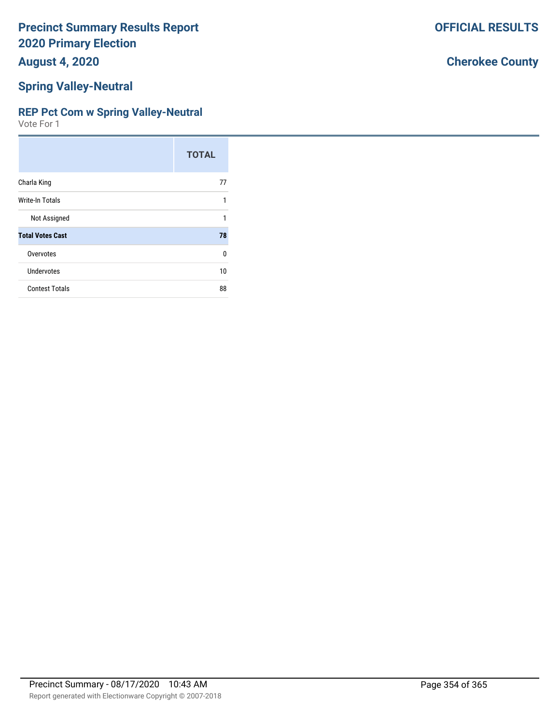**August 4, 2020**

#### **Spring Valley-Neutral**

#### **REP Pct Com w Spring Valley-Neutral**

Vote For 1

|                         | <b>TOTAL</b> |
|-------------------------|--------------|
| Charla King             | 77           |
| <b>Write-In Totals</b>  | 1            |
| Not Assigned            | 1            |
| <b>Total Votes Cast</b> | 78           |
| Overvotes               | $\Omega$     |
| <b>Undervotes</b>       | 10           |
| <b>Contest Totals</b>   | 88           |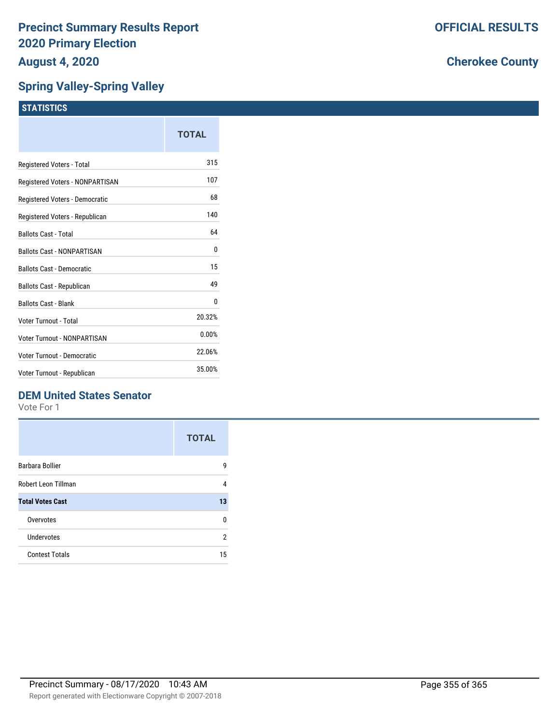### **Spring Valley-Spring Valley**

|                                   | <b>TOTAL</b> |
|-----------------------------------|--------------|
| Registered Voters - Total         | 315          |
| Registered Voters - NONPARTISAN   | 107          |
| Registered Voters - Democratic    | 68           |
| Registered Voters - Republican    | 140          |
| <b>Ballots Cast - Total</b>       | 64           |
| <b>Ballots Cast - NONPARTISAN</b> | 0            |
| <b>Ballots Cast - Democratic</b>  | 15           |
| <b>Ballots Cast - Republican</b>  | 49           |
| <b>Ballots Cast - Blank</b>       | 0            |
| Voter Turnout - Total             | 20.32%       |
| Voter Turnout - NONPARTISAN       | 0.00%        |
| Voter Turnout - Democratic        | 22.06%       |
| Voter Turnout - Republican        | 35.00%       |
|                                   |              |

### **DEM United States Senator**

Vote For 1

|                         | <b>TOTAL</b>   |
|-------------------------|----------------|
| <b>Barbara Bollier</b>  | g              |
| Robert Leon Tillman     | 4              |
| <b>Total Votes Cast</b> | 13             |
| Overvotes               | n              |
| Undervotes              | $\mathfrak{p}$ |
| <b>Contest Totals</b>   | 15             |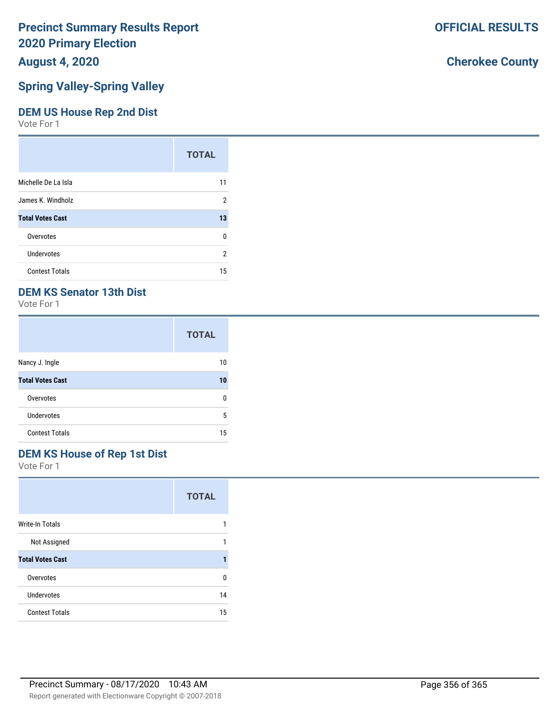## **August 4, 2020**

### **Spring Valley-Spring Valley**

#### **DEM US House Rep 2nd Dist**

Vote For 1

|                         | <b>TOTAL</b> |
|-------------------------|--------------|
| Michelle De La Isla     | 11           |
| James K. Windholz       | 2            |
| <b>Total Votes Cast</b> | 13           |
| Overvotes               | 0            |
| <b>Undervotes</b>       | 2            |
| <b>Contest Totals</b>   | 15           |

### **DEM KS Senator 13th Dist**

Vote For 1

|                         | <b>TOTAL</b> |
|-------------------------|--------------|
| Nancy J. Ingle          | 10           |
| <b>Total Votes Cast</b> | 10           |
| Overvotes               | n            |
| <b>Undervotes</b>       | 5            |
| <b>Contest Totals</b>   | 15           |

### **DEM KS House of Rep 1st Dist**

Vote For 1

|                         | <b>TOTAL</b> |
|-------------------------|--------------|
| <b>Write-In Totals</b>  |              |
| Not Assigned            |              |
| <b>Total Votes Cast</b> |              |
| Overvotes               | n            |
| <b>Undervotes</b>       | 14           |
| <b>Contest Totals</b>   | 15           |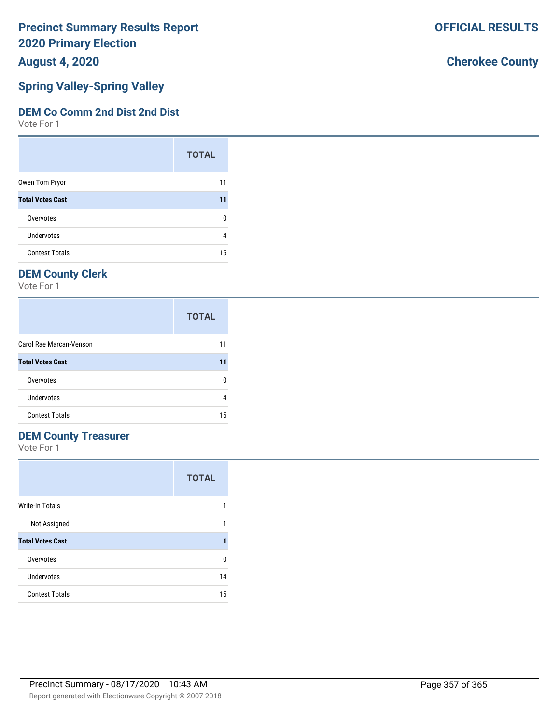**August 4, 2020**

# **Spring Valley-Spring Valley**

### **DEM Co Comm 2nd Dist 2nd Dist**

Vote For 1

|                         | <b>TOTAL</b> |
|-------------------------|--------------|
| Owen Tom Pryor          | 11           |
| <b>Total Votes Cast</b> | 11           |
| Overvotes               | ŋ            |
| Undervotes              |              |
| <b>Contest Totals</b>   | 15           |

# **DEM County Clerk**

Vote For 1

|                         | <b>TOTAL</b> |
|-------------------------|--------------|
| Carol Rae Marcan-Venson | 11           |
| <b>Total Votes Cast</b> | 11           |
| Overvotes               |              |
| Undervotes              |              |
| <b>Contest Totals</b>   | 15           |

### **DEM County Treasurer**

Vote For 1

|                         | <b>TOTAL</b> |
|-------------------------|--------------|
| Write-In Totals         |              |
| Not Assigned            |              |
| <b>Total Votes Cast</b> |              |
| Overvotes               | n            |
| Undervotes              | 14           |
| <b>Contest Totals</b>   | 15           |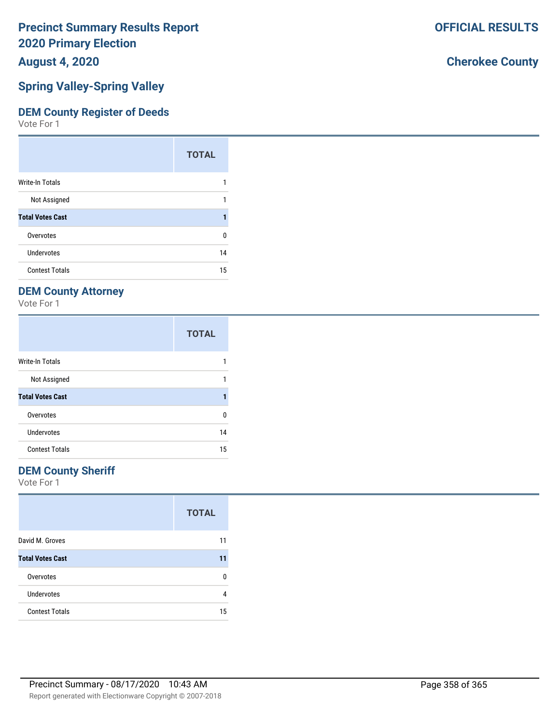**August 4, 2020**

### **Spring Valley-Spring Valley**

#### **DEM County Register of Deeds**

Vote For 1

|                         | <b>TOTAL</b> |
|-------------------------|--------------|
| Write-In Totals         |              |
| Not Assigned            |              |
| <b>Total Votes Cast</b> |              |
| Overvotes               | 0            |
| Undervotes              | 14           |
| <b>Contest Totals</b>   | 15           |

### **DEM County Attorney**

Vote For 1

|                         | <b>TOTAL</b> |
|-------------------------|--------------|
| <b>Write-In Totals</b>  |              |
| Not Assigned            |              |
| <b>Total Votes Cast</b> |              |
| Overvotes               | U            |
| Undervotes              | 14           |
| <b>Contest Totals</b>   | 15           |

### **DEM County Sheriff**

Vote For 1

|                         | <b>TOTAL</b> |
|-------------------------|--------------|
| David M. Groves         | 11           |
| <b>Total Votes Cast</b> | 11           |
| Overvotes               | n            |
| Undervotes              | 4            |
| <b>Contest Totals</b>   | 15           |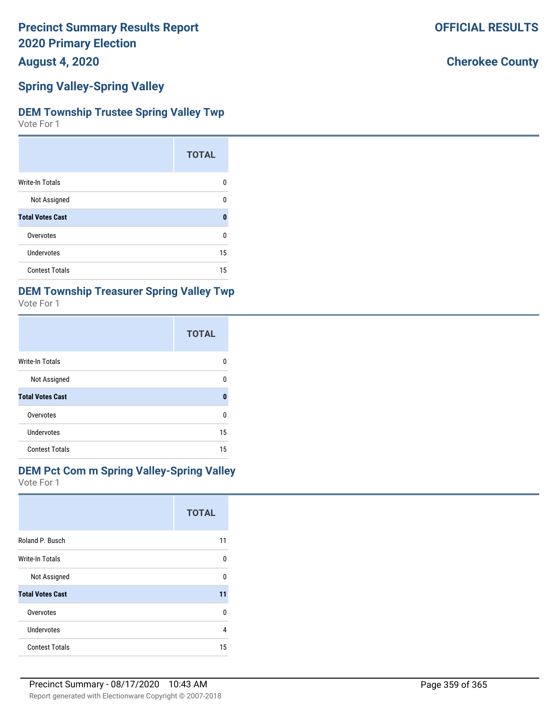**August 4, 2020**

#### **Spring Valley-Spring Valley**

#### **DEM Township Trustee Spring Valley Twp**

Vote For 1

|                         | <b>TOTAL</b> |
|-------------------------|--------------|
| <b>Write-In Totals</b>  | o            |
| Not Assigned            | U            |
| <b>Total Votes Cast</b> | 0            |
| Overvotes               | U            |
| Undervotes              | 15           |
| <b>Contest Totals</b>   | 15           |

# **DEM Township Treasurer Spring Valley Twp**

| Vote For 1 |  |
|------------|--|
|------------|--|

|                         | <b>TOTAL</b> |
|-------------------------|--------------|
| <b>Write-In Totals</b>  | n            |
| Not Assigned            | n            |
| <b>Total Votes Cast</b> | Λ            |
| Overvotes               | ŋ            |
| Undervotes              | 15           |
| <b>Contest Totals</b>   | 15           |

#### **DEM Pct Com m Spring Valley-Spring Valley**

Vote For 1

|                         | <b>TOTAL</b> |
|-------------------------|--------------|
| Roland P. Busch         | 11           |
| <b>Write-In Totals</b>  | U            |
| Not Assigned            | U            |
| <b>Total Votes Cast</b> | 11           |
| Overvotes               | 0            |
| Undervotes              | 4            |
| <b>Contest Totals</b>   | 15           |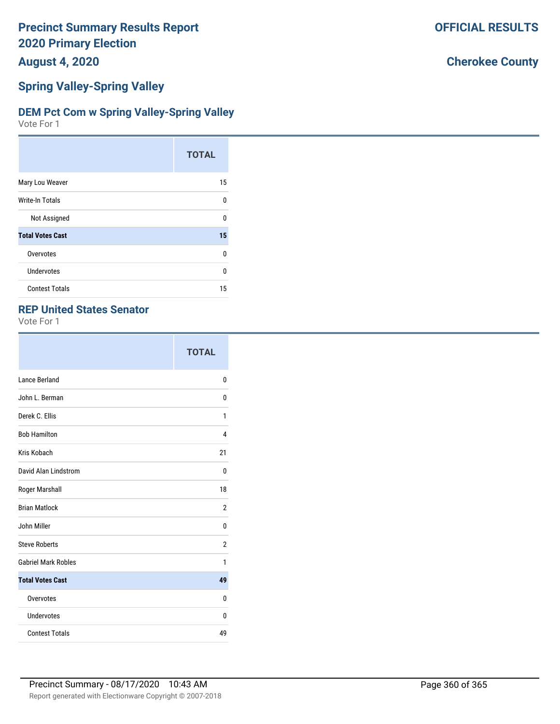**August 4, 2020**

### **Spring Valley-Spring Valley**

#### **DEM Pct Com w Spring Valley-Spring Valley**

Vote For 1

|                         | <b>TOTAL</b> |
|-------------------------|--------------|
| Mary Lou Weaver         | 15           |
| Write-In Totals         | $\Omega$     |
| Not Assigned            | U            |
| <b>Total Votes Cast</b> | 15           |
| Overvotes               | 0            |
| Undervotes              | U            |
| <b>Contest Totals</b>   | 15           |

### **REP United States Senator**

Vote For 1

|                            | <b>TOTAL</b>   |
|----------------------------|----------------|
| Lance Berland              | 0              |
| John L. Berman             | 0              |
| Derek C. Ellis             | 1              |
| <b>Bob Hamilton</b>        | 4              |
| Kris Kobach                | 21             |
| David Alan Lindstrom       | 0              |
| Roger Marshall             | 18             |
| <b>Brian Matlock</b>       | $\overline{2}$ |
| John Miller                | 0              |
| <b>Steve Roberts</b>       | 2              |
| <b>Gabriel Mark Robles</b> | 1              |
| <b>Total Votes Cast</b>    | 49             |
| Overvotes                  | 0              |
| <b>Undervotes</b>          | 0              |
| <b>Contest Totals</b>      | 49             |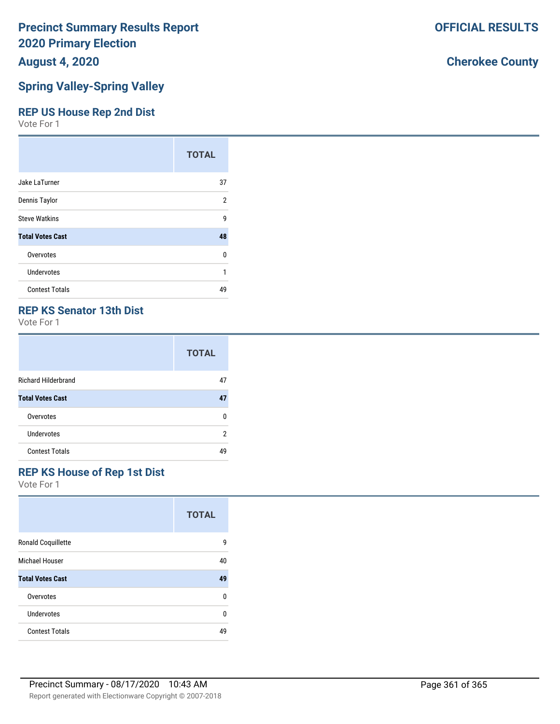## **August 4, 2020**

#### **Spring Valley-Spring Valley**

#### **REP US House Rep 2nd Dist**

Vote For 1

|                         | <b>TOTAL</b> |
|-------------------------|--------------|
| Jake LaTurner           | 37           |
| Dennis Taylor           | 2            |
| <b>Steve Watkins</b>    | 9            |
| <b>Total Votes Cast</b> | 48           |
| Overvotes               | U            |
| <b>Undervotes</b>       | 1            |
| <b>Contest Totals</b>   | 49           |

#### **REP KS Senator 13th Dist**

Vote For 1

|                            | <b>TOTAL</b> |
|----------------------------|--------------|
| <b>Richard Hilderbrand</b> | 47           |
| <b>Total Votes Cast</b>    | 47           |
| Overvotes                  | n            |
| Undervotes                 | 2            |
| <b>Contest Totals</b>      | 49           |

## **REP KS House of Rep 1st Dist**

Vote For 1

|                           | <b>TOTAL</b> |
|---------------------------|--------------|
| <b>Ronald Coquillette</b> | g            |
| Michael Houser            | 40           |
| <b>Total Votes Cast</b>   | 49           |
| Overvotes                 | U            |
| Undervotes                | U            |
| <b>Contest Totals</b>     | 49           |

## **Cherokee County**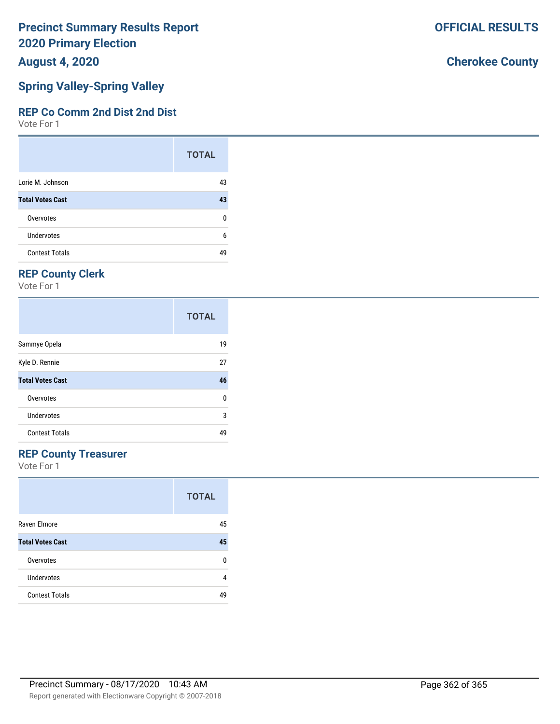**August 4, 2020**

#### **Spring Valley-Spring Valley**

#### **REP Co Comm 2nd Dist 2nd Dist**

Vote For 1

|                         | <b>TOTAL</b> |
|-------------------------|--------------|
| Lorie M. Johnson        | 43           |
| <b>Total Votes Cast</b> | 43           |
| Overvotes               | ŋ            |
| Undervotes              | 6            |
| <b>Contest Totals</b>   | ΔQ           |

### **REP County Clerk**

Vote For 1

|                         | <b>TOTAL</b> |
|-------------------------|--------------|
| Sammye Opela            | 19           |
| Kyle D. Rennie          | 27           |
| <b>Total Votes Cast</b> | 46           |
| Overvotes               | 0            |
| Undervotes              | 3            |
| <b>Contest Totals</b>   | 49           |

#### **REP County Treasurer**

Vote For 1

|                         | <b>TOTAL</b> |
|-------------------------|--------------|
| Raven Elmore            | 45           |
| <b>Total Votes Cast</b> | 45           |
| Overvotes               | n            |
| Undervotes              | 4            |
| <b>Contest Totals</b>   | 49           |

### **Cherokee County**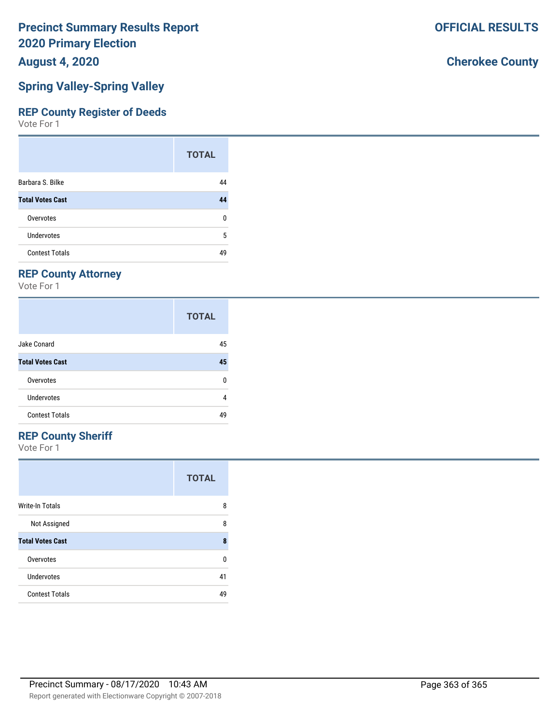**August 4, 2020**

#### **Spring Valley-Spring Valley**

#### **REP County Register of Deeds**

Vote For 1

|                         | <b>TOTAL</b> |
|-------------------------|--------------|
| Barbara S. Bilke        | 44           |
| <b>Total Votes Cast</b> | 44           |
| Overvotes               | 0            |
| Undervotes              | 5            |
| <b>Contest Totals</b>   | 49           |

### **REP County Attorney**

Vote For 1

|                         | <b>TOTAL</b> |
|-------------------------|--------------|
| Jake Conard             | 45           |
| <b>Total Votes Cast</b> | 45           |
| Overvotes               | 0            |
| Undervotes              | 4            |
| <b>Contest Totals</b>   | 49           |

### **REP County Sheriff**

Vote For 1

|                         | <b>TOTAL</b> |
|-------------------------|--------------|
| <b>Write-In Totals</b>  | 8            |
| Not Assigned            | 8            |
| <b>Total Votes Cast</b> | 8            |
| Overvotes               | n            |
| Undervotes              | 41           |
| <b>Contest Totals</b>   | 49           |

#### **Cherokee County**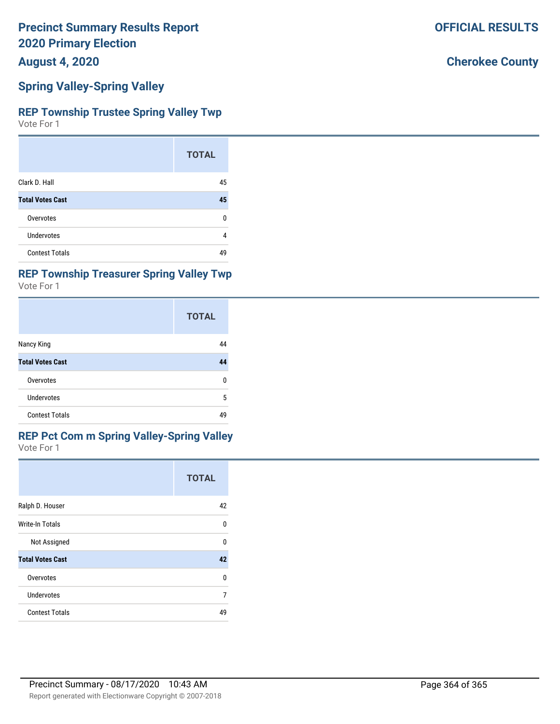**August 4, 2020**

#### **Spring Valley-Spring Valley**

#### **REP Township Trustee Spring Valley Twp**

Vote For 1

|                         | <b>TOTAL</b> |
|-------------------------|--------------|
| Clark D. Hall           | 45           |
| <b>Total Votes Cast</b> | 45           |
| Overvotes               | O            |
| Undervotes              | 4            |
| <b>Contest Totals</b>   | 49           |

#### **REP Township Treasurer Spring Valley Twp**

Vote For 1

|                         | <b>TOTAL</b> |
|-------------------------|--------------|
| Nancy King              | 44           |
| <b>Total Votes Cast</b> | 44           |
| Overvotes               | ŋ            |
| Undervotes              | 5            |
| <b>Contest Totals</b>   | 49           |

#### **REP Pct Com m Spring Valley-Spring Valley**

Vote For 1

|                         | <b>TOTAL</b> |
|-------------------------|--------------|
| Ralph D. Houser         | 42           |
| Write-In Totals         | 0            |
| Not Assigned            | U            |
| <b>Total Votes Cast</b> | 42           |
| Overvotes               | 0            |
| Undervotes              | 7            |
| <b>Contest Totals</b>   | 49           |